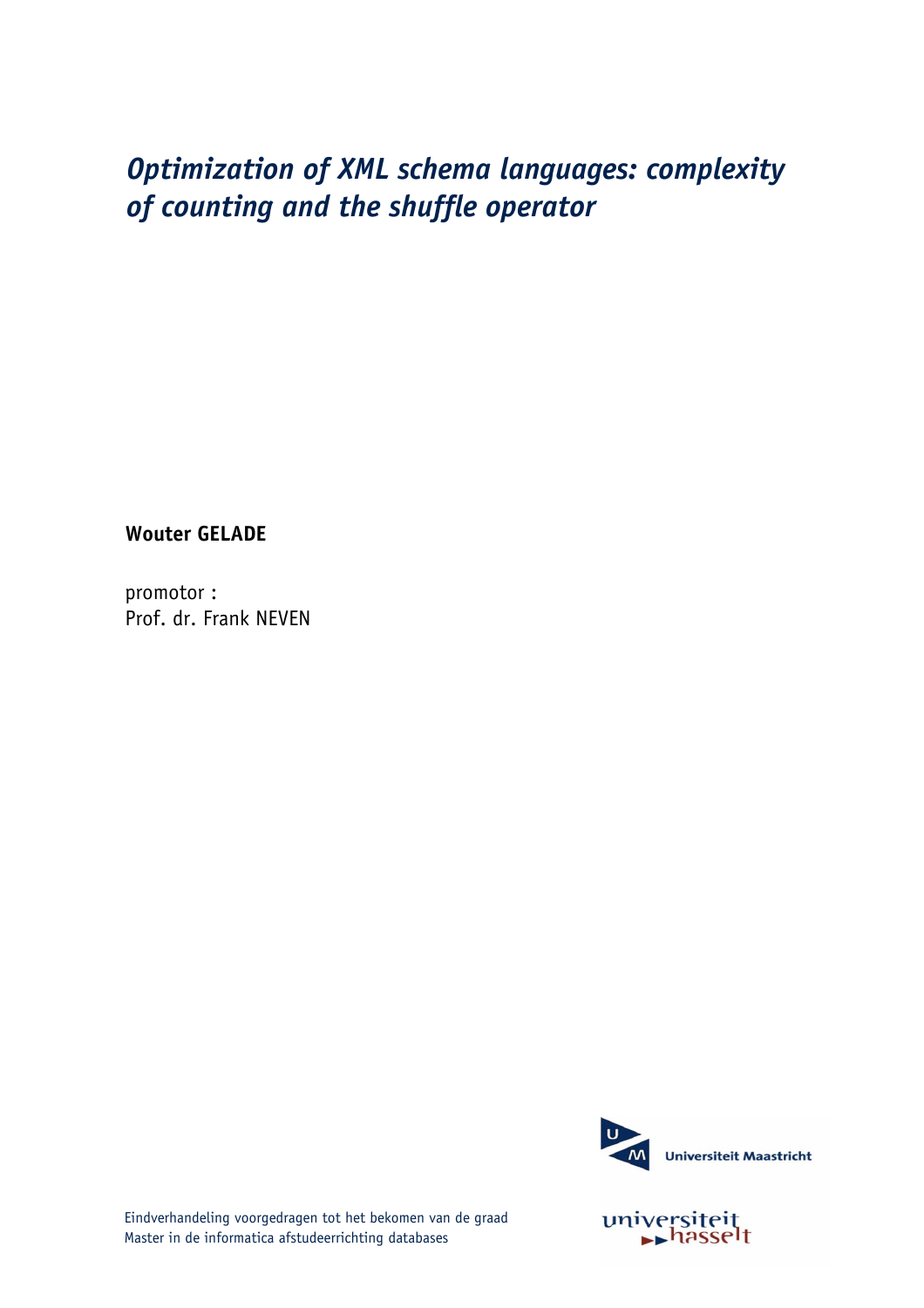### Optimization of XML schema languages: complexity of counting and the shuffle operator

**Wouter GELADE** 

promotor: Prof. dr. Frank NEVEN



universiteit

Eindverhandeling voorgedragen tot het bekomen van de graad Master in de informatica afstudeerrichting databases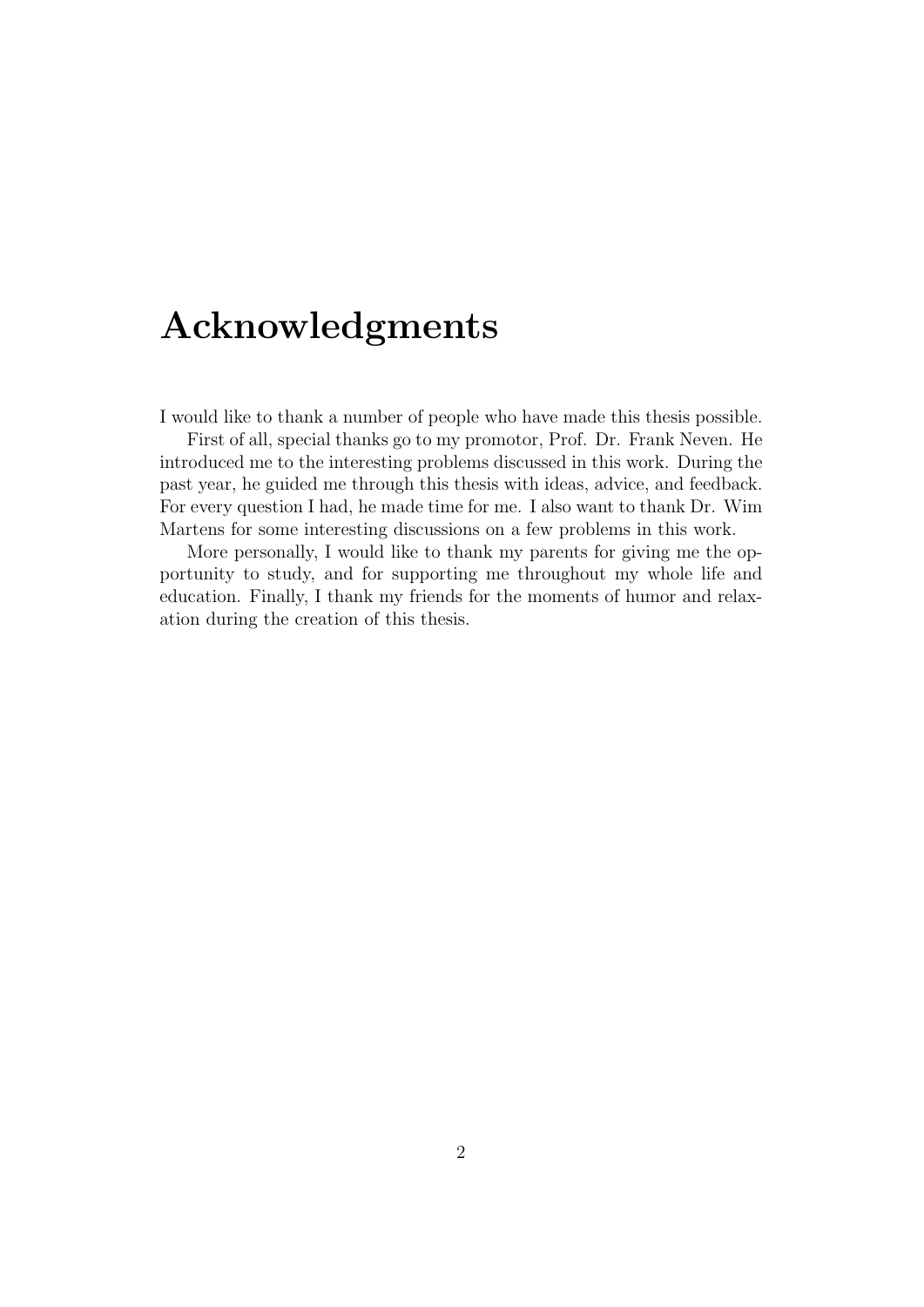## Acknowledgments

I would like to thank a number of people who have made this thesis possible.

First of all, special thanks go to my promotor, Prof. Dr. Frank Neven. He introduced me to the interesting problems discussed in this work. During the past year, he guided me through this thesis with ideas, advice, and feedback. For every question I had, he made time for me. I also want to thank Dr. Wim Martens for some interesting discussions on a few problems in this work.

More personally, I would like to thank my parents for giving me the opportunity to study, and for supporting me throughout my whole life and education. Finally, I thank my friends for the moments of humor and relaxation during the creation of this thesis.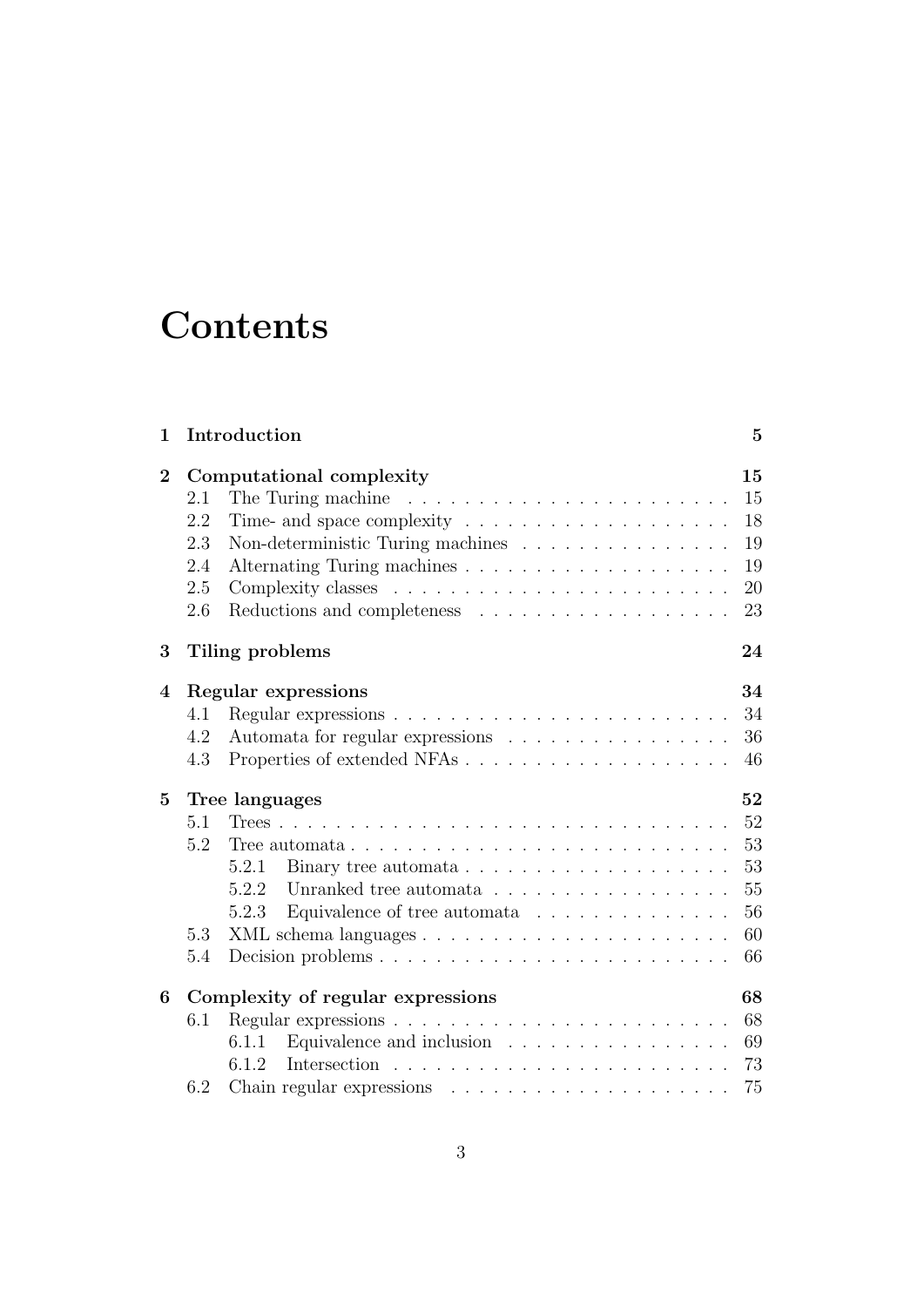# **Contents**

| 1              |                                         | Introduction                                                              | $\overline{5}$ |  |  |  |
|----------------|-----------------------------------------|---------------------------------------------------------------------------|----------------|--|--|--|
| $\overline{2}$ |                                         | Computational complexity                                                  | 15             |  |  |  |
|                | 2.1                                     | The Turing machine                                                        | 15             |  |  |  |
|                | 2.2                                     | Time- and space complexity $\dots \dots \dots \dots \dots \dots \dots$    | 18             |  |  |  |
|                | 2.3                                     | Non-deterministic Turing machines                                         | 19             |  |  |  |
|                | 2.4                                     |                                                                           | 19             |  |  |  |
|                | 2.5                                     |                                                                           | 20             |  |  |  |
|                | 2.6                                     |                                                                           | 23             |  |  |  |
| 3              |                                         | Tiling problems                                                           | 24             |  |  |  |
| 4              |                                         | Regular expressions                                                       | 34             |  |  |  |
|                | 4.1                                     |                                                                           | 34             |  |  |  |
|                | 4.2                                     | Automata for regular expressions                                          | 36             |  |  |  |
|                | 4.3                                     |                                                                           | 46             |  |  |  |
| 5              |                                         | Tree languages<br>52                                                      |                |  |  |  |
|                | 5.1                                     |                                                                           | 52             |  |  |  |
|                | 5.2                                     |                                                                           | 53             |  |  |  |
|                |                                         | 5.2.1<br>Binary tree automata $\ldots \ldots \ldots \ldots \ldots \ldots$ | 53             |  |  |  |
|                |                                         | Unranked tree automata<br>5.2.2                                           | 55             |  |  |  |
|                |                                         | Equivalence of tree automata $\ldots \ldots \ldots \ldots$<br>5.2.3       | 56             |  |  |  |
|                | 5.3                                     |                                                                           | 60             |  |  |  |
|                | 5.4                                     |                                                                           | 66             |  |  |  |
| 6              | Complexity of regular expressions<br>68 |                                                                           |                |  |  |  |
|                | 6.1                                     |                                                                           | 68             |  |  |  |
|                |                                         | Equivalence and inclusion<br>6.1.1                                        | 69             |  |  |  |
|                |                                         | 6.1.2                                                                     | 73             |  |  |  |
|                | 6.2                                     |                                                                           | 75             |  |  |  |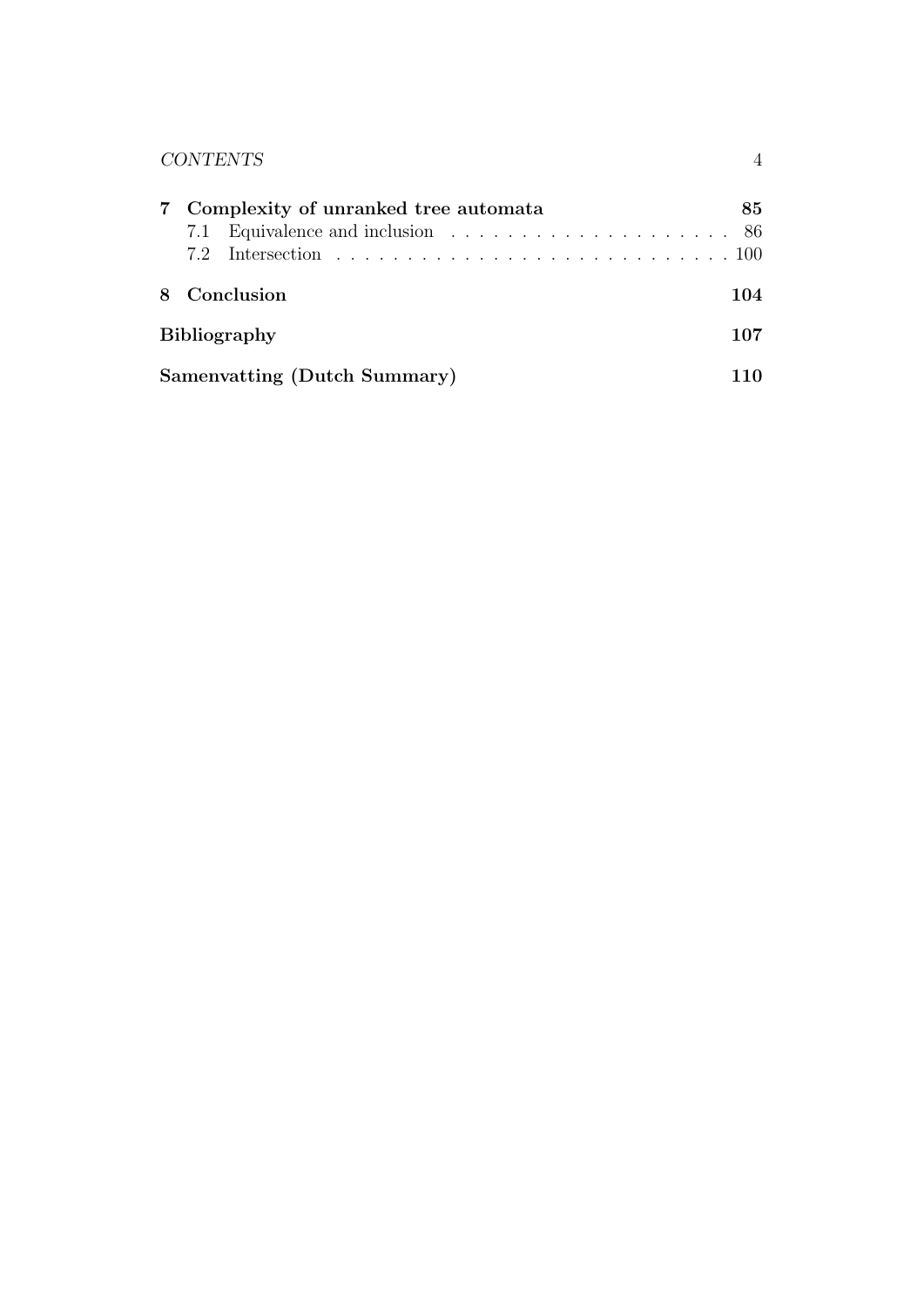| <b>CONTENTS</b>                                                                                                                |     |
|--------------------------------------------------------------------------------------------------------------------------------|-----|
| Complexity of unranked tree automata<br>Equivalence and inclusion $\ldots \ldots \ldots \ldots \ldots \ldots \ldots$ 86<br>7.1 | 85  |
| Conclusion                                                                                                                     | 104 |
| <b>Bibliography</b>                                                                                                            | 107 |
| Samenvatting (Dutch Summary)                                                                                                   |     |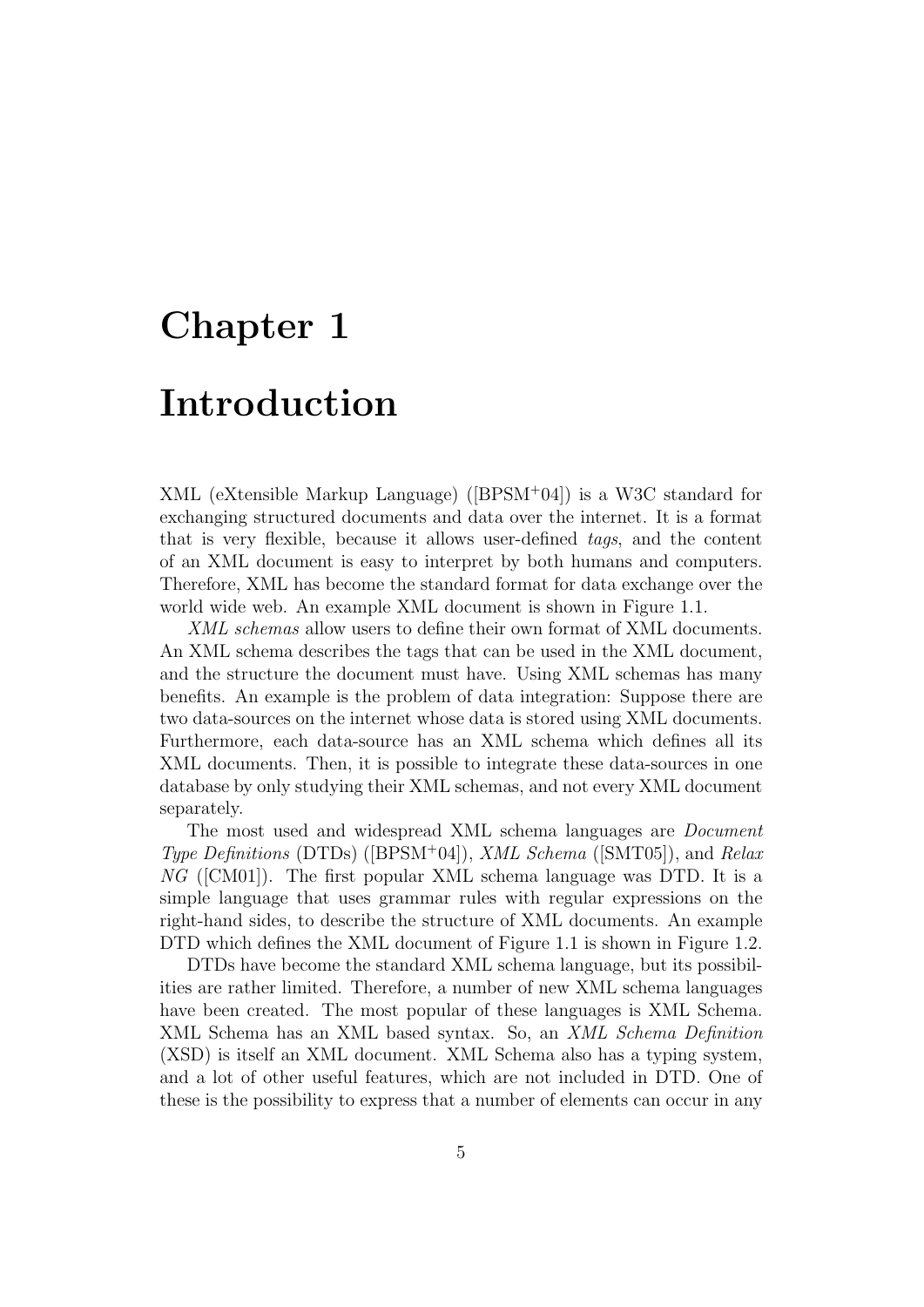# Chapter 1

## Introduction

XML (eXtensible Markup Language) ([BPSM<sup>+</sup>04]) is a W3C standard for exchanging structured documents and data over the internet. It is a format that is very flexible, because it allows user-defined tags, and the content of an XML document is easy to interpret by both humans and computers. Therefore, XML has become the standard format for data exchange over the world wide web. An example XML document is shown in Figure 1.1.

XML schemas allow users to define their own format of XML documents. An XML schema describes the tags that can be used in the XML document, and the structure the document must have. Using XML schemas has many benefits. An example is the problem of data integration: Suppose there are two data-sources on the internet whose data is stored using XML documents. Furthermore, each data-source has an XML schema which defines all its XML documents. Then, it is possible to integrate these data-sources in one database by only studying their XML schemas, and not every XML document separately.

The most used and widespread XML schema languages are Document *Type Definitions* (DTDs) ([BPSM<sup>+</sup>04]), *XML Schema* ([SMT05]), and *Relax* NG ([CM01]). The first popular XML schema language was DTD. It is a simple language that uses grammar rules with regular expressions on the right-hand sides, to describe the structure of XML documents. An example DTD which defines the XML document of Figure 1.1 is shown in Figure 1.2.

DTDs have become the standard XML schema language, but its possibilities are rather limited. Therefore, a number of new XML schema languages have been created. The most popular of these languages is XML Schema. XML Schema has an XML based syntax. So, an *XML Schema Definition* (XSD) is itself an XML document. XML Schema also has a typing system, and a lot of other useful features, which are not included in DTD. One of these is the possibility to express that a number of elements can occur in any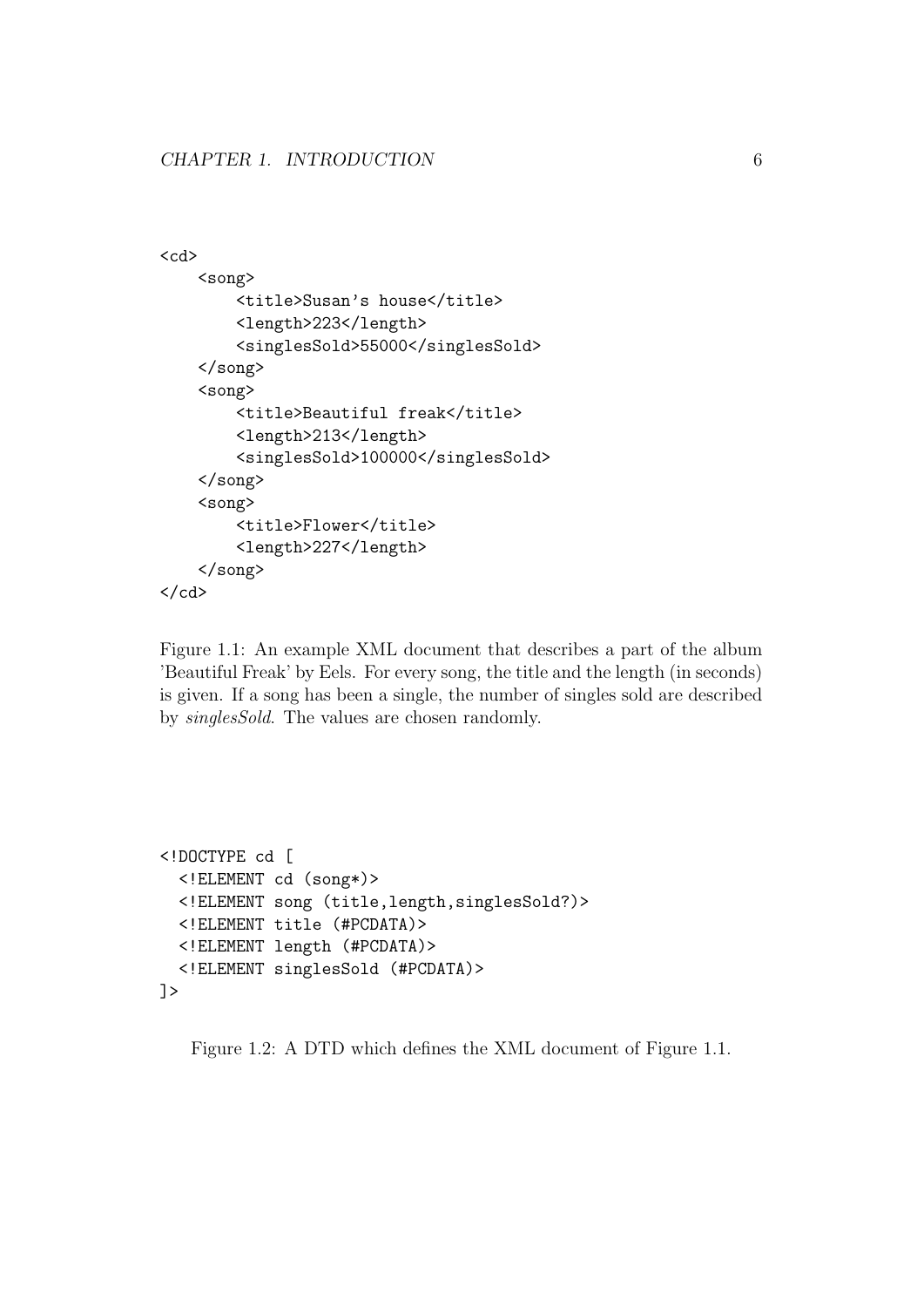```
<cd>
    <song>
        <title>Susan's house</title>
        <length>223</length>
        <singlesSold>55000</singlesSold>
    </song>
    <song>
        <title>Beautiful freak</title>
        <length>213</length>
        <singlesSold>100000</singlesSold>
    </song>
    <song>
        <title>Flower</title>
        <length>227</length>
    </song>
\langle/cd>
```
Figure 1.1: An example XML document that describes a part of the album 'Beautiful Freak' by Eels. For every song, the title and the length (in seconds) is given. If a song has been a single, the number of singles sold are described by singlesSold. The values are chosen randomly.

```
<!DOCTYPE cd [
  <!ELEMENT cd (song*)>
  <!ELEMENT song (title,length,singlesSold?)>
  <!ELEMENT title (#PCDATA)>
  <!ELEMENT length (#PCDATA)>
  <!ELEMENT singlesSold (#PCDATA)>
]>
```
Figure 1.2: A DTD which defines the XML document of Figure 1.1.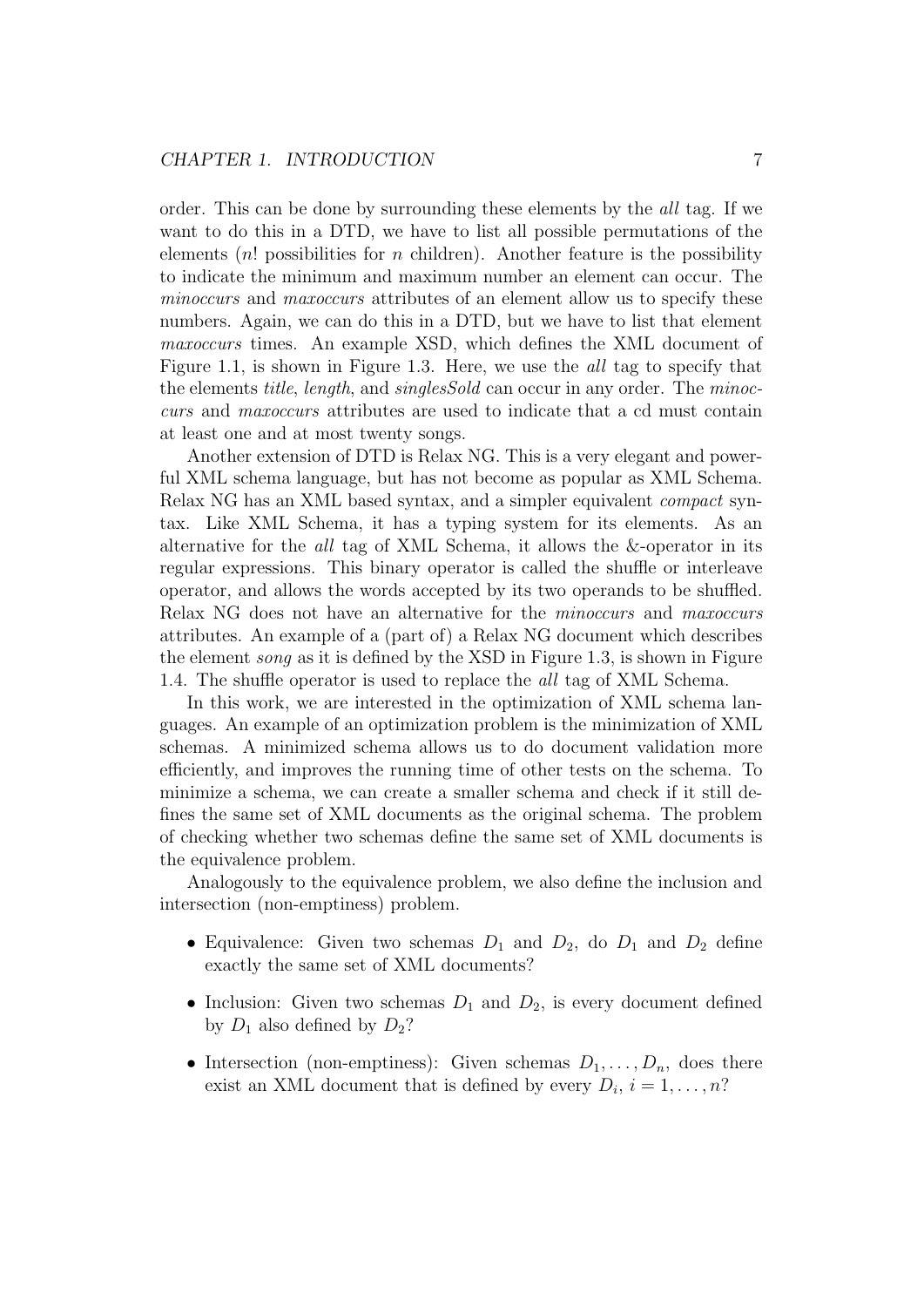order. This can be done by surrounding these elements by the all tag. If we want to do this in a DTD, we have to list all possible permutations of the elements  $(n!)$  possibilities for n children). Another feature is the possibility to indicate the minimum and maximum number an element can occur. The minoccurs and maxoccurs attributes of an element allow us to specify these numbers. Again, we can do this in a DTD, but we have to list that element maxoccurs times. An example XSD, which defines the XML document of Figure 1.1, is shown in Figure 1.3. Here, we use the all tag to specify that the elements title, length, and singlesSold can occur in any order. The minoccurs and maxoccurs attributes are used to indicate that a cd must contain at least one and at most twenty songs.

Another extension of DTD is Relax NG. This is a very elegant and powerful XML schema language, but has not become as popular as XML Schema. Relax NG has an XML based syntax, and a simpler equivalent compact syntax. Like XML Schema, it has a typing system for its elements. As an alternative for the all tag of XML Schema, it allows the &-operator in its regular expressions. This binary operator is called the shuffle or interleave operator, and allows the words accepted by its two operands to be shuffled. Relax NG does not have an alternative for the minoccurs and maxoccurs attributes. An example of a (part of) a Relax NG document which describes the element song as it is defined by the XSD in Figure 1.3, is shown in Figure 1.4. The shuffle operator is used to replace the all tag of XML Schema.

In this work, we are interested in the optimization of XML schema languages. An example of an optimization problem is the minimization of XML schemas. A minimized schema allows us to do document validation more efficiently, and improves the running time of other tests on the schema. To minimize a schema, we can create a smaller schema and check if it still defines the same set of XML documents as the original schema. The problem of checking whether two schemas define the same set of XML documents is the equivalence problem.

Analogously to the equivalence problem, we also define the inclusion and intersection (non-emptiness) problem.

- Equivalence: Given two schemas  $D_1$  and  $D_2$ , do  $D_1$  and  $D_2$  define exactly the same set of XML documents?
- Inclusion: Given two schemas  $D_1$  and  $D_2$ , is every document defined by  $D_1$  also defined by  $D_2$ ?
- Intersection (non-emptiness): Given schemas  $D_1, \ldots, D_n$ , does there exist an XML document that is defined by every  $D_i$ ,  $i = 1, \ldots, n$ ?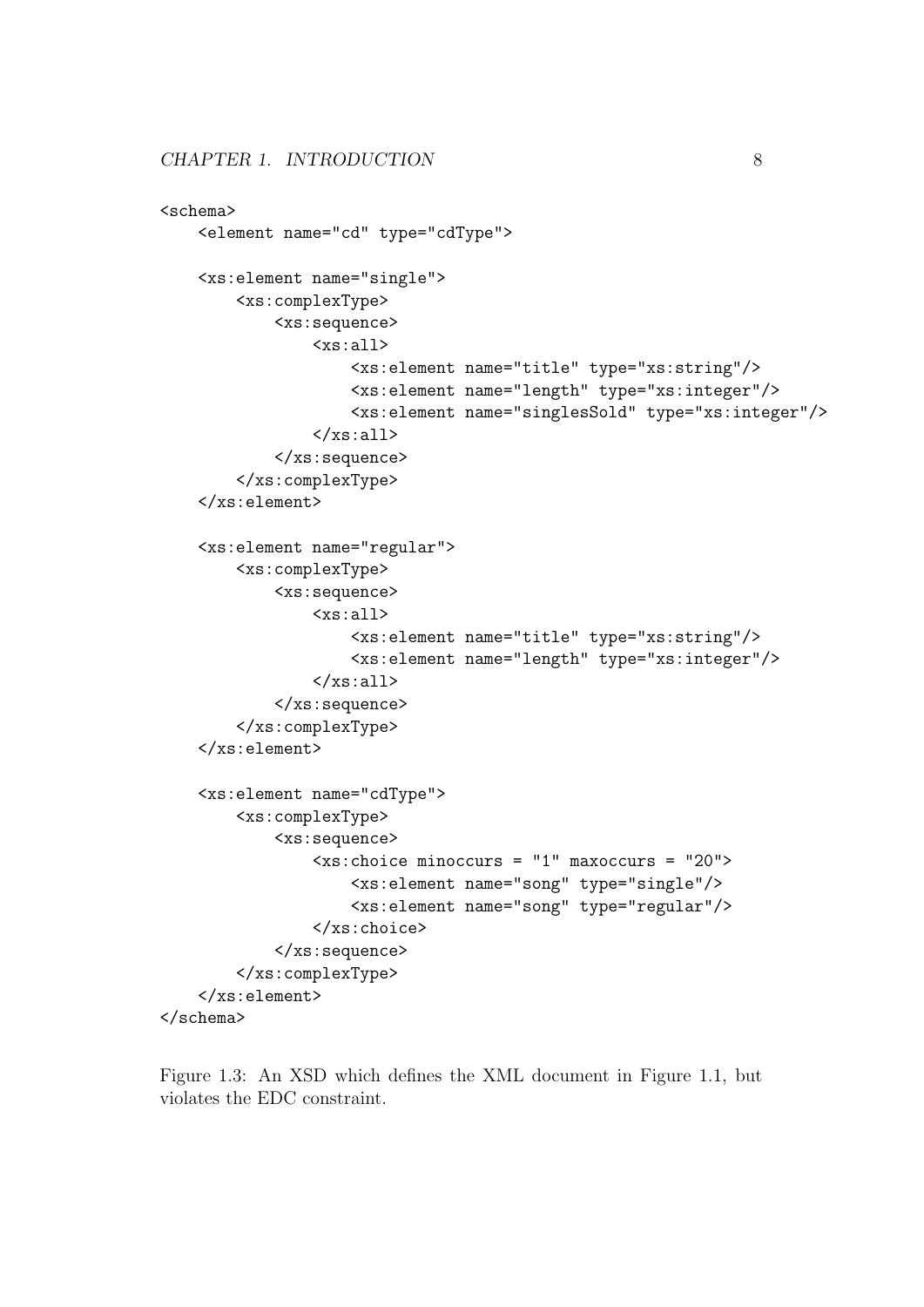```
<schema>
    <element name="cd" type="cdType">
    <xs:element name="single">
        <xs:complexType>
            <xs:sequence>
                <xs:all>
                     <xs:element name="title" type="xs:string"/>
                     <xs:element name="length" type="xs:integer"/>
                     <xs:element name="singlesSold" type="xs:integer"/>
                \langle x s : 11 \rangle</xs:sequence>
        </xs:complexType>
    </xs:element>
    <xs:element name="regular">
        <xs:complexType>
            <xs:sequence>
                 <xs:all>
                     <xs:element name="title" type="xs:string"/>
                     <xs:element name="length" type="xs:integer"/>
                 \langle x s : a 1 1 \rangle</xs:sequence>
        </xs:complexType>
    </xs:element>
    <xs:element name="cdType">
        <xs:complexType>
            <xs:sequence>
                 <xs:choice minoccurs = "1" maxoccurs = "20">
                     <xs:element name="song" type="single"/>
                     <xs:element name="song" type="regular"/>
                 </xs:choice>
            </xs:sequence>
        </xs:complexType>
    </xs:element>
</schema>
```
Figure 1.3: An XSD which defines the XML document in Figure 1.1, but violates the EDC constraint.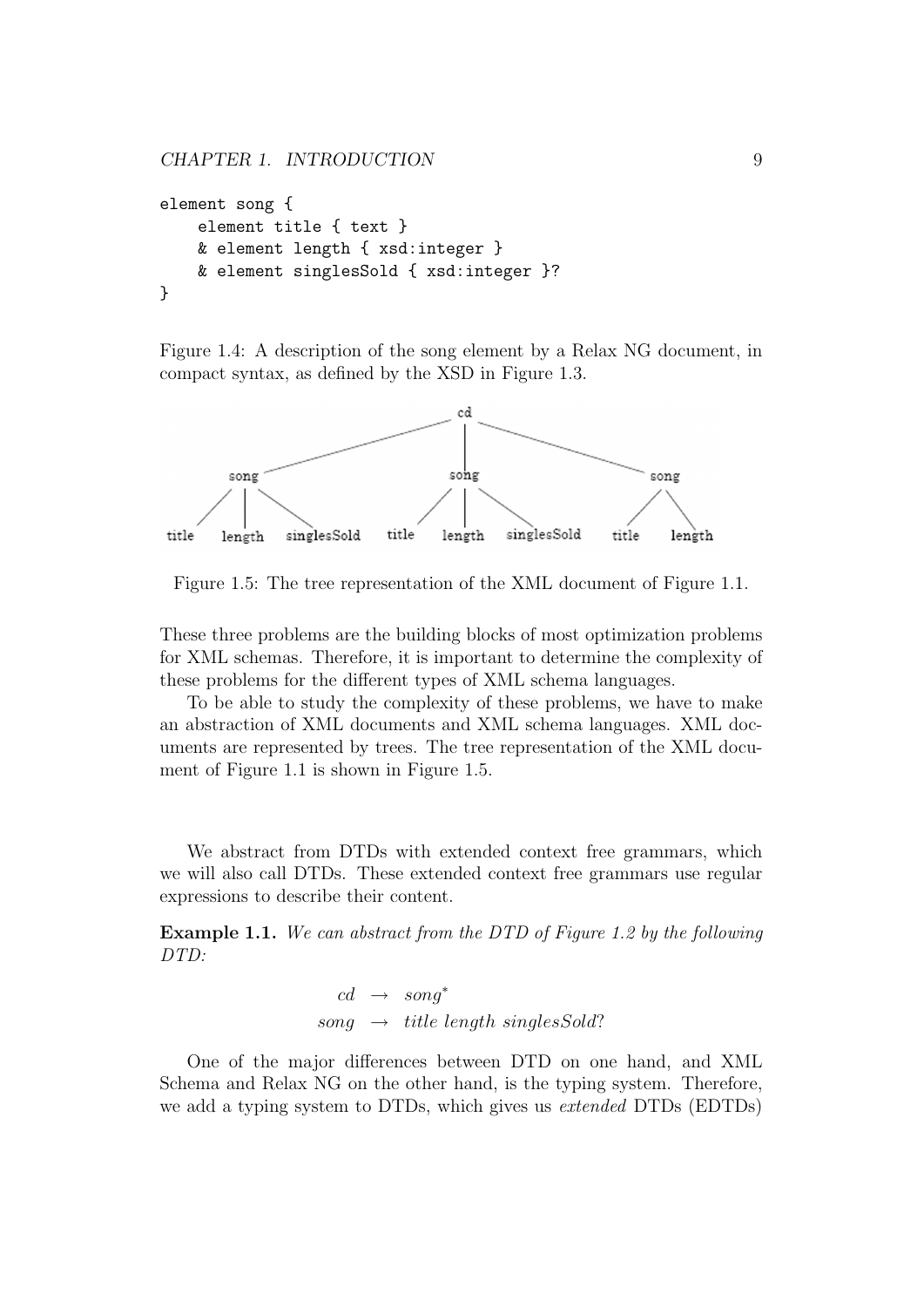```
element song {
    element title { text }
    & element length { xsd:integer }
    & element singlesSold { xsd:integer }?
}
```
Figure 1.4: A description of the song element by a Relax NG document, in compact syntax, as defined by the XSD in Figure 1.3.



Figure 1.5: The tree representation of the XML document of Figure 1.1.

These three problems are the building blocks of most optimization problems for XML schemas. Therefore, it is important to determine the complexity of these problems for the different types of XML schema languages.

To be able to study the complexity of these problems, we have to make an abstraction of XML documents and XML schema languages. XML documents are represented by trees. The tree representation of the XML document of Figure 1.1 is shown in Figure 1.5.

We abstract from DTDs with extended context free grammars, which we will also call DTDs. These extended context free grammars use regular expressions to describe their content.

Example 1.1. We can abstract from the DTD of Figure 1.2 by the following DTD:

```
cd \rightarrow sonq^*song \rightarrow title length singlesSold?
```
One of the major differences between DTD on one hand, and XML Schema and Relax NG on the other hand, is the typing system. Therefore, we add a typing system to DTDs, which gives us *extended* DTDs (EDTDs)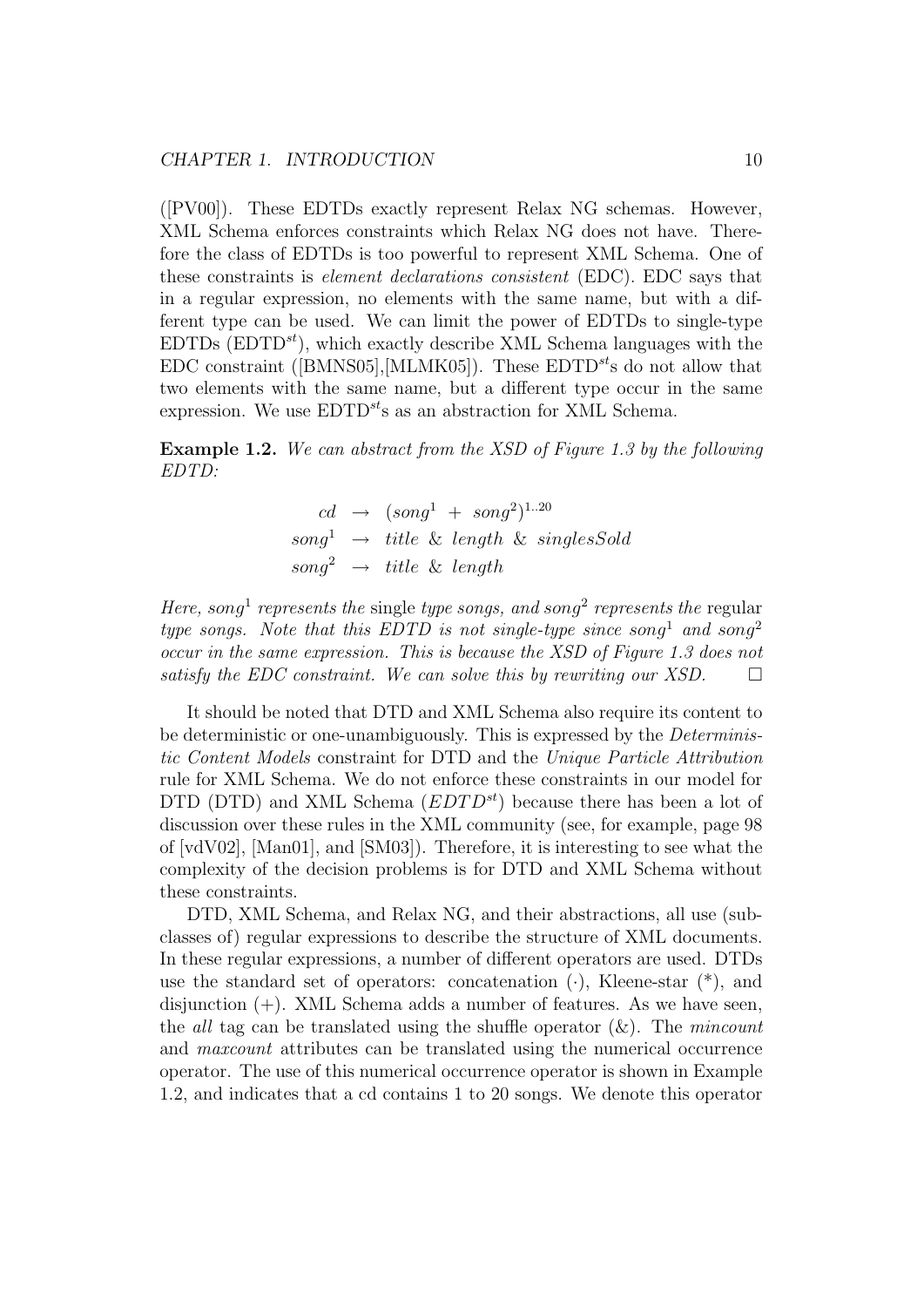([PV00]). These EDTDs exactly represent Relax NG schemas. However, XML Schema enforces constraints which Relax NG does not have. Therefore the class of EDTDs is too powerful to represent XML Schema. One of these constraints is element declarations consistent (EDC). EDC says that in a regular expression, no elements with the same name, but with a different type can be used. We can limit the power of EDTDs to single-type  $EDTDs$  ( $EDTD<sup>st</sup>$ ), which exactly describe XML Schema languages with the EDC constraint ([BMNS05], [MLMK05]). These  $EDTD^{st}$ s do not allow that two elements with the same name, but a different type occur in the same expression. We use  $EDTD^{st}$ s as an abstraction for XML Schema.

Example 1.2. We can abstract from the XSD of Figure 1.3 by the following EDTD:

$$
cd \rightarrow (song1 + song2)1..20
$$
  
song<sup>1</sup>  $\rightarrow$  title & length & singlesSold  
song<sup>2</sup>  $\rightarrow$  title & length

Here, song<sup>1</sup> represents the single type songs, and song<sup>2</sup> represents the regular type songs. Note that this EDTD is not single-type since song<sup>1</sup> and song<sup>2</sup> occur in the same expression. This is because the XSD of Figure 1.3 does not satisfy the EDC constraint. We can solve this by rewriting our XSD.  $\Box$ 

It should be noted that DTD and XML Schema also require its content to be deterministic or one-unambiguously. This is expressed by the *Determinis*tic Content Models constraint for DTD and the Unique Particle Attribution rule for XML Schema. We do not enforce these constraints in our model for DTD (DTD) and XML Schema  $(EDTD^{st})$  because there has been a lot of discussion over these rules in the XML community (see, for example, page 98 of [vdV02], [Man01], and [SM03]). Therefore, it is interesting to see what the complexity of the decision problems is for DTD and XML Schema without these constraints.

DTD, XML Schema, and Relax NG, and their abstractions, all use (subclasses of) regular expressions to describe the structure of XML documents. In these regular expressions, a number of different operators are used. DTDs use the standard set of operators: concatenation  $(\cdot)$ , Kleene-star  $(*)$ , and disjunction  $(+)$ . XML Schema adds a number of features. As we have seen, the all tag can be translated using the shuffle operator  $(x)$ . The mincount and maxcount attributes can be translated using the numerical occurrence operator. The use of this numerical occurrence operator is shown in Example 1.2, and indicates that a cd contains 1 to 20 songs. We denote this operator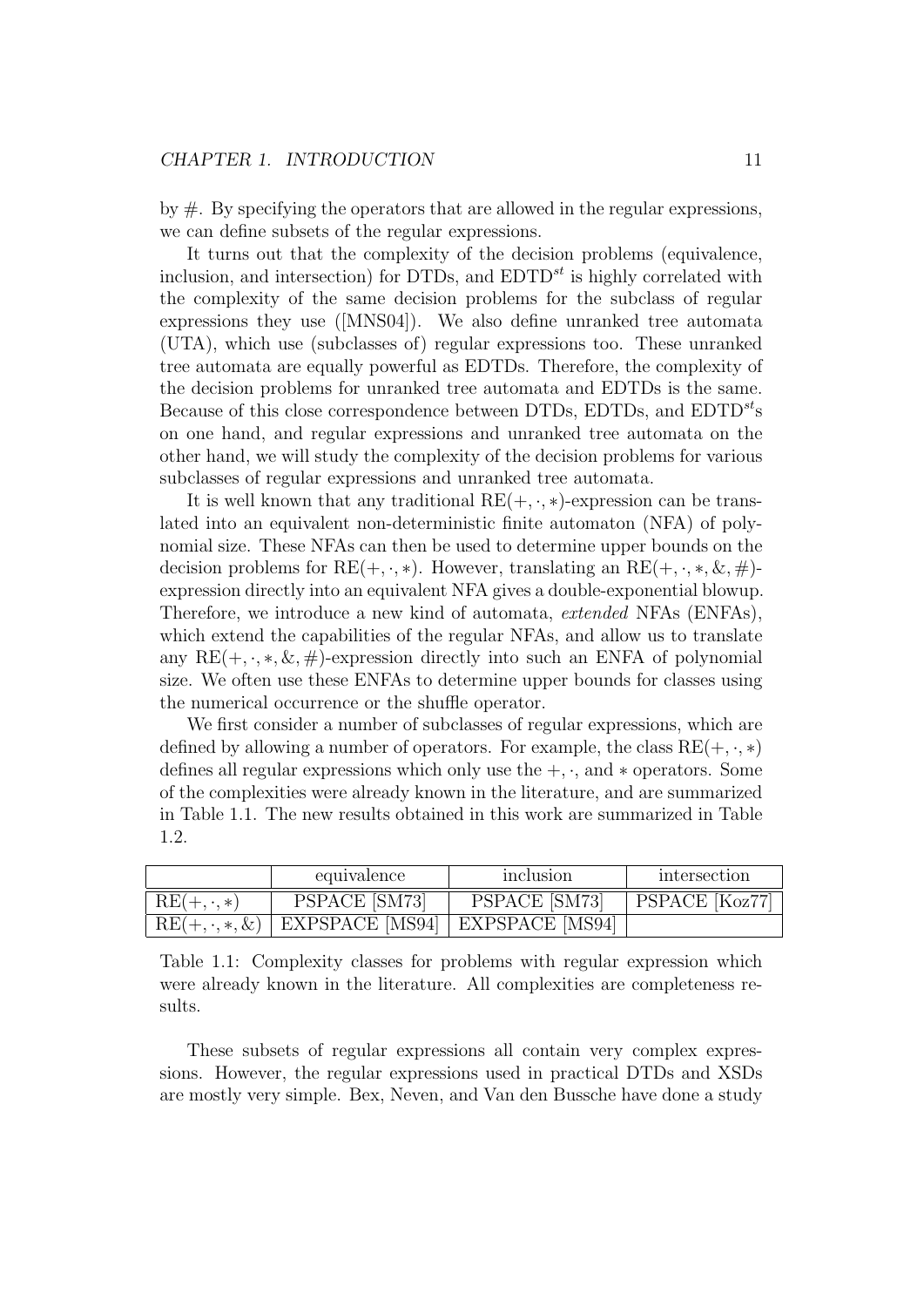by  $\#$ . By specifying the operators that are allowed in the regular expressions, we can define subsets of the regular expressions.

It turns out that the complexity of the decision problems (equivalence, inclusion, and intersection) for DTDs, and  $EDTD^{st}$  is highly correlated with the complexity of the same decision problems for the subclass of regular expressions they use ([MNS04]). We also define unranked tree automata (UTA), which use (subclasses of) regular expressions too. These unranked tree automata are equally powerful as EDTDs. Therefore, the complexity of the decision problems for unranked tree automata and EDTDs is the same. Because of this close correspondence between DTDs, EDTDs, and  $EDTD^{st}$ s on one hand, and regular expressions and unranked tree automata on the other hand, we will study the complexity of the decision problems for various subclasses of regular expressions and unranked tree automata.

It is well known that any traditional  $RE(+, \cdot, *)$ -expression can be translated into an equivalent non-deterministic finite automaton (NFA) of polynomial size. These NFAs can then be used to determine upper bounds on the decision problems for  $RE(+, \cdot, *)$ . However, translating an  $RE(+, \cdot, *, \&, \#)$ expression directly into an equivalent NFA gives a double-exponential blowup. Therefore, we introduce a new kind of automata, extended NFAs (ENFAs), which extend the capabilities of the regular NFAs, and allow us to translate any  $RE(+, \cdot, *, \&, \#)$ -expression directly into such an ENFA of polynomial size. We often use these ENFAs to determine upper bounds for classes using the numerical occurrence or the shuffle operator.

We first consider a number of subclasses of regular expressions, which are defined by allowing a number of operators. For example, the class  $RE(+, \cdot, *)$ defines all regular expressions which only use the  $+$ ,  $\cdot$ , and  $*$  operators. Some of the complexities were already known in the literature, and are summarized in Table 1.1. The new results obtained in this work are summarized in Table 1.2.

|                   | equivalence                                               | inclusion     | intersection       |
|-------------------|-----------------------------------------------------------|---------------|--------------------|
| $RE(+, \cdot, *)$ | PSPACE [SM73]                                             | PSPACE [SM73] | $ $ PSPACE [Koz77] |
|                   | $RE(+, \cdot, *, \&)$   EXPSPACE [MS94]   EXPSPACE [MS94] |               |                    |

Table 1.1: Complexity classes for problems with regular expression which were already known in the literature. All complexities are completeness results.

These subsets of regular expressions all contain very complex expressions. However, the regular expressions used in practical DTDs and XSDs are mostly very simple. Bex, Neven, and Van den Bussche have done a study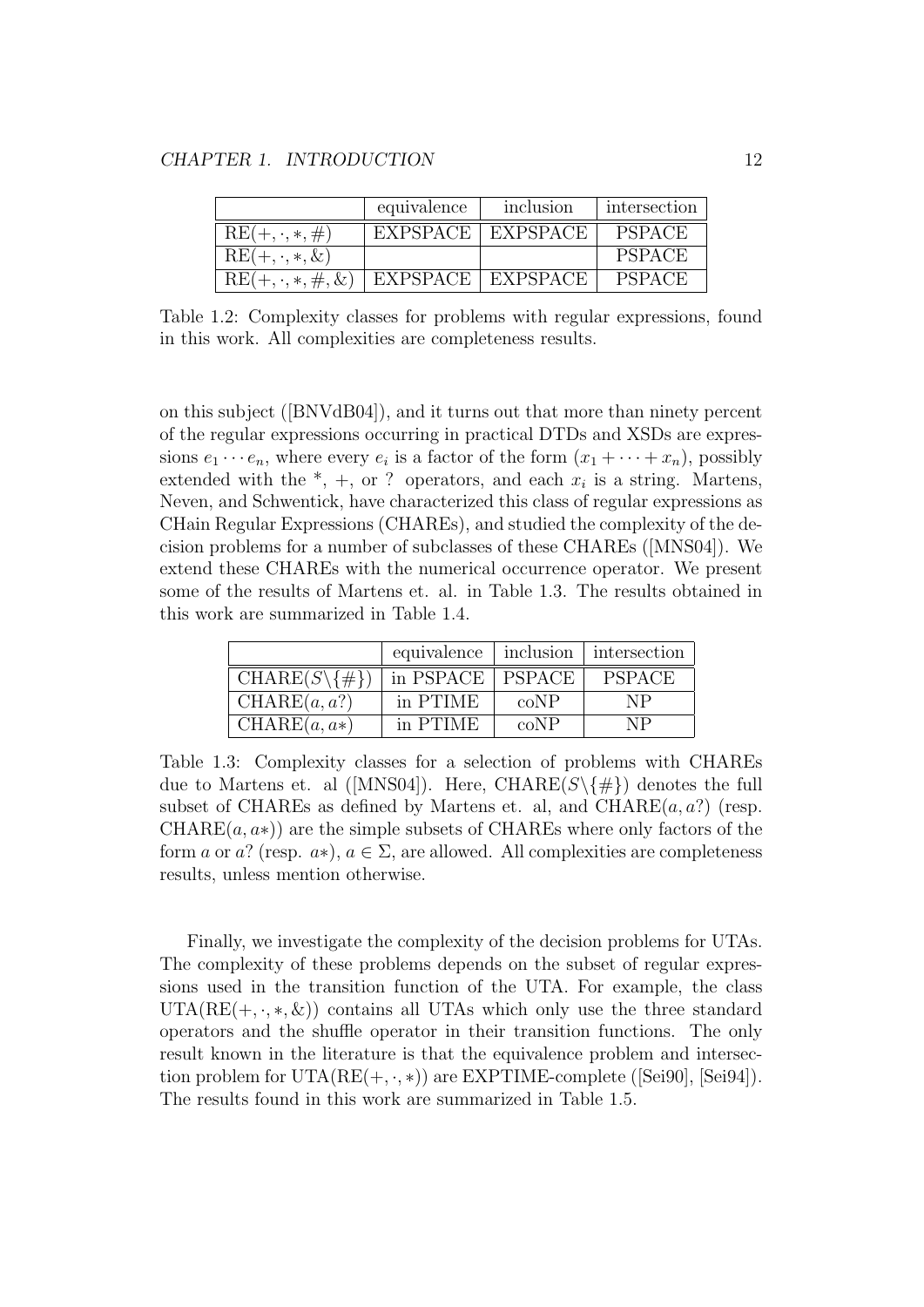|                           | equivalence     | inclusion           | intersection  |
|---------------------------|-----------------|---------------------|---------------|
| $RE(+, \cdot, *, \#)$     | <b>EXPSPACE</b> | EXPSPACE            | <b>PSPACE</b> |
| $RE(+, \cdot, *, \&)$     |                 |                     | <b>PSPACE</b> |
| $RE(+, \cdot, *, \#, \&)$ |                 | EXPSPACE   EXPSPACE | <b>PSPACE</b> |

Table 1.2: Complexity classes for problems with regular expressions, found in this work. All complexities are completeness results.

on this subject ([BNVdB04]), and it turns out that more than ninety percent of the regular expressions occurring in practical DTDs and XSDs are expressions  $e_1 \cdots e_n$ , where every  $e_i$  is a factor of the form  $(x_1 + \cdots + x_n)$ , possibly extended with the  $*, +$ , or ? operators, and each  $x_i$  is a string. Martens, Neven, and Schwentick, have characterized this class of regular expressions as CHain Regular Expressions (CHAREs), and studied the complexity of the decision problems for a number of subclasses of these CHAREs ([MNS04]). We extend these CHAREs with the numerical occurrence operator. We present some of the results of Martens et. al. in Table 1.3. The results obtained in this work are summarized in Table 1.4.

|                              | equivalence | inclusion     | intersection  |
|------------------------------|-------------|---------------|---------------|
| $CHARE(S\backslash \{\# \})$ | in PSPACE   | <b>PSPACE</b> | <b>PSPACE</b> |
| CHARE(a, a?)                 | in PTIME    | coNP          | NP            |
| $CHARE(a, a*)$               | in PTIME    | coNP          | NP            |

Table 1.3: Complexity classes for a selection of problems with CHAREs due to Martens et. al ([MNS04]). Here, CHARE( $S \setminus \{\#\}$ ) denotes the full subset of CHAREs as defined by Martens et. al, and CHARE $(a, a?$  (resp.  $CHARE(a, a*)$  are the simple subsets of CHAREs where only factors of the form a or a? (resp.  $a*$ ),  $a \in \Sigma$ , are allowed. All complexities are completeness results, unless mention otherwise.

Finally, we investigate the complexity of the decision problems for UTAs. The complexity of these problems depends on the subset of regular expressions used in the transition function of the UTA. For example, the class  $UTA(RE(+, \cdot, *, \&))$  contains all UTAs which only use the three standard operators and the shuffle operator in their transition functions. The only result known in the literature is that the equivalence problem and intersection problem for  $UTA(RE(+, \cdot, *)$  are EXPTIME-complete ([Sei90], [Sei94]). The results found in this work are summarized in Table 1.5.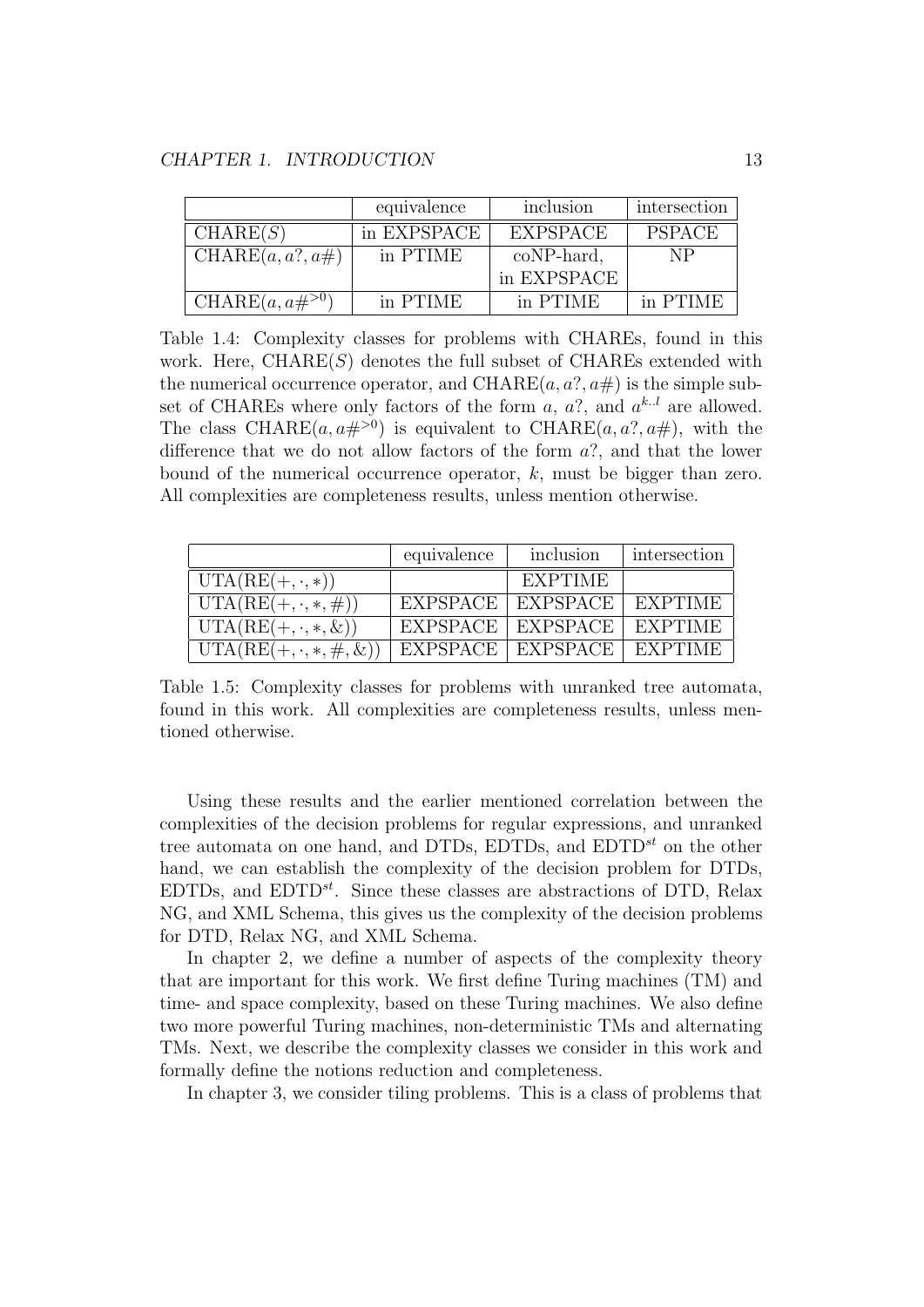|                       | equivalence | inclusion       | intersection  |
|-----------------------|-------------|-----------------|---------------|
| CHARE(S)              | in EXPSPACE | <b>EXPSPACE</b> | <b>PSPACE</b> |
| CHARE $(a, a?, a\#)$  | in PTIME    | coNP-hard,      | NP            |
|                       |             | in EXPSPACE     |               |
| CHARE $(a, a\#^{>0})$ | in PTIME    | in PTIME        | in PTIME      |

Table 1.4: Complexity classes for problems with CHAREs, found in this work. Here,  $\text{CHARE}(S)$  denotes the full subset of CHAREs extended with the numerical occurrence operator, and CHARE $(a, a?, a\#)$  is the simple subset of CHAREs where only factors of the form  $a, a?$ , and  $a^{k.l}$  are allowed. The class CHARE $(a, a\#^{>0})$  is equivalent to CHARE $(a, a^2, a\#)$ , with the difference that we do not allow factors of the form a?, and that the lower bound of the numerical occurrence operator,  $k$ , must be bigger than zero. All complexities are completeness results, unless mention otherwise.

|                                                  | equivalence | inclusion           | intersection   |
|--------------------------------------------------|-------------|---------------------|----------------|
| $UTA(RE(+, \cdot, *))$                           |             | EXPTIME             |                |
| $UTA(RE(+, \cdot, *, \#))$                       |             | EXPSPACE   EXPSPACE | EXPTIME        |
| $\overline{\text{UTA}}(\text{RE}(+,\cdot,*,\&))$ |             | EXPSPACE   EXPSPACE | <b>EXPTIME</b> |
| $UTA(RE(+, \cdot, *, \#, \&))$                   |             | EXPSPACE   EXPSPACE | EXPTIME        |

Table 1.5: Complexity classes for problems with unranked tree automata, found in this work. All complexities are completeness results, unless mentioned otherwise.

Using these results and the earlier mentioned correlation between the complexities of the decision problems for regular expressions, and unranked tree automata on one hand, and DTDs, EDTDs, and  $EDTD^{st}$  on the other hand, we can establish the complexity of the decision problem for DTDs, EDTDs, and  $EDTD^{st}$ . Since these classes are abstractions of DTD, Relax NG, and XML Schema, this gives us the complexity of the decision problems for DTD, Relax NG, and XML Schema.

In chapter 2, we define a number of aspects of the complexity theory that are important for this work. We first define Turing machines (TM) and time- and space complexity, based on these Turing machines. We also define two more powerful Turing machines, non-deterministic TMs and alternating TMs. Next, we describe the complexity classes we consider in this work and formally define the notions reduction and completeness.

In chapter 3, we consider tiling problems. This is a class of problems that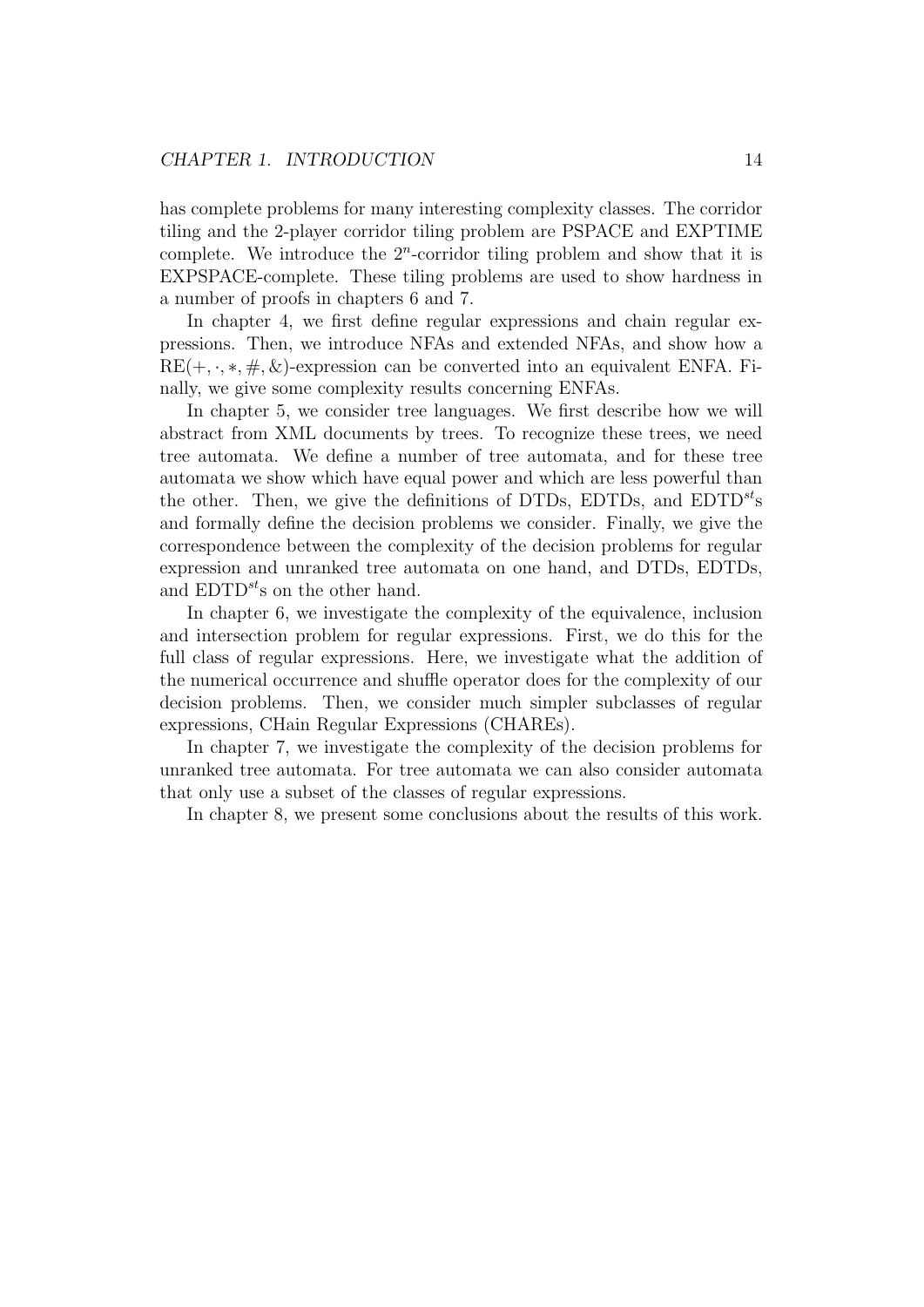has complete problems for many interesting complexity classes. The corridor tiling and the 2-player corridor tiling problem are PSPACE and EXPTIME complete. We introduce the  $2^n$ -corridor tiling problem and show that it is EXPSPACE-complete. These tiling problems are used to show hardness in a number of proofs in chapters 6 and 7.

In chapter 4, we first define regular expressions and chain regular expressions. Then, we introduce NFAs and extended NFAs, and show how a  $RE(+, \cdot, *, \#, \&)$ -expression can be converted into an equivalent ENFA. Finally, we give some complexity results concerning ENFAs.

In chapter 5, we consider tree languages. We first describe how we will abstract from XML documents by trees. To recognize these trees, we need tree automata. We define a number of tree automata, and for these tree automata we show which have equal power and which are less powerful than the other. Then, we give the definitions of DTDs, EDTDs, and  $EDTD^{st}$ s and formally define the decision problems we consider. Finally, we give the correspondence between the complexity of the decision problems for regular expression and unranked tree automata on one hand, and DTDs, EDTDs, and  $EDTD^{st}$ s on the other hand.

In chapter 6, we investigate the complexity of the equivalence, inclusion and intersection problem for regular expressions. First, we do this for the full class of regular expressions. Here, we investigate what the addition of the numerical occurrence and shuffle operator does for the complexity of our decision problems. Then, we consider much simpler subclasses of regular expressions, CHain Regular Expressions (CHAREs).

In chapter 7, we investigate the complexity of the decision problems for unranked tree automata. For tree automata we can also consider automata that only use a subset of the classes of regular expressions.

In chapter 8, we present some conclusions about the results of this work.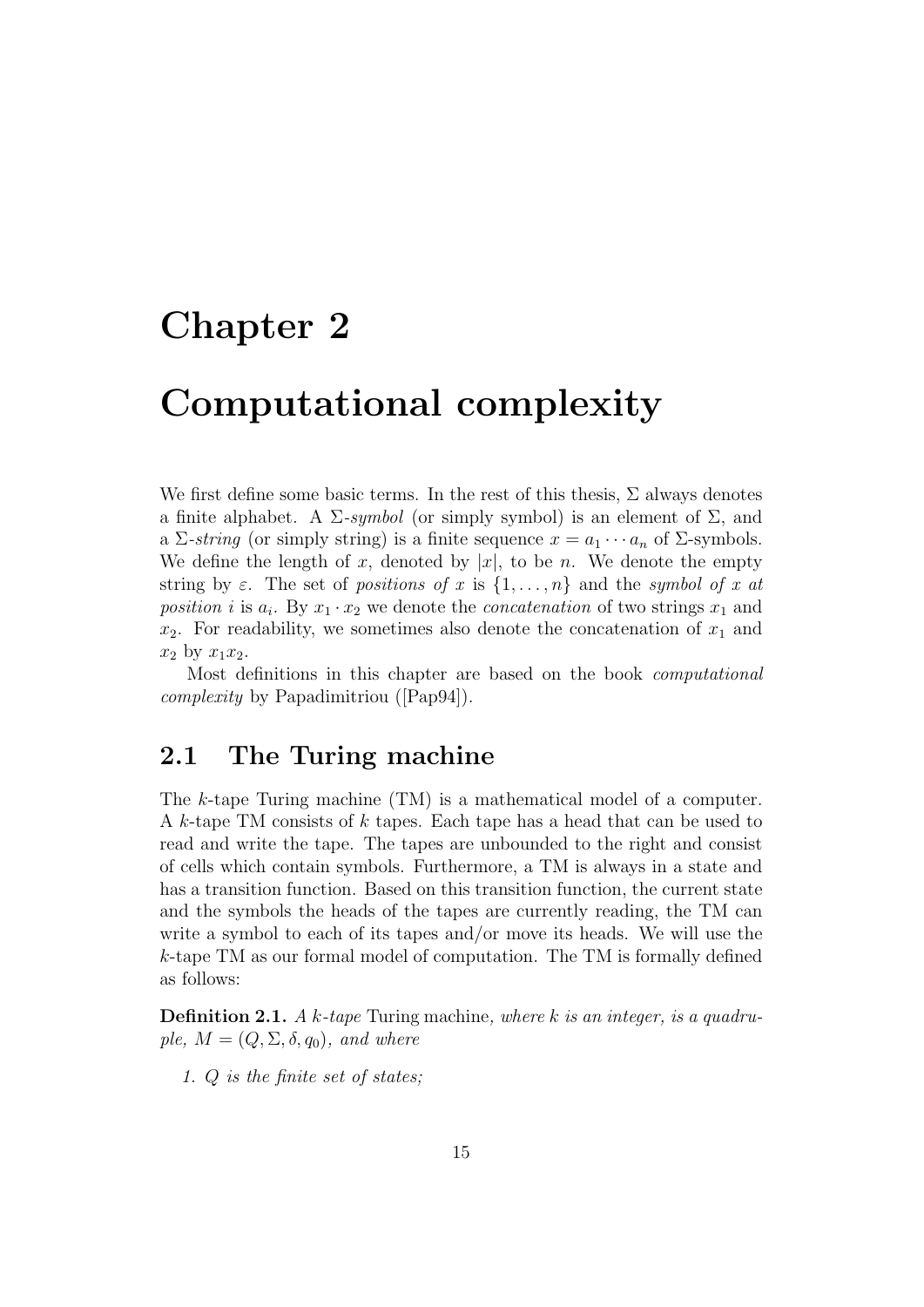### Chapter 2

## Computational complexity

We first define some basic terms. In the rest of this thesis,  $\Sigma$  always denotes a finite alphabet. A  $\Sigma$ -symbol (or simply symbol) is an element of  $\Sigma$ , and a Σ-string (or simply string) is a finite sequence  $x = a_1 \cdots a_n$  of Σ-symbols. We define the length of x, denoted by  $|x|$ , to be n. We denote the empty string by  $\varepsilon$ . The set of positions of x is  $\{1,\ldots,n\}$  and the symbol of x at position i is  $a_i$ . By  $x_1 \cdot x_2$  we denote the *concatenation* of two strings  $x_1$  and  $x_2$ . For readability, we sometimes also denote the concatenation of  $x_1$  and  $x_2$  by  $x_1x_2$ .

Most definitions in this chapter are based on the book computational complexity by Papadimitriou ([Pap94]).

### 2.1 The Turing machine

The k-tape Turing machine (TM) is a mathematical model of a computer. A k-tape TM consists of k tapes. Each tape has a head that can be used to read and write the tape. The tapes are unbounded to the right and consist of cells which contain symbols. Furthermore, a TM is always in a state and has a transition function. Based on this transition function, the current state and the symbols the heads of the tapes are currently reading, the TM can write a symbol to each of its tapes and/or move its heads. We will use the k-tape TM as our formal model of computation. The TM is formally defined as follows:

**Definition 2.1.** A k-tape Turing machine, where k is an integer, is a quadruple,  $M = (Q, \Sigma, \delta, q_0)$ , and where

1. Q is the finite set of states;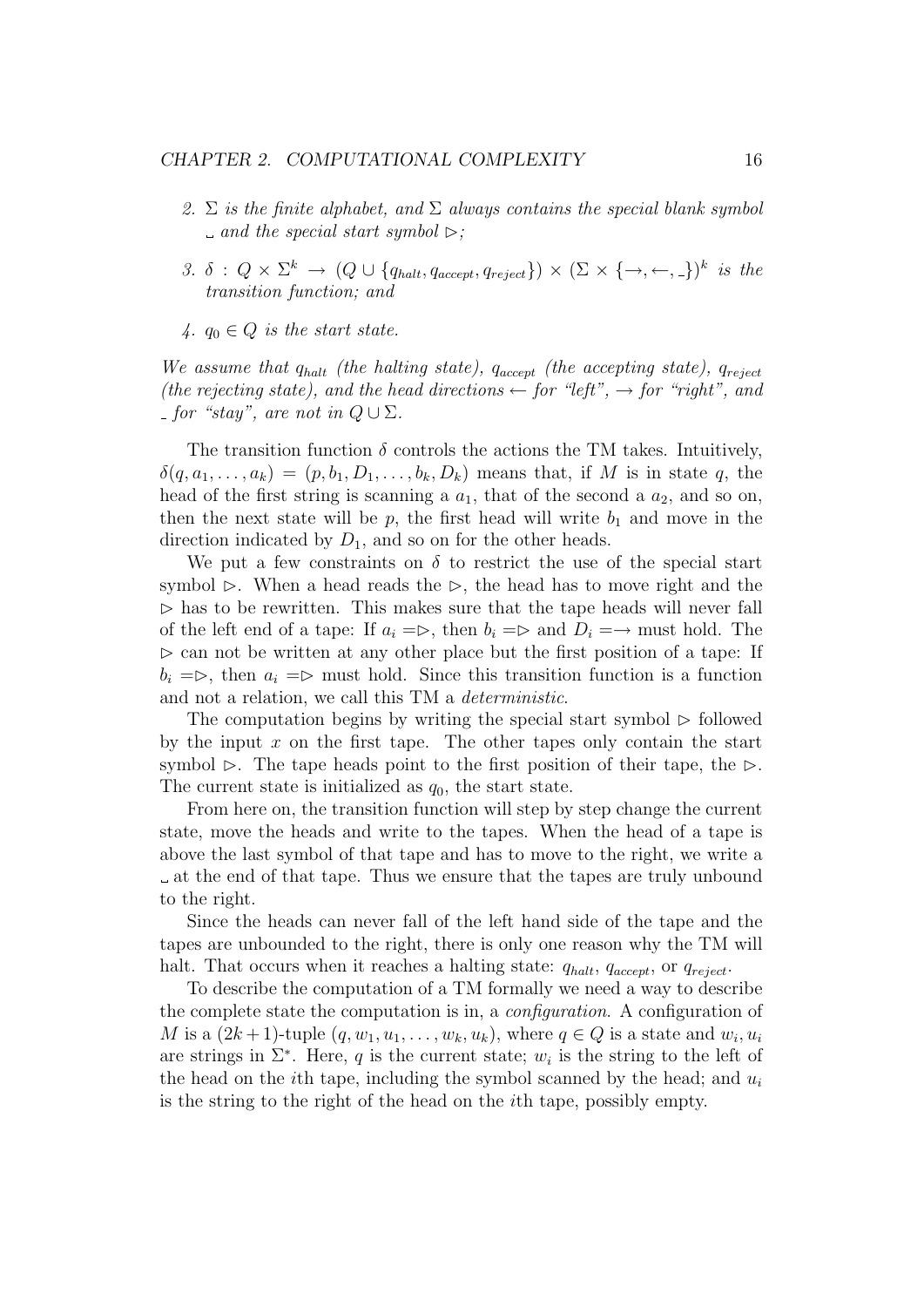- 2.  $\Sigma$  is the finite alphabet, and  $\Sigma$  always contains the special blank symbol  $\Box$  and the special start symbol  $\triangleright$ :
- 3.  $\delta$  :  $Q \times \Sigma^k \rightarrow (Q \cup \{q_{halt}, q_{accept}, q_{reject}\}) \times (\Sigma \times \{\rightarrow, \leftarrow, \_\})^k$  is the transition function; and
- 4.  $q_0 \in Q$  is the start state.

We assume that  $q_{halt}$  (the halting state),  $q_{accept}$  (the accepting state),  $q_{reject}$ (the rejecting state), and the head directions  $\leftarrow$  for "left",  $\rightarrow$  for "right", and for "stay", are not in  $Q \cup \Sigma$ .

The transition function  $\delta$  controls the actions the TM takes. Intuitively,  $\delta(q, a_1, \ldots, a_k) = (p, b_1, D_1, \ldots, b_k, D_k)$  means that, if M is in state q, the head of the first string is scanning a  $a_1$ , that of the second a  $a_2$ , and so on, then the next state will be p, the first head will write  $b_1$  and move in the direction indicated by  $D_1$ , and so on for the other heads.

We put a few constraints on  $\delta$  to restrict the use of the special start symbol  $\triangleright$ . When a head reads the  $\triangleright$ , the head has to move right and the  $\triangleright$  has to be rewritten. This makes sure that the tape heads will never fall of the left end of a tape: If  $a_i = \rhd$ , then  $b_i = \rhd$  and  $D_i = \rightarrow$  must hold. The  $\triangleright$  can not be written at any other place but the first position of a tape: If  $b_i = \triangleright$ , then  $a_i = \triangleright$  must hold. Since this transition function is a function and not a relation, we call this TM a deterministic.

The computation begins by writing the special start symbol  $\triangleright$  followed by the input  $x$  on the first tape. The other tapes only contain the start symbol  $\triangleright$ . The tape heads point to the first position of their tape, the  $\triangleright$ . The current state is initialized as  $q_0$ , the start state.

From here on, the transition function will step by step change the current state, move the heads and write to the tapes. When the head of a tape is above the last symbol of that tape and has to move to the right, we write a at the end of that tape. Thus we ensure that the tapes are truly unbound to the right.

Since the heads can never fall of the left hand side of the tape and the tapes are unbounded to the right, there is only one reason why the TM will halt. That occurs when it reaches a halting state:  $q_{halt}$ ,  $q_{accept}$ , or  $q_{reject}$ .

To describe the computation of a TM formally we need a way to describe the complete state the computation is in, a configuration. A configuration of M is a  $(2k+1)$ -tuple  $(q, w_1, u_1, \ldots, w_k, u_k)$ , where  $q \in Q$  is a state and  $w_i, u_i$ are strings in  $\Sigma^*$ . Here, q is the current state;  $w_i$  is the string to the left of the head on the *i*th tape, including the symbol scanned by the head; and  $u_i$ is the string to the right of the head on the ith tape, possibly empty.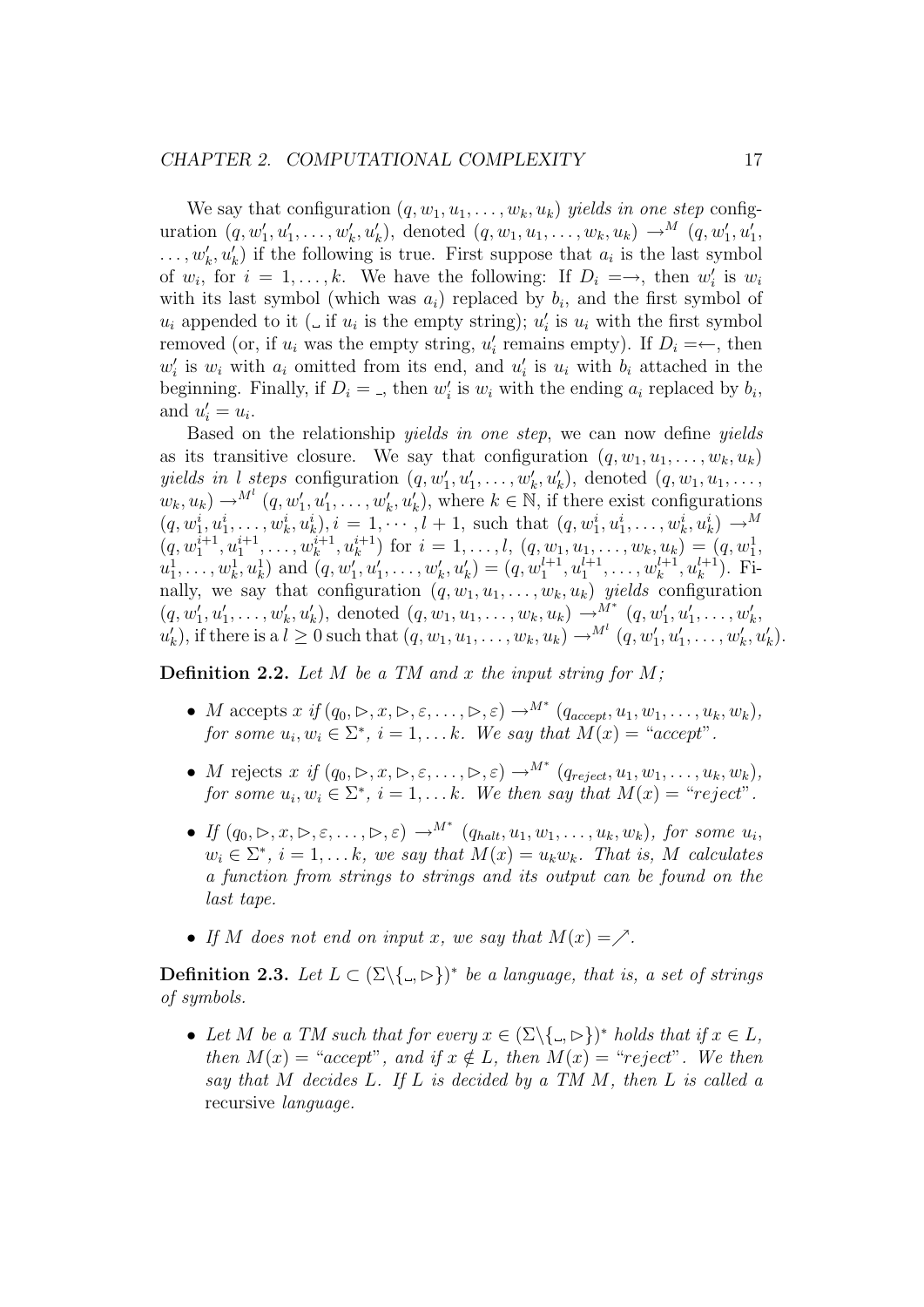We say that configuration  $(q, w_1, u_1, \ldots, w_k, u_k)$  yields in one step configuration  $(q, w'_1, u'_1, \ldots, w'_k, u'_k)$ , denoted  $(q, w_1, u_1, \ldots, w_k, u_k) \longrightarrow^M (q, w'_1, u'_1,$  $\dots, w'_k, u'_k$  if the following is true. First suppose that  $a_i$  is the last symbol of  $w_i$ , for  $i = 1, ..., k$ . We have the following: If  $D_i = \rightarrow$ , then  $w'_i$  is  $w_i$ with its last symbol (which was  $a_i$ ) replaced by  $b_i$ , and the first symbol of  $u_i$  appended to it ( $\Box$  if  $u_i$  is the empty string);  $u'_i$  is  $u_i$  with the first symbol removed (or, if  $u_i$  was the empty string,  $u'_i$  remains empty). If  $D_i = \leftarrow$ , then  $w'_i$  is  $w_i$  with  $a_i$  omitted from its end, and  $u'_i$  is  $u_i$  with  $b_i$  attached in the beginning. Finally, if  $D_i = \square$ , then  $w'_i$  is  $w_i$  with the ending  $a_i$  replaced by  $b_i$ , and  $u'_i = u_i$ .

Based on the relationship yields in one step, we can now define yields as its transitive closure. We say that configuration  $(q, w_1, u_1, \ldots, w_k, u_k)$ yields in l steps configuration  $(q, w'_1, u'_1, \ldots, w'_k, u'_k)$ , denoted  $(q, w_1, u_1, \ldots, u'_k, u'_k)$  $w_k, u_k \to^{M^l} (q, w'_1, u'_1, \dots, w'_k, u'_k),$  where  $k \in \mathbb{N}$ , if there exist configurations  $(q, w_1^i, u_1^i, \ldots, w_k^i, u_k^i), i = 1, \cdots, l + 1$ , such that  $(q, w_1^i, u_1^i, \ldots, w_k^i, u_k^i) \longrightarrow M$  $(q, w_1^{i+1}, u_1^{i+1}, \ldots, w_k^{i+1}, u_k^{i+1})$  for  $i = 1, \ldots, l$ ,  $(q, w_1, u_1, \ldots, w_k, u_k) = (q, w_1^1, \ldots, w_k^1, u_k^1, \ldots, u_k^1, u_k^1, \ldots, u_k^1, u_k^1, \ldots, u_k^1, u_k^1, \ldots, u_k^1, u_k^1, \ldots, u_k^1, u_k^1, \ldots, u_k^1, u_k^1, \ldots, u_k^1, u_k^1, \ldots, u_k^1, u_k^1, \ldots, u_k^$  $u_1^1, \ldots, w_k^1, u_k^1$  and  $(q, w_1', u_1', \ldots, w_k', u_k') = (q, w_1^{l+1}, u_1^{l+1}, \ldots, w_k^{l+1}, u_k^{l+1})$ . Finally, we say that configuration  $(q, w_1, u_1, \ldots, w_k, u_k)$  yields configuration  $(q, w'_1, u'_1, \ldots, w'_k, u'_k)$ , denoted  $(q, w_1, u_1, \ldots, w_k, u_k) \rightarrow M^*$   $(q, w'_1, u'_1, \ldots, w'_k, u'_k)$  $u'_k$ , if there is a  $l \geq 0$  such that  $(q, w_1, u_1, \ldots, w_k, u_k) \rightarrow M^l (q, w'_1, u'_1, \ldots, w'_k, u'_k)$ .

**Definition 2.2.** Let M be a TM and x the input string for  $M$ ;

- M accepts  $x \text{ if } (q_0, \rhd, x, \rhd, \varepsilon, \ldots, \rhd, \varepsilon) \rightarrow M^* (q_{accept}, u_1, w_1, \ldots, u_k, w_k),$ for some  $u_i, w_i \in \Sigma^*$ ,  $i = 1, \dots k$ . We say that  $M(x) = "accept"$ .
- M rejects  $x \text{ if } (q_0, \triangleright, x, \triangleright, \varepsilon, \ldots, \triangleright, \varepsilon) \rightarrow^{M^*} (q_{reject}, u_1, w_1, \ldots, u_k, w_k),$ for some  $u_i, w_i \in \Sigma^*$ ,  $i = 1, \ldots k$ . We then say that  $M(x) = "reject".$
- If  $(q_0, \triangleright, x, \triangleright, \varepsilon, \ldots, \triangleright, \varepsilon) \rightarrow^{M^*} (q_{halt}, u_1, w_1, \ldots, u_k, w_k)$ , for some  $u_i$ ,  $w_i \in \Sigma^*, i = 1, \dots k$ , we say that  $M(x) = u_k w_k$ . That is, M calculates a function from strings to strings and its output can be found on the last tape.
- If M does not end on input x, we say that  $M(x) = \nearrow$ .

**Definition 2.3.** Let  $L \subset (\Sigma \setminus \{., \succ\})^*$  be a language, that is, a set of strings of symbols.

• Let M be a TM such that for every  $x \in (\Sigma \setminus \{ \Box, \Box \})^*$  holds that if  $x \in L$ , then  $M(x) = "accept",$  and if  $x \notin L$ , then  $M(x) = "reject".$  We then say that  $M$  decides  $L$ . If  $L$  is decided by a TM  $M$ , then  $L$  is called a recursive language.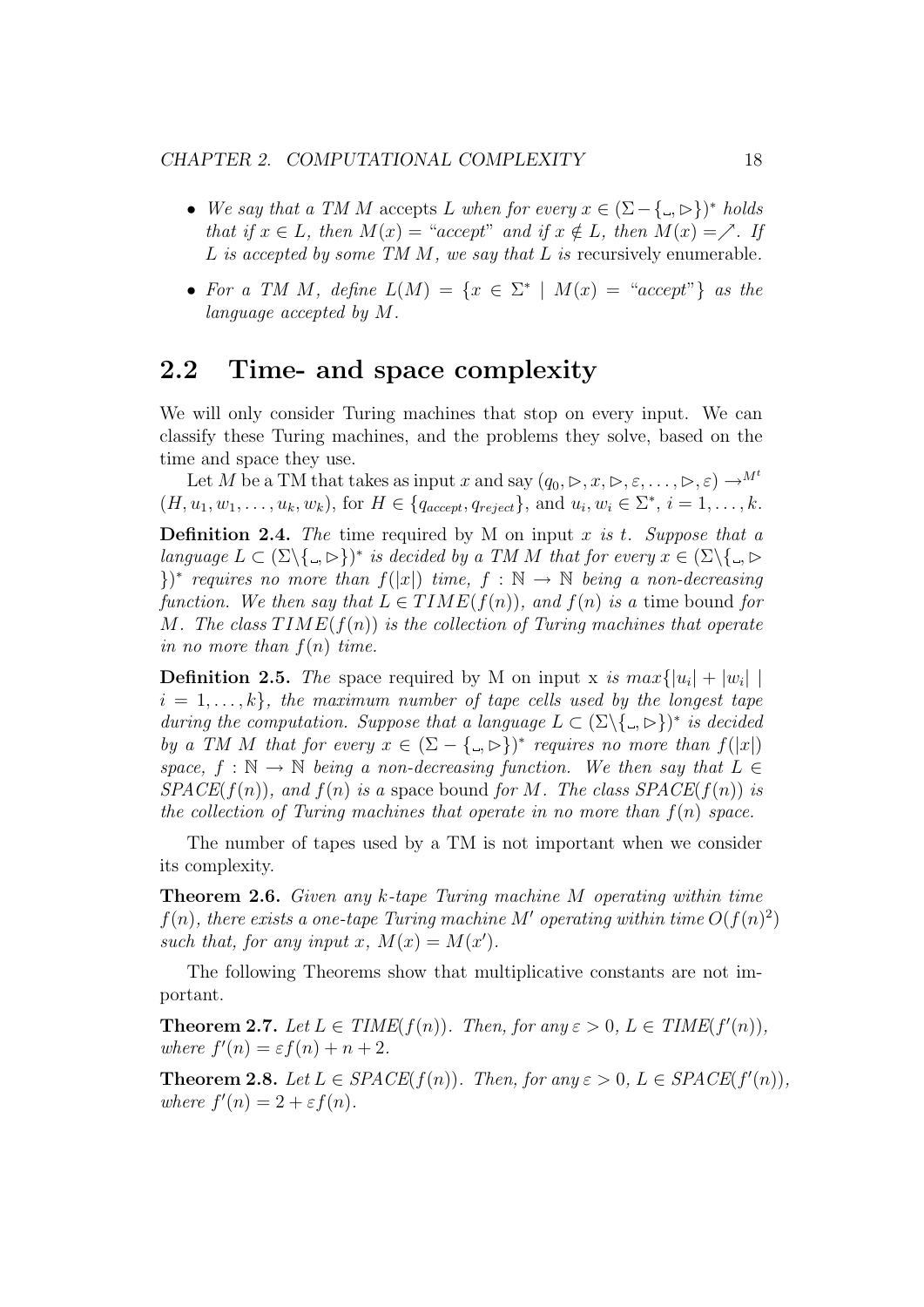- We say that a TM M accepts L when for every  $x \in (\Sigma \{\Box, \Box\})^*$  holds that if  $x \in L$ , then  $M(x) = "accept"$  and if  $x \notin L$ , then  $M(x) = \nearrow$ . If L is accepted by some TM  $M$ , we say that  $L$  is recursively enumerable.
- For a TM M, define  $L(M) = \{x \in \Sigma^* \mid M(x) = "accept"\}$  as the language accepted by M.

### 2.2 Time- and space complexity

We will only consider Turing machines that stop on every input. We can classify these Turing machines, and the problems they solve, based on the time and space they use.

Let M be a TM that takes as input x and say  $(q_0, \triangleright, x, \triangleright, \varepsilon, \ldots, \triangleright, \varepsilon) \rightarrow^{M^t}$  $(H, u_1, w_1, \ldots, u_k, w_k)$ , for  $H \in \{q_{accept}, q_{reject}\}$ , and  $u_i, w_i \in \Sigma^*, i = 1, \ldots, k$ .

**Definition 2.4.** The time required by M on input x is t. Suppose that a language  $L \subset (\Sigma \setminus \{ \Box, \triangleright \})^*$  is decided by a TM M that for every  $x \in (\Sigma \setminus \{ \Box, \triangleright \})$  $\{\}^*$  requires no more than  $f(|x|)$  time,  $f : \mathbb{N} \to \mathbb{N}$  being a non-decreasing function. We then say that  $L \in TIME(f(n))$ , and  $f(n)$  is a time bound for M. The class  $TIME(f(n))$  is the collection of Turing machines that operate in no more than  $f(n)$  time.

**Definition 2.5.** The space required by M on input x is  $max\{|u_i| + |w_i| \mid$  $i = 1, \ldots, k$ , the maximum number of tape cells used by the longest tape during the computation. Suppose that a language  $L \subset (\Sigma \setminus \{ \Box, \triangleright \})^*$  is decided by a TM M that for every  $x \in (\Sigma - \{\square, \triangleright\})^*$  requires no more than  $f(|x|)$ space,  $f : \mathbb{N} \to \mathbb{N}$  being a non-decreasing function. We then say that  $L \in$  $SPACE(f(n))$ , and  $f(n)$  is a space bound for M. The class  $SPACE(f(n))$  is the collection of Turing machines that operate in no more than  $f(n)$  space.

The number of tapes used by a TM is not important when we consider its complexity.

Theorem 2.6. Given any k-tape Turing machine M operating within time  $f(n)$ , there exists a one-tape Turing machine M' operating within time  $O(f(n)^2)$ such that, for any input x,  $M(x) = M(x')$ .

The following Theorems show that multiplicative constants are not important.

**Theorem 2.7.** Let  $L \in TIME(f(n))$ . Then, for any  $\varepsilon > 0$ ,  $L \in TIME(f'(n))$ , where  $f'(n) = \varepsilon f(n) + n + 2$ .

**Theorem 2.8.** Let  $L \in SPACE(f(n))$ . Then, for any  $\varepsilon > 0$ ,  $L \in SPACE(f'(n))$ , where  $f'(n) = 2 + \varepsilon f(n)$ .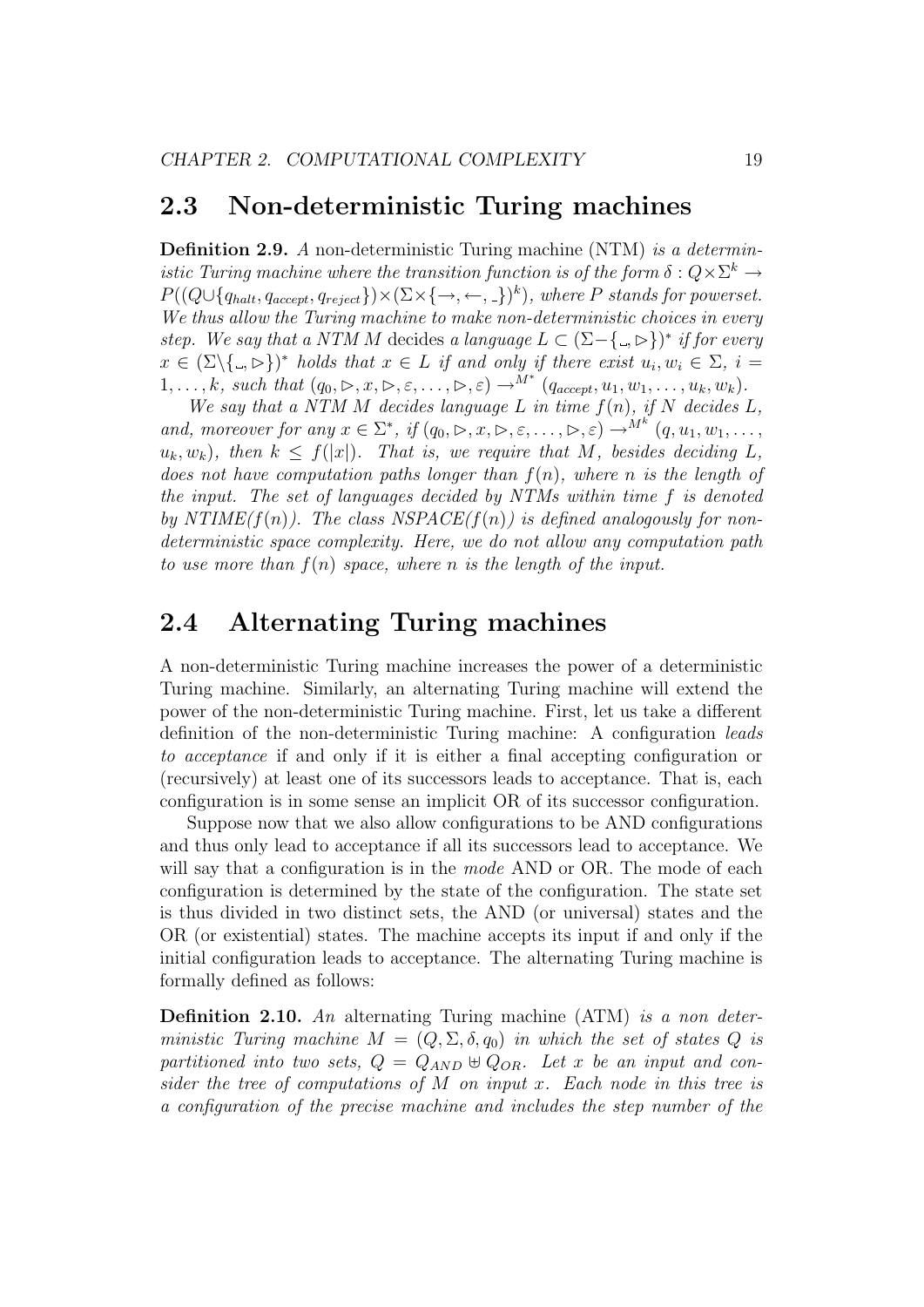#### 2.3 Non-deterministic Turing machines

Definition 2.9. A non-deterministic Turing machine (NTM) is a deterministic Turing machine where the transition function is of the form  $\delta: Q \times \Sigma^k \to$  $P((Q \cup \{q_{halt}, q_{accept}, q_{reject}\}) \times (\Sigma \times \{\rightarrow, \leftarrow, \_\})^k)$ , where P stands for powerset. We thus allow the Turing machine to make non-deterministic choices in every step. We say that a NTM M decides a language  $L \subset (\Sigma - \{ \Box, \triangleright \})^*$  if for every  $x \in (\Sigma \setminus \{\square, \triangleright\})^*$  holds that  $x \in L$  if and only if there exist  $u_i, w_i \in \Sigma$ ,  $i =$  $1, \ldots, k$ , such that  $(q_0, \triangleright, x, \triangleright, \varepsilon, \ldots, \triangleright, \varepsilon) \rightarrow^{M^*} (q_{accept}, u_1, w_1, \ldots, u_k, w_k).$ 

We say that a NTM M decides language L in time  $f(n)$ , if N decides L, and, moreover for any  $x \in \Sigma^*$ , if  $(q_0, \triangleright, x, \triangleright, \varepsilon, \ldots, \triangleright, \varepsilon) \rightarrow^{M^k} (q, u_1, w_1, \ldots,$  $u_k, w_k$ , then  $k \leq f(|x|)$ . That is, we require that M, besides deciding L, does not have computation paths longer than  $f(n)$ , where n is the length of the input. The set of languages decided by NTMs within time f is denoted by NTIME( $f(n)$ ). The class NSPACE( $f(n)$ ) is defined analogously for nondeterministic space complexity. Here, we do not allow any computation path to use more than  $f(n)$  space, where n is the length of the input.

### 2.4 Alternating Turing machines

A non-deterministic Turing machine increases the power of a deterministic Turing machine. Similarly, an alternating Turing machine will extend the power of the non-deterministic Turing machine. First, let us take a different definition of the non-deterministic Turing machine: A configuration leads to acceptance if and only if it is either a final accepting configuration or (recursively) at least one of its successors leads to acceptance. That is, each configuration is in some sense an implicit OR of its successor configuration.

Suppose now that we also allow configurations to be AND configurations and thus only lead to acceptance if all its successors lead to acceptance. We will say that a configuration is in the *mode* AND or OR. The mode of each configuration is determined by the state of the configuration. The state set is thus divided in two distinct sets, the AND (or universal) states and the OR (or existential) states. The machine accepts its input if and only if the initial configuration leads to acceptance. The alternating Turing machine is formally defined as follows:

**Definition 2.10.** An alternating Turing machine  $(ATM)$  is a non deterministic Turing machine  $M = (Q, \Sigma, \delta, q_0)$  in which the set of states Q is partitioned into two sets,  $Q = Q_{AND} \oplus Q_{OR}$ . Let x be an input and consider the tree of computations of  $M$  on input  $x$ . Each node in this tree is a configuration of the precise machine and includes the step number of the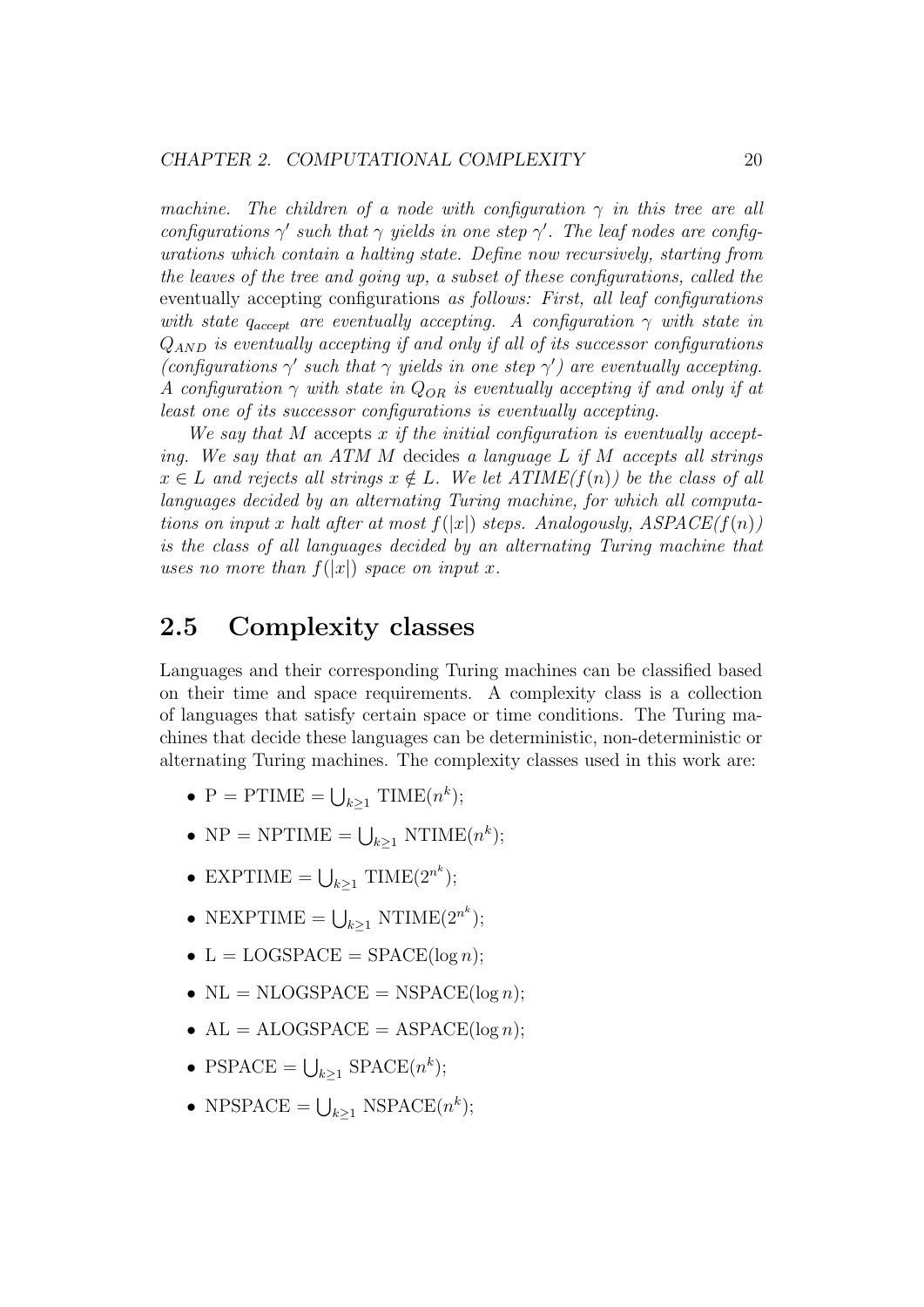machine. The children of a node with configuration  $\gamma$  in this tree are all configurations  $\gamma'$  such that  $\gamma$  yields in one step  $\gamma'$ . The leaf nodes are configurations which contain a halting state. Define now recursively, starting from the leaves of the tree and going up, a subset of these configurations, called the eventually accepting configurations as follows: First, all leaf configurations with state  $q_{accept}$  are eventually accepting. A configuration  $\gamma$  with state in  $Q_{AND}$  is eventually accepting if and only if all of its successor configurations (configurations  $\gamma'$  such that  $\gamma$  yields in one step  $\gamma'$ ) are eventually accepting. A configuration  $\gamma$  with state in  $Q_{OR}$  is eventually accepting if and only if at least one of its successor configurations is eventually accepting.

We say that M accepts x if the initial configuration is eventually accepting. We say that an ATM M decides a language L if M accepts all strings  $x \in L$  and rejects all strings  $x \notin L$ . We let  $ATIME(f(n))$  be the class of all languages decided by an alternating Turing machine, for which all computations on input x halt after at most  $f(|x|)$  steps. Analogously,  $ASPACE(f(n))$ is the class of all languages decided by an alternating Turing machine that uses no more than  $f(|x|)$  space on input x.

### 2.5 Complexity classes

Languages and their corresponding Turing machines can be classified based on their time and space requirements. A complexity class is a collection of languages that satisfy certain space or time conditions. The Turing machines that decide these languages can be deterministic, non-deterministic or alternating Turing machines. The complexity classes used in this work are:

- $P = \text{PTIME} = \bigcup_{k \geq 1} \text{TIME}(n^k);$
- NP = NPTIME =  $\bigcup_{k\geq 1}$  NTIME $(n^k)$ ;
- EXPTIME =  $\bigcup_{k\geq 1}$  TIME $(2^{n^k})$ ;
- NEXPTIME =  $\bigcup_{k\geq 1}$  NTIME( $2^{n^k}$ );
- $L = LOGSPACE = SPACE(\log n);$
- NL = NLOGSPACE = NSPACE( $log n$ );
- $AL = ALOGSPACE = ASPACE(log n);$
- PSPACE =  $\bigcup_{k\geq 1}$  SPACE( $n^k$ );
- NPSPACE =  $\bigcup_{k\geq 1}$  NSPACE( $n^k$ );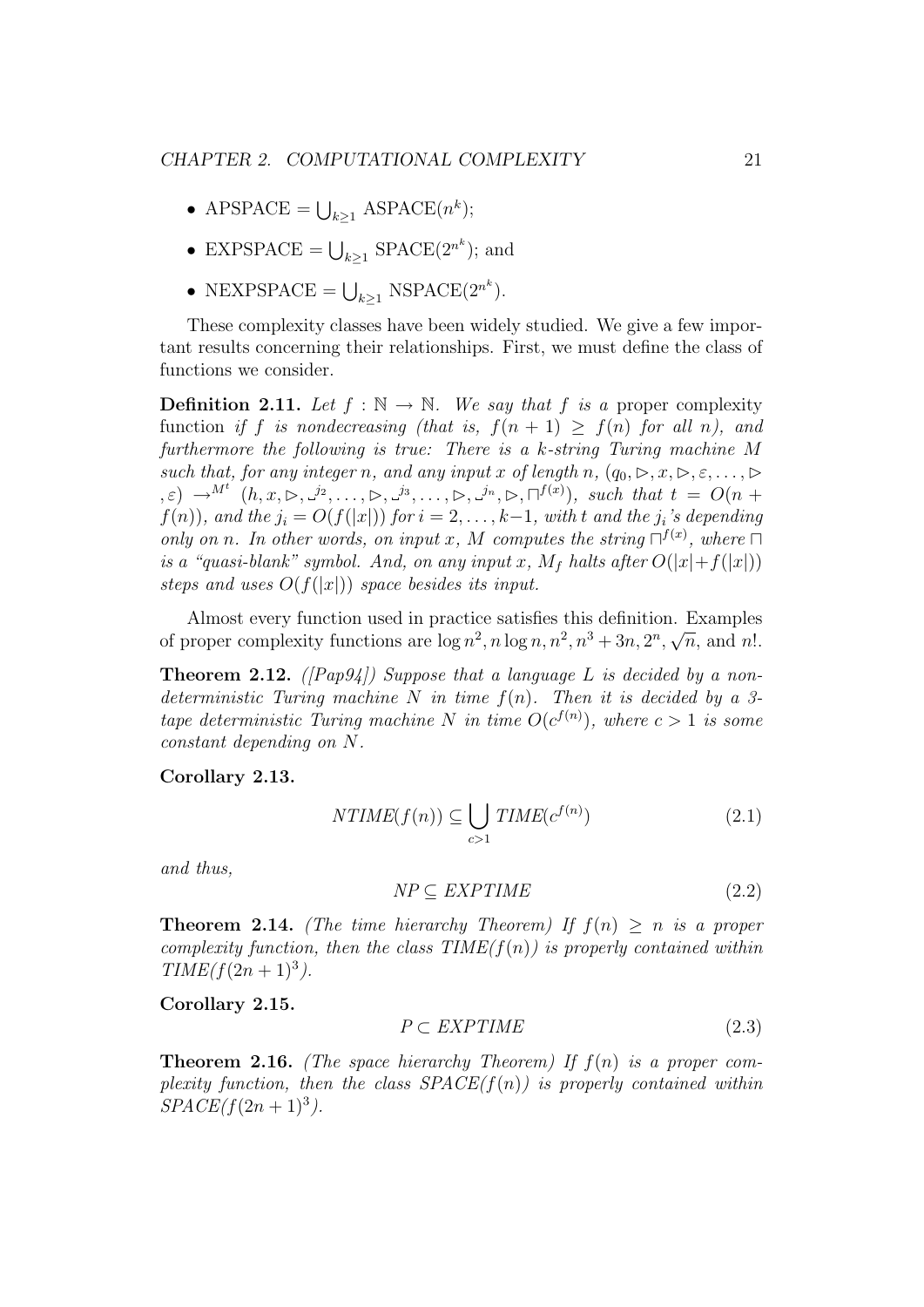- APSPACE =  $\bigcup_{k\geq 1}$  ASPACE( $n^k$ );
- EXPSPACE =  $\bigcup_{k\geq 1}$  SPACE(2<sup>n<sup>k</sup></sup>); and
- NEXPSPACE =  $\bigcup_{k\geq 1}$  NSPACE(2<sup>nk</sup>).

These complexity classes have been widely studied. We give a few important results concerning their relationships. First, we must define the class of functions we consider.

**Definition 2.11.** Let  $f : \mathbb{N} \to \mathbb{N}$ . We say that f is a proper complexity function if f is nondecreasing (that is,  $f(n + 1) \ge f(n)$  for all n), and furthermore the following is true: There is a k-string Turing machine M such that, for any integer n, and any input x of length n,  $(q_0, \triangleright, x, \triangleright, \varepsilon, \ldots, \triangleright)$  $(\xi,\varepsilon) \rightarrow^{M^t} (h,x,\triangleright,\frac{j_2}{\cdot},\ldots,\triangleright,\frac{j_3}{\cdot},\ldots,\triangleright,\frac{j_n}{\cdot},\triangleright,\square^{f(x)})$ , such that  $t = O(n+1)$  $f(n)$ , and the  $j_i = O(f(|x|))$  for  $i = 2, \ldots, k-1$ , with t and the  $j_i$ 's depending only on n. In other words, on input x, M computes the string  $\Box^{f(x)}$ , where  $\Box$ is a "quasi-blank" symbol. And, on any input x,  $M_f$  halts after  $O(|x|+f(|x|))$ steps and uses  $O(f(|x|))$  space besides its input.

Almost every function used in practice satisfies this definition. Examples of proper complexity functions are  $\log n^2$ ,  $n \log n$ ,  $n^2$ ,  $n^3 + 3n$ ,  $2^n$ , ⊥.<br>∴  $\overline{n}$ , and n!.

**Theorem 2.12.** ([Pap94]) Suppose that a language L is decided by a nondeterministic Turing machine N in time  $f(n)$ . Then it is decided by a 3tape deterministic Turing machine N in time  $O(c^{f(n)})$ , where  $c > 1$  is some constant depending on N.

Corollary 2.13.

$$
NTIME(f(n)) \subseteq \bigcup_{c>1} TIME(c^{f(n)})
$$
\n(2.1)

and thus,

$$
NP \subseteq EXPTIME \tag{2.2}
$$

**Theorem 2.14.** (The time hierarchy Theorem) If  $f(n) > n$  is a proper complexity function, then the class  $TIME(f(n))$  is properly contained within  $TIME(f(2n + 1)^3)$ .

#### Corollary 2.15.

$$
P \subset \text{EXPTIME} \tag{2.3}
$$

**Theorem 2.16.** (The space hierarchy Theorem) If  $f(n)$  is a proper complexity function, then the class  $SPACE(f(n))$  is properly contained within  $SPACE(f(2n + 1)^3)$ .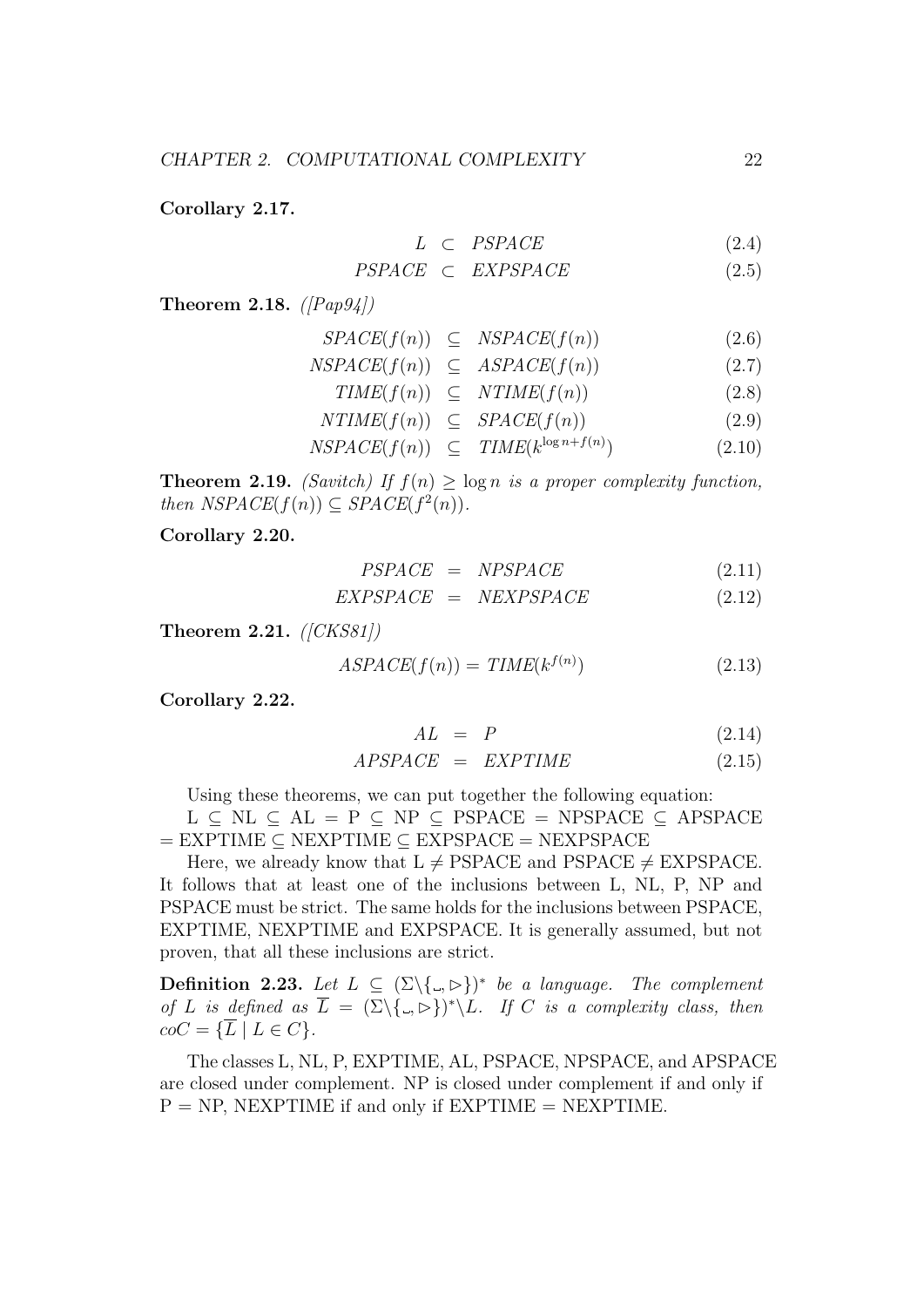Corollary 2.17.

$$
L \quad \subset \quad PSPACE \tag{2.4}
$$

$$
PSPACE \subset EXPSPACE \tag{2.5}
$$

Theorem 2.18.  $\langle \text{Pap94} \rangle$ 

$$
SPACE(f(n)) \subseteq NSPACE(f(n)) \qquad (2.6)
$$

$$
NSPACE(f(n)) \subseteq ASPACE(f(n)) \qquad (2.7)
$$

$$
TIME(f(n)) \subseteq NTIME(f(n)) \tag{2.8}
$$
\n
$$
NTIME(f(n)) \subseteq SPACE(f(n)) \tag{2.9}
$$

$$
NTIME(f(n)) \subseteq SPACE(f(n)) \tag{2.9}
$$

$$
NSPACE(f(n)) \subseteq TIME(k^{\log n + f(n)}) \tag{2.10}
$$

**Theorem 2.19.** *(Savitch)* If  $f(n) \geq \log n$  *is a proper complexity function,* then  $NSPACE(f(n)) \subseteq SPACE(f^2(n)).$ 

Corollary 2.20.

$$
PSPACE = NPSPACE \t(2.11)
$$

$$
EXPSPACE = NEXTSPACE
$$
 (2.12)

Theorem 2.21.  $([CKS81])$ 

$$
ASPACE(f(n)) = TIME(k^{f(n)})
$$
\n(2.13)

Corollary 2.22.

$$
AL = P \tag{2.14}
$$

$$
APSPACE = EXPTIME \t(2.15)
$$

Using these theorems, we can put together the following equation:  $L \subseteq NL \subseteq AL = P \subseteq NP \subseteq PSPACE = NPSPACE \subseteq APSPACE$  $=$  EXPTIME  $\subseteq$  NEXPTIME  $\subseteq$  EXPSPACE  $=$  NEXPSPACE

Here, we already know that  $L \neq PSPACE$  and PSPACE  $\neq$  EXPSPACE. It follows that at least one of the inclusions between L, NL, P, NP and PSPACE must be strict. The same holds for the inclusions between PSPACE, EXPTIME, NEXPTIME and EXPSPACE. It is generally assumed, but not proven, that all these inclusions are strict.

**Definition 2.23.** Let  $L \subseteq (\Sigma \setminus \{.,\triangleright\})^*$  be a language. The complement of L is defined as  $\overline{L} = (\Sigma \backslash \{.,\triangleright\})^* \backslash L$ . If C is a complexity class, then  $coC = \{\overline{L} \mid L \in C\}.$ 

The classes L, NL, P, EXPTIME, AL, PSPACE, NPSPACE, and APSPACE are closed under complement. NP is closed under complement if and only if  $P = NP$ , NEXPTIME if and only if EXPTIME  $=$  NEXPTIME.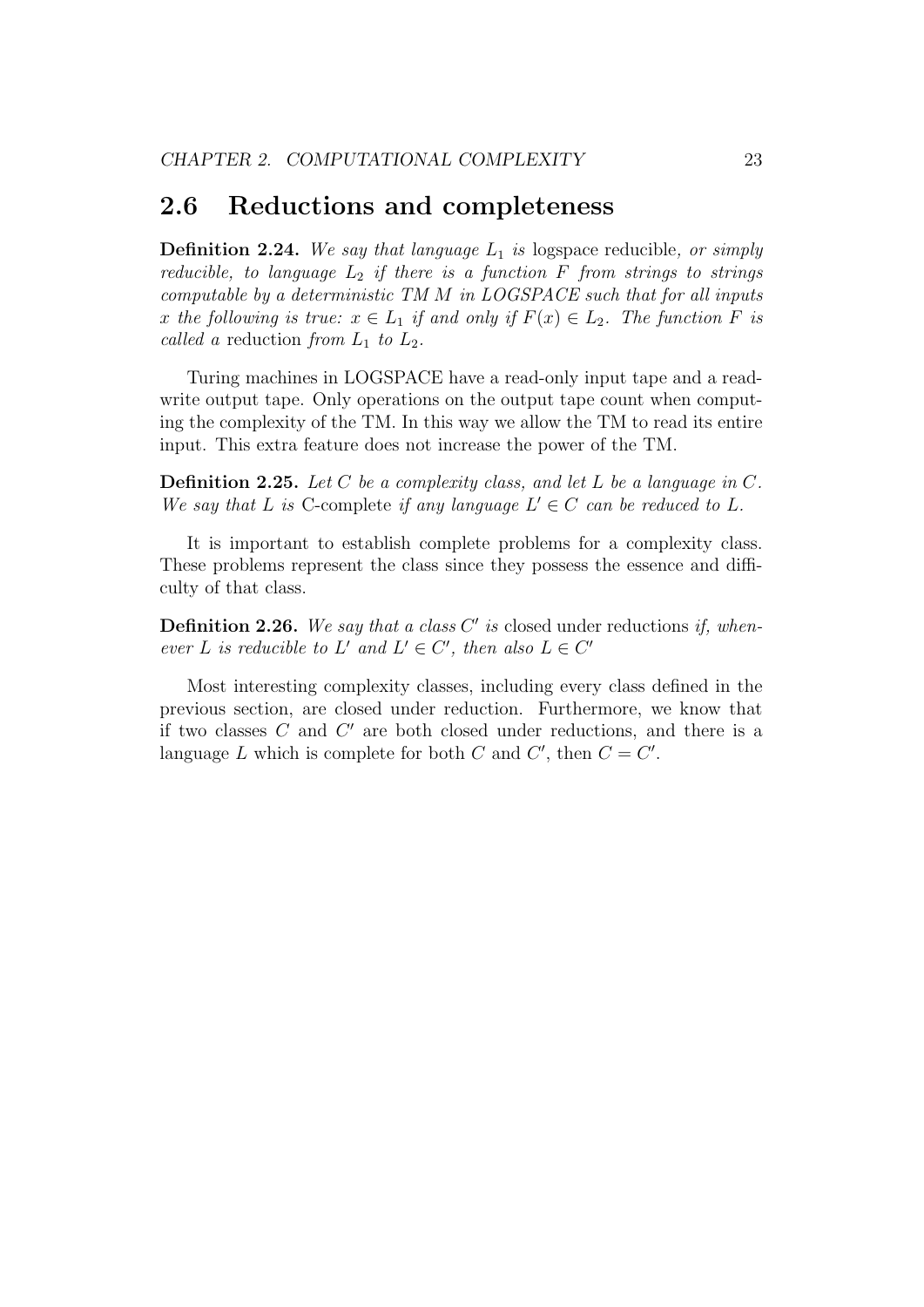### 2.6 Reductions and completeness

**Definition 2.24.** We say that language  $L_1$  is logspace reducible, or simply reducible, to language  $L_2$  if there is a function F from strings to strings computable by a deterministic TM M in LOGSPACE such that for all inputs x the following is true:  $x \in L_1$  if and only if  $F(x) \in L_2$ . The function F is called a reduction from  $L_1$  to  $L_2$ .

Turing machines in LOGSPACE have a read-only input tape and a readwrite output tape. Only operations on the output tape count when computing the complexity of the TM. In this way we allow the TM to read its entire input. This extra feature does not increase the power of the TM.

**Definition 2.25.** Let C be a complexity class, and let L be a language in C. We say that L is C-complete if any language  $L' \in C$  can be reduced to L.

It is important to establish complete problems for a complexity class. These problems represent the class since they possess the essence and difficulty of that class.

**Definition 2.26.** We say that a class  $C'$  is closed under reductions if, whenever L is reducible to L' and  $L' \in C'$ , then also  $L \in C'$ 

Most interesting complexity classes, including every class defined in the previous section, are closed under reduction. Furthermore, we know that if two classes  $C$  and  $C'$  are both closed under reductions, and there is a language L which is complete for both C and  $C'$ , then  $C = C'$ .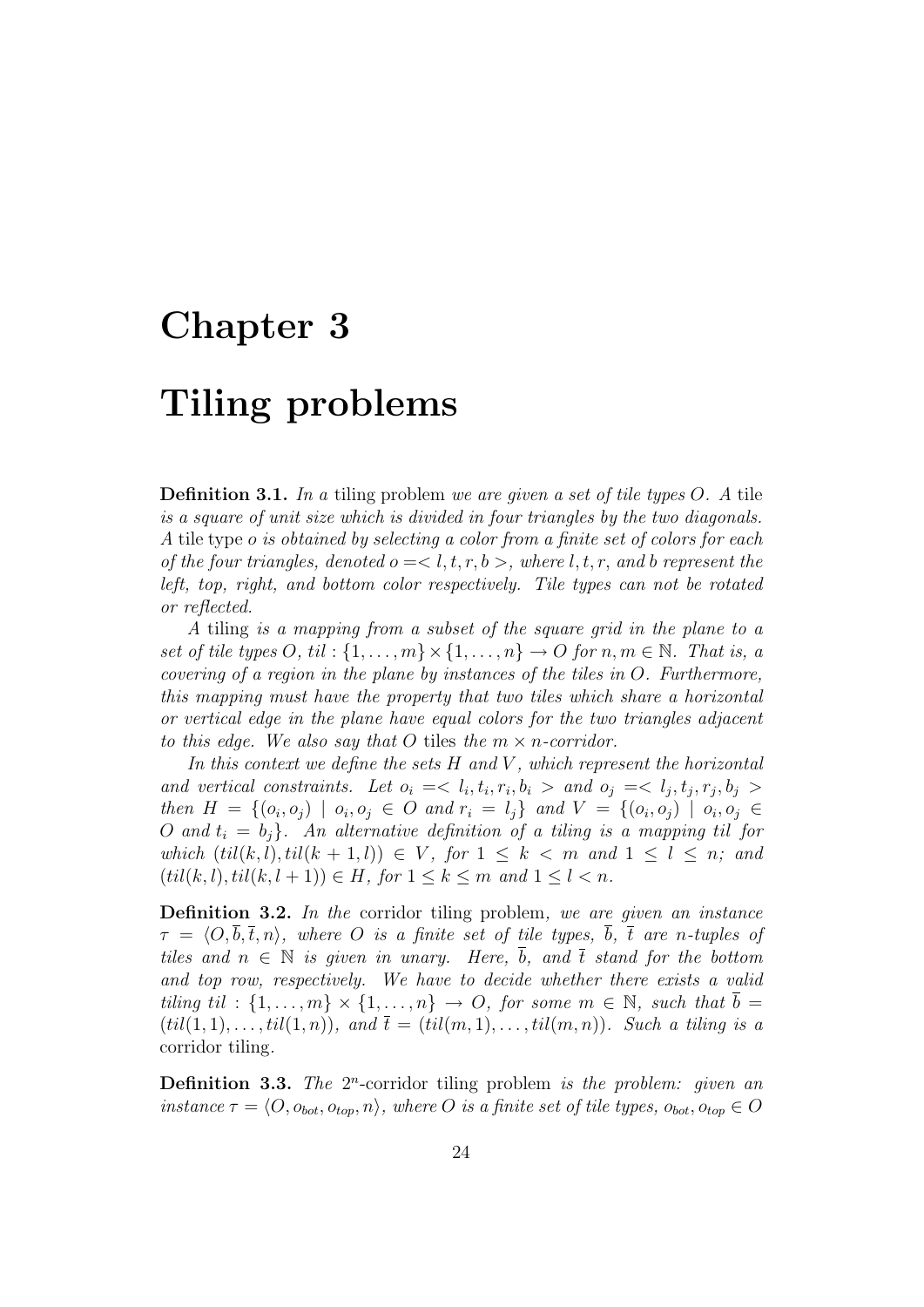### Chapter 3

## Tiling problems

**Definition 3.1.** In a tiling problem we are given a set of tile types  $O$ . A tile is a square of unit size which is divided in four triangles by the two diagonals. A tile type o is obtained by selecting a color from a finite set of colors for each of the four triangles, denoted  $o = \langle l, t, r, b \rangle$ , where l, t, r, and b represent the left, top, right, and bottom color respectively. Tile types can not be rotated or reflected.

A tiling is a mapping from a subset of the square grid in the plane to a set of tile types O, til :  $\{1,\ldots,m\}\times\{1,\ldots,n\}\to O$  for  $n,m\in\mathbb{N}$ . That is, a covering of a region in the plane by instances of the tiles in O. Furthermore, this mapping must have the property that two tiles which share a horizontal or vertical edge in the plane have equal colors for the two triangles adjacent to this edge. We also say that O tiles the  $m \times n$ -corridor.

In this context we define the sets  $H$  and  $V$ , which represent the horizontal and vertical constraints. Let  $o_i = \langle l_i, t_i, r_i, b_i \rangle$  and  $o_j = \langle l_j, t_j, r_j, b_j \rangle$ then  $H = \{ (o_i, o_j) \mid o_i, o_j \in O \text{ and } r_i = l_j \}$  and  $V = \{ (o_i, o_j) \mid o_i, o_j \in O \}$ O and  $t_i = b_j$ . An alternative definition of a tiling is a mapping til for which  $(til(k, l), til(k + 1, l)) \in V$ , for  $1 \leq k < m$  and  $1 \leq l \leq n$ ; and  $(til(k, l), til(k, l + 1)) \in H$ , for  $1 \leq k \leq m$  and  $1 \leq l < n$ .

Definition 3.2. In the corridor tiling problem, we are given an instance  $\tau = \langle O, b, \overline{t}, n \rangle$ , where O is a finite set of tile types, b,  $\overline{t}$  are n-tuples of tiles and  $n \in \mathbb{N}$  is given in unary. Here,  $\overline{b}$ , and  $\overline{t}$  stand for the bottom and top row, respectively. We have to decide whether there exists a valid tiling til :  $\{1,\ldots,m\}\times\{1,\ldots,n\}\rightarrow O$ , for some  $m\in\mathbb{N}$ , such that  $b=$  $(til(1,1), \ldots, til(1,n))$ , and  $\bar{t} = (til(m,1), \ldots, til(m,n))$ . Such a tiling is a corridor tiling.

**Definition 3.3.** The  $2^n$ -corridor tiling problem is the problem: given an instance  $\tau = \langle O, o_{bot}, o_{top}, n \rangle$ , where O is a finite set of tile types,  $o_{bot}, o_{top} \in O$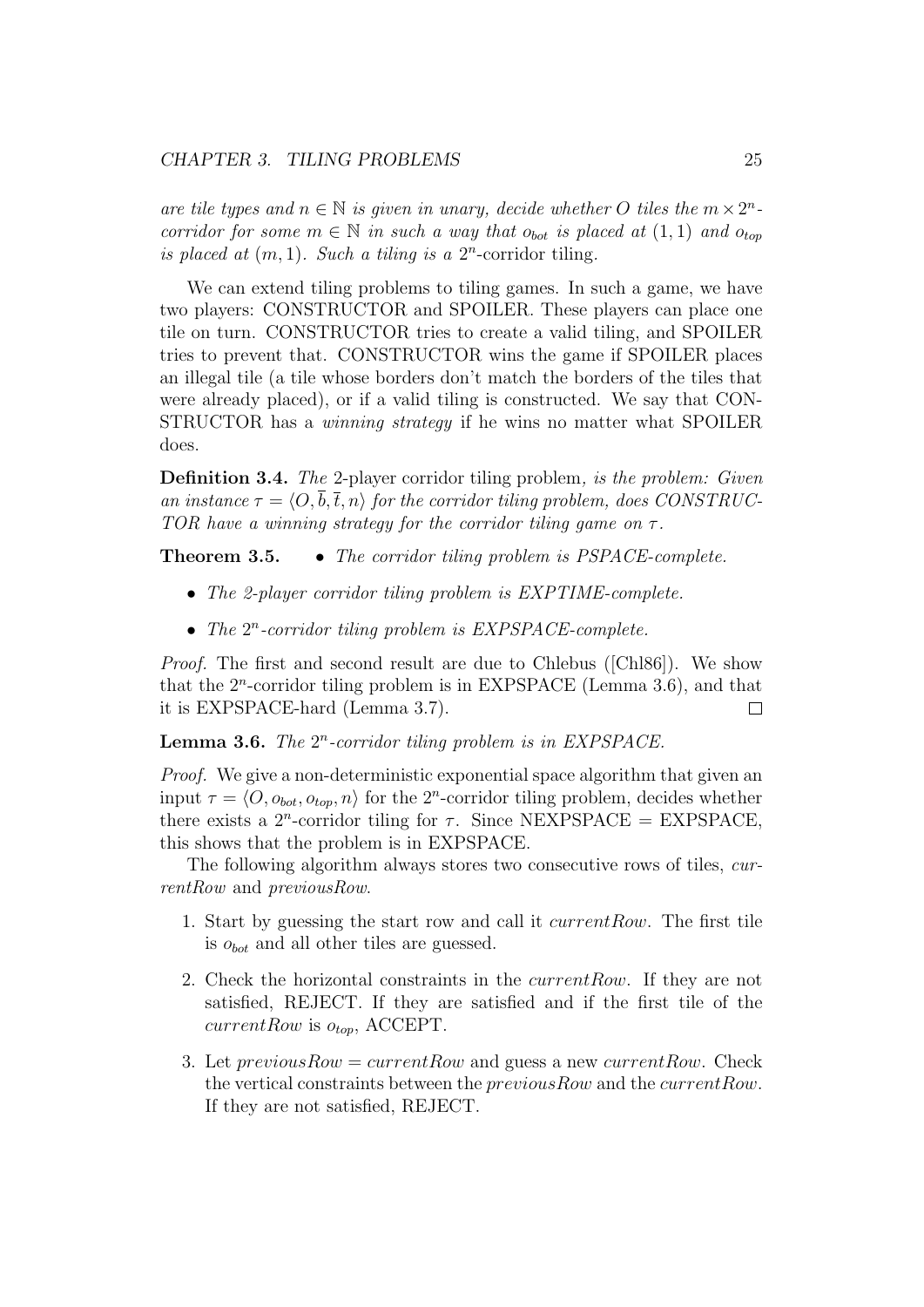are tile types and  $n \in \mathbb{N}$  is given in unary, decide whether O tiles the  $m \times 2^n$ . corridor for some  $m \in \mathbb{N}$  in such a way that  $o_{bot}$  is placed at  $(1, 1)$  and  $o_{top}$ is placed at  $(m, 1)$ . Such a tiling is a  $2^n$ -corridor tiling.

We can extend tiling problems to tiling games. In such a game, we have two players: CONSTRUCTOR and SPOILER. These players can place one tile on turn. CONSTRUCTOR tries to create a valid tiling, and SPOILER tries to prevent that. CONSTRUCTOR wins the game if SPOILER places an illegal tile (a tile whose borders don't match the borders of the tiles that were already placed), or if a valid tiling is constructed. We say that CON-STRUCTOR has a winning strategy if he wins no matter what SPOILER does.

Definition 3.4. The 2-player corridor tiling problem, is the problem: Given an instance  $\tau = \langle O, \overline{b}, \overline{t}, n \rangle$  for the corridor tiling problem, does CONSTRUC-TOR have a winning strategy for the corridor tiling game on  $\tau$ .

**Theorem 3.5.** • The corridor tiling problem is PSPACE-complete.

- The 2-player corridor tiling problem is EXPTIME-complete.
- The  $2^n$ -corridor tiling problem is  $EXPSPACE$ -complete.

Proof. The first and second result are due to Chlebus ([Chl86]). We show that the  $2^n$ -corridor tiling problem is in EXPSPACE (Lemma 3.6), and that it is EXPSPACE-hard (Lemma 3.7).  $\Box$ 

**Lemma 3.6.** The  $2^n$ -corridor tiling problem is in EXPSPACE.

Proof. We give a non-deterministic exponential space algorithm that given an input  $\tau = \langle O, o_{bot}, o_{top}, n \rangle$  for the 2<sup>n</sup>-corridor tiling problem, decides whether there exists a  $2^n$ -corridor tiling for  $\tau$ . Since NEXPSPACE = EXPSPACE, this shows that the problem is in EXPSPACE.

The following algorithm always stores two consecutive rows of tiles, currentRow and previousRow.

- 1. Start by guessing the start row and call it currentRow. The first tile is  $o_{bot}$  and all other tiles are guessed.
- 2. Check the horizontal constraints in the currentRow. If they are not satisfied, REJECT. If they are satisfied and if the first tile of the  $currentRow$  is  $o_{top}$ , ACCEPT.
- 3. Let  $previousRow = currentRow$  and guess a new current Row. Check the vertical constraints between the previousRow and the currentRow. If they are not satisfied, REJECT.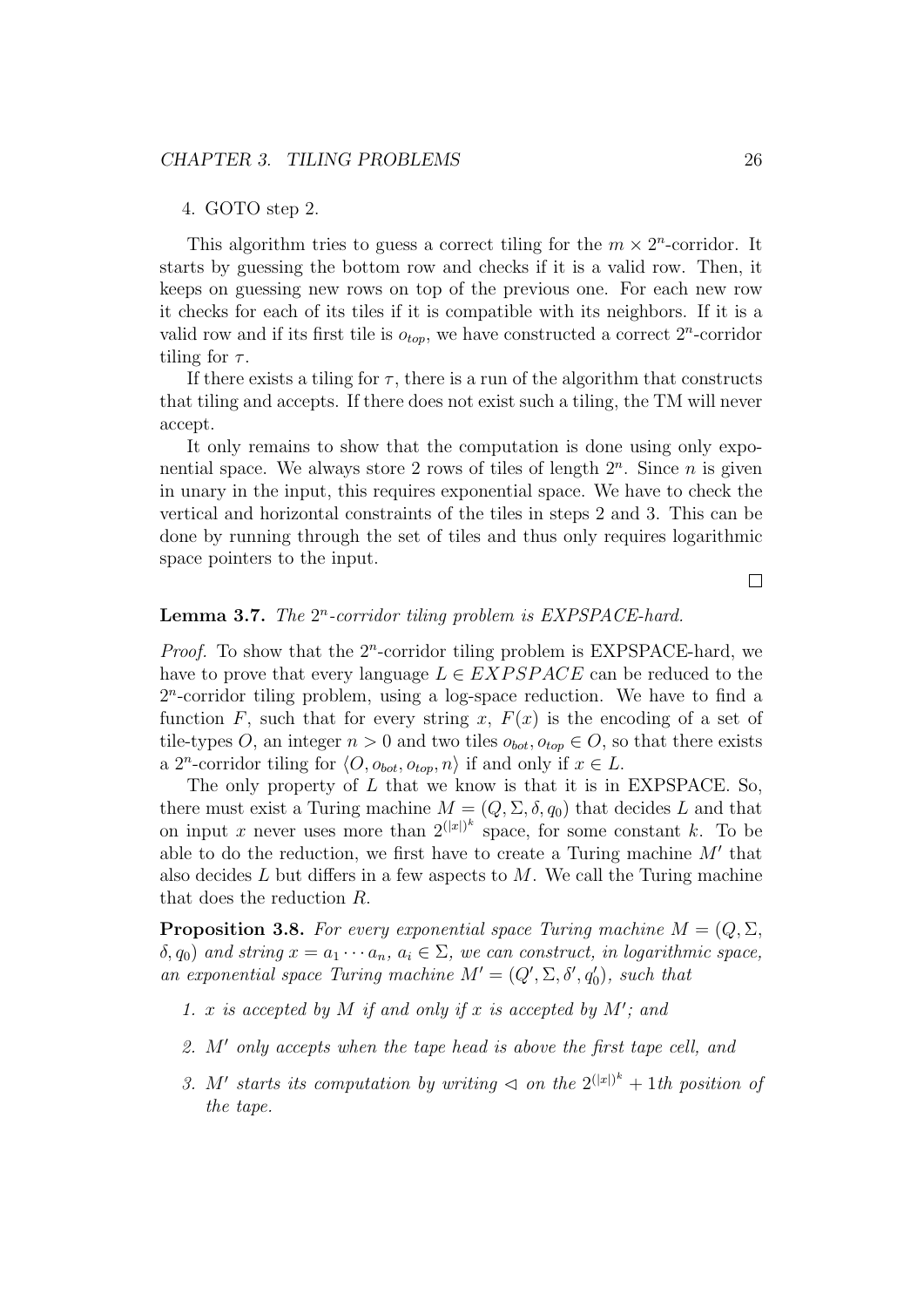#### 4. GOTO step 2.

This algorithm tries to guess a correct tiling for the  $m \times 2^n$ -corridor. It starts by guessing the bottom row and checks if it is a valid row. Then, it keeps on guessing new rows on top of the previous one. For each new row it checks for each of its tiles if it is compatible with its neighbors. If it is a valid row and if its first tile is  $o_{top}$ , we have constructed a correct  $2^n$ -corridor tiling for  $\tau$ .

If there exists a tiling for  $\tau$ , there is a run of the algorithm that constructs that tiling and accepts. If there does not exist such a tiling, the TM will never accept.

It only remains to show that the computation is done using only exponential space. We always store 2 rows of tiles of length  $2<sup>n</sup>$ . Since *n* is given in unary in the input, this requires exponential space. We have to check the vertical and horizontal constraints of the tiles in steps 2 and 3. This can be done by running through the set of tiles and thus only requires logarithmic space pointers to the input.

 $\Box$ 

#### **Lemma 3.7.** The  $2^n$ -corridor tiling problem is  $EXPSPACE$ -hard.

*Proof.* To show that the  $2^n$ -corridor tiling problem is EXPSPACE-hard, we have to prove that every language  $L \in EXPSPACE$  can be reduced to the 2 n -corridor tiling problem, using a log-space reduction. We have to find a function F, such that for every string x,  $F(x)$  is the encoding of a set of tile-types O, an integer  $n > 0$  and two tiles  $o_{bot}, o_{top} \in O$ , so that there exists a 2<sup>n</sup>-corridor tiling for  $\langle O, o_{bot}, o_{top}, n \rangle$  if and only if  $x \in L$ .

The only property of  $L$  that we know is that it is in EXPSPACE. So, there must exist a Turing machine  $M = (Q, \Sigma, \delta, q_0)$  that decides L and that on input x never uses more than  $2^{(|x|)^k}$  space, for some constant k. To be able to do the reduction, we first have to create a Turing machine  $M'$  that also decides  $L$  but differs in a few aspects to  $M$ . We call the Turing machine that does the reduction R.

**Proposition 3.8.** For every exponential space Turing machine  $M = (Q, \Sigma, \Sigma)$  $(\delta, q_0)$  and string  $x = a_1 \cdots a_n$ ,  $a_i \in \Sigma$ , we can construct, in logarithmic space, an exponential space Turing machine  $M' = (Q', \Sigma, \delta', q_0')$ , such that

- 1. x is accepted by M if and only if x is accepted by  $M'$ ; and
- 2.  $M'$  only accepts when the tape head is above the first tape cell, and
- 3. M' starts its computation by writing  $\triangleleft$  on the  $2^{(|x|)^k} + 1$ th position of the tape.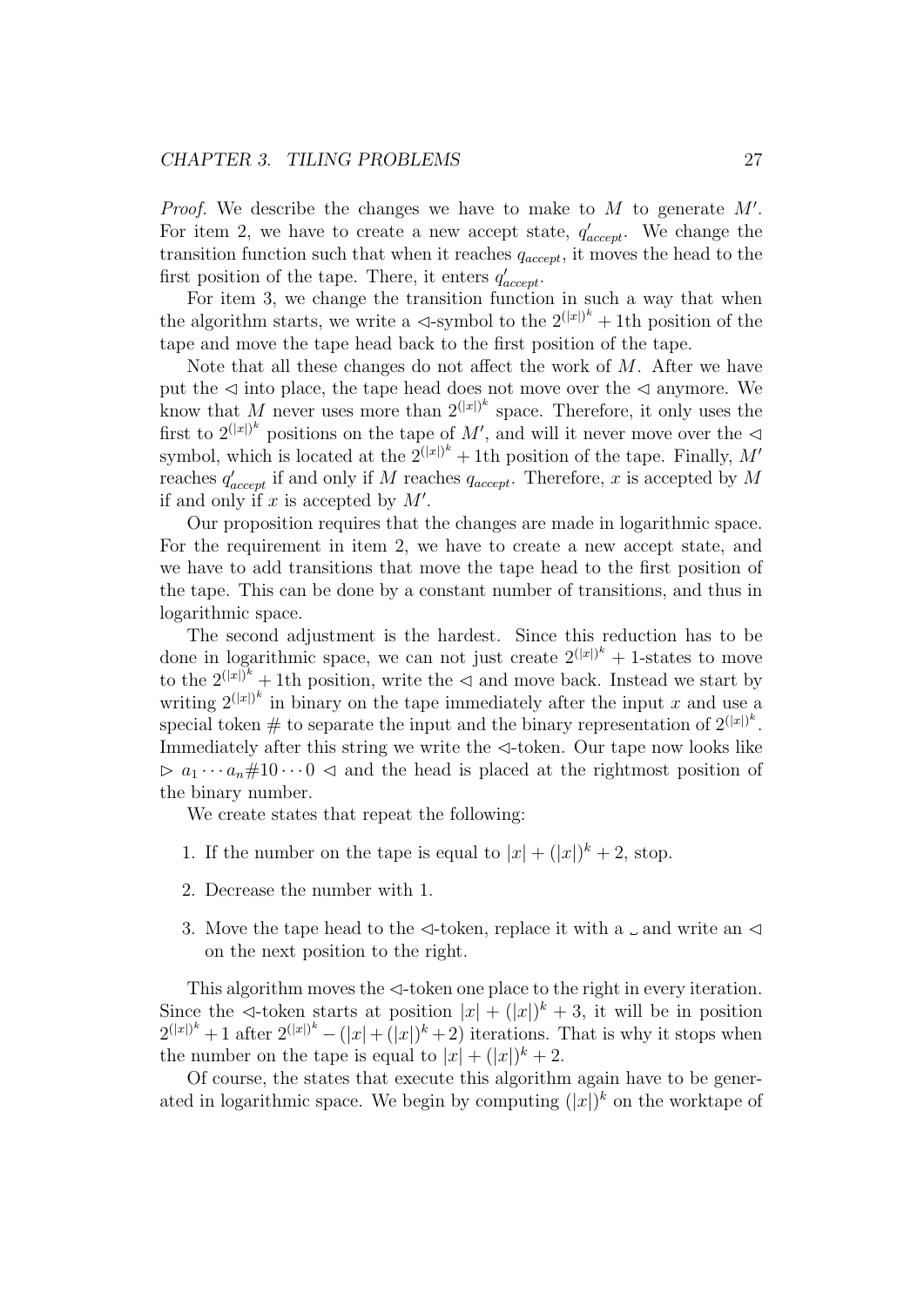#### CHAPTER 3. TILING PROBLEMS 27

*Proof.* We describe the changes we have to make to  $M$  to generate  $M'$ . For item 2, we have to create a new accept state,  $q'_{accept}$ . We change the transition function such that when it reaches  $q_{accept}$ , it moves the head to the first position of the tape. There, it enters  $q'_{accept}$ .

For item 3, we change the transition function in such a way that when the algorithm starts, we write a  $\triangleleft$ -symbol to the  $2^{(|x|)^k} + 1$ th position of the tape and move the tape head back to the first position of the tape.

Note that all these changes do not affect the work of  $M$ . After we have put the  $\leq$  into place, the tape head does not move over the  $\leq$  anymore. We know that M never uses more than  $2^{(|x|)^k}$  space. Therefore, it only uses the first to  $2^{(|x|)^k}$  positions on the tape of M', and will it never move over the  $\triangleleft$ symbol, which is located at the  $2^{(|x|)^k} + 1$ th position of the tape. Finally, M' reaches  $q'_{accept}$  if and only if M reaches  $q_{accept}$ . Therefore, x is accepted by M if and only if x is accepted by  $M'$ .

Our proposition requires that the changes are made in logarithmic space. For the requirement in item 2, we have to create a new accept state, and we have to add transitions that move the tape head to the first position of the tape. This can be done by a constant number of transitions, and thus in logarithmic space.

The second adjustment is the hardest. Since this reduction has to be done in logarithmic space, we can not just create  $2^{(|x|)^k} + 1$ -states to move to the  $2^{(|x|)^k} + 1$ th position, write the  $\triangleleft$  and move back. Instead we start by writing  $2^{(|x|)^k}$  in binary on the tape immediately after the input x and use a special token # to separate the input and the binary representation of  $2^{(|x|)^k}$ . Immediately after this string we write the  $\triangleleft$ -token. Our tape now looks like  $\triangleright a_1 \cdots a_n \# 10 \cdots 0 \preceq$  and the head is placed at the rightmost position of the binary number.

We create states that repeat the following:

- 1. If the number on the tape is equal to  $|x| + (|x|)^k + 2$ , stop.
- 2. Decrease the number with 1.
- 3. Move the tape head to the  $\triangleleft$ -token, replace it with a  $\Box$  and write an  $\triangleleft$ on the next position to the right.

This algorithm moves the  $\triangleleft$ -token one place to the right in every iteration. Since the  $\triangleleft$ -token starts at position  $|x| + (|x|)^k + 3$ , it will be in position  $2^{(|x|)^k}+1$  after  $2^{(|x|)^k}-(|x|+(|x|)^k+2)$  iterations. That is why it stops when the number on the tape is equal to  $|x| + (|x|)^k + 2$ .

Of course, the states that execute this algorithm again have to be generated in logarithmic space. We begin by computing  $(|x|)^k$  on the worktape of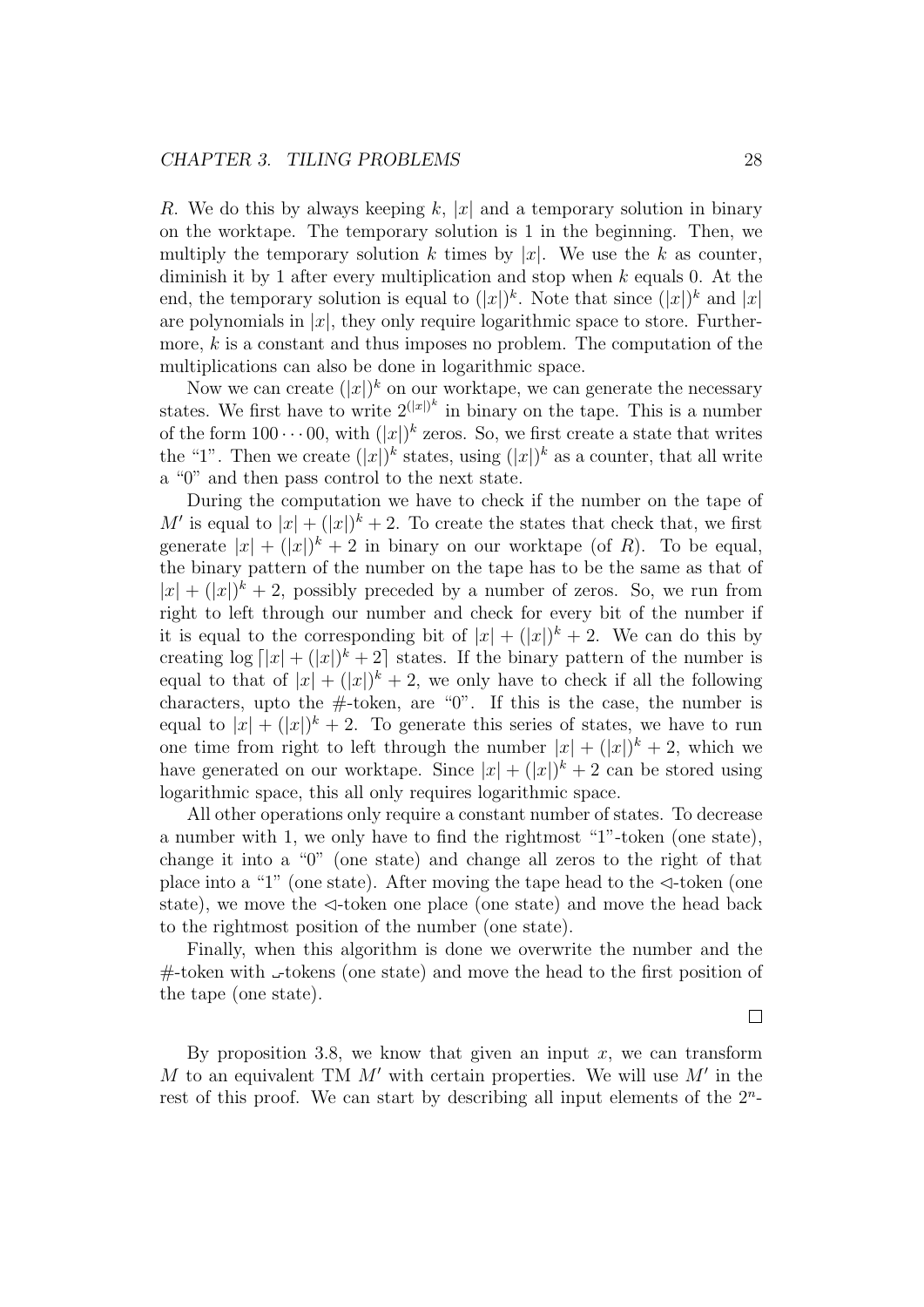R. We do this by always keeping k, |x| and a temporary solution in binary on the worktape. The temporary solution is 1 in the beginning. Then, we multiply the temporary solution k times by |x|. We use the k as counter, diminish it by 1 after every multiplication and stop when  $k$  equals 0. At the end, the temporary solution is equal to  $(|x|)^k$ . Note that since  $(|x|)^k$  and  $|x|$ are polynomials in  $|x|$ , they only require logarithmic space to store. Furthermore,  $k$  is a constant and thus imposes no problem. The computation of the multiplications can also be done in logarithmic space.

Now we can create  $(|x|)^k$  on our worktape, we can generate the necessary states. We first have to write  $2^{(|x|)^k}$  in binary on the tape. This is a number of the form  $100 \cdots 00$ , with  $(|x|)^k$  zeros. So, we first create a state that writes the "1". Then we create  $(|x|)^k$  states, using  $(|x|)^k$  as a counter, that all write a "0" and then pass control to the next state.

During the computation we have to check if the number on the tape of M' is equal to  $|x| + (|x|)^k + 2$ . To create the states that check that, we first generate  $|x| + (|x|)^k + 2$  in binary on our worktape (of R). To be equal, the binary pattern of the number on the tape has to be the same as that of  $|x| + (|x|)^k + 2$ , possibly preceded by a number of zeros. So, we run from right to left through our number and check for every bit of the number if it is equal to the corresponding bit of  $|x| + (|x|)^k + 2$ . We can do this by creating  $\log |x| + (|x|)^k + 2$  states. If the binary pattern of the number is equal to that of  $|x| + (|x|)^k + 2$ , we only have to check if all the following characters, upto the  $\#$ -token, are "0". If this is the case, the number is equal to  $|x| + (|x|)^k + 2$ . To generate this series of states, we have to run one time from right to left through the number  $|x| + (|x|)^k + 2$ , which we have generated on our worktape. Since  $|x| + (|x|)^k + 2$  can be stored using logarithmic space, this all only requires logarithmic space.

All other operations only require a constant number of states. To decrease a number with 1, we only have to find the rightmost "1"-token (one state), change it into a "0" (one state) and change all zeros to the right of that place into a "1" (one state). After moving the tape head to the  $\triangleleft$ -token (one state), we move the  $\triangleleft$ -token one place (one state) and move the head back to the rightmost position of the number (one state).

Finally, when this algorithm is done we overwrite the number and the  $#$ -token with  $\Box$ -tokens (one state) and move the head to the first position of the tape (one state).

By proposition 3.8, we know that given an input  $x$ , we can transform  $M$  to an equivalent TM  $M'$  with certain properties. We will use  $M'$  in the rest of this proof. We can start by describing all input elements of the  $2<sup>n</sup>$ -

 $\Box$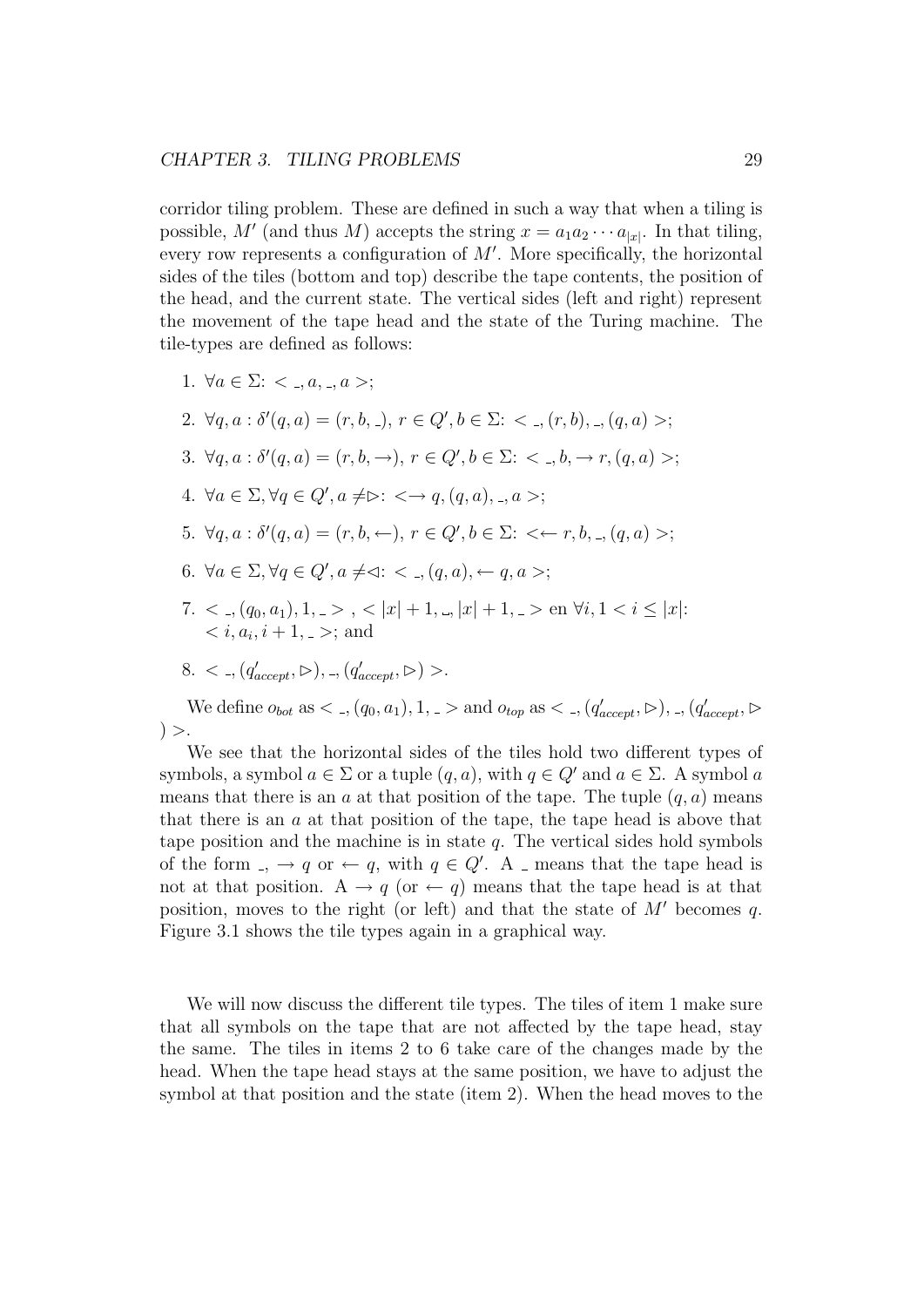#### CHAPTER 3. TILING PROBLEMS 29

corridor tiling problem. These are defined in such a way that when a tiling is possible, M' (and thus M) accepts the string  $x = a_1 a_2 \cdots a_{|x|}$ . In that tiling, every row represents a configuration of  $M'$ . More specifically, the horizontal sides of the tiles (bottom and top) describe the tape contents, the position of the head, and the current state. The vertical sides (left and right) represent the movement of the tape head and the state of the Turing machine. The tile-types are defined as follows:

1.  $\forall a \in \Sigma$ : <  $\langle a, a \rangle$ ,  $a \rangle$ ; 2.  $\forall q, a : \delta'(q, a) = (r, b, \bar{z}), r \in Q', b \in \Sigma: \langle q, b \rangle, \bar{z}, (q, a) >;$ 3.  $\forall q, a : \delta'(q, a) = (r, b, \rightarrow), r \in Q', b \in \Sigma: \langle a, b, \rightarrow r, (q, a) \rangle;$ 4.  $\forall a \in \Sigma, \forall q \in Q', a \neq \triangleright: \langle \rightarrow q, (q, a), \_, a \rangle;$ 5.  $\forall q, a : \delta'(q, a) = (r, b, \leftarrow), r \in Q', b \in \Sigma: \langle \leftarrow r, b, \_, (q, a) \rangle;$ 6.  $\forall a \in \Sigma, \forall q \in Q', a \neq \lhd: \langle , (q, a), \leftarrow q, a \rangle;$ 7.  $\langle \zeta_1, (q_0, a_1), 1, \zeta_2 \rangle$ ,  $\langle |x| + 1, |x| + 1, \zeta_2 \rangle$  en  $\forall i, 1 \langle i \rangle |x|$ :  $$ 8. < -,  $(q'_{accept}, \rhd)$ , -,  $(q'_{accept}, \rhd)$  >.

We define  $o_{bot}$  as  $\lt$   $\ldots$ ,  $(q_0, a_1)$ ,  $1, \ldots$  and  $o_{top}$  as  $\lt$   $\ldots$ ,  $(q'_{accept}, \rhd)$ ,  $\ldots$ ,  $(q'_{accept}, \rhd)$  $) >$ .

We see that the horizontal sides of the tiles hold two different types of symbols, a symbol  $a \in \Sigma$  or a tuple  $(q, a)$ , with  $q \in Q'$  and  $a \in \Sigma$ . A symbol a means that there is an a at that position of the tape. The tuple  $(q, a)$  means that there is an  $a$  at that position of the tape, the tape head is above that tape position and the machine is in state  $q$ . The vertical sides hold symbols of the form  $\Box$ ,  $\rightarrow$  q or  $\leftarrow$  q, with  $q \in Q'$ . A  $\Box$  means that the tape head is not at that position. A  $\rightarrow q$  (or  $\leftarrow q$ ) means that the tape head is at that position, moves to the right (or left) and that the state of  $M'$  becomes q. Figure 3.1 shows the tile types again in a graphical way.

We will now discuss the different tile types. The tiles of item 1 make sure that all symbols on the tape that are not affected by the tape head, stay the same. The tiles in items 2 to 6 take care of the changes made by the head. When the tape head stays at the same position, we have to adjust the symbol at that position and the state (item 2). When the head moves to the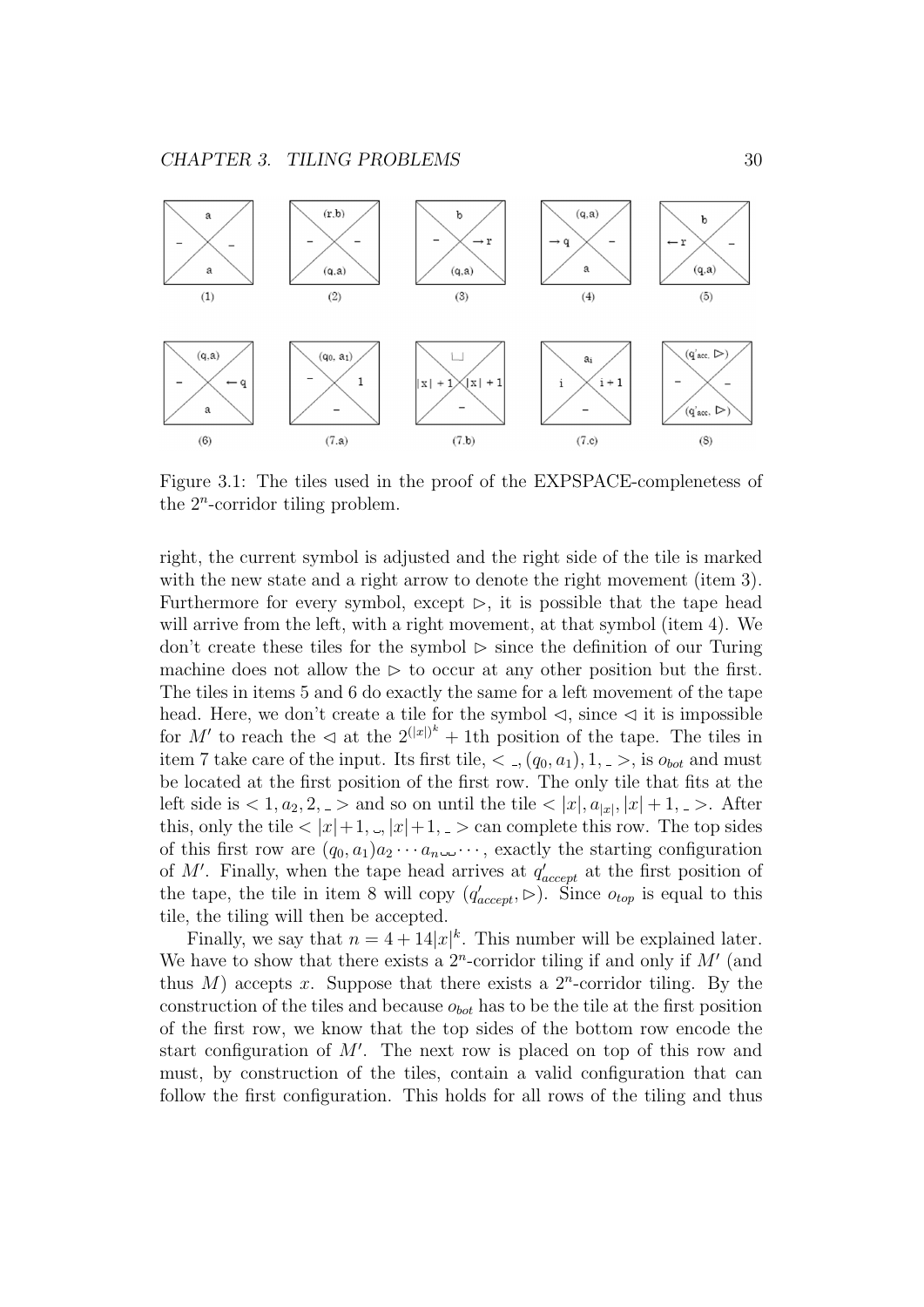

Figure 3.1: The tiles used in the proof of the EXPSPACE-complenetess of the  $2^n$ -corridor tiling problem.

right, the current symbol is adjusted and the right side of the tile is marked with the new state and a right arrow to denote the right movement (item 3). Furthermore for every symbol, except  $\triangleright$ , it is possible that the tape head will arrive from the left, with a right movement, at that symbol (item 4). We don't create these tiles for the symbol  $\triangleright$  since the definition of our Turing machine does not allow the  $\triangleright$  to occur at any other position but the first. The tiles in items 5 and 6 do exactly the same for a left movement of the tape head. Here, we don't create a tile for the symbol  $\triangleleft$ , since  $\triangleleft$  it is impossible for M' to reach the  $\triangleleft$  at the  $2^{(|x|)^k} + 1$ th position of the tape. The tiles in item 7 take care of the input. Its first tile,  $\lt$ ,  $(q_0, a_1)$ ,  $1, \gt$ , is  $o_{bot}$  and must be located at the first position of the first row. The only tile that fits at the left side is  $\langle 1, a_2, 2 \rangle$  and so on until the tile  $\langle |x|, a_{|x|}, |x| + 1, \rangle$ . After this, only the tile  $\langle |x|+1, \langle x|+1\rangle$ ,  $\langle x|$  and complete this row. The top sides of this first row are  $(q_0, a_1)a_2 \cdots a_{n-1} \cdots$ , exactly the starting configuration of M'. Finally, when the tape head arrives at  $q'_{accept}$  at the first position of the tape, the tile in item 8 will copy  $(q'_{accept}, \triangleright)$ . Since  $o_{top}$  is equal to this tile, the tiling will then be accepted.

Finally, we say that  $n = 4 + 14|x|^k$ . This number will be explained later. We have to show that there exists a  $2^n$ -corridor tiling if and only if  $M'$  (and thus  $M$ ) accepts x. Suppose that there exists a  $2<sup>n</sup>$ -corridor tiling. By the construction of the tiles and because  $o_{bot}$  has to be the tile at the first position of the first row, we know that the top sides of the bottom row encode the start configuration of  $M'$ . The next row is placed on top of this row and must, by construction of the tiles, contain a valid configuration that can follow the first configuration. This holds for all rows of the tiling and thus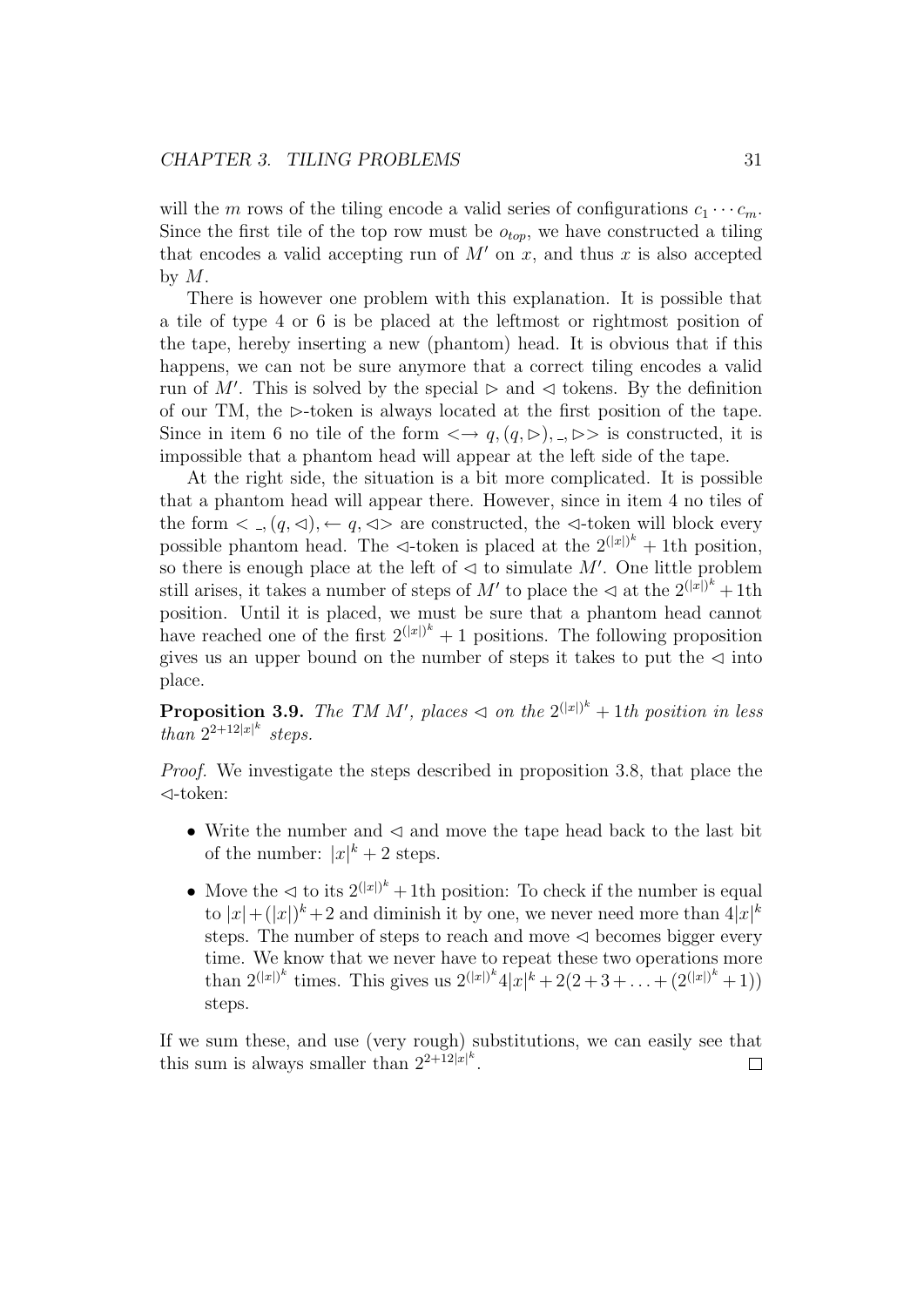#### CHAPTER 3. TILING PROBLEMS 31

will the m rows of the tiling encode a valid series of configurations  $c_1 \cdots c_m$ . Since the first tile of the top row must be  $o_{top}$ , we have constructed a tiling that encodes a valid accepting run of  $M'$  on x, and thus x is also accepted by  $M$ .

There is however one problem with this explanation. It is possible that a tile of type 4 or 6 is be placed at the leftmost or rightmost position of the tape, hereby inserting a new (phantom) head. It is obvious that if this happens, we can not be sure anymore that a correct tiling encodes a valid run of M'. This is solved by the special  $\triangleright$  and  $\triangleleft$  tokens. By the definition of our TM, the  $\triangleright$ -token is always located at the first position of the tape. Since in item 6 no tile of the form  $\langle \rightarrow q, (q, \rhd), \rightarrow \rhd \rangle$  is constructed, it is impossible that a phantom head will appear at the left side of the tape.

At the right side, the situation is a bit more complicated. It is possible that a phantom head will appear there. However, since in item 4 no tiles of the form  $\langle , (q, \triangleleft), \leftarrow q, \triangleleft \rangle$  are constructed, the  $\triangleleft$ -token will block every possible phantom head. The  $\triangleleft$ -token is placed at the  $2^{(|x|)^k} + 1$ th position, so there is enough place at the left of  $\triangleleft$  to simulate M'. One little problem still arises, it takes a number of steps of  $M'$  to place the  $\triangleleft$  at the  $2^{(|x|)^k} + 1$ th position. Until it is placed, we must be sure that a phantom head cannot have reached one of the first  $2^{(|x|)^k} + 1$  positions. The following proposition gives us an upper bound on the number of steps it takes to put the  $\triangleleft$  into place.

**Proposition 3.9.** The TM M', places  $\triangleleft$  on the  $2^{(|x|)^k} + 1$ th position in less than  $2^{2+12|x|^k}$  steps.

Proof. We investigate the steps described in proposition 3.8, that place the  $\triangleleft$ -token:

- Write the number and  $\triangleleft$  and move the tape head back to the last bit of the number:  $|x|^k + 2$  steps.
- Move the  $\leq$  to its  $2^{(|x|)^k} + 1$ th position: To check if the number is equal to  $|x| + (|x|)^k + 2$  and diminish it by one, we never need more than  $4|x|^k$ steps. The number of steps to reach and move  $\triangleleft$  becomes bigger every time. We know that we never have to repeat these two operations more than  $2^{(|x|)^k}$  times. This gives us  $2^{(|x|)^k}4|x|^k+2(2+3+\ldots+(2^{(|x|)^k}+1))$ steps.

If we sum these, and use (very rough) substitutions, we can easily see that this sum is always smaller than  $2^{2+12|x|^k}$ . П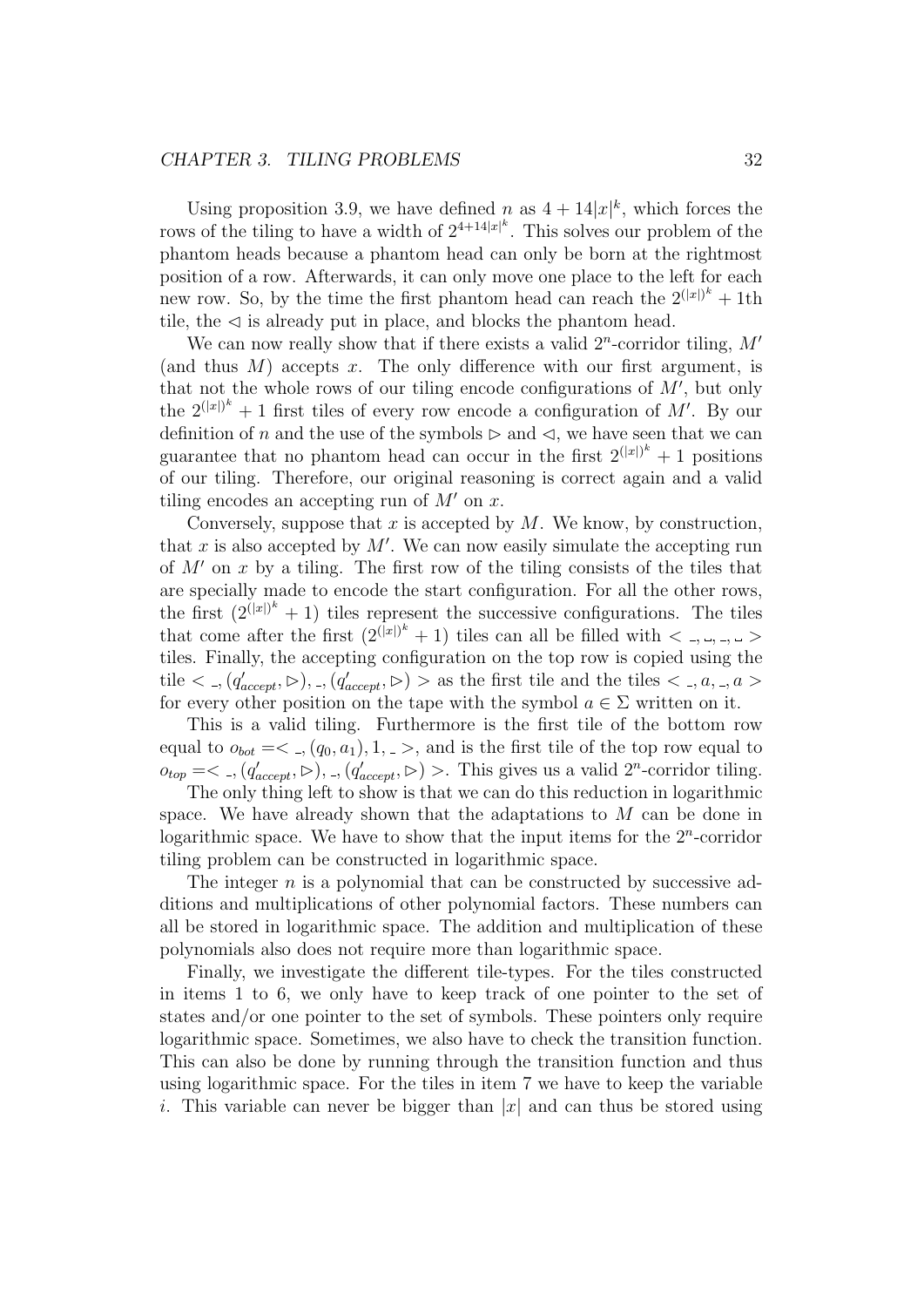#### CHAPTER 3. TILING PROBLEMS 32

Using proposition 3.9, we have defined n as  $4 + 14|x|^k$ , which forces the rows of the tiling to have a width of  $2^{4+14|x|^k}$ . This solves our problem of the phantom heads because a phantom head can only be born at the rightmost position of a row. Afterwards, it can only move one place to the left for each new row. So, by the time the first phantom head can reach the  $2^{(|x|)^k} + 1$ th tile, the  $\leq$  is already put in place, and blocks the phantom head.

We can now really show that if there exists a valid  $2^n$ -corridor tiling,  $M'$ (and thus  $M$ ) accepts x. The only difference with our first argument, is that not the whole rows of our tiling encode configurations of  $M'$ , but only the  $2^{(|x|)^k} + 1$  first tiles of every row encode a configuration of M'. By our definition of n and the use of the symbols  $\triangleright$  and  $\triangleleft$ , we have seen that we can guarantee that no phantom head can occur in the first  $2^{(|x|)^k} + 1$  positions of our tiling. Therefore, our original reasoning is correct again and a valid tiling encodes an accepting run of  $M'$  on x.

Conversely, suppose that  $x$  is accepted by  $M$ . We know, by construction, that  $x$  is also accepted by  $M'$ . We can now easily simulate the accepting run of  $M'$  on x by a tiling. The first row of the tiling consists of the tiles that are specially made to encode the start configuration. For all the other rows, the first  $(2^{(|x|)^k}+1)$  tiles represent the successive configurations. The tiles that come after the first  $(2^{(|x|)^k}+1)$  tiles can all be filled with  $\langle , , , , \rangle$ tiles. Finally, the accepting configuration on the top row is copied using the tile  $\langle \, -, (q'_{accept}, \triangleright), \, -, (q'_{accept}, \triangleright) \, \rangle$  as the first tile and the tiles  $\langle \, -, a, \, -, a \, \rangle$ for every other position on the tape with the symbol  $a \in \Sigma$  written on it.

This is a valid tiling. Furthermore is the first tile of the bottom row equal to  $o_{bot} = \langle , (q_0, a_1), 1, \rangle$ , and is the first tile of the top row equal to  $o_{top} = \langle \, \cdot \, , (q'_{accept}, \triangleright), \, \cdot \, , (q'_{accept}, \triangleright) \, \rangle$ . This gives us a valid  $2^n$ -corridor tiling.

The only thing left to show is that we can do this reduction in logarithmic space. We have already shown that the adaptations to  $M$  can be done in logarithmic space. We have to show that the input items for the  $2<sup>n</sup>$ -corridor tiling problem can be constructed in logarithmic space.

The integer  $n$  is a polynomial that can be constructed by successive additions and multiplications of other polynomial factors. These numbers can all be stored in logarithmic space. The addition and multiplication of these polynomials also does not require more than logarithmic space.

Finally, we investigate the different tile-types. For the tiles constructed in items 1 to 6, we only have to keep track of one pointer to the set of states and/or one pointer to the set of symbols. These pointers only require logarithmic space. Sometimes, we also have to check the transition function. This can also be done by running through the transition function and thus using logarithmic space. For the tiles in item 7 we have to keep the variable i. This variable can never be bigger than  $|x|$  and can thus be stored using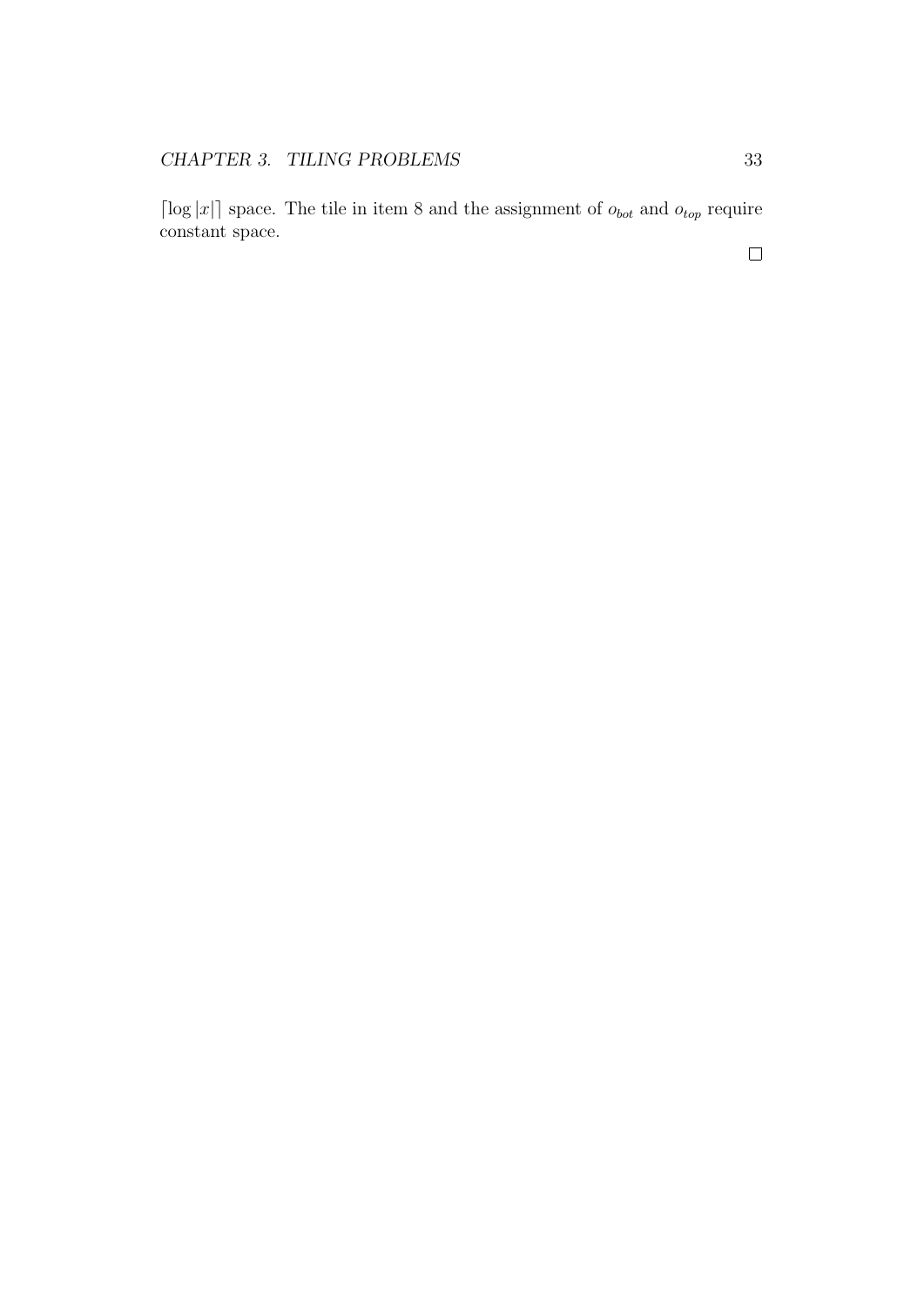$\lceil \log |x| \rceil$  space. The tile in item 8 and the assignment of  $o_{bot}$  and  $o_{top}$  require constant space.

 $\Box$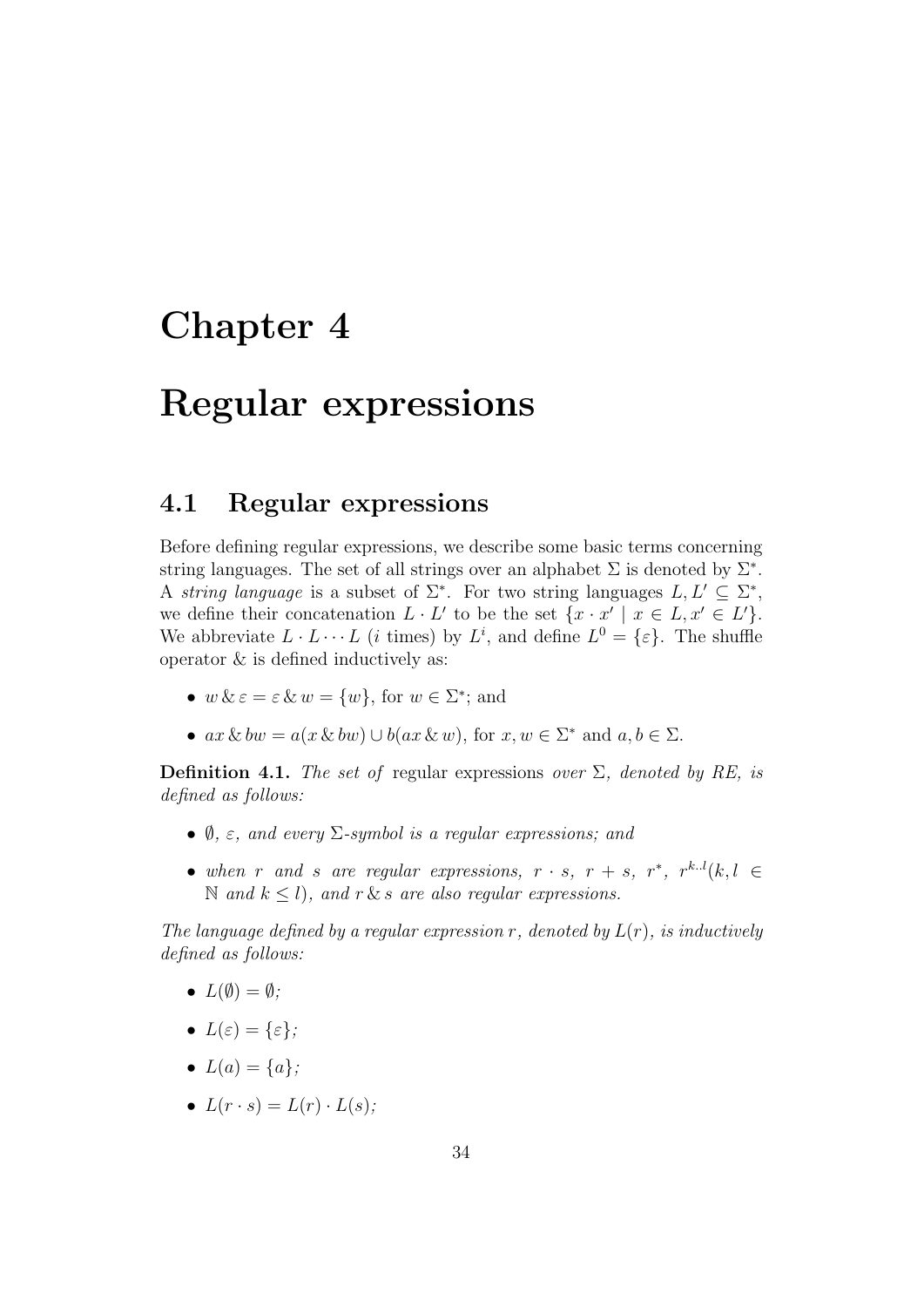## Chapter 4

## Regular expressions

### 4.1 Regular expressions

Before defining regular expressions, we describe some basic terms concerning string languages. The set of all strings over an alphabet  $\Sigma$  is denoted by  $\Sigma^*$ . A string language is a subset of  $\Sigma^*$ . For two string languages  $L, L' \subseteq \Sigma^*$ , we define their concatenation  $L \cdot L'$  to be the set  $\{x \cdot x' \mid x \in L, x' \in L'\}.$ We abbreviate  $L \cdot L \cdots L$  (*i* times) by  $L^i$ , and define  $L^0 = \{\varepsilon\}$ . The shuffle operator & is defined inductively as:

- $w \& \varepsilon = \varepsilon \& w = \{w\}$ , for  $w \in \Sigma^*$ ; and
- $ax \& bw = a(x \& bw) \cup b(ax \& w)$ , for  $x, w \in \Sigma^*$  and  $a, b \in \Sigma$ .

**Definition 4.1.** The set of regular expressions over  $\Sigma$ , denoted by RE, is defined as follows:

- $\emptyset$ ,  $\varepsilon$ , and every  $\Sigma$ -symbol is a regular expressions; and
- when r and s are regular expressions,  $r \cdot s$ ,  $r + s$ ,  $r^*$ ,  $r^{k.l}(k, l \in$  $\mathbb N$  and  $k \leq l$ , and  $r \& s$  are also regular expressions.

The language defined by a regular expression r, denoted by  $L(r)$ , is inductively defined as follows:

- $L(\emptyset) = \emptyset$ ;
- $L(\varepsilon) = {\varepsilon};$
- $L(a) = \{a\}$ :
- $L(r \cdot s) = L(r) \cdot L(s)$ ;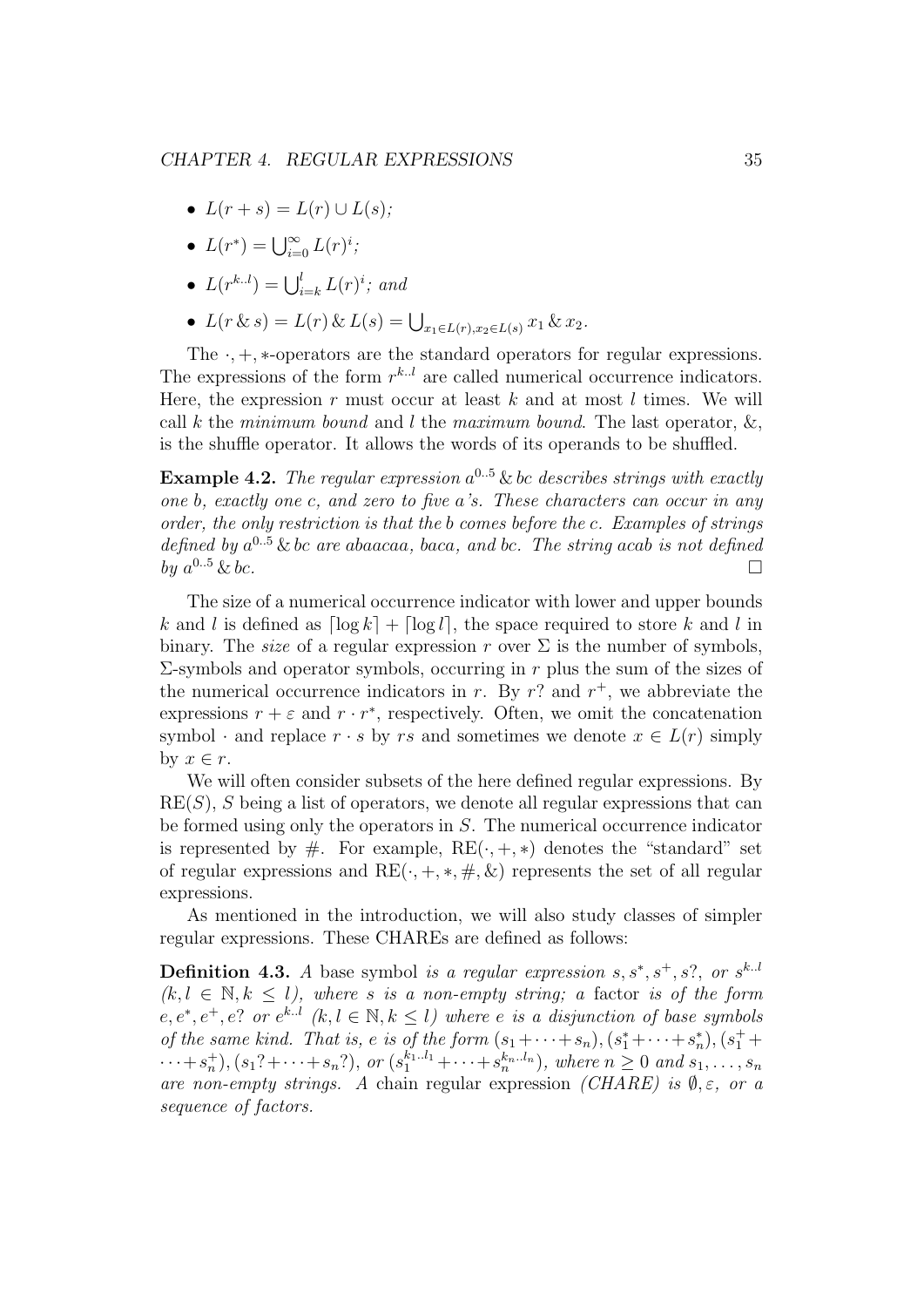- $L(r + s) = L(r) \cup L(s)$ ;
- $L(r^*) = \bigcup_{i=0}^{\infty} L(r)^i;$
- $L(r^{k.l}) = \bigcup_{i=k}^{l} L(r)^i$ ; and
- $L(r \& s) = L(r) \& L(s) = \bigcup_{x_1 \in L(r), x_2 \in L(s)} x_1 \& x_2.$

The  $\cdot$ ,  $+$ ,  $*$ -operators are the standard operators for regular expressions. The expressions of the form  $r^{k,l}$  are called numerical occurrence indicators. Here, the expression  $r$  must occur at least  $k$  and at most  $l$  times. We will call k the minimum bound and l the maximum bound. The last operator,  $\&$ , is the shuffle operator. It allows the words of its operands to be shuffled.

**Example 4.2.** The regular expression  $a^{0.5}$  & bc describes strings with exactly one b, exactly one c, and zero to five a's. These characters can occur in any order, the only restriction is that the b comes before the c. Examples of strings defined by  $a^{0.5}$  & bc are abaacaa, baca, and bc. The string acab is not defined by  $a^{0.5}$  & bc.  $0.5 \& bc.$ 

The size of a numerical occurrence indicator with lower and upper bounds k and l is defined as  $\lceil \log k \rceil + \lceil \log l \rceil$ , the space required to store k and l in binary. The *size* of a regular expression r over  $\Sigma$  is the number of symbols,  $\Sigma$ -symbols and operator symbols, occurring in r plus the sum of the sizes of the numerical occurrence indicators in r. By r? and  $r^+$ , we abbreviate the expressions  $r + \varepsilon$  and  $r \cdot r^*$ , respectively. Often, we omit the concatenation symbol  $\cdot$  and replace  $r \cdot s$  by rs and sometimes we denote  $x \in L(r)$  simply by  $x \in r$ .

We will often consider subsets of the here defined regular expressions. By  $RE(S)$ , S being a list of operators, we denote all regular expressions that can be formed using only the operators in S. The numerical occurrence indicator is represented by  $\#$ . For example,  $RE(\cdot, +, *)$  denotes the "standard" set of regular expressions and  $RE(\cdot, +, *, \#, \&)$  represents the set of all regular expressions.

As mentioned in the introduction, we will also study classes of simpler regular expressions. These CHAREs are defined as follows:

**Definition 4.3.** A base symbol is a regular expression  $s, s^*, s^+, s^2$ , or  $s^{k..l}$  $(k, l \in \mathbb{N}, k \leq l)$ , where s is a non-empty string; a factor is of the form  $e, e^*, e^+, e$ ? or  $e^{k.l}$   $(k, l \in \mathbb{N}, k \leq l)$  where e is a disjunction of base symbols of the same kind. That is, e is of the form  $(s_1 + \cdots + s_n)$ ,  $(s_1^* + \cdots + s_n^*)$ ,  $(s_1^* +$  $\cdots + s_n^+$ ,  $(s_1? + \cdots + s_n?)$ , or  $(s_1^{k_1..l_1} + \cdots + s_n^{k_n..l_n})$ , where  $n \geq 0$  and  $s_1, \ldots, s_n$ are non-empty strings. A chain regular expression (CHARE) is  $\emptyset$ ,  $\varepsilon$ , or a sequence of factors.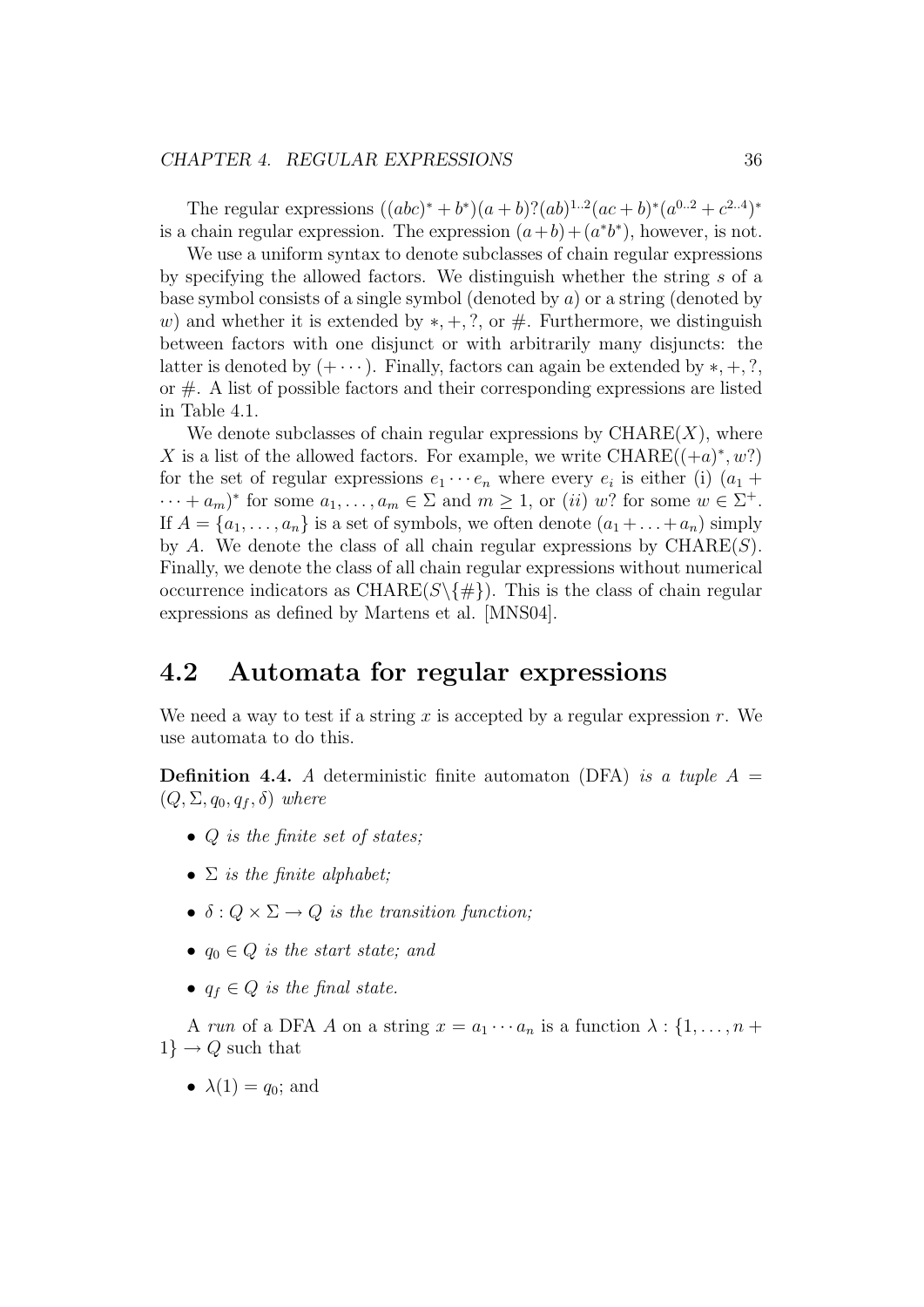#### CHAPTER 4. REGULAR EXPRESSIONS 36

The regular expressions  $((abc)^* + b^*)(a+b)$ ? $(ab)^{1..2}(ac+b)^*(a^{0..2}+c^{2..4})^*$ is a chain regular expression. The expression  $(a+b)+(a^*b^*)$ , however, is not.

We use a uniform syntax to denote subclasses of chain regular expressions by specifying the allowed factors. We distinguish whether the string s of a base symbol consists of a single symbol (denoted by a) or a string (denoted by w) and whether it is extended by  $*, +, ?$ , or  $#$ . Furthermore, we distinguish between factors with one disjunct or with arbitrarily many disjuncts: the latter is denoted by  $(+ \cdots)$ . Finally, factors can again be extended by  $*, +, ?$ , or  $#$ . A list of possible factors and their corresponding expressions are listed in Table 4.1.

We denote subclasses of chain regular expressions by  $\mathrm{CHARE}(X)$ , where X is a list of the allowed factors. For example, we write  $\text{CHARE}((\text{+}a)^*, w?)$ for the set of regular expressions  $e_1 \cdots e_n$  where every  $e_i$  is either (i)  $(a_1 +$  $\cdots + a_m$ <sup>\*</sup> for some  $a_1, \ldots, a_m \in \Sigma$  and  $m \ge 1$ , or (ii) w? for some  $w \in \Sigma^+$ . If  $A = \{a_1, \ldots, a_n\}$  is a set of symbols, we often denote  $(a_1 + \ldots + a_n)$  simply by A. We denote the class of all chain regular expressions by  $\mathrm{CHARE}(S)$ . Finally, we denote the class of all chain regular expressions without numerical occurrence indicators as CHARE( $S \setminus \{ \# \}$ ). This is the class of chain regular expressions as defined by Martens et al. [MNS04].

### 4.2 Automata for regular expressions

We need a way to test if a string x is accepted by a regular expression  $r$ . We use automata to do this.

**Definition 4.4.** A deterministic finite automaton (DFA) is a tuple  $A =$  $(Q, \Sigma, q_0, q_f, \delta)$  where

- Q is the finite set of states;
- $\Sigma$  is the finite alphabet;
- $\delta: Q \times \Sigma \rightarrow Q$  is the transition function;
- $q_0 \in Q$  is the start state; and
- $q_f \in Q$  is the final state.

A run of a DFA A on a string  $x = a_1 \cdots a_n$  is a function  $\lambda : \{1, \ldots, n + \}$  $1\} \rightarrow Q$  such that

•  $\lambda(1) = q_0$ ; and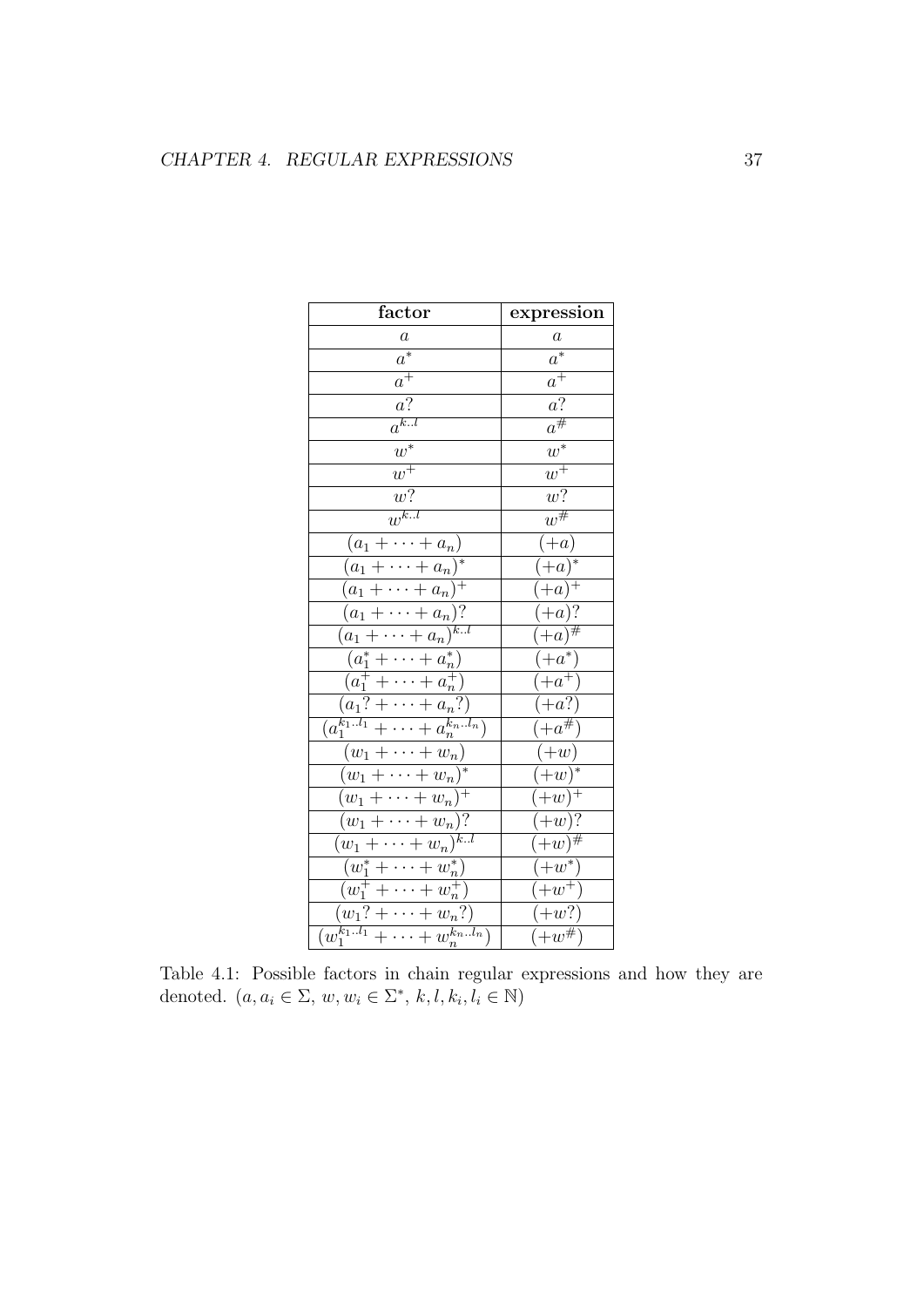| factor                                                    | expression          |
|-----------------------------------------------------------|---------------------|
| $\boldsymbol{a}$                                          | $\boldsymbol{a}$    |
| $\overline{a^*}$                                          | $\overline{a^*}$    |
| $a^{\overline{+}}$                                        | $a^{\overline{+}}$  |
| $a\overline{?}$                                           | $a\overline{?}$     |
| $a^{k.l}$                                                 | $a^{\#}$            |
| $\overline{w^*}$                                          | $\overline{w^*}$    |
| $\overline{w^+}$                                          | $\overline{w^+}$    |
| $\overline{w}$ ?                                          | $\overline{w}$ ?    |
| $\overline{w^{k.l}}$                                      | $w^{\overline{\#}}$ |
| $(a_1+\cdots+a_n)$                                        | $+a)$               |
| $(a_1+\cdots+a_n)^*$                                      | $(+a)^{*}$          |
| $(a_1+\cdots+a_n)^+$                                      | $(+a)^{+}$          |
| $(a_1+\cdots+a_n)?$                                       | $(+a)?$             |
| $\overline{(a_1+\cdots+a_n)^{kl}}$                        | $+a)^{\#}$          |
| $(a_1^* + \cdots + a_n^*)$                                | $+a^*$              |
| $\frac{a_1^+ + \cdots + a_n^+}{(a_1^2 + \cdots + a_n^2)}$ | $(+a^{+})$          |
|                                                           | $(+a?)$             |
| $\overline{(a_1^{k_1l_1} + \cdots + a_n^{k_nl_n})}$       | $(+a^{\#})$         |
| $(w_1+\cdots+w_n)$                                        | $(+w)$              |
| $\overline{(w_1+\cdots+w_n)^*}$                           | $(w)^*$             |
| $(w_1+\cdots+w_n)^+$                                      | $(+w)^{+}$          |
| $(w_1+\cdots+w_n)?$                                       | $(+w)$ ?            |
| $(w_1+\cdots+w_n)^{k.l}$                                  | $(w)$ #             |
| $(w_1^* + \cdots + w_n^*)$                                | $+w^*$              |
| $\overline{(w_1^+ + \cdots + w_n^+)}$                     | $+w^+$              |
| $\overline{(w_1? + \cdots + w_n?)}$                       | $-w$ ?)             |
| $\overline{(w_1^{k_1l_1}+\cdots+w_n^{k_nl_n})}$           | $+w^{\#}$           |

Table 4.1: Possible factors in chain regular expressions and how they are denoted.  $(a, a_i \in \Sigma, w, w_i \in \Sigma^*, k, l, k_i, l_i \in \mathbb{N})$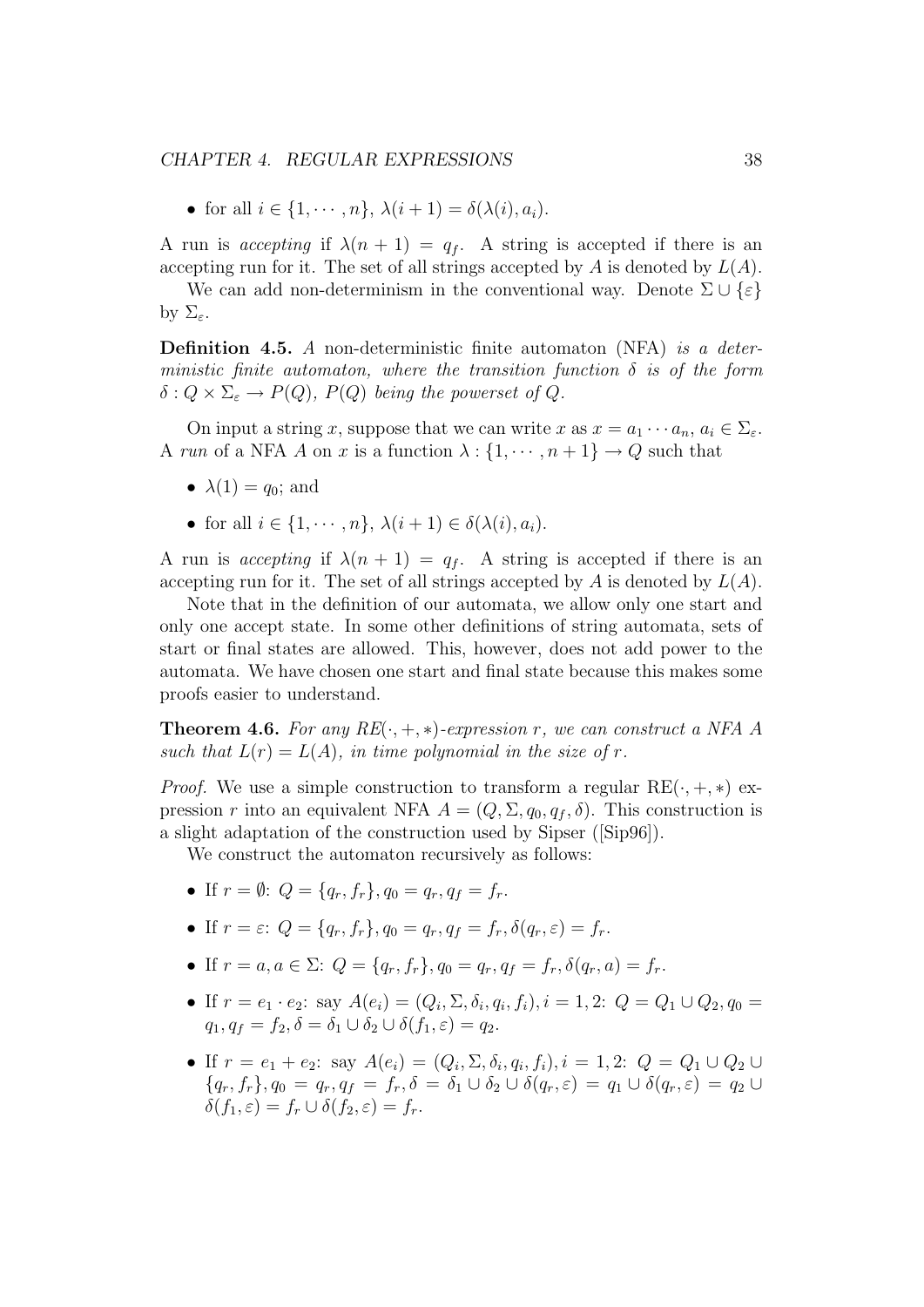• for all  $i \in \{1, \cdots, n\}, \lambda(i+1) = \delta(\lambda(i), a_i).$ 

A run is accepting if  $\lambda(n+1) = q_f$ . A string is accepted if there is an accepting run for it. The set of all strings accepted by  $A$  is denoted by  $L(A)$ .

We can add non-determinism in the conventional way. Denote  $\Sigma \cup {\varepsilon}$ by  $\Sigma_{\varepsilon}$ .

**Definition 4.5.** A non-deterministic finite automaton (NFA) is a deterministic finite automaton, where the transition function  $\delta$  is of the form  $\delta: Q \times \Sigma_{\varepsilon} \to P(Q), P(Q)$  being the powerset of Q.

On input a string x, suppose that we can write x as  $x = a_1 \cdots a_n, a_i \in \Sigma_{\varepsilon}$ . A run of a NFA A on x is a function  $\lambda : \{1, \dots, n+1\} \to Q$  such that

- $\lambda(1) = q_0$ ; and
- for all  $i \in \{1, \dots, n\}, \lambda(i+1) \in \delta(\lambda(i), a_i).$

A run is accepting if  $\lambda(n+1) = q_f$ . A string is accepted if there is an accepting run for it. The set of all strings accepted by  $A$  is denoted by  $L(A)$ .

Note that in the definition of our automata, we allow only one start and only one accept state. In some other definitions of string automata, sets of start or final states are allowed. This, however, does not add power to the automata. We have chosen one start and final state because this makes some proofs easier to understand.

**Theorem 4.6.** For any  $RE(\cdot, +, *)$ -expression r, we can construct a NFA A such that  $L(r) = L(A)$ , in time polynomial in the size of r.

*Proof.* We use a simple construction to transform a regular  $RE(\cdot, +, *)$  expression r into an equivalent NFA  $A = (Q, \Sigma, q_0, q_f, \delta)$ . This construction is a slight adaptation of the construction used by Sipser ([Sip96]).

We construct the automaton recursively as follows:

- If  $r = \emptyset$ :  $Q = \{q_r, f_r\}, q_0 = q_r, q_f = f_r$ .
- If  $r = \varepsilon$ :  $Q = \{q_r, f_r\}$ ,  $q_0 = q_r$ ,  $q_f = f_r$ ,  $\delta(q_r, \varepsilon) = f_r$ .
- If  $r = a, a \in \Sigma$ :  $Q = \{q_r, f_r\}, q_0 = q_r, q_f = f_r, \delta(q_r, a) = f_r$ .
- If  $r = e_1 \cdot e_2$ : say  $A(e_i) = (Q_i, \Sigma, \delta_i, q_i, f_i), i = 1, 2$ :  $Q = Q_1 \cup Q_2, q_0 =$  $q_1, q_f = f_2, \delta = \delta_1 \cup \delta_2 \cup \delta(f_1, \varepsilon) = q_2.$
- If  $r = e_1 + e_2$ : say  $A(e_i) = (Q_i, \Sigma, \delta_i, q_i, f_i), i = 1, 2$ :  $Q = Q_1 \cup Q_2 \cup$  ${q_r, f_r}, q_0 = q_r, q_f = f_r, \delta = \delta_1 \cup \delta_2 \cup \delta(q_r, \varepsilon) = q_1 \cup \delta(q_r, \varepsilon) = q_2 \cup \delta(q_r, \varepsilon)$  $\delta(f_1, \varepsilon) = f_r \cup \delta(f_2, \varepsilon) = f_r.$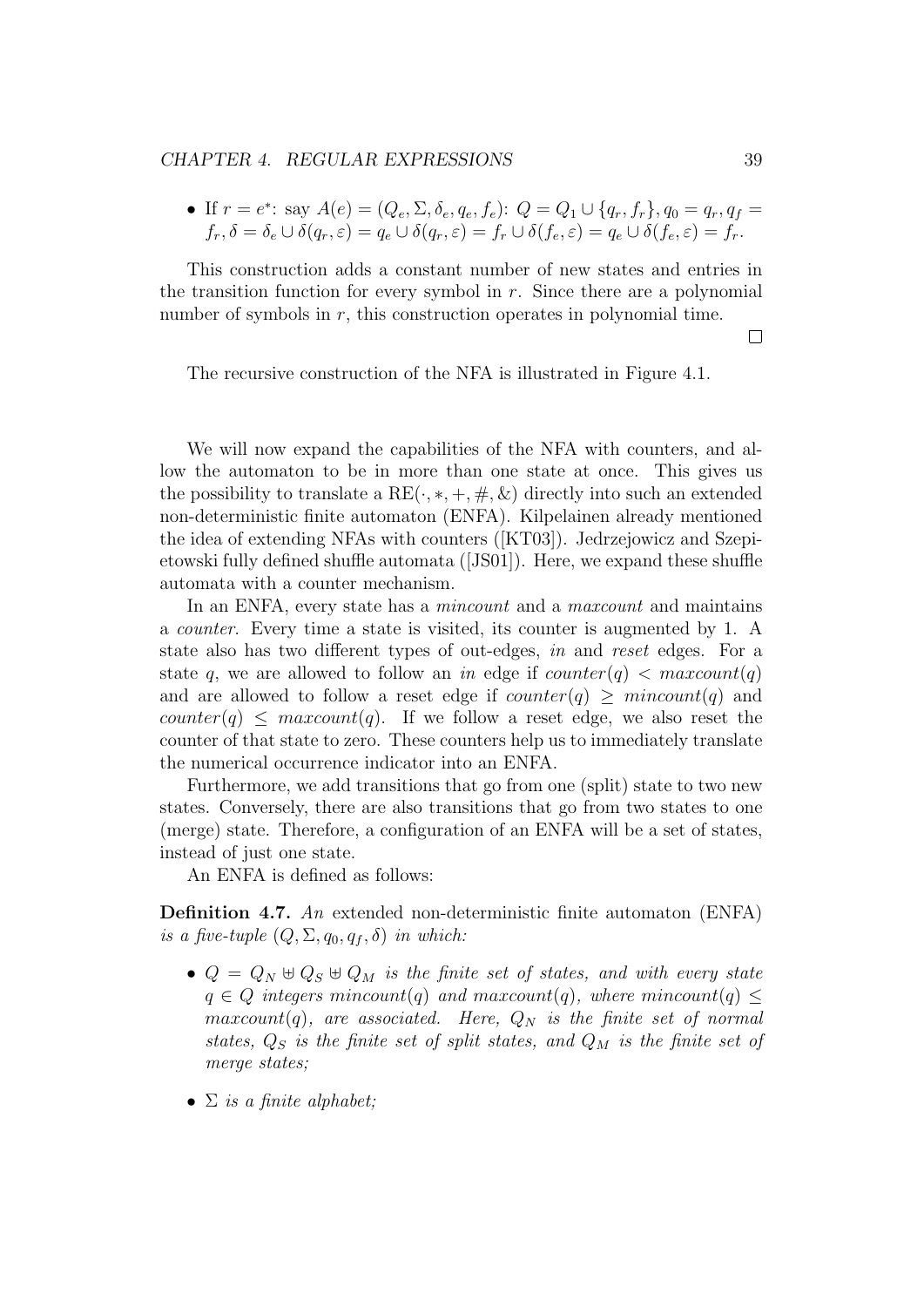#### CHAPTER 4. REGULAR EXPRESSIONS 39

• If 
$$
r = e^*
$$
: say  $A(e) = (Q_e, \Sigma, \delta_e, q_e, f_e)$ :  $Q = Q_1 \cup \{q_r, f_r\}, q_0 = q_r, q_f = f_r, \delta = \delta_e \cup \delta(q_r, \varepsilon) = q_e \cup \delta(q_r, \varepsilon) = f_r \cup \delta(f_e, \varepsilon) = q_e \cup \delta(f_e, \varepsilon) = f_r$ .

This construction adds a constant number of new states and entries in the transition function for every symbol in  $r$ . Since there are a polynomial number of symbols in  $r$ , this construction operates in polynomial time.

 $\Box$ 

The recursive construction of the NFA is illustrated in Figure 4.1.

We will now expand the capabilities of the NFA with counters, and allow the automaton to be in more than one state at once. This gives us the possibility to translate a  $RE(\cdot, *, +, \#, \&)$  directly into such an extended non-deterministic finite automaton (ENFA). Kilpelainen already mentioned the idea of extending NFAs with counters ([KT03]). Jedrzejowicz and Szepietowski fully defined shuffle automata ([JS01]). Here, we expand these shuffle automata with a counter mechanism.

In an ENFA, every state has a *mincount* and a *maxcount* and maintains a counter. Every time a state is visited, its counter is augmented by 1. A state also has two different types of out-edges, in and reset edges. For a state q, we are allowed to follow an in edge if  $counter(q) < maxcount(q)$ and are allowed to follow a reset edge if  $counter(q) \geq mincount(q)$  and counter(q)  $\leq$  maxcount(q). If we follow a reset edge, we also reset the counter of that state to zero. These counters help us to immediately translate the numerical occurrence indicator into an ENFA.

Furthermore, we add transitions that go from one (split) state to two new states. Conversely, there are also transitions that go from two states to one (merge) state. Therefore, a configuration of an ENFA will be a set of states, instead of just one state.

An ENFA is defined as follows:

Definition 4.7. An extended non-deterministic finite automaton (ENFA) is a five-tuple  $(Q, \Sigma, q_0, q_f, \delta)$  in which:

- $Q = Q_N \oplus Q_S \oplus Q_M$  is the finite set of states, and with every state  $q \in Q$  integers mincount(q) and maxcount(q), where mincount(q)  $\leq$  $maxcount(q)$ , are associated. Here,  $Q_N$  is the finite set of normal states,  $Q_S$  is the finite set of split states, and  $Q_M$  is the finite set of merge states:
- $\Sigma$  is a finite alphabet;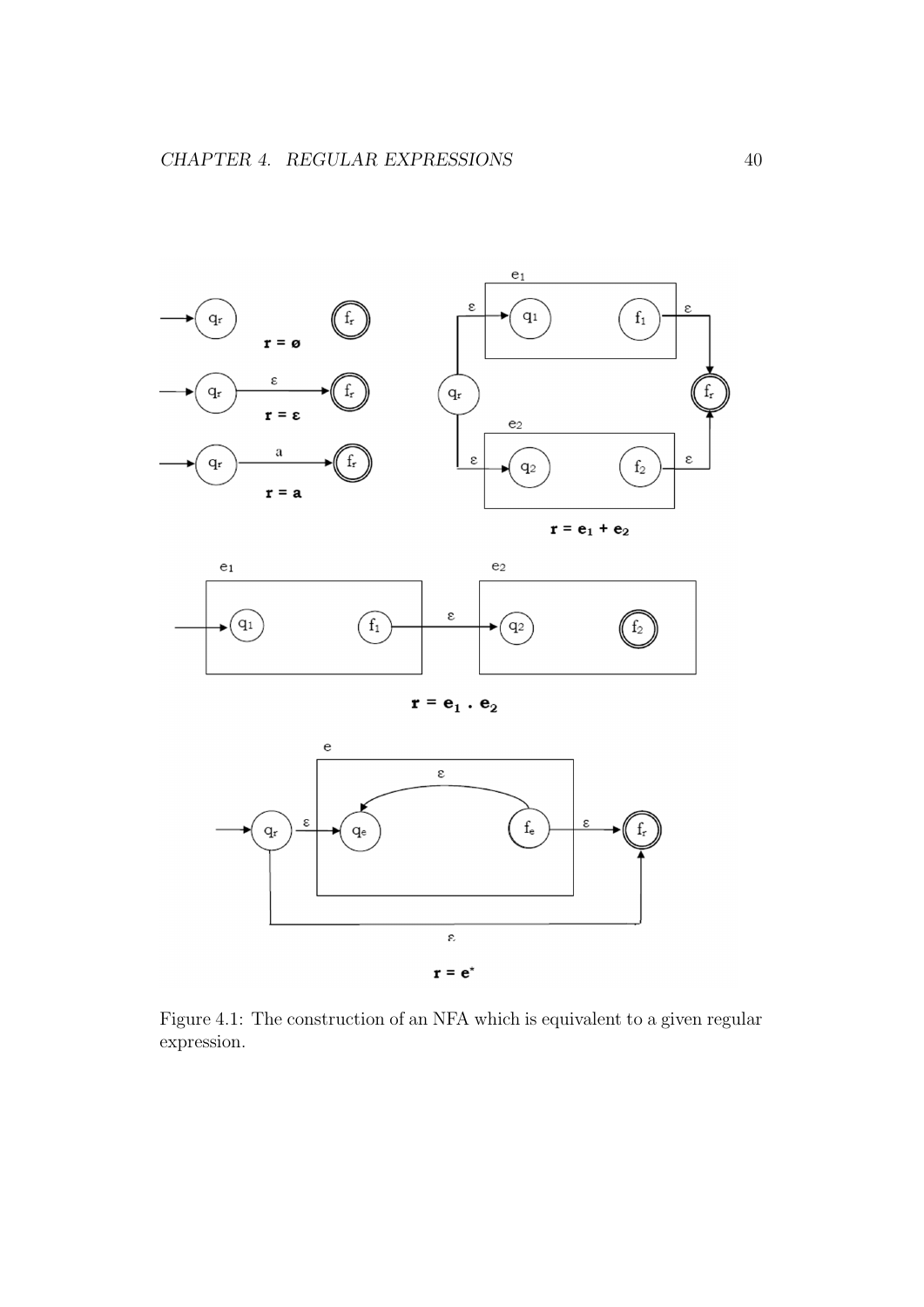



 $\mathbf{r}=\mathbf{e}_1$  .  $\mathbf{e}_2$ 



Figure 4.1: The construction of an NFA which is equivalent to a given regular expression.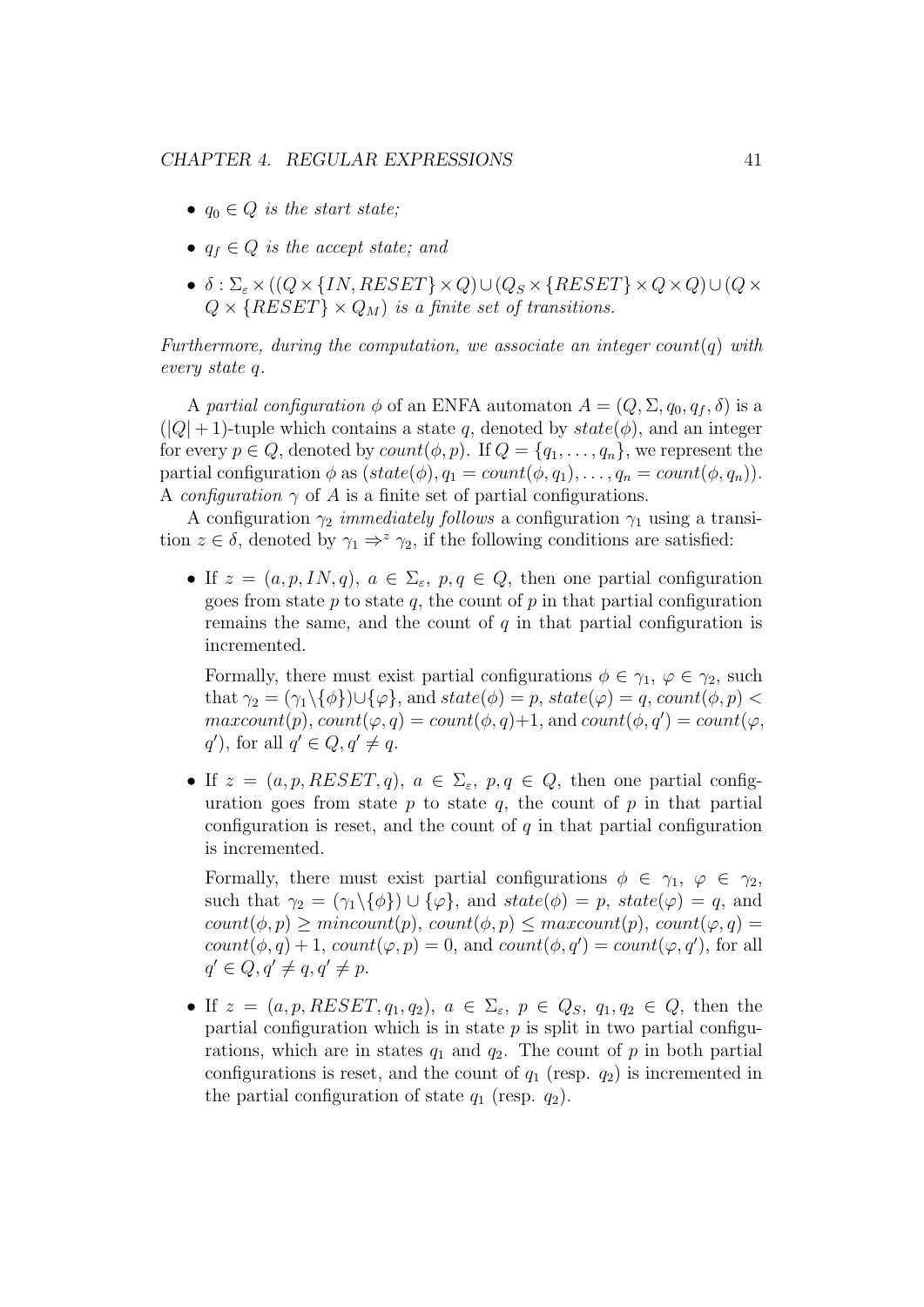- $q_0 \in Q$  is the start state;
- $q_f \in Q$  is the accept state; and
- $\delta$ :  $\Sigma_{\varepsilon} \times ((Q \times \{IN, RESET\} \times Q) \cup (Q_S \times \{RESET\} \times Q \times Q) \cup (Q \times$  $Q \times \{RESET\} \times Q_M$  is a finite set of transitions.

Furthermore, during the computation, we associate an integer  $count(q)$  with every state q.

A partial configuration  $\phi$  of an ENFA automaton  $A = (Q, \Sigma, q_0, q_f, \delta)$  is a  $(|Q|+1)$ -tuple which contains a state q, denoted by  $state(\phi)$ , and an integer for every  $p \in Q$ , denoted by  $count(\phi, p)$ . If  $Q = \{q_1, \ldots, q_n\}$ , we represent the partial configuration  $\phi$  as  $(state(\phi), q_1 = count(\phi, q_1), \ldots, q_n = count(\phi, q_n)).$ A configuration  $\gamma$  of A is a finite set of partial configurations.

A configuration  $\gamma_2$  *immediately follows* a configuration  $\gamma_1$  using a transition  $z \in \delta$ , denoted by  $\gamma_1 \Rightarrow^z \gamma_2$ , if the following conditions are satisfied:

• If  $z = (a, p, IN, q), a \in \Sigma_{\varepsilon}, p, q \in Q$ , then one partial configuration goes from state  $p$  to state  $q$ , the count of  $p$  in that partial configuration remains the same, and the count of  $q$  in that partial configuration is incremented.

Formally, there must exist partial configurations  $\phi \in \gamma_1, \varphi \in \gamma_2$ , such that  $\gamma_2 = (\gamma_1 \setminus \{\phi\}) \cup \{\varphi\}$ , and  $state(\phi) = p$ ,  $state(\varphi) = q$ ,  $count(\phi, p) <$  $maxcount(p), count(\varphi, q) = count(\phi, q) + 1$ , and  $count(\phi, q') = count(\varphi, q')$  $q'$ , for all  $q' \in Q, q' \neq q$ .

• If  $z = (a, p, RESET, q), a \in \Sigma_{\varepsilon}, p, q \in Q$ , then one partial configuration goes from state  $p$  to state  $q$ , the count of  $p$  in that partial configuration is reset, and the count of  $q$  in that partial configuration is incremented.

Formally, there must exist partial configurations  $\phi \in \gamma_1, \varphi \in \gamma_2$ , such that  $\gamma_2 = (\gamma_1 \setminus {\phi}) \cup {\phi}$ , and  $state(\phi) = p$ ,  $state(\phi) = q$ , and  $count(\phi, p) \geq mincount(p), count(\phi, p) \leq maxcount(p), count(\phi, q) =$  $count(\phi, q) + 1, count(\varphi, p) = 0$ , and  $count(\phi, q') = count(\varphi, q')$ , for all  $q' \in Q, q' \neq q, q' \neq p.$ 

• If  $z = (a, p, REST, q_1, q_2), a \in \Sigma_{\varepsilon}, p \in Q_S, q_1, q_2 \in Q$ , then the partial configuration which is in state  $p$  is split in two partial configurations, which are in states  $q_1$  and  $q_2$ . The count of p in both partial configurations is reset, and the count of  $q_1$  (resp.  $q_2$ ) is incremented in the partial configuration of state  $q_1$  (resp.  $q_2$ ).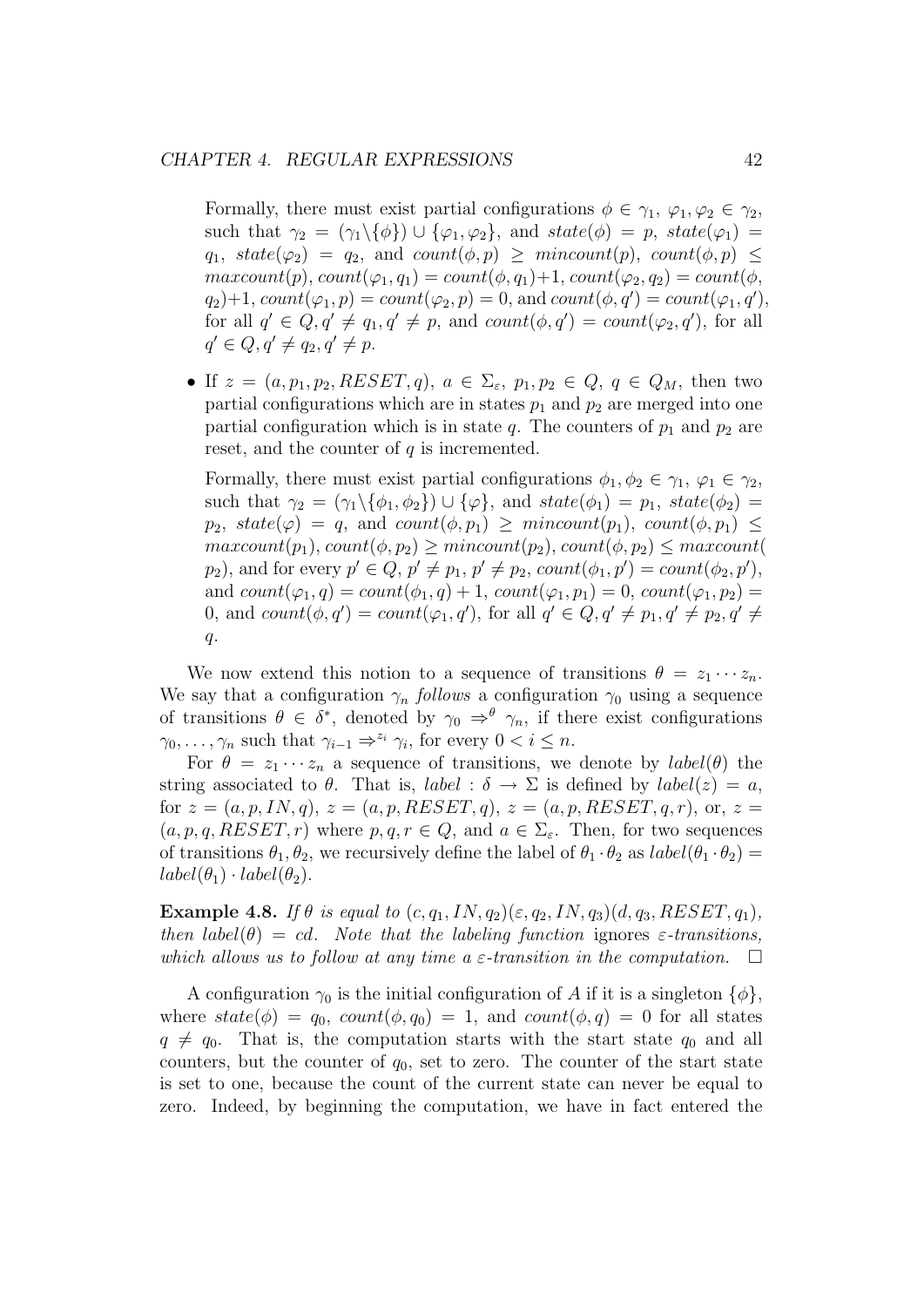Formally, there must exist partial configurations  $\phi \in \gamma_1, \varphi_1, \varphi_2 \in \gamma_2$ , such that  $\gamma_2 = (\gamma_1 \setminus {\phi}) \cup {\phi_1, \phi_2}$ , and  $state(\phi) = p$ ,  $state(\phi_1) =$  $q_1, state(\varphi_2) = q_2, and count(\phi, p) \geq mincount(p), count(\phi, p) \leq$  $maxcount(p), count(\varphi_1, q_1) = count(\phi, q_1)+1, count(\varphi_2, q_2) = count(\phi,$  $q_2$ )+1,  $count(\varphi_1, p) = count(\varphi_2, p) = 0$ , and  $count(\phi, q') = count(\varphi_1, q')$ , for all  $q' \in Q, q' \neq q_1, q' \neq p$ , and  $count(\phi, q') = count(\varphi_2, q')$ , for all  $q' \in Q, q' \neq q_2, q' \neq p.$ 

• If  $z = (a, p_1, p_2, RESET, q), a \in \Sigma_{\varepsilon}, p_1, p_2 \in Q, q \in Q_M$ , then two partial configurations which are in states  $p_1$  and  $p_2$  are merged into one partial configuration which is in state q. The counters of  $p_1$  and  $p_2$  are reset, and the counter of  $q$  is incremented.

Formally, there must exist partial configurations  $\phi_1, \phi_2 \in \gamma_1, \varphi_1 \in \gamma_2$ , such that  $\gamma_2 = (\gamma_1 \setminus {\phi_1, \phi_2}) \cup {\phi}$ , and  $state(\phi_1) = p_1$ ,  $state(\phi_2) =$  $p_2$ ,  $state(\varphi) = q$ , and  $count(\phi, p_1) \geq mincount(p_1)$ ,  $count(\phi, p_1) \leq$  $maxcount(p_1), count(\phi, p_2) \geq mincount(p_2), count(\phi, p_2) \leq maxcount(\phi, p_1)$  $p_2$ ), and for every  $p' \in Q$ ,  $p' \neq p_1$ ,  $p' \neq p_2$ ,  $count(\phi_1, p') = count(\phi_2, p')$ , and  $count(\varphi_1, q) = count(\phi_1, q) + 1$ ,  $count(\varphi_1, p_1) = 0$ ,  $count(\varphi_1, p_2) =$ 0, and  $count(\phi, q') = count(\varphi_1, q')$ , for all  $q' \in Q, q' \neq p_1, q' \neq p_2, q' \neq$  $q$ .

We now extend this notion to a sequence of transitions  $\theta = z_1 \cdots z_n$ . We say that a configuration  $\gamma_n$  follows a configuration  $\gamma_0$  using a sequence of transitions  $\theta \in \delta^*$ , denoted by  $\gamma_0 \Rightarrow^{\theta} \gamma_n$ , if there exist configurations  $\gamma_0, \ldots, \gamma_n$  such that  $\gamma_{i-1} \Rightarrow^{z_i} \gamma_i$ , for every  $0 < i \leq n$ .

For  $\theta = z_1 \cdots z_n$  a sequence of transitions, we denote by  $label(\theta)$  the string associated to  $\theta$ . That is, *label* :  $\delta \to \Sigma$  is defined by *label*(*z*) = *a*, for  $z = (a, p, IN, q), z = (a, p, RESET, q), z = (a, p, RESET, q, r),$  or,  $z =$  $(a, p, q, \text{RESET}, r)$  where  $p, q, r \in Q$ , and  $a \in \Sigma_{\varepsilon}$ . Then, for two sequences of transitions  $\theta_1, \theta_2$ , we recursively define the label of  $\theta_1 \cdot \theta_2$  as  $label(\theta_1 \cdot \theta_2)$  =  $label(\theta_1) \cdot label(\theta_2)$ .

Example 4.8. If  $\theta$  is equal to  $(c, q_1, IN, q_2)(\epsilon, q_2, IN, q_3)(d, q_3, RESET, q_1)$ , then  $label(\theta) = cd$ . Note that the labeling function ignores  $\varepsilon$ -transitions, which allows us to follow at any time a  $\varepsilon$ -transition in the computation.  $\Box$ 

A configuration  $\gamma_0$  is the initial configuration of A if it is a singleton  $\{\phi\},\$ where  $state(\phi) = q_0$ ,  $count(\phi, q_0) = 1$ , and  $count(\phi, q) = 0$  for all states  $q \neq q_0$ . That is, the computation starts with the start state  $q_0$  and all counters, but the counter of  $q_0$ , set to zero. The counter of the start state is set to one, because the count of the current state can never be equal to zero. Indeed, by beginning the computation, we have in fact entered the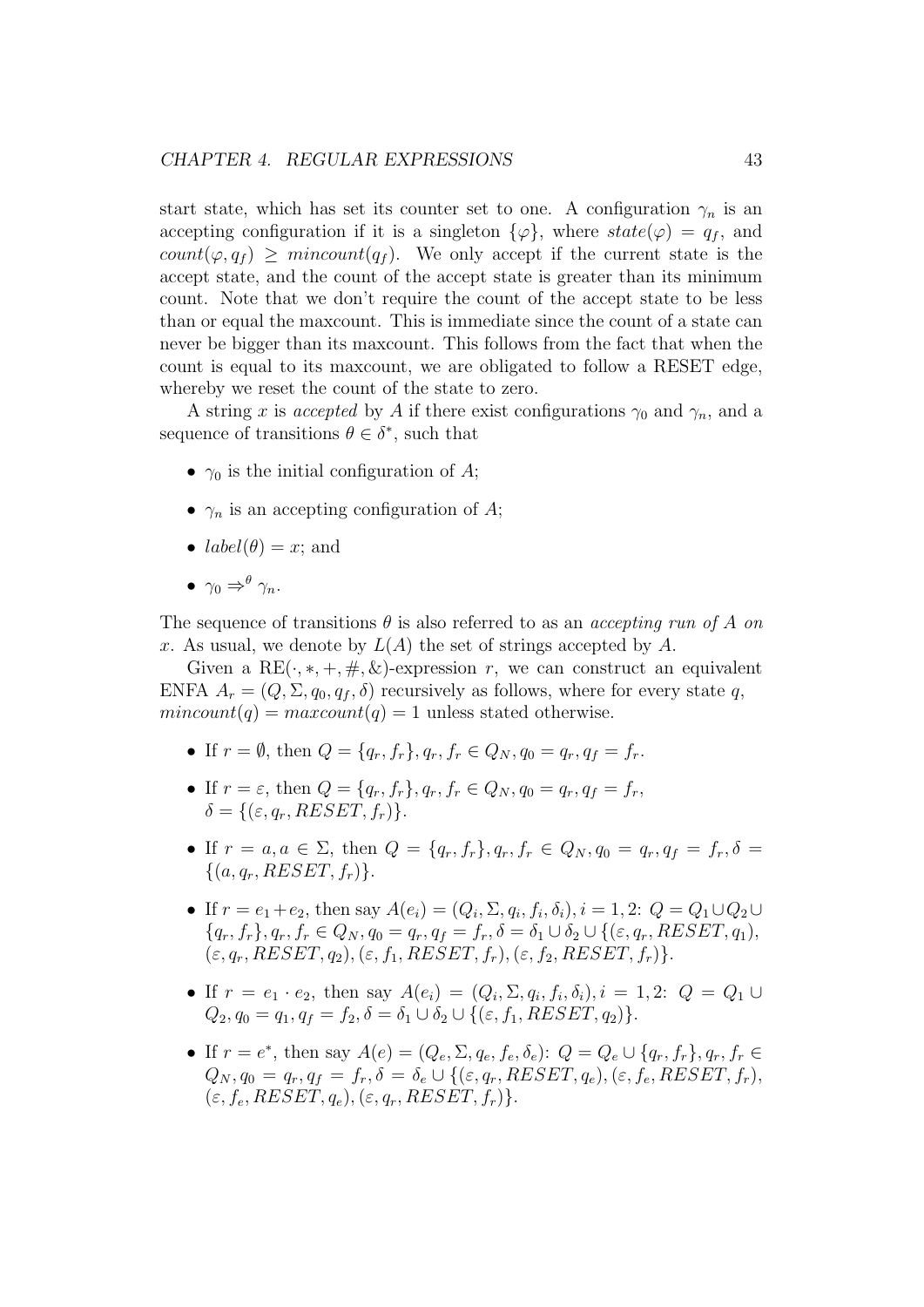start state, which has set its counter set to one. A configuration  $\gamma_n$  is an accepting configuration if it is a singleton  $\{\varphi\}$ , where  $state(\varphi) = q_f$ , and count $(\varphi, q_f) \geq \text{mincount}(q_f)$ . We only accept if the current state is the accept state, and the count of the accept state is greater than its minimum count. Note that we don't require the count of the accept state to be less than or equal the maxcount. This is immediate since the count of a state can never be bigger than its maxcount. This follows from the fact that when the count is equal to its maxcount, we are obligated to follow a RESET edge, whereby we reset the count of the state to zero.

A string x is accepted by A if there exist configurations  $\gamma_0$  and  $\gamma_n$ , and a sequence of transitions  $\theta \in \delta^*$ , such that

- $\gamma_0$  is the initial configuration of A;
- $\gamma_n$  is an accepting configuration of A;
- $label(\theta) = x$ ; and
- $\gamma_0 \Rightarrow^{\theta} \gamma_n$ .

The sequence of transitions  $\theta$  is also referred to as an *accepting run of A on* x. As usual, we denote by  $L(A)$  the set of strings accepted by A.

Given a RE( $\cdot$ ,  $*, +, \#$ ,  $\&$ )-expression r, we can construct an equivalent ENFA  $A_r = (Q, \Sigma, q_0, q_f, \delta)$  recursively as follows, where for every state q,  $mincount(q) = maxcount(q) = 1$  unless stated otherwise.

- If  $r = \emptyset$ , then  $Q = \{q_r, f_r\}$ ,  $q_r, f_r \in Q_N$ ,  $q_0 = q_r, q_f = f_r$ .
- If  $r = \varepsilon$ , then  $Q = \{q_r, f_r\}$ ,  $q_r, f_r \in Q_N$ ,  $q_0 = q_r, q_f = f_r$ ,  $\delta = \{(\varepsilon, q_r, RESET, f_r)\}.$
- If  $r = a, a \in \Sigma$ , then  $Q = \{q_r, f_r\}, q_r, f_r \in Q_N, q_0 = q_r, q_f = f_r, \delta =$  $\{(a, q_r, RESET, f_r)\}.$
- If  $r = e_1 + e_2$ , then say  $A(e_i) = (Q_i, \Sigma, q_i, f_i, \delta_i), i = 1, 2$ :  $Q = Q_1 \cup Q_2 \cup$  ${q_r, f_r}, q_r, f_r \in Q_N, q_0 = q_r, q_f = f_r, \delta = \delta_1 \cup \delta_2 \cup \{(\varepsilon, q_r, RESET, q_1),$  $(\varepsilon, q_r, RESET, q_2), (\varepsilon, f_1, RESET, f_r), (\varepsilon, f_2, RESET, f_r)\}.$
- If  $r = e_1 \cdot e_2$ , then say  $A(e_i) = (Q_i, \Sigma, q_i, f_i, \delta_i), i = 1, 2$ :  $Q = Q_1 \cup$  $Q_2, q_0 = q_1, q_f = f_2, \delta = \delta_1 \cup \delta_2 \cup \{(\varepsilon, f_1, RESET, q_2)\}.$
- If  $r = e^*$ , then say  $A(e) = (Q_e, \Sigma, q_e, f_e, \delta_e): Q = Q_e \cup \{q_r, f_r\}, q_r, f_r \in$  $Q_N, q_0 = q_r, q_f = f_r, \delta = \delta_e \cup \{(\varepsilon, q_r, RESET, q_e), (\varepsilon, f_e, RESET, f_r),$  $(\varepsilon, f_e, RESET, q_e), (\varepsilon, q_r, RESET, f_r).$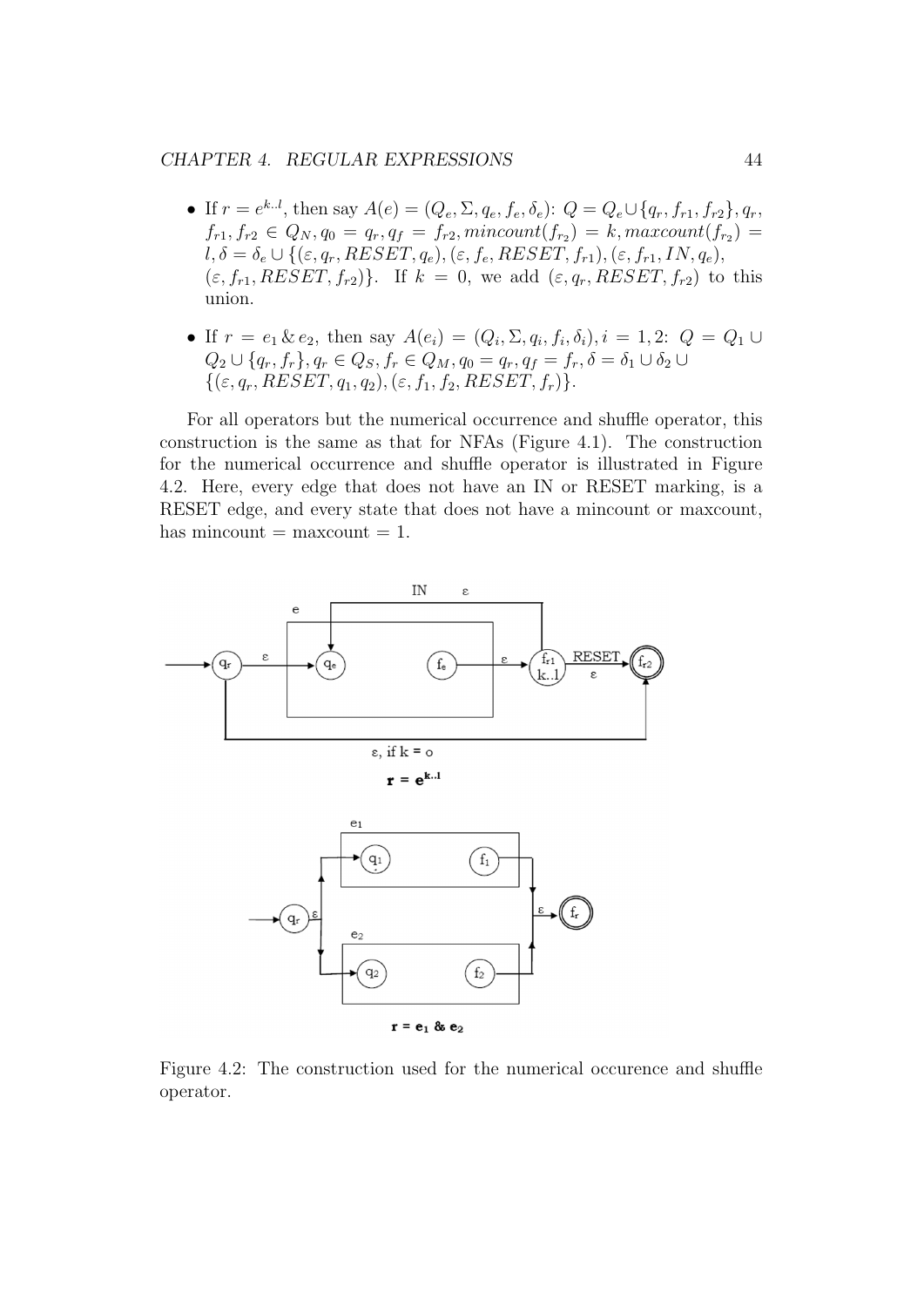#### CHAPTER 4. REGULAR EXPRESSIONS 44

- If  $r = e^{k.l}$ , then say  $A(e) = (Q_e, \Sigma, q_e, f_e, \delta_e): Q = Q_e \cup \{q_r, f_{r1}, f_{r2}\}, q_r$  $f_{r1}, f_{r2} \in Q_N, q_0 = q_r, q_f = f_{r2}, mincount(f_{r_2}) = k, maxcount(f_{r_2}) = k$  $l, \delta = \delta_e \cup \{(\varepsilon, q_r, RESET, q_e), (\varepsilon, f_e, RESET, f_{r1}), (\varepsilon, f_{r1}, IN, q_e),$  $(\varepsilon, f_{r1}, RESET, f_{r2})\}.$  If  $k = 0$ , we add  $(\varepsilon, q_r, RESET, f_{r2})$  to this union.
- If  $r = e_1 \& e_2$ , then say  $A(e_i) = (Q_i, \Sigma, q_i, f_i, \delta_i), i = 1, 2$ :  $Q = Q_1 \cup$  $Q_2 \cup \{q_r, f_r\}, q_r \in Q_S, f_r \in Q_M, q_0 = q_r, q_f = f_r, \delta = \delta_1 \cup \delta_2 \cup$  $\{(\varepsilon, q_r, RESET, q_1, q_2), (\varepsilon, f_1, f_2, RESET, f_r)\}.$

For all operators but the numerical occurrence and shuffle operator, this construction is the same as that for NFAs (Figure 4.1). The construction for the numerical occurrence and shuffle operator is illustrated in Figure 4.2. Here, every edge that does not have an IN or RESET marking, is a RESET edge, and every state that does not have a mincount or maxcount, has mincount  $=$  maxcount  $= 1$ .



Figure 4.2: The construction used for the numerical occurence and shuffle operator.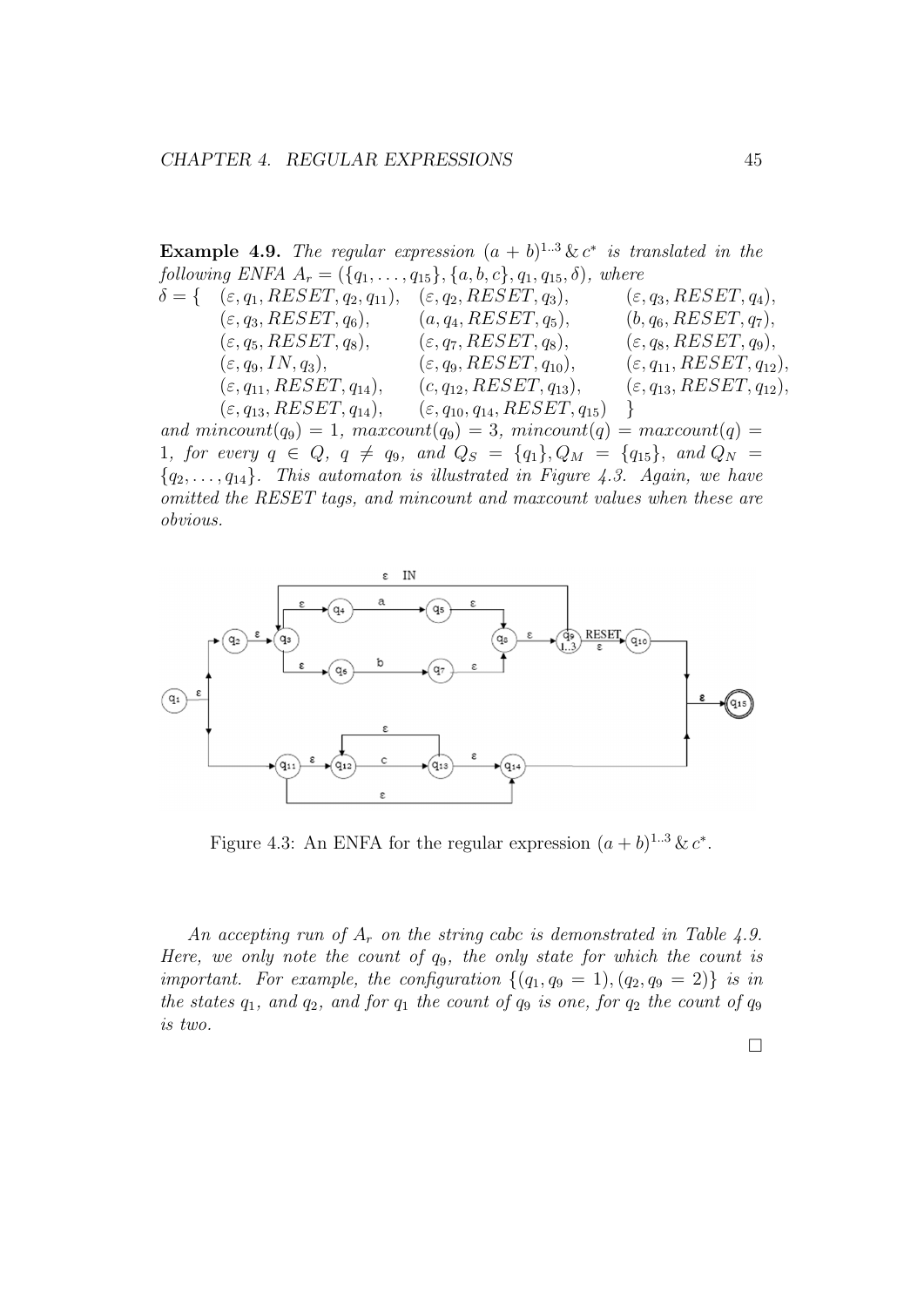**Example 4.9.** The regular expression  $(a + b)^{1..3} \& c^*$  is translated in the following ENFA  $A_r = (\{q_1, \ldots, q_{15}\}, \{a, b, c\}, q_1, q_{15}, \delta)$ , where

$$
\delta = \{ \begin{array}{lll}\n(\varepsilon, q_1, RESET, q_2, q_{11}), & (\varepsilon, q_2, RESET, q_3), & (\varepsilon, q_3, RESET, q_4), \\
(\varepsilon, q_3, RESET, q_6), & (a, q_4, RESET, q_5), & (b, q_6, RESET, q_7), \\
(\varepsilon, q_5, RESET, q_8), & (\varepsilon, q_7, RESET, q_8), & (\varepsilon, q_8, RESET, q_9), \\
(\varepsilon, q_9, IN, q_3), & (\varepsilon, q_9, RESET, q_{10}), & (\varepsilon, q_{11}, RESET, q_{12}), \\
(\varepsilon, q_{11}, RESET, q_{14}), & (c, q_{12}, RESET, q_{13}), & (\varepsilon, q_{13}, RESET, q_{12}), \\
(\varepsilon, q_{13}, RESET, q_{14}), & (\varepsilon, q_{10}, q_{14}, RESET, q_{15})\n\end{array}\n\}
$$

and  $mincount(q_9) = 1$ ,  $maxcount(q_9) = 3$ ,  $mincount(q) = maxcount(q)$ 1, for every  $q \in Q$ ,  $q \neq q_9$ , and  $Q_S = \{q_1\}$ ,  $Q_M = \{q_{15}\}$ , and  $Q_N =$  ${q_2, \ldots, q_{14}}$ . This automaton is illustrated in Figure 4.3. Again, we have omitted the RESET tags, and mincount and maxcount values when these are obvious.



Figure 4.3: An ENFA for the regular expression  $(a + b)^{1..3} \& c^*$ .

An accepting run of  $A_r$  on the string cabc is demonstrated in Table 4.9. Here, we only note the count of  $q_9$ , the only state for which the count is important. For example, the configuration  $\{(q_1, q_9 = 1), (q_2, q_9 = 2)\}\$ is in the states  $q_1$ , and  $q_2$ , and for  $q_1$  the count of  $q_9$  is one, for  $q_2$  the count of  $q_9$ is two.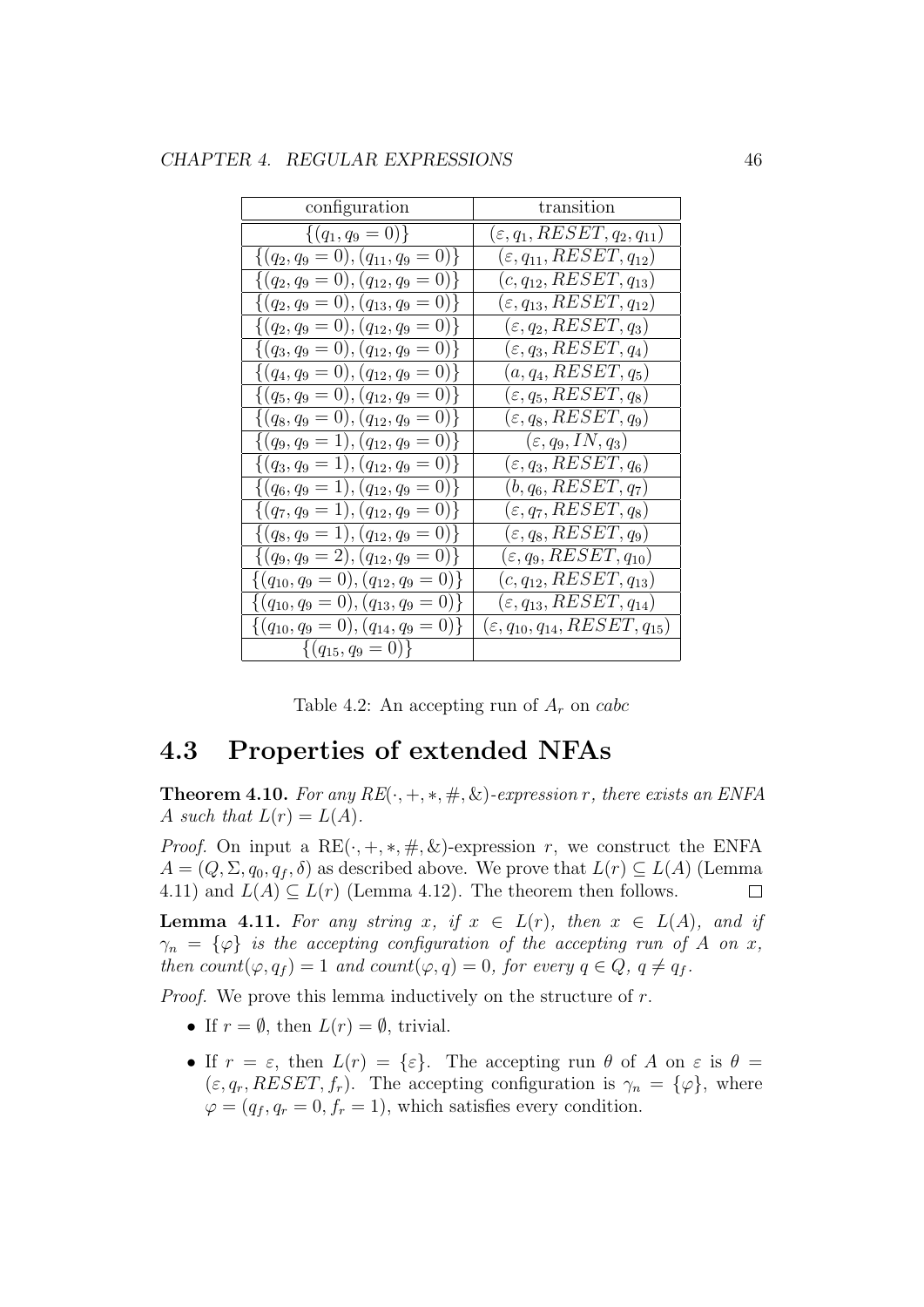| configuration                               | transition                                 |  |
|---------------------------------------------|--------------------------------------------|--|
| $\{(q_1, q_9 = 0)\}\$                       | $(\varepsilon, q_1, RESET, q_2, q_{11})$   |  |
| $\{(q_2,q_9=0),(q_{11},q_9=0)\}\$           | $(\varepsilon, q_{11}, RESET, q_{12})$     |  |
| $\{(q_2,q_9=0),(q_{12},q_9=0)\}\$           | $(c, q_{12}, RESET, q_{13})$               |  |
| $\{(q_2,q_9=0),(q_{13},q_9=0)\}\$           | $(\varepsilon, q_{13}, RESET, q_{12})$     |  |
| $\{(q_2,q_9=0),(q_{12},q_9=0)\}\$           | $(\varepsilon, q_2, RESET, q_3)$           |  |
| $\{(q_3, q_9 = 0), (q_{12}, q_9 = 0)\}\$    | $(\varepsilon, q_3, RESET, q_4)$           |  |
| $\{(q_4,q_9=0),(q_{12},q_9=0)\}\$           | $(a, q_4, RESET, q_5)$                     |  |
| $\{(q_5, q_9 = 0), (q_{12}, q_9 = 0)\}\$    | $(\varepsilon, q_5, RESET, q_8)$           |  |
| $\{(q_8,q_9=0),(q_{12},q_9=0)\}\$           | $(\varepsilon, q_8, RESET, q_9)$           |  |
| $\{(q_9, q_9 = 1), (q_{12}, q_9 = 0)\}\$    | $(\varepsilon, q_9, IN, q_3)$              |  |
| $\{(q_3,q_9=1),(q_{12},q_9=0)\}\$           | $(\varepsilon, q_3, RESET, q_6)$           |  |
| $\{(q_6,q_9=1),(q_{12},q_9=0)\}\$           | $(b, q_6, RESET, q_7)$                     |  |
| $\{(q_7, q_9 = 1), (q_{12}, q_9 = 0)\}\$    | $(\varepsilon, q_7, RESET, q_8)$           |  |
| $\{(q_8,q_9=1),(q_{12},q_9=0)\}\$           | $(\varepsilon, q_8, RESET, q_9)$           |  |
| $\{(q_9, q_9 = 2), (q_{12}, q_9 = 0)\}\$    | $(\varepsilon, q_9, RESET, q_{10})$        |  |
| $\{(q_{10},q_9=0),(q_{12},q_9=0)\}\$        | $(c, q_{12}, RESET, q_{13})$               |  |
| $\{(q_{10}, q_9 = 0), (q_{13}, q_9 = 0)\}\$ | $(\varepsilon, q_{13}, RESET, q_{14})$     |  |
| $\{(q_{10},q_9=0),(q_{14},q_9=0)\}\$        | $(\varepsilon,q_{10},q_{14},RESET,q_{15})$ |  |
| $\{(q_{15},q_9=0)\}\$                       |                                            |  |

|  |  | Table 4.2: An accepting run of $A_r$ on cabc |
|--|--|----------------------------------------------|
|--|--|----------------------------------------------|

## 4.3 Properties of extended NFAs

**Theorem 4.10.** For any  $RE(\cdot, +, *, \#, \&)$ -expression r, there exists an ENFA A such that  $L(r) = L(A)$ .

*Proof.* On input a RE $(\cdot, +, *, \#, \&)$ -expression r, we construct the ENFA  $A = (Q, \Sigma, q_0, q_f, \delta)$  as described above. We prove that  $L(r) \subseteq L(A)$  (Lemma 4.11) and  $L(A) \subseteq L(r)$  (Lemma 4.12). The theorem then follows.  $\Box$ 

**Lemma 4.11.** For any string x, if  $x \in L(r)$ , then  $x \in L(A)$ , and if  $\gamma_n = {\varphi}$  is the accepting configuration of the accepting run of A on x, then count $(\varphi, q_f) = 1$  and count $(\varphi, q) = 0$ , for every  $q \in Q$ ,  $q \neq q_f$ .

*Proof.* We prove this lemma inductively on the structure of  $r$ .

- If  $r = \emptyset$ , then  $L(r) = \emptyset$ , trivial.
- If  $r = \varepsilon$ , then  $L(r) = {\varepsilon}$ . The accepting run  $\theta$  of A on  $\varepsilon$  is  $\theta =$  $(\varepsilon, q_r, RESET, f_r)$ . The accepting configuration is  $\gamma_n = {\varphi}$ , where  $\varphi = (q_f, q_r = 0, f_r = 1)$ , which satisfies every condition.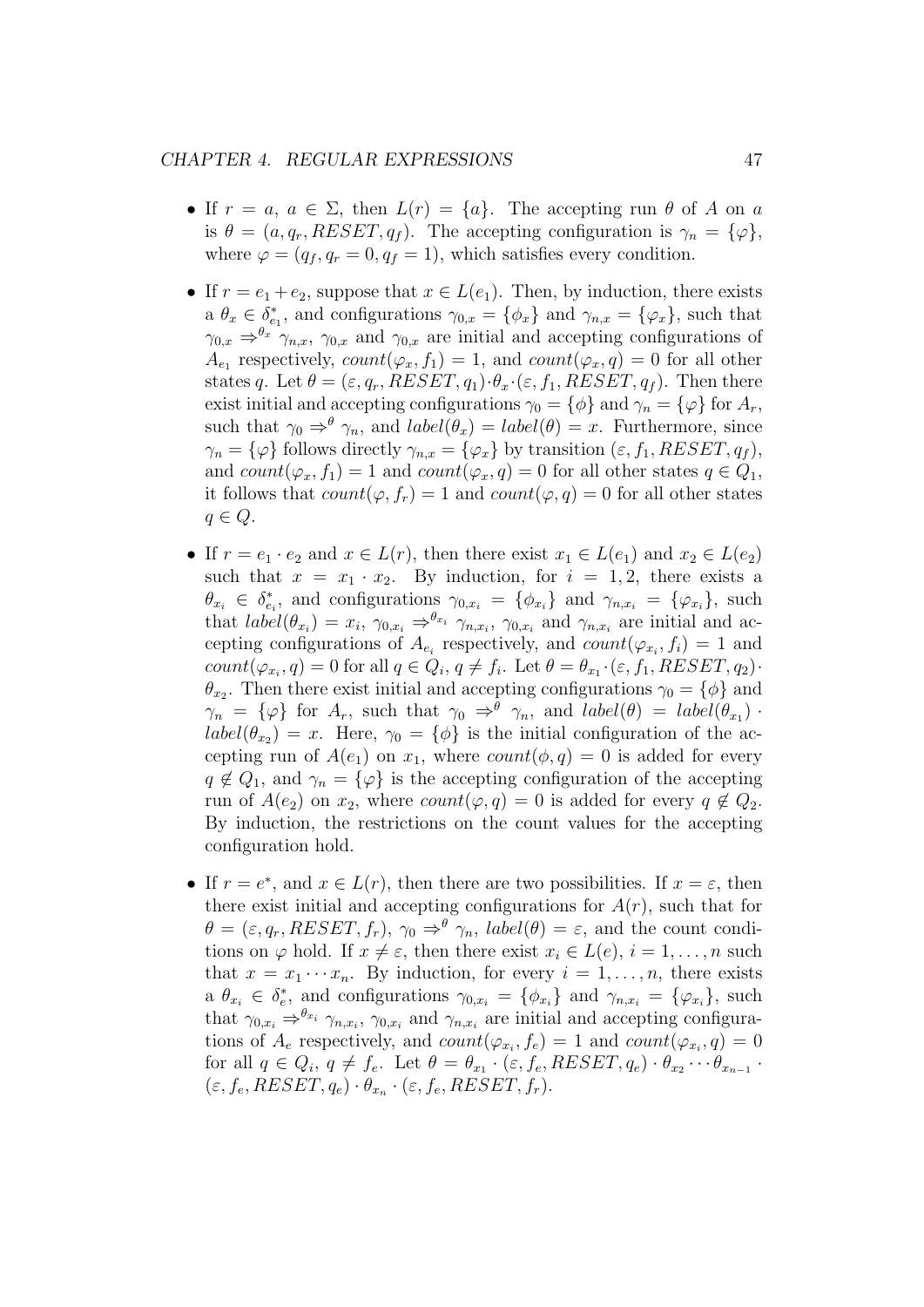#### CHAPTER 4. REGULAR EXPRESSIONS 47

- If  $r = a, a \in \Sigma$ , then  $L(r) = \{a\}$ . The accepting run  $\theta$  of A on a is  $\theta = (a, q_r, RESET, q_f)$ . The accepting configuration is  $\gamma_n = {\varphi},$ where  $\varphi = (q_f, q_r = 0, q_f = 1)$ , which satisfies every condition.
- If  $r = e_1 + e_2$ , suppose that  $x \in L(e_1)$ . Then, by induction, there exists a  $\theta_x \in \delta_{e_1}^*$ , and configurations  $\gamma_{0,x} = \{\phi_x\}$  and  $\gamma_{n,x} = \{\varphi_x\}$ , such that  $\gamma_{0,x} \Rightarrow^{\theta_x} \gamma_{n,x}, \gamma_{0,x}$  and  $\gamma_{0,x}$  are initial and accepting configurations of  $A_{e_1}$  respectively,  $count(\varphi_x, f_1) = 1$ , and  $count(\varphi_x, q) = 0$  for all other states q. Let  $\theta = (\varepsilon, q_r, RESET, q_1) \cdot \theta_x \cdot (\varepsilon, f_1, RESET, q_f)$ . Then there exist initial and accepting configurations  $\gamma_0 = {\phi}$  and  $\gamma_n = {\varphi}$  for  $A_r$ , such that  $\gamma_0 \Rightarrow^{\theta} \gamma_n$ , and  $label(\theta_x) = label(\theta) = x$ . Furthermore, since  $\gamma_n = {\varphi}$  follows directly  $\gamma_{n,x} = {\varphi_x}$  by transition  $(\varepsilon, f_1, RESET, q_f)$ , and  $count(\varphi_x, f_1) = 1$  and  $count(\varphi_x, q) = 0$  for all other states  $q \in Q_1$ , it follows that  $count(\varphi, f_r) = 1$  and  $count(\varphi, q) = 0$  for all other states  $q \in Q$ .
- If  $r = e_1 \cdot e_2$  and  $x \in L(r)$ , then there exist  $x_1 \in L(e_1)$  and  $x_2 \in L(e_2)$ such that  $x = x_1 \cdot x_2$ . By induction, for  $i = 1, 2$ , there exists a  $\theta_{x_i} \in \delta_{e_i}^*$ , and configurations  $\gamma_{0,x_i} = {\varphi_{x_i}}$  and  $\gamma_{n,x_i} = {\varphi_{x_i}}$ , such that  $label(\theta_{x_i}) = x_i$ ,  $\gamma_{0,x_i} \Rightarrow^{\theta_{x_i}} \gamma_{n,x_i}$ ,  $\gamma_{0,x_i}$  and  $\gamma_{n,x_i}$  are initial and accepting configurations of  $A_{e_i}$  respectively, and  $count(\varphi_{x_i}, f_i) = 1$  and  $count(\varphi_{x_i}, q) = 0$  for all  $q \in Q_i$ ,  $q \neq f_i$ . Let  $\theta = \theta_{x_1} \cdot (\varepsilon, f_1, RESET, q_2)$ .  $\theta_{x_2}$ . Then there exist initial and accepting configurations  $\gamma_0 = {\phi}$  and  $\gamma_n = {\varphi}$  for  $A_r$ , such that  $\gamma_0 \Rightarrow^{\theta} \gamma_n$ , and  $label(\theta) = label(\theta_{x_1})$ .  $label(\theta_{x_2}) = x$ . Here,  $\gamma_0 = {\phi}$  is the initial configuration of the accepting run of  $A(e_1)$  on  $x_1$ , where  $count(\phi, q) = 0$  is added for every  $q \notin Q_1$ , and  $\gamma_n = {\varphi}$  is the accepting configuration of the accepting run of  $A(e_2)$  on  $x_2$ , where  $count(\varphi, q) = 0$  is added for every  $q \notin Q_2$ . By induction, the restrictions on the count values for the accepting configuration hold.
- If  $r = e^*$ , and  $x \in L(r)$ , then there are two possibilities. If  $x = \varepsilon$ , then there exist initial and accepting configurations for  $A(r)$ , such that for  $\theta = (\varepsilon, q_r, RESET, f_r), \gamma_0 \Rightarrow^{\theta} \gamma_n$ , *label*( $\theta$ ) =  $\varepsilon$ , and the count conditions on  $\varphi$  hold. If  $x \neq \varepsilon$ , then there exist  $x_i \in L(e), i = 1, \ldots, n$  such that  $x = x_1 \cdots x_n$ . By induction, for every  $i = 1, \ldots, n$ , there exists a  $\theta_{x_i} \in \delta_e^*$ , and configurations  $\gamma_{0,x_i} = {\phi_{x_i}}$  and  $\gamma_{n,x_i} = {\phi_{x_i}}$ , such that  $\gamma_{0,x_i} \Rightarrow^{\theta_{x_i}} \gamma_{n,x_i}$ ,  $\gamma_{0,x_i}$  and  $\gamma_{n,x_i}$  are initial and accepting configurations of  $A_e$  respectively, and  $count(\varphi_{x_i}, f_e) = 1$  and  $count(\varphi_{x_i}, q) = 0$ for all  $q \in Q_i$ ,  $q \neq f_e$ . Let  $\theta = \theta_{x_1} \cdot (\varepsilon, f_e, RESET, q_e) \cdot \theta_{x_2} \cdots \theta_{x_{n-1}}$ .  $(\varepsilon, f_e, RESET, q_e) \cdot \theta_{x_n} \cdot (\varepsilon, f_e, RESET, f_r).$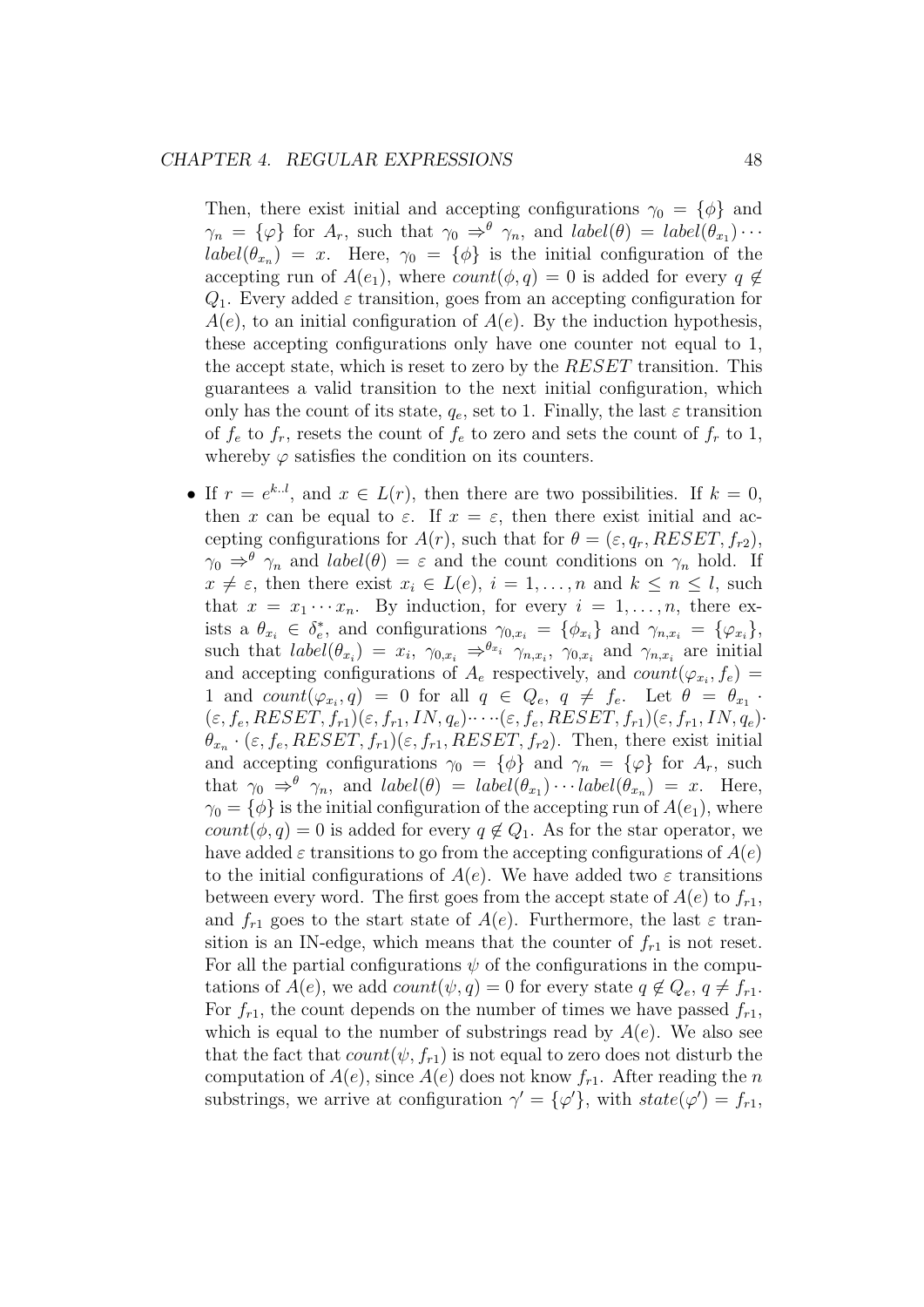Then, there exist initial and accepting configurations  $\gamma_0 = {\phi}$  and  $\gamma_n = {\varphi}$  for  $A_r$ , such that  $\gamma_0 \Rightarrow^{\theta} \gamma_n$ , and  $label(\theta) = label(\theta_{x_1}) \cdots$  $label(\theta_{x_n}) = x$ . Here,  $\gamma_0 = {\phi}$  is the initial configuration of the accepting run of  $A(e_1)$ , where  $count(\phi, q) = 0$  is added for every  $q \notin$  $Q_1$ . Every added  $\varepsilon$  transition, goes from an accepting configuration for  $A(e)$ , to an initial configuration of  $A(e)$ . By the induction hypothesis, these accepting configurations only have one counter not equal to 1, the accept state, which is reset to zero by the RESET transition. This guarantees a valid transition to the next initial configuration, which only has the count of its state,  $q_e$ , set to 1. Finally, the last  $\varepsilon$  transition of  $f_e$  to  $f_r$ , resets the count of  $f_e$  to zero and sets the count of  $f_r$  to 1, whereby  $\varphi$  satisfies the condition on its counters.

• If  $r = e^{k.l}$ , and  $x \in L(r)$ , then there are two possibilities. If  $k = 0$ , then x can be equal to  $\varepsilon$ . If  $x = \varepsilon$ , then there exist initial and accepting configurations for  $A(r)$ , such that for  $\theta = (\varepsilon, q_r, RESET, f_{r2}),$  $\gamma_0 \Rightarrow^{\theta} \gamma_n$  and  $label(\theta) = \varepsilon$  and the count conditions on  $\gamma_n$  hold. If  $x \neq \varepsilon$ , then there exist  $x_i \in L(e)$ ,  $i = 1, \ldots, n$  and  $k \leq n \leq l$ , such that  $x = x_1 \cdots x_n$ . By induction, for every  $i = 1, \ldots, n$ , there exists a  $\theta_{x_i} \in \delta_e^*$ , and configurations  $\gamma_{0,x_i} = {\varphi_{x_i}}$  and  $\gamma_{n,x_i} = {\varphi_{x_i}}$ , such that  $label(\theta_{x_i}) = x_i, \gamma_{0,x_i} \Rightarrow^{\theta_{x_i}} \gamma_{n,x_i}, \gamma_{0,x_i}$  and  $\gamma_{n,x_i}$  are initial and accepting configurations of  $A_e$  respectively, and  $count(\varphi_{x_i}, f_e)$ 1 and  $count(\varphi_{x_i}, q) = 0$  for all  $q \in Q_e, q \neq f_e$ . Let  $\theta = \theta_{x_1}$ .  $(\varepsilon, f_e, RESET, f_{r1})(\varepsilon, f_{r1}, IN, q_e) \cdots (\varepsilon, f_e, RESET, f_{r1})(\varepsilon, f_{r1}, IN, q_e) \cdot$  $\theta_{x_n} \cdot (\varepsilon, f_e, RESET, f_{r1})(\varepsilon, f_{r1}, RESET, f_{r2})$ . Then, there exist initial and accepting configurations  $\gamma_0 = {\phi}$  and  $\gamma_n = {\phi}$  for  $A_r$ , such that  $\gamma_0 \Rightarrow^{\theta} \gamma_n$ , and  $label(\theta) = label(\theta_{x_1}) \cdots label(\theta_{x_n}) = x$ . Here,  $\gamma_0 = {\phi}$  is the initial configuration of the accepting run of  $A(e_1)$ , where  $count(\phi, q) = 0$  is added for every  $q \notin Q_1$ . As for the star operator, we have added  $\varepsilon$  transitions to go from the accepting configurations of  $A(e)$ to the initial configurations of  $A(e)$ . We have added two  $\varepsilon$  transitions between every word. The first goes from the accept state of  $A(e)$  to  $f_{r1}$ , and  $f_{r1}$  goes to the start state of  $A(e)$ . Furthermore, the last  $\varepsilon$  transition is an IN-edge, which means that the counter of  $f_{r1}$  is not reset. For all the partial configurations  $\psi$  of the configurations in the computations of  $A(e)$ , we add  $count(\psi, q) = 0$  for every state  $q \notin Q_e, q \neq f_{r1}$ . For  $f_{r1}$ , the count depends on the number of times we have passed  $f_{r1}$ , which is equal to the number of substrings read by  $A(e)$ . We also see that the fact that  $count(\psi, f_{r1})$  is not equal to zero does not disturb the computation of  $A(e)$ , since  $A(e)$  does not know  $f_{r1}$ . After reading the n substrings, we arrive at configuration  $\gamma' = {\varphi'}$ , with  $state(\varphi') = f_{r1}$ ,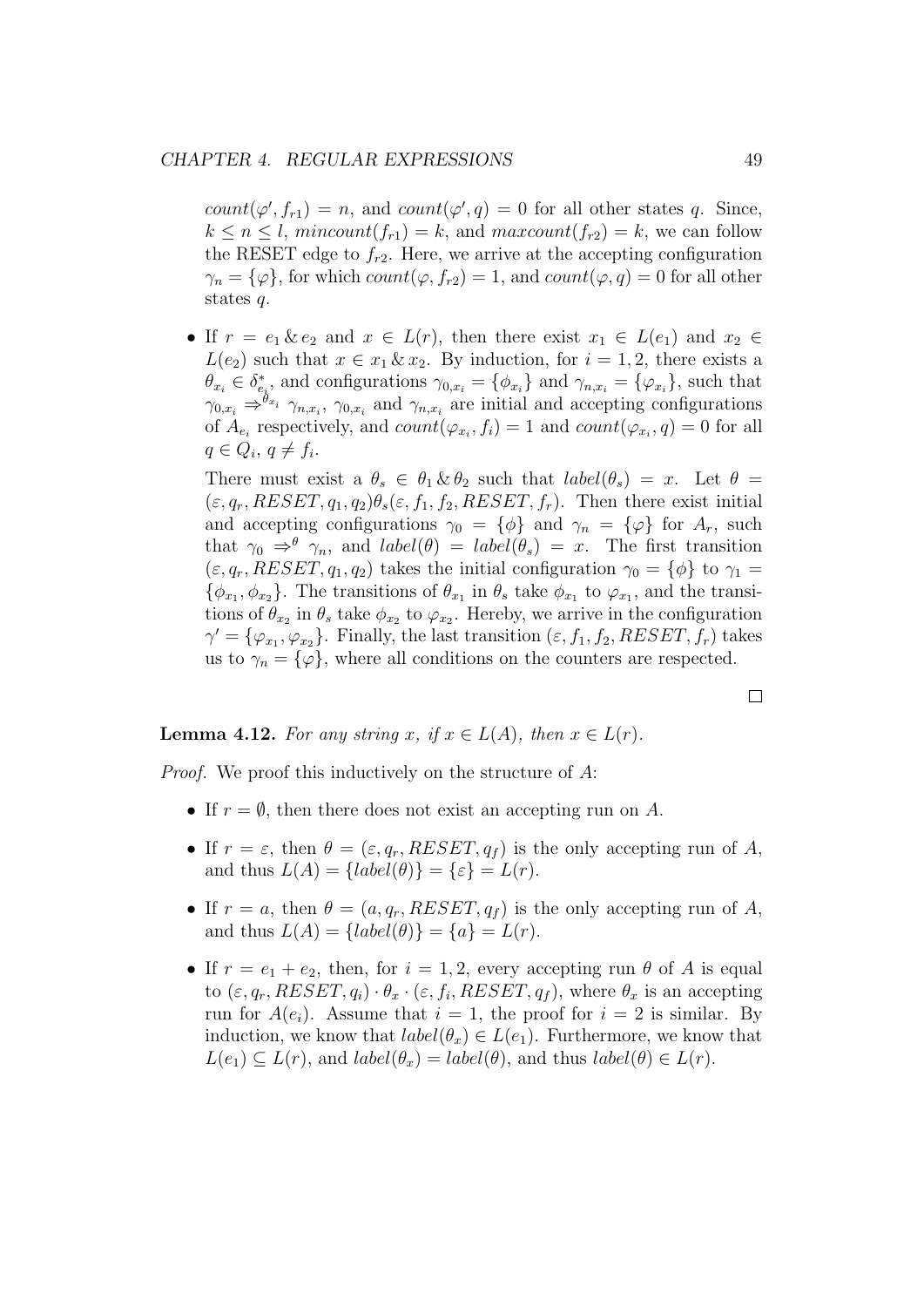$count(\varphi', f_{r1}) = n$ , and  $count(\varphi', q) = 0$  for all other states q. Since,  $k \leq n \leq l$ , mincount $(f_{r1}) = k$ , and maxcount $(f_{r2}) = k$ , we can follow the RESET edge to  $f_{r2}$ . Here, we arrive at the accepting configuration  $\gamma_n = {\varphi\}$ , for which  $count(\varphi, f_{r2}) = 1$ , and  $count(\varphi, q) = 0$  for all other states q.

• If  $r = e_1 \& e_2$  and  $x \in L(r)$ , then there exist  $x_1 \in L(e_1)$  and  $x_2 \in L(e_2)$  $L(e_2)$  such that  $x \in x_1 \& x_2$ . By induction, for  $i = 1, 2$ , there exists a  $\theta_{x_i} \in \delta_{e_i}^*$ , and configurations  $\gamma_{0,x_i} = \{\phi_{x_i}\}\$  and  $\gamma_{n,x_i} = \{\varphi_{x_i}\}\$ , such that  $\gamma_{0,x_i} \Rightarrow^{\hat{\theta}_{x_i}} \gamma_{n,x_i}$ ,  $\gamma_{0,x_i}$  and  $\gamma_{n,x_i}$  are initial and accepting configurations of  $A_{e_i}$  respectively, and  $count(\varphi_{x_i}, f_i) = 1$  and  $count(\varphi_{x_i}, q) = 0$  for all  $q \in Q_i, q \neq f_i.$ 

There must exist a  $\theta_s \in \theta_1 \& \theta_2$  such that  $label(\theta_s) = x$ . Let  $\theta =$  $(\varepsilon, q_r, RESET, q_1, q_2) \theta_s(\varepsilon, f_1, f_2, RESET, f_r)$ . Then there exist initial and accepting configurations  $\gamma_0 = {\phi}$  and  $\gamma_n = {\phi}$  for  $A_r$ , such that  $\gamma_0 \Rightarrow^{\theta} \gamma_n$ , and  $label(\theta) = label(\theta_s) = x$ . The first transition  $(\varepsilon, q_r, RESET, q_1, q_2)$  takes the initial configuration  $\gamma_0 = {\phi}$  to  $\gamma_1 =$  $\{\phi_{x_1}, \phi_{x_2}\}.$  The transitions of  $\theta_{x_1}$  in  $\theta_s$  take  $\phi_{x_1}$  to  $\varphi_{x_1}$ , and the transitions of  $\theta_{x_2}$  in  $\theta_s$  take  $\phi_{x_2}$  to  $\varphi_{x_2}$ . Hereby, we arrive in the configuration  $\gamma' = {\varphi_{x_1}, \varphi_{x_2}}.$  Finally, the last transition  $(\varepsilon, f_1, f_2, RESET, f_r)$  takes us to  $\gamma_n = {\varphi}$ , where all conditions on the counters are respected.

**Lemma 4.12.** For any string x, if  $x \in L(A)$ , then  $x \in L(r)$ .

Proof. We proof this inductively on the structure of A:

- If  $r = \emptyset$ , then there does not exist an accepting run on A.
- If  $r = \varepsilon$ , then  $\theta = (\varepsilon, q_r, RESET, q_f)$  is the only accepting run of A, and thus  $L(A) = \{label(\theta)\} = \{\varepsilon\} = L(r).$
- If  $r = a$ , then  $\theta = (a, q_r, RESET, q_f)$  is the only accepting run of A, and thus  $L(A) = \{label(\theta)\} = \{a\} = L(r).$
- If  $r = e_1 + e_2$ , then, for  $i = 1, 2$ , every accepting run  $\theta$  of A is equal to  $(\varepsilon, q_r, RESET, q_i) \cdot \theta_x \cdot (\varepsilon, f_i, RESET, q_f)$ , where  $\theta_x$  is an accepting run for  $A(e_i)$ . Assume that  $i = 1$ , the proof for  $i = 2$  is similar. By induction, we know that  $label(\theta_x) \in L(e_1)$ . Furthermore, we know that  $L(e_1) \subset L(r)$ , and  $label(\theta_x) = label(\theta)$ , and thus  $label(\theta) \in L(r)$ .

 $\Box$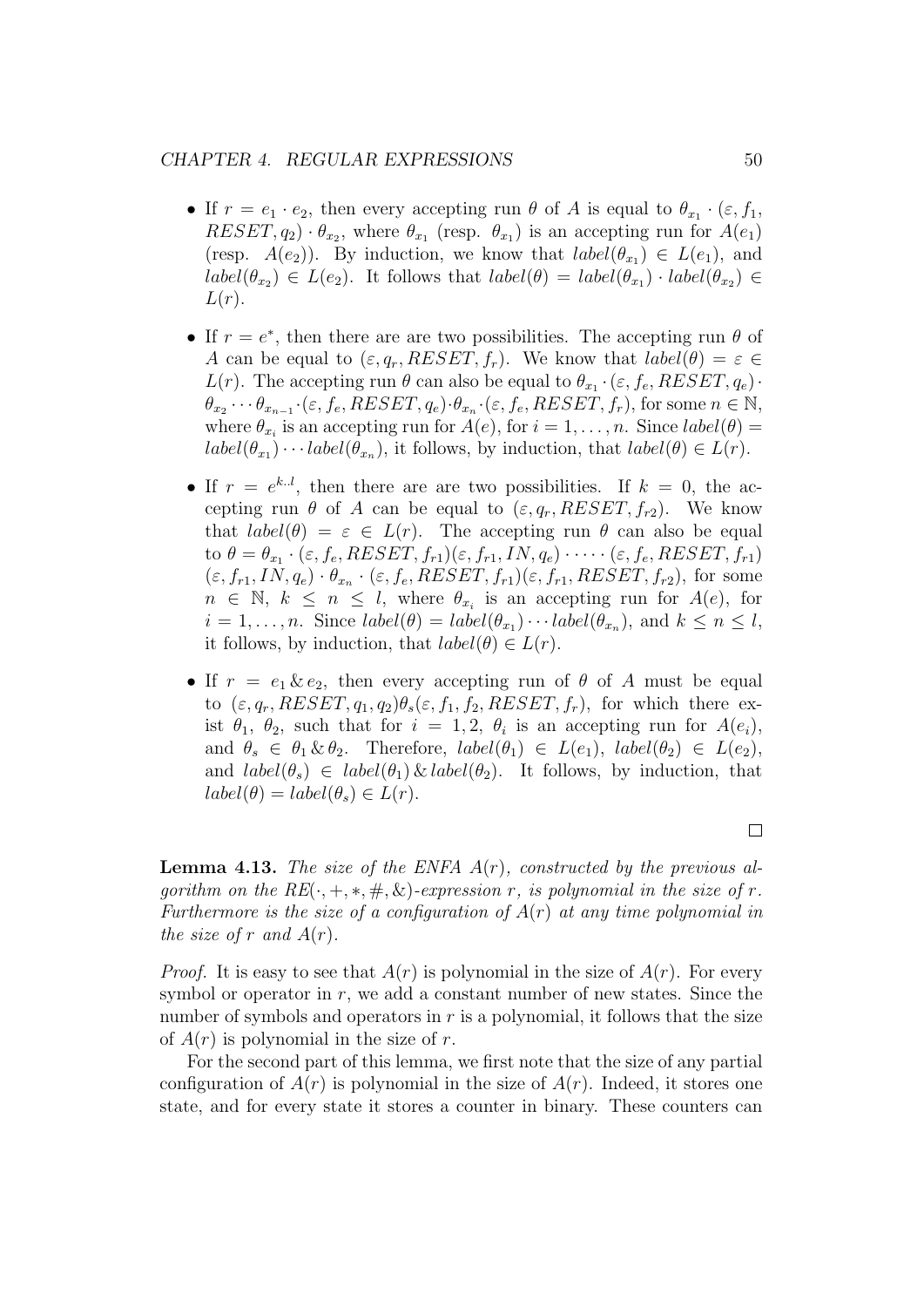#### CHAPTER 4. REGULAR EXPRESSIONS 50

- If  $r = e_1 \cdot e_2$ , then every accepting run  $\theta$  of A is equal to  $\theta_{x_1} \cdot (\varepsilon, f_1)$ ,  $RESET, q_2) \cdot \theta_{x_2}$ , where  $\theta_{x_1}$  (resp.  $\theta_{x_1}$ ) is an accepting run for  $A(e_1)$ (resp.  $A(e_2)$ ). By induction, we know that  $label(\theta_{x_1}) \in L(e_1)$ , and  $label(\theta_{x_2}) \in L(e_2)$ . It follows that  $label(\theta) = label(\theta_{x_1}) \cdot label(\theta_{x_2}) \in L(e_1)$  $L(r)$ .
- If  $r = e^*$ , then there are are two possibilities. The accepting run  $\theta$  of A can be equal to  $(\varepsilon, q_r, RESET, f_r)$ . We know that  $label(\theta) = \varepsilon \in$  $L(r)$ . The accepting run  $\theta$  can also be equal to  $\theta_{x_1} \cdot (\varepsilon, f_e, RESET, q_e) \cdot$  $\theta_{x_2} \cdots \theta_{x_{n-1}} \cdot (\varepsilon, f_e, RESET, q_e) \cdot \theta_{x_n} \cdot (\varepsilon, f_e, RESET, f_r),$  for some  $n \in \mathbb{N}$ , where  $\theta_{x_i}$  is an accepting run for  $A(e)$ , for  $i = 1, \ldots, n$ . Since  $label(\theta) =$  $label(\theta_{x_1}) \cdots label(\theta_{x_n})$ , it follows, by induction, that  $label(\theta) \in L(r)$ .
- If  $r = e^{k l}$ , then there are are two possibilities. If  $k = 0$ , the accepting run  $\theta$  of A can be equal to  $(\varepsilon, q_r, RESET, f_{r2})$ . We know that  $label(\theta) = \varepsilon \in L(r)$ . The accepting run  $\theta$  can also be equal to  $\theta = \theta_{x_1} \cdot (\varepsilon, f_e, RESET, f_{r1})(\varepsilon, f_{r1}, IN, q_e) \cdot \cdots \cdot (\varepsilon, f_e, RESET, f_{r1})$  $(\varepsilon, f_{r1}, IN, q_e) \cdot \theta_{x_n} \cdot (\varepsilon, f_e, RESET, f_{r1})(\varepsilon, f_{r1}, RESET, f_{r2}),$  for some  $n \in \mathbb{N}, k \leq n \leq l$ , where  $\theta_{x_i}$  is an accepting run for  $A(e)$ , for  $i = 1, \ldots, n$ . Since  $label(\theta) = label(\theta_{x_1}) \cdots label(\theta_{x_n})$ , and  $k \leq n \leq l$ , it follows, by induction, that  $label(\theta) \in L(r)$ .
- If  $r = e_1 \& e_2$ , then every accepting run of  $\theta$  of A must be equal to  $(\varepsilon, q_r, RESET, q_1, q_2) \theta_s(\varepsilon, f_1, f_2, RESET, f_r)$ , for which there exist  $\theta_1$ ,  $\theta_2$ , such that for  $i = 1, 2, \theta_i$  is an accepting run for  $A(e_i)$ , and  $\theta_s \in \theta_1 \& \theta_2$ . Therefore,  $label(\theta_1) \in L(e_1)$ ,  $label(\theta_2) \in L(e_2)$ , and  $label(\theta_s) \in label(\theta_1) \& label(\theta_2)$ . It follows, by induction, that  $label(\theta) = label(\theta_s) \in L(r).$

**Lemma 4.13.** The size of the ENFA  $A(r)$ , constructed by the previous algorithm on the  $RE(\cdot, +, *, \#, \&)$ -expression r, is polynomial in the size of r. Furthermore is the size of a configuration of  $A(r)$  at any time polynomial in the size of r and  $A(r)$ .

*Proof.* It is easy to see that  $A(r)$  is polynomial in the size of  $A(r)$ . For every symbol or operator in  $r$ , we add a constant number of new states. Since the number of symbols and operators in  $r$  is a polynomial, it follows that the size of  $A(r)$  is polynomial in the size of r.

For the second part of this lemma, we first note that the size of any partial configuration of  $A(r)$  is polynomial in the size of  $A(r)$ . Indeed, it stores one state, and for every state it stores a counter in binary. These counters can

 $\Box$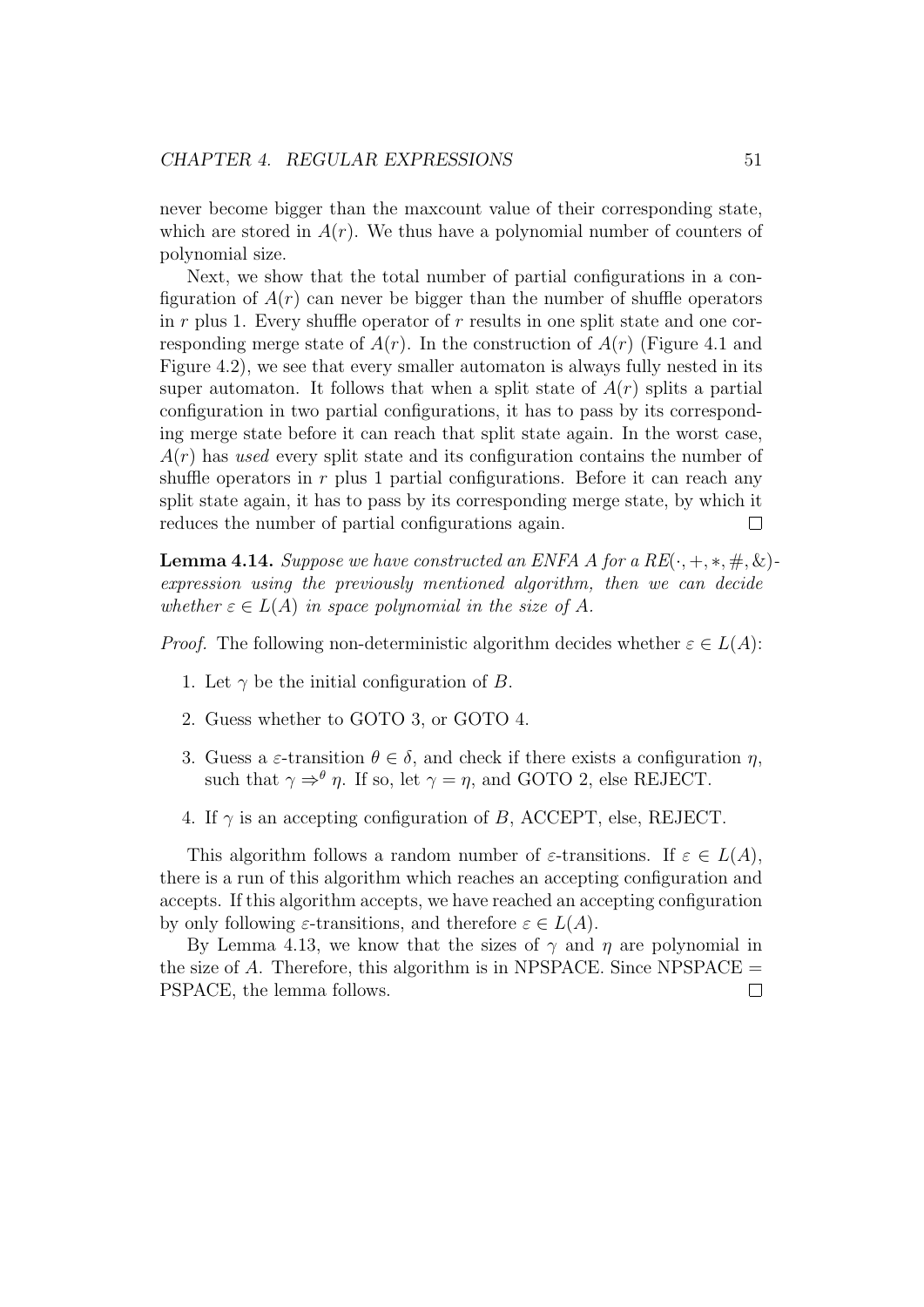never become bigger than the maxcount value of their corresponding state, which are stored in  $A(r)$ . We thus have a polynomial number of counters of polynomial size.

Next, we show that the total number of partial configurations in a configuration of  $A(r)$  can never be bigger than the number of shuffle operators in  $r$  plus 1. Every shuffle operator of  $r$  results in one split state and one corresponding merge state of  $A(r)$ . In the construction of  $A(r)$  (Figure 4.1 and Figure 4.2), we see that every smaller automaton is always fully nested in its super automaton. It follows that when a split state of  $A(r)$  splits a partial configuration in two partial configurations, it has to pass by its corresponding merge state before it can reach that split state again. In the worst case,  $A(r)$  has used every split state and its configuration contains the number of shuffle operators in  $r$  plus 1 partial configurations. Before it can reach any split state again, it has to pass by its corresponding merge state, by which it reduces the number of partial configurations again.  $\Box$ 

**Lemma 4.14.** Suppose we have constructed an ENFA A for a  $RE(\cdot, +, *, \#, \&)$ expression using the previously mentioned algorithm, then we can decide whether  $\varepsilon \in L(A)$  in space polynomial in the size of A.

*Proof.* The following non-deterministic algorithm decides whether  $\varepsilon \in L(A)$ :

- 1. Let  $\gamma$  be the initial configuration of B.
- 2. Guess whether to GOTO 3, or GOTO 4.
- 3. Guess a  $\varepsilon$ -transition  $\theta \in \delta$ , and check if there exists a configuration  $\eta$ , such that  $\gamma \Rightarrow^{\theta} \eta$ . If so, let  $\gamma = \eta$ , and GOTO 2, else REJECT.
- 4. If  $\gamma$  is an accepting configuration of B, ACCEPT, else, REJECT.

This algorithm follows a random number of  $\varepsilon$ -transitions. If  $\varepsilon \in L(A)$ , there is a run of this algorithm which reaches an accepting configuration and accepts. If this algorithm accepts, we have reached an accepting configuration by only following  $\varepsilon$ -transitions, and therefore  $\varepsilon \in L(A)$ .

By Lemma 4.13, we know that the sizes of  $\gamma$  and  $\eta$  are polynomial in the size of  $A$ . Therefore, this algorithm is in NPSPACE. Since NPSPACE  $=$ PSPACE, the lemma follows. $\Box$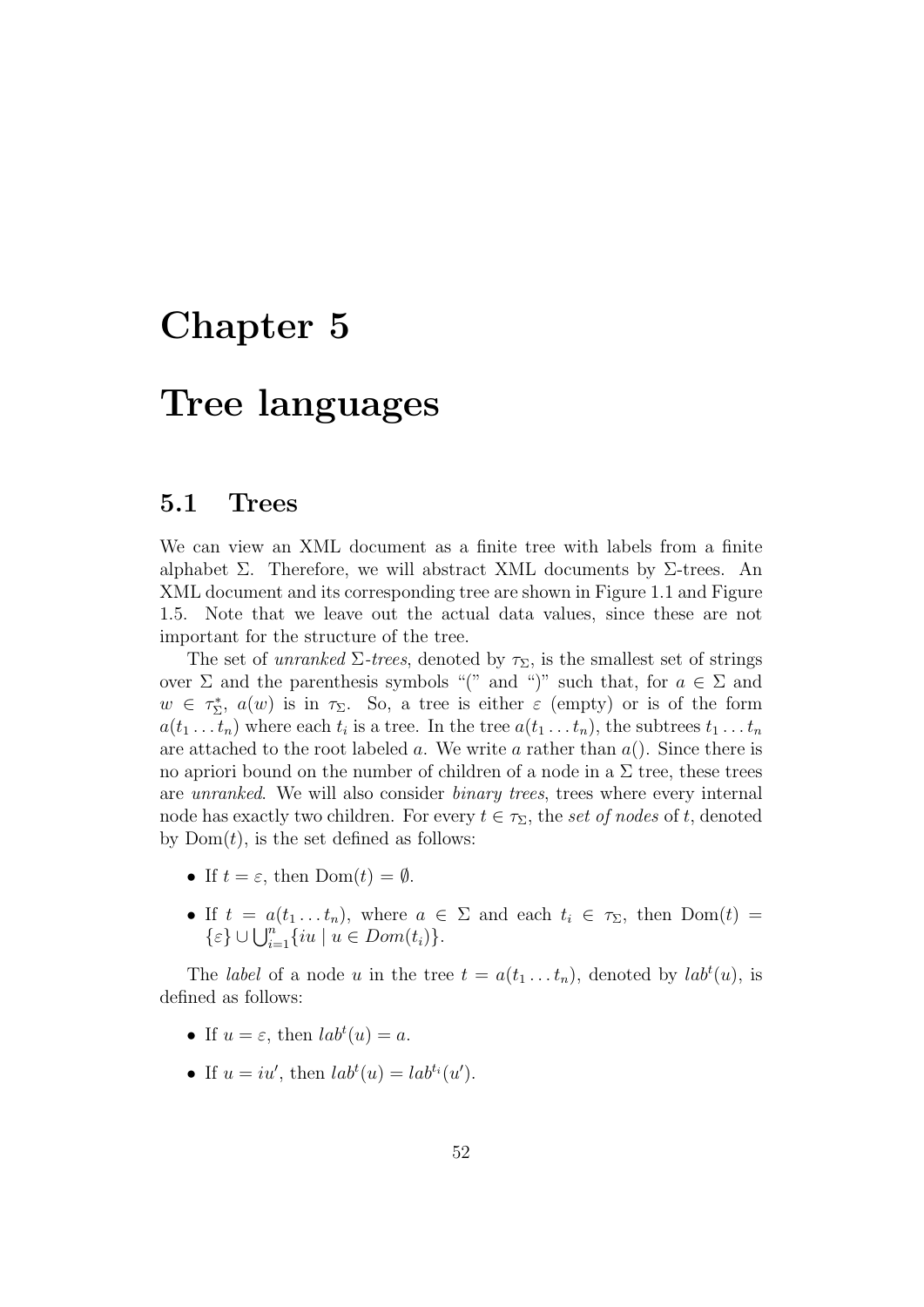## Chapter 5

## Tree languages

### 5.1 Trees

We can view an XML document as a finite tree with labels from a finite alphabet  $\Sigma$ . Therefore, we will abstract XML documents by  $\Sigma$ -trees. An XML document and its corresponding tree are shown in Figure 1.1 and Figure 1.5. Note that we leave out the actual data values, since these are not important for the structure of the tree.

The set of unranked  $\Sigma$ -trees, denoted by  $\tau_{\Sigma}$ , is the smallest set of strings over  $\Sigma$  and the parenthesis symbols "(" and ")" such that, for  $a \in \Sigma$  and  $w \in \tau_{\Sigma}^*$ ,  $a(w)$  is in  $\tau_{\Sigma}$ . So, a tree is either  $\varepsilon$  (empty) or is of the form  $a(t_1 \ldots t_n)$  where each  $t_i$  is a tree. In the tree  $a(t_1 \ldots t_n)$ , the subtrees  $t_1 \ldots t_n$ are attached to the root labeled a. We write a rather than  $a()$ . Since there is no apriori bound on the number of children of a node in a  $\Sigma$  tree, these trees are unranked. We will also consider binary trees, trees where every internal node has exactly two children. For every  $t \in \tau_{\Sigma}$ , the set of nodes of t, denoted by  $Dom(t)$ , is the set defined as follows:

- If  $t = \varepsilon$ , then  $Dom(t) = \emptyset$ .
- If  $t = a(t_1 \ldots t_n)$ , where  $a \in \Sigma$  and each  $t_i \in \tau_{\Sigma}$ , then  $Dom(t) =$  $\{\varepsilon\} \cup \bigcup_{i=1}^n \{iu \mid u \in Dom(t_i)\}.$

The *label* of a node u in the tree  $t = a(t_1 \dots t_n)$ , denoted by  $lab<sup>t</sup>(u)$ , is defined as follows:

- If  $u = \varepsilon$ , then  $lab<sup>t</sup>(u) = a$ .
- If  $u = iu'$ , then  $lab^{t}(u) = lab^{t_i}(u')$ .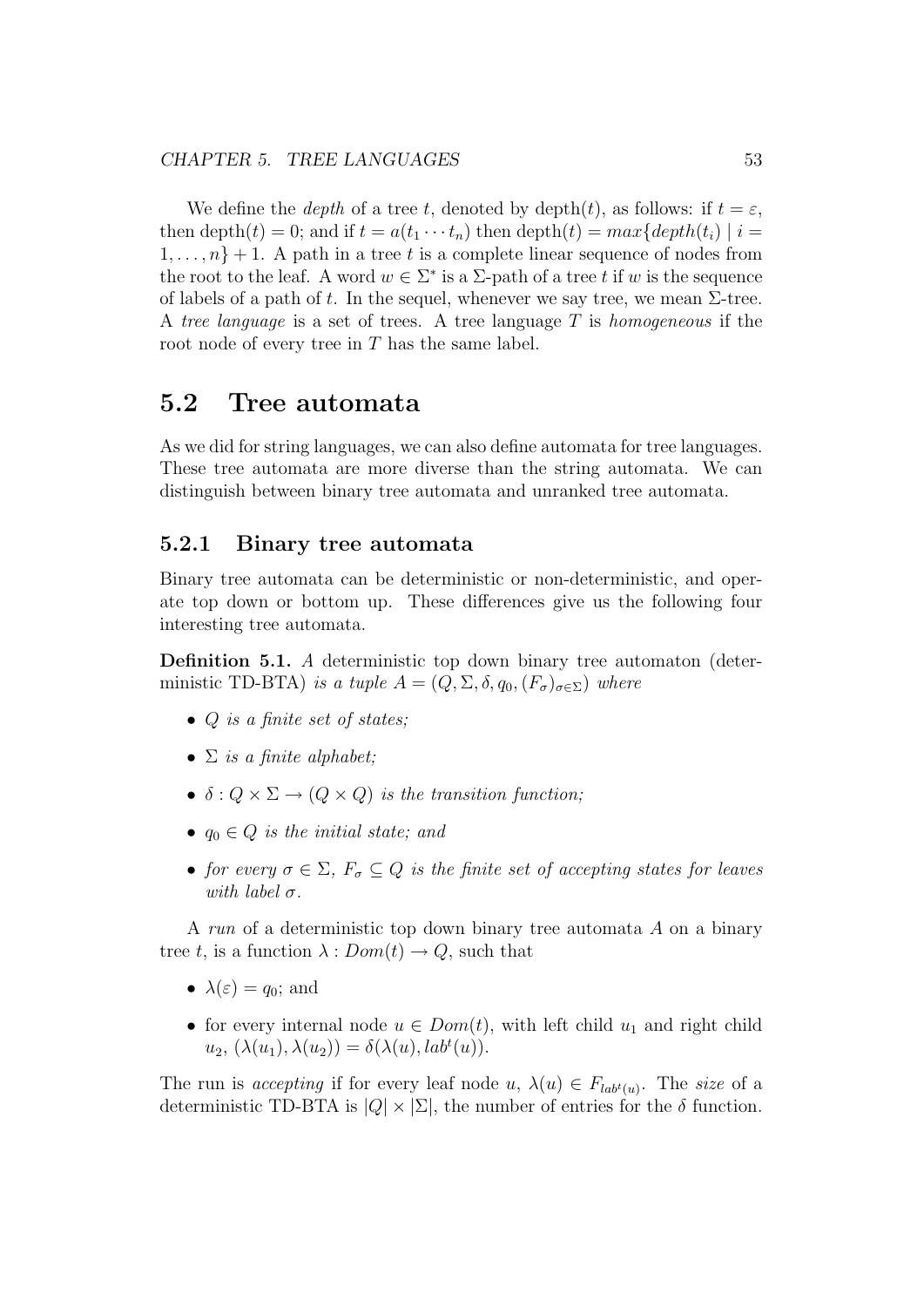We define the *depth* of a tree t, denoted by depth(t), as follows: if  $t = \varepsilon$ , then depth $(t) = 0$ ; and if  $t = a(t_1 \cdots t_n)$  then depth $(t) = max\{depth(t_i) \mid i = 1\}$  $1, \ldots, n\}+1$ . A path in a tree t is a complete linear sequence of nodes from the root to the leaf. A word  $w \in \Sigma^*$  is a  $\Sigma$ -path of a tree t if w is the sequence of labels of a path of t. In the sequel, whenever we say tree, we mean  $\Sigma$ -tree. A tree language is a set of trees. A tree language  $T$  is homogeneous if the root node of every tree in  $T$  has the same label.

### 5.2 Tree automata

As we did for string languages, we can also define automata for tree languages. These tree automata are more diverse than the string automata. We can distinguish between binary tree automata and unranked tree automata.

#### 5.2.1 Binary tree automata

Binary tree automata can be deterministic or non-deterministic, and operate top down or bottom up. These differences give us the following four interesting tree automata.

Definition 5.1. A deterministic top down binary tree automaton (deterministic TD-BTA) is a tuple  $A = (Q, \Sigma, \delta, q_0, (F_{\sigma})_{\sigma \in \Sigma})$  where

- $Q$  is a finite set of states;
- $\Sigma$  is a finite alphabet;
- $\delta: Q \times \Sigma \rightarrow (Q \times Q)$  is the transition function;
- $q_0 \in Q$  is the initial state; and
- for every  $\sigma \in \Sigma$ ,  $F_{\sigma} \subseteq Q$  is the finite set of accepting states for leaves with label  $\sigma$ .

A run of a deterministic top down binary tree automata A on a binary tree t, is a function  $\lambda: Dom(t) \to Q$ , such that

- $\lambda(\varepsilon) = q_0$ ; and
- for every internal node  $u \in Dom(t)$ , with left child  $u_1$  and right child  $u_2, (\lambda(u_1), \lambda(u_2)) = \delta(\lambda(u), lab^t(u)).$

The run is accepting if for every leaf node  $u, \lambda(u) \in F_{lab^t(u)}$ . The size of a deterministic TD-BTA is  $|Q| \times |\Sigma|$ , the number of entries for the  $\delta$  function.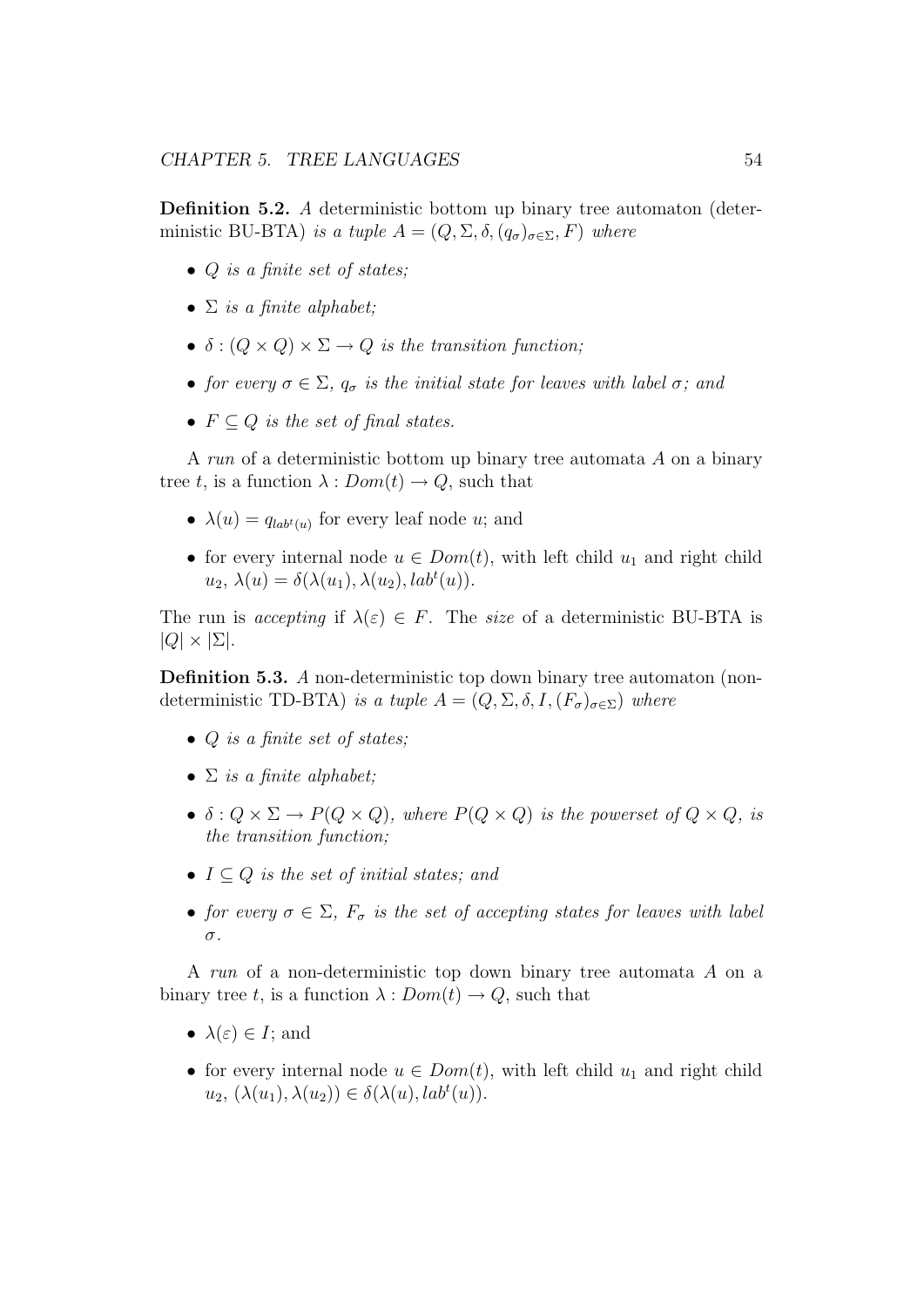Definition 5.2. A deterministic bottom up binary tree automaton (deterministic BU-BTA) is a tuple  $A = (Q, \Sigma, \delta, (q_{\sigma})_{\sigma \in \Sigma}, F)$  where

- $\bullet$  Q is a finite set of states;
- $\Sigma$  is a finite alphabet;
- $\delta : (Q \times Q) \times \Sigma \rightarrow Q$  is the transition function;
- for every  $\sigma \in \Sigma$ ,  $q_{\sigma}$  is the initial state for leaves with label  $\sigma$ ; and
- $F \subseteq Q$  is the set of final states.

A run of a deterministic bottom up binary tree automata A on a binary tree t, is a function  $\lambda: Dom(t) \to Q$ , such that

- $\lambda(u) = q_{lab^t(u)}$  for every leaf node u; and
- for every internal node  $u \in Dom(t)$ , with left child  $u_1$  and right child  $u_2, \lambda(u) = \delta(\lambda(u_1), \lambda(u_2), lab^t(u)).$

The run is accepting if  $\lambda(\varepsilon) \in F$ . The size of a deterministic BU-BTA is  $|Q| \times |\Sigma|.$ 

Definition 5.3. A non-deterministic top down binary tree automaton (nondeterministic TD-BTA) is a tuple  $A = (Q, \Sigma, \delta, I, (F_{\sigma})_{\sigma \in \Sigma})$  where

- $Q$  is a finite set of states;
- $\Sigma$  is a finite alphabet;
- $\delta: Q \times \Sigma \to P(Q \times Q)$ , where  $P(Q \times Q)$  is the powerset of  $Q \times Q$ , is the transition function;
- $I \subseteq Q$  is the set of initial states; and
- for every  $\sigma \in \Sigma$ ,  $F_{\sigma}$  is the set of accepting states for leaves with label σ.

A run of a non-deterministic top down binary tree automata A on a binary tree t, is a function  $\lambda: Dom(t) \to Q$ , such that

- $\lambda(\varepsilon) \in I$ ; and
- for every internal node  $u \in Dom(t)$ , with left child  $u_1$  and right child  $u_2, (\lambda(u_1), \lambda(u_2)) \in \delta(\lambda(u), lab^t(u)).$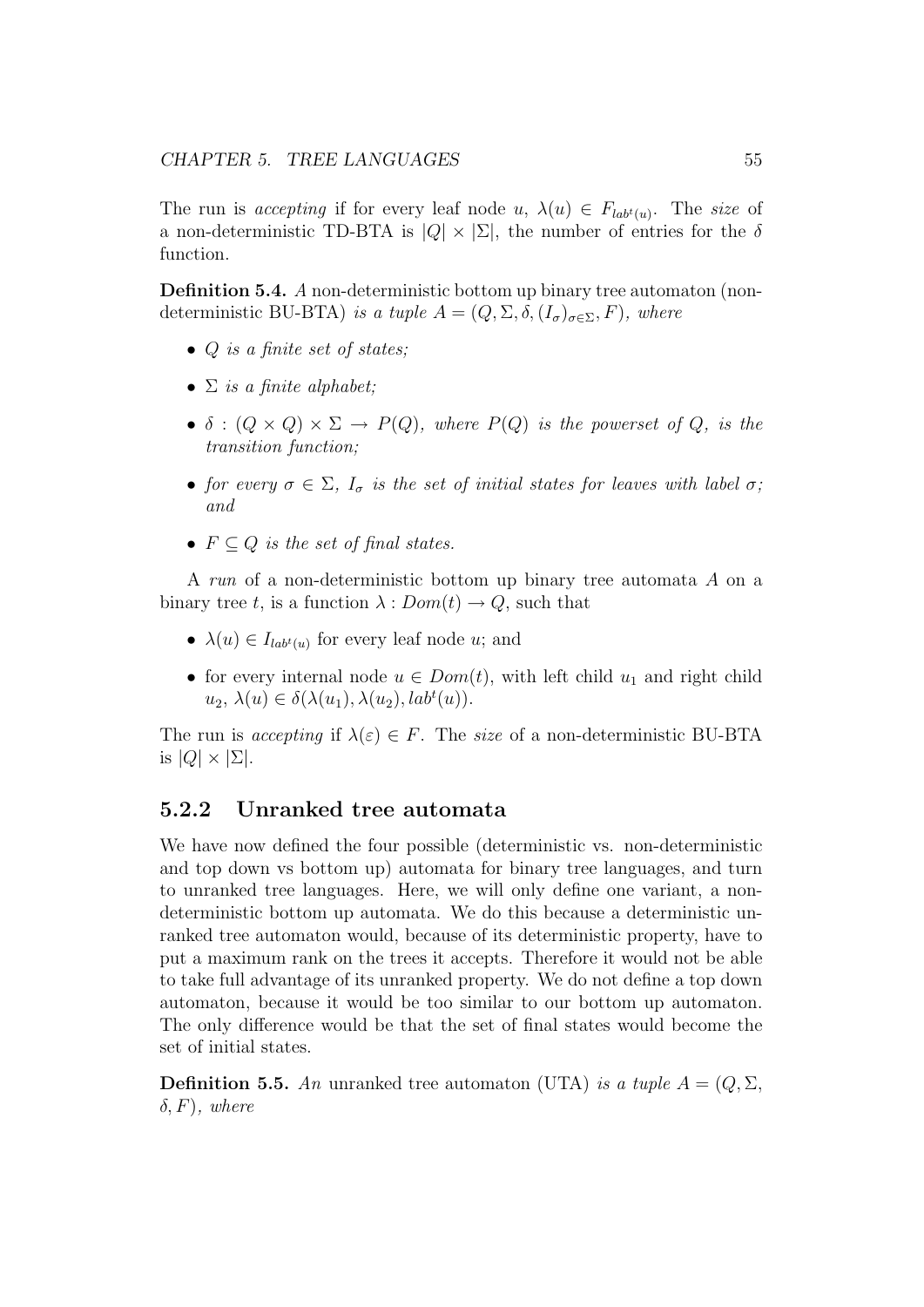The run is accepting if for every leaf node u,  $\lambda(u) \in F_{lab^t(u)}$ . The size of a non-deterministic TD-BTA is  $|Q| \times |\Sigma|$ , the number of entries for the  $\delta$ function.

Definition 5.4. A non-deterministic bottom up binary tree automaton (nondeterministic BU-BTA) is a tuple  $A = (Q, \Sigma, \delta, (I_{\sigma})_{\sigma \in \Sigma}, F)$ , where

- $Q$  is a finite set of states;
- $\Sigma$  is a finite alphabet:
- $\delta : (Q \times Q) \times \Sigma \rightarrow P(Q)$ , where  $P(Q)$  is the powerset of Q, is the transition function;
- for every  $\sigma \in \Sigma$ ,  $I_{\sigma}$  is the set of initial states for leaves with label  $\sigma$ ; and
- $F \subset Q$  is the set of final states.

A run of a non-deterministic bottom up binary tree automata A on a binary tree t, is a function  $\lambda: Dom(t) \to Q$ , such that

- $\lambda(u) \in I_{lab^t(u)}$  for every leaf node u; and
- for every internal node  $u \in Dom(t)$ , with left child  $u_1$  and right child  $u_2, \lambda(u) \in \delta(\lambda(u_1), \lambda(u_2), lab^t(u)).$

The run is accepting if  $\lambda(\varepsilon) \in F$ . The size of a non-deterministic BU-BTA is  $|Q| \times |\Sigma|$ .

#### 5.2.2 Unranked tree automata

We have now defined the four possible (deterministic vs. non-deterministic and top down vs bottom up) automata for binary tree languages, and turn to unranked tree languages. Here, we will only define one variant, a nondeterministic bottom up automata. We do this because a deterministic unranked tree automaton would, because of its deterministic property, have to put a maximum rank on the trees it accepts. Therefore it would not be able to take full advantage of its unranked property. We do not define a top down automaton, because it would be too similar to our bottom up automaton. The only difference would be that the set of final states would become the set of initial states.

**Definition 5.5.** An unranked tree automaton (UTA) is a tuple  $A = (Q, \Sigma, \Sigma)$  $(\delta, F)$ , where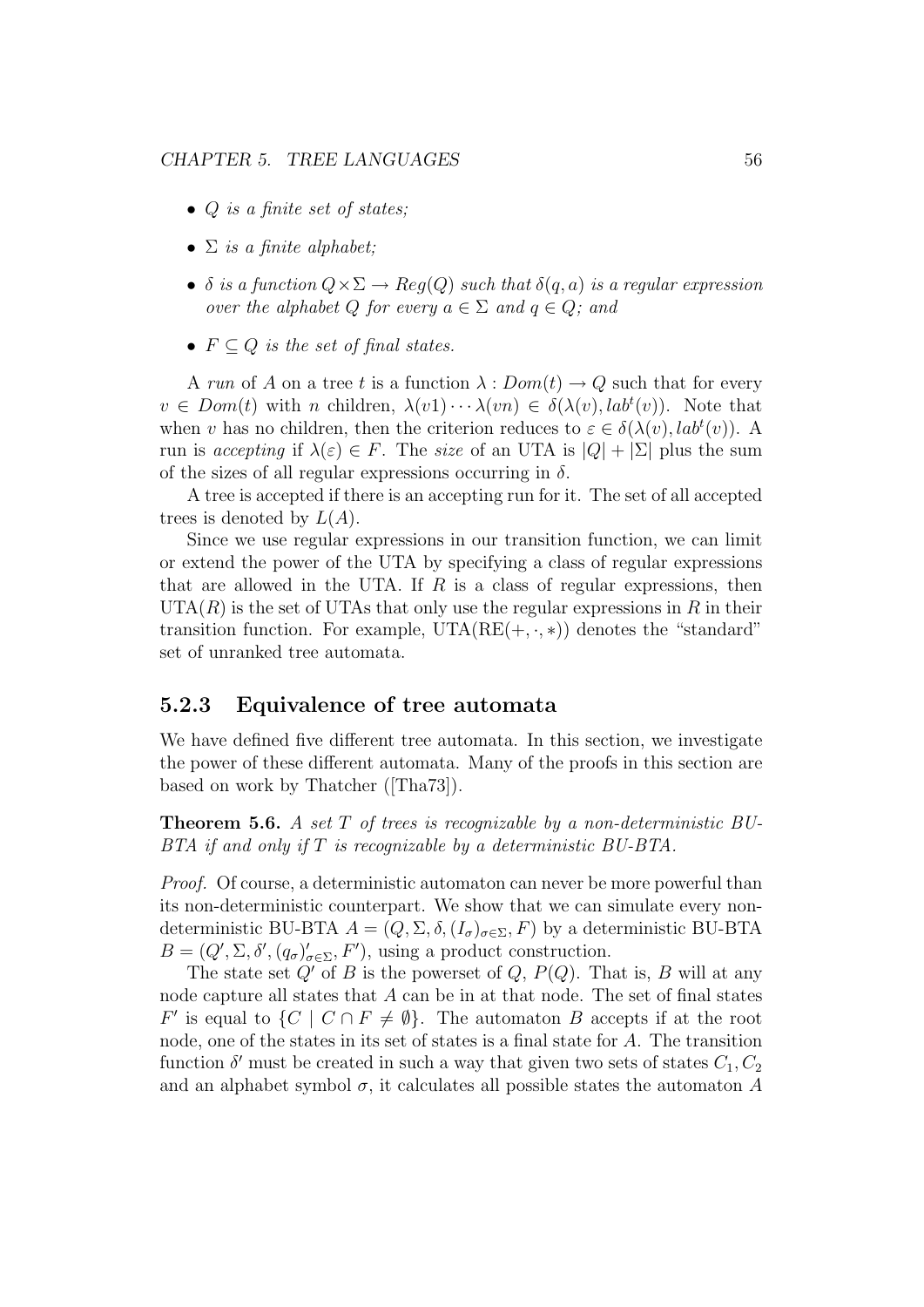- $Q$  is a finite set of states;
- $\Sigma$  is a finite alphabet:
- $\delta$  is a function  $Q \times \Sigma \rightarrow Rep(Q)$  such that  $\delta(q, a)$  is a regular expression over the alphabet Q for every  $a \in \Sigma$  and  $q \in Q$ ; and
- $F \subseteq Q$  is the set of final states.

A run of A on a tree t is a function  $\lambda: Dom(t) \to Q$  such that for every  $v \in Dom(t)$  with n children,  $\lambda(v_1) \cdots \lambda(v_n) \in \delta(\lambda(v), lab^t(v))$ . Note that when v has no children, then the criterion reduces to  $\varepsilon \in \delta(\lambda(v), lab^t(v))$ . A run is accepting if  $\lambda(\varepsilon) \in F$ . The size of an UTA is  $|Q| + |\Sigma|$  plus the sum of the sizes of all regular expressions occurring in  $\delta$ .

A tree is accepted if there is an accepting run for it. The set of all accepted trees is denoted by  $L(A)$ .

Since we use regular expressions in our transition function, we can limit or extend the power of the UTA by specifying a class of regular expressions that are allowed in the UTA. If  $R$  is a class of regular expressions, then  $UTA(R)$  is the set of UTAs that only use the regular expressions in R in their transition function. For example,  $UTA(RE(+, \cdot, *)$  denotes the "standard" set of unranked tree automata.

#### 5.2.3 Equivalence of tree automata

We have defined five different tree automata. In this section, we investigate the power of these different automata. Many of the proofs in this section are based on work by Thatcher ([Tha73]).

**Theorem 5.6.** A set  $T$  of trees is recognizable by a non-deterministic  $BU$ -BTA if and only if T is recognizable by a deterministic BU-BTA.

Proof. Of course, a deterministic automaton can never be more powerful than its non-deterministic counterpart. We show that we can simulate every nondeterministic BU-BTA  $A = (Q, \Sigma, \delta, (I_{\sigma})_{\sigma \in \Sigma}, F)$  by a deterministic BU-BTA  $B = (Q', \Sigma, \delta', (q_{\sigma})'_{\sigma \in \Sigma}, F')$ , using a product construction.

The state set  $Q'$  of B is the powerset of Q,  $P(Q)$ . That is, B will at any node capture all states that  $A$  can be in at that node. The set of final states F' is equal to  $\{C \mid C \cap F \neq \emptyset\}$ . The automaton B accepts if at the root node, one of the states in its set of states is a final state for A. The transition function  $\delta'$  must be created in such a way that given two sets of states  $C_1, C_2$ and an alphabet symbol  $\sigma$ , it calculates all possible states the automaton A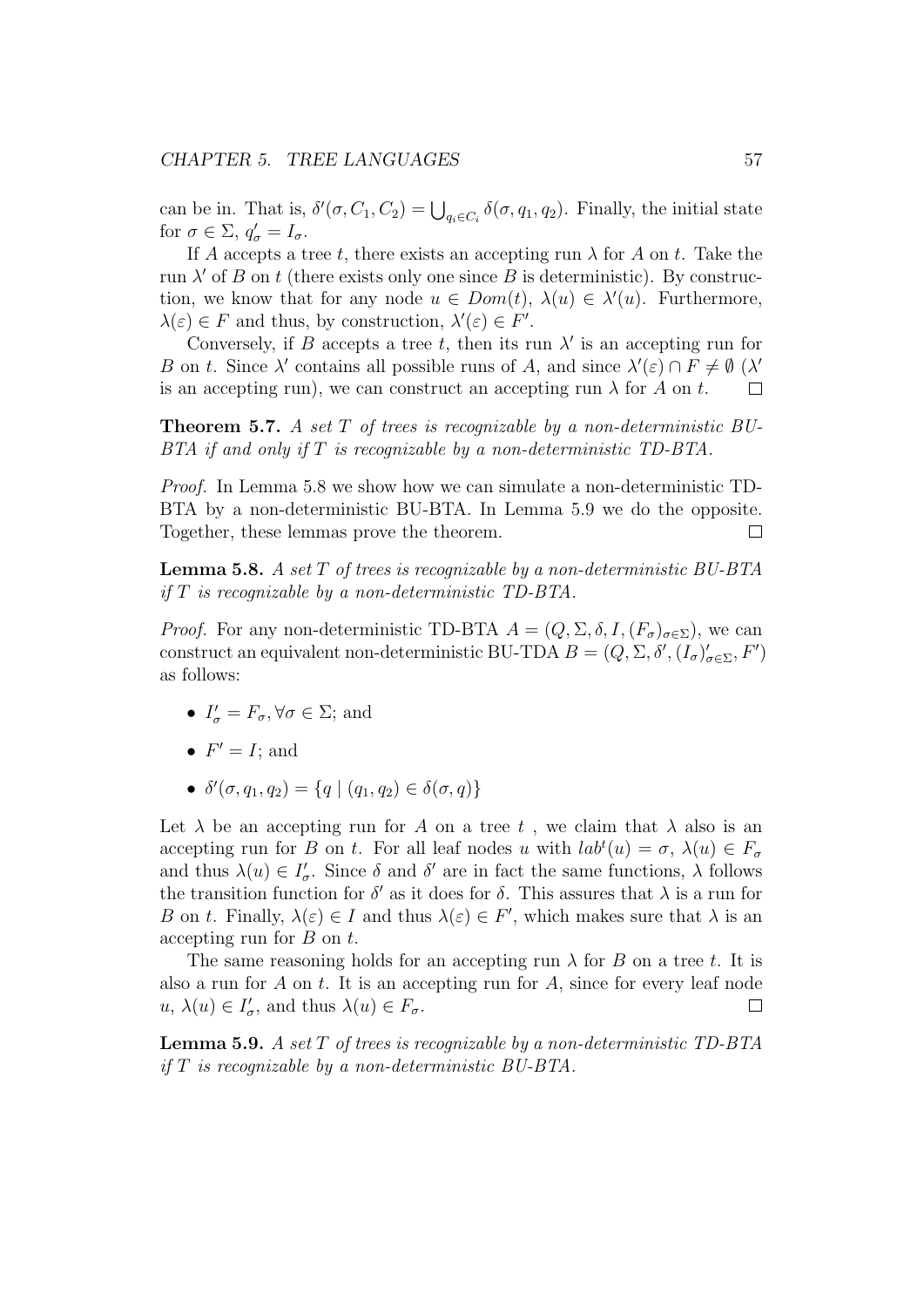can be in. That is,  $\delta'(\sigma, C_1, C_2) = \bigcup_{q_i \in C_i} \delta(\sigma, q_1, q_2)$ . Finally, the initial state for  $\sigma \in \Sigma$ ,  $q'_{\sigma} = I_{\sigma}$ .

If A accepts a tree t, there exists an accepting run  $\lambda$  for A on t. Take the run  $\lambda'$  of B on t (there exists only one since B is deterministic). By construction, we know that for any node  $u \in Dom(t)$ ,  $\lambda(u) \in \lambda'(u)$ . Furthermore,  $\lambda(\varepsilon) \in F$  and thus, by construction,  $\lambda'(\varepsilon) \in F'$ .

Conversely, if B accepts a tree t, then its run  $\lambda'$  is an accepting run for B on t. Since  $\lambda'$  contains all possible runs of A, and since  $\lambda'(\varepsilon) \cap F \neq \emptyset$  ( $\lambda'$ ) is an accepting run), we can construct an accepting run  $\lambda$  for A on t.  $\Box$ 

**Theorem 5.7.** A set T of trees is recognizable by a non-deterministic BU-BTA if and only if T is recognizable by a non-deterministic TD-BTA.

Proof. In Lemma 5.8 we show how we can simulate a non-deterministic TD-BTA by a non-deterministic BU-BTA. In Lemma 5.9 we do the opposite. Together, these lemmas prove the theorem.  $\Box$ 

**Lemma 5.8.** A set T of trees is recognizable by a non-deterministic  $BU-BTA$ if  $T$  is recognizable by a non-deterministic TD-BTA.

*Proof.* For any non-deterministic TD-BTA  $A = (Q, \Sigma, \delta, I, (F_{\sigma})_{\sigma \in \Sigma})$ , we can construct an equivalent non-deterministic BU-TDA  $B = (Q, \Sigma, \delta', (I_{\sigma})'_{\sigma \in \Sigma}, F')$ as follows:

- $I'_{\sigma} = F_{\sigma}, \forall \sigma \in \Sigma$ ; and
- $F' = I$ ; and
- $\delta'(\sigma, q_1, q_2) = \{q \mid (q_1, q_2) \in \delta(\sigma, q)\}\$

Let  $\lambda$  be an accepting run for A on a tree t, we claim that  $\lambda$  also is an accepting run for B on t. For all leaf nodes u with  $lab<sup>t</sup>(u) = \sigma$ ,  $\lambda(u) \in F_{\sigma}$ and thus  $\lambda(u) \in I'_{\sigma}$ . Since  $\delta$  and  $\delta'$  are in fact the same functions,  $\lambda$  follows the transition function for  $\delta'$  as it does for  $\delta$ . This assures that  $\lambda$  is a run for B on t. Finally,  $\lambda(\varepsilon) \in I$  and thus  $\lambda(\varepsilon) \in F'$ , which makes sure that  $\lambda$  is an accepting run for  $B$  on  $t$ .

The same reasoning holds for an accepting run  $\lambda$  for B on a tree t. It is also a run for  $A$  on  $t$ . It is an accepting run for  $A$ , since for every leaf node  $u, \lambda(u) \in I'_{\sigma}$ , and thus  $\lambda(u) \in F_{\sigma}$ .  $\Box$ 

**Lemma 5.9.** A set  $T$  of trees is recognizable by a non-deterministic  $TD-BTA$ if  $T$  is recognizable by a non-deterministic  $BU-BTA$ .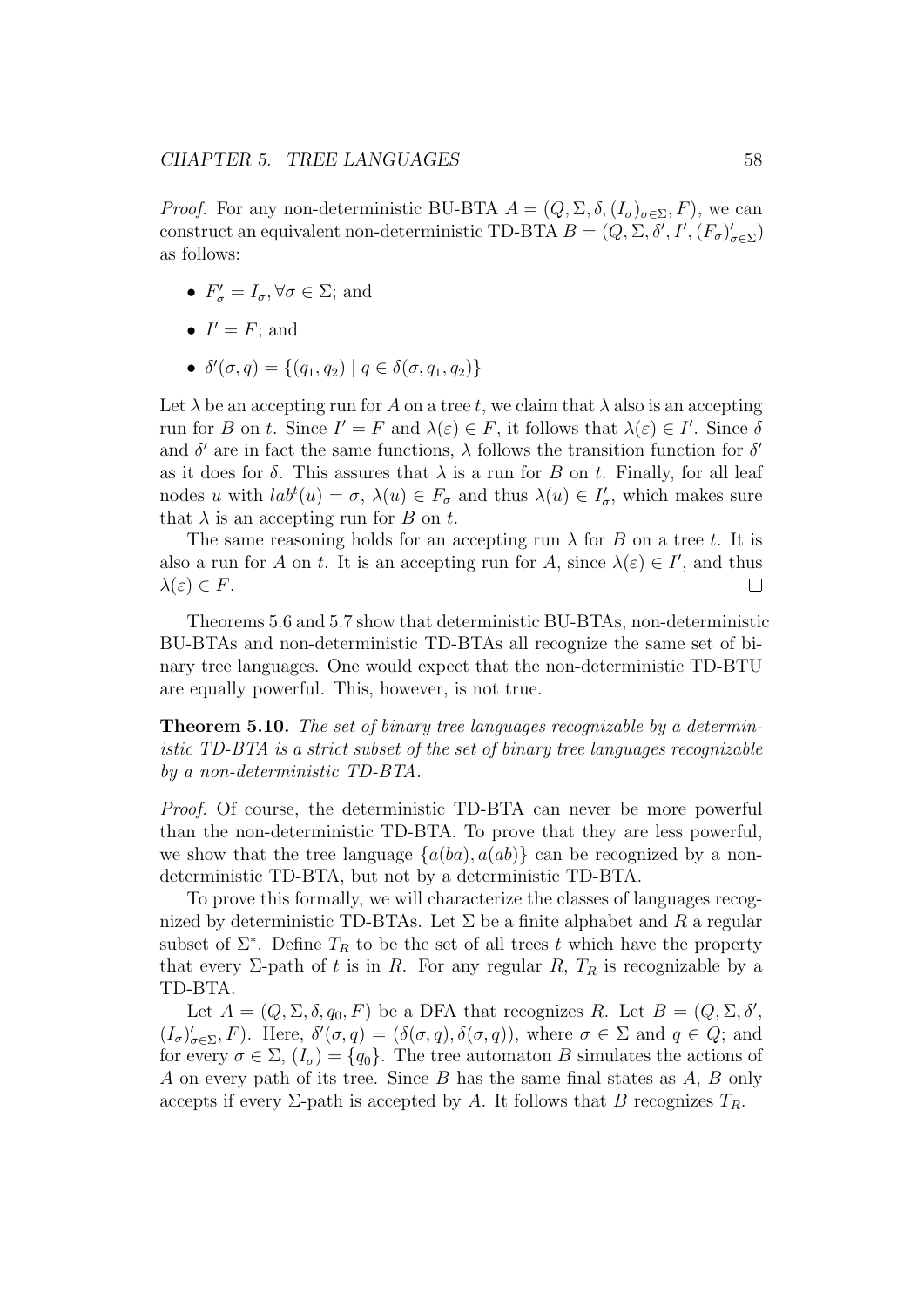*Proof.* For any non-deterministic BU-BTA  $A = (Q, \Sigma, \delta, (I_{\sigma})_{\sigma \in \Sigma}, F)$ , we can construct an equivalent non-deterministic TD-BTA  $B = (Q, \Sigma, \delta', I', (F_{\sigma})'_{\sigma \in \Sigma})$ as follows:

- $F'_{\sigma} = I_{\sigma}, \forall \sigma \in \Sigma$ ; and
- $I' = F$ ; and
- $\delta'(\sigma, q) = \{(q_1, q_2) | q \in \delta(\sigma, q_1, q_2)\}\$

Let  $\lambda$  be an accepting run for A on a tree t, we claim that  $\lambda$  also is an accepting run for B on t. Since  $I' = F$  and  $\lambda(\varepsilon) \in F$ , it follows that  $\lambda(\varepsilon) \in I'$ . Since  $\delta$ and  $\delta'$  are in fact the same functions,  $\lambda$  follows the transition function for  $\delta'$ as it does for  $\delta$ . This assures that  $\lambda$  is a run for B on t. Finally, for all leaf nodes u with  $lab^{t}(u) = \sigma$ ,  $\lambda(u) \in F_{\sigma}$  and thus  $\lambda(u) \in I'_{\sigma}$ , which makes sure that  $\lambda$  is an accepting run for B on t.

The same reasoning holds for an accepting run  $\lambda$  for B on a tree t. It is also a run for A on t. It is an accepting run for A, since  $\lambda(\varepsilon) \in I'$ , and thus  $\lambda(\varepsilon) \in F$ .  $\Box$ 

Theorems 5.6 and 5.7 show that deterministic BU-BTAs, non-deterministic BU-BTAs and non-deterministic TD-BTAs all recognize the same set of binary tree languages. One would expect that the non-deterministic TD-BTU are equally powerful. This, however, is not true.

Theorem 5.10. The set of binary tree languages recognizable by a deterministic TD-BTA is a strict subset of the set of binary tree languages recognizable by a non-deterministic TD-BTA.

Proof. Of course, the deterministic TD-BTA can never be more powerful than the non-deterministic TD-BTA. To prove that they are less powerful, we show that the tree language  $\{a(ba), a(ab)\}\$ can be recognized by a nondeterministic TD-BTA, but not by a deterministic TD-BTA.

To prove this formally, we will characterize the classes of languages recognized by deterministic TD-BTAs. Let  $\Sigma$  be a finite alphabet and R a regular subset of  $\Sigma^*$ . Define  $T_R$  to be the set of all trees t which have the property that every  $\Sigma$ -path of t is in R. For any regular R,  $T_R$  is recognizable by a TD-BTA.

Let  $A = (Q, \Sigma, \delta, q_0, F)$  be a DFA that recognizes R. Let  $B = (Q, \Sigma, \delta',$  $(I_{\sigma})'_{\sigma \in \Sigma}, F$ ). Here,  $\delta'(\sigma, q) = (\delta(\sigma, q), \delta(\sigma, q))$ , where  $\sigma \in \Sigma$  and  $q \in Q$ ; and for every  $\sigma \in \Sigma$ ,  $(I_{\sigma}) = \{q_0\}$ . The tree automaton B simulates the actions of A on every path of its tree. Since B has the same final states as A, B only accepts if every  $\Sigma$ -path is accepted by A. It follows that B recognizes  $T_R$ .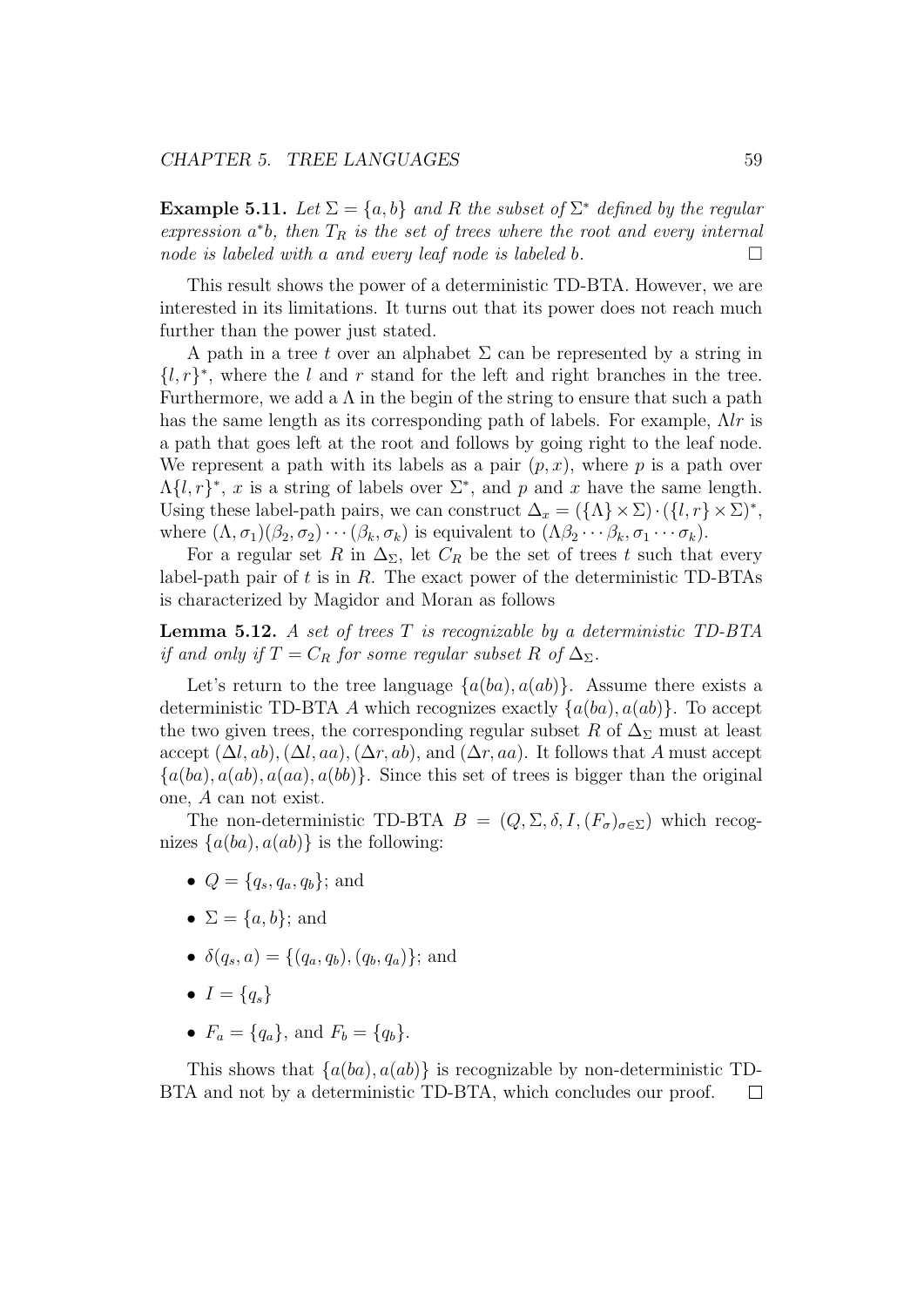**Example 5.11.** Let  $\Sigma = \{a, b\}$  and R the subset of  $\Sigma^*$  defined by the regular expression  $a^*b$ , then  $T_R$  is the set of trees where the root and every internal node is labeled with a and every leaf node is labeled b.  $\Box$ 

This result shows the power of a deterministic TD-BTA. However, we are interested in its limitations. It turns out that its power does not reach much further than the power just stated.

A path in a tree t over an alphabet  $\Sigma$  can be represented by a string in  ${l, r}^*$ , where the l and r stand for the left and right branches in the tree. Furthermore, we add a  $\Lambda$  in the begin of the string to ensure that such a path has the same length as its corresponding path of labels. For example,  $\Lambda l$ r is a path that goes left at the root and follows by going right to the leaf node. We represent a path with its labels as a pair  $(p, x)$ , where p is a path over  $\Lambda\{l,r\}^*, x$  is a string of labels over  $\Sigma^*$ , and p and x have the same length. Using these label-path pairs, we can construct  $\Delta_x = (\{\Lambda\} \times \Sigma) \cdot (\{l, r\} \times \Sigma)^*$ , where  $(\Lambda, \sigma_1)(\beta_2, \sigma_2) \cdots (\beta_k, \sigma_k)$  is equivalent to  $(\Lambda \beta_2 \cdots \beta_k, \sigma_1 \cdots \sigma_k)$ .

For a regular set R in  $\Delta_{\Sigma}$ , let  $C_R$  be the set of trees t such that every label-path pair of  $t$  is in  $R$ . The exact power of the deterministic TD-BTAs is characterized by Magidor and Moran as follows

**Lemma 5.12.** A set of trees  $T$  is recognizable by a deterministic  $TD-BTA$ if and only if  $T = C_R$  for some regular subset R of  $\Delta_{\Sigma}$ .

Let's return to the tree language  $\{a(ba), a(ab)\}$ . Assume there exists a deterministic TD-BTA A which recognizes exactly  $\{a(ba), a(ab)\}\$ . To accept the two given trees, the corresponding regular subset R of  $\Delta_{\Sigma}$  must at least accept  $(\Delta l, ab), (\Delta l, aa), (\Delta r, ab),$  and  $(\Delta r, aa)$ . It follows that A must accept  ${a(ba), a(ab), a(aa), a(bb}.$  Since this set of trees is bigger than the original one, A can not exist.

The non-deterministic TD-BTA  $B = (Q, \Sigma, \delta, I, (F_{\sigma})_{\sigma \in \Sigma})$  which recognizes  $\{a(ba), a(ab)\}\$ is the following:

- $Q = \{q_s, q_a, q_b\}$ ; and
- $\Sigma = \{a, b\}$ ; and
- $\delta(q_s, a) = \{(q_a, q_b), (q_b, q_a)\};$  and
- $I = \{q_s\}$
- $F_a = \{q_a\}$ , and  $F_b = \{q_b\}.$

This shows that  $\{a(ba), a(ab)\}\$ is recognizable by non-deterministic TD-BTA and not by a deterministic TD-BTA, which concludes our proof. $\Box$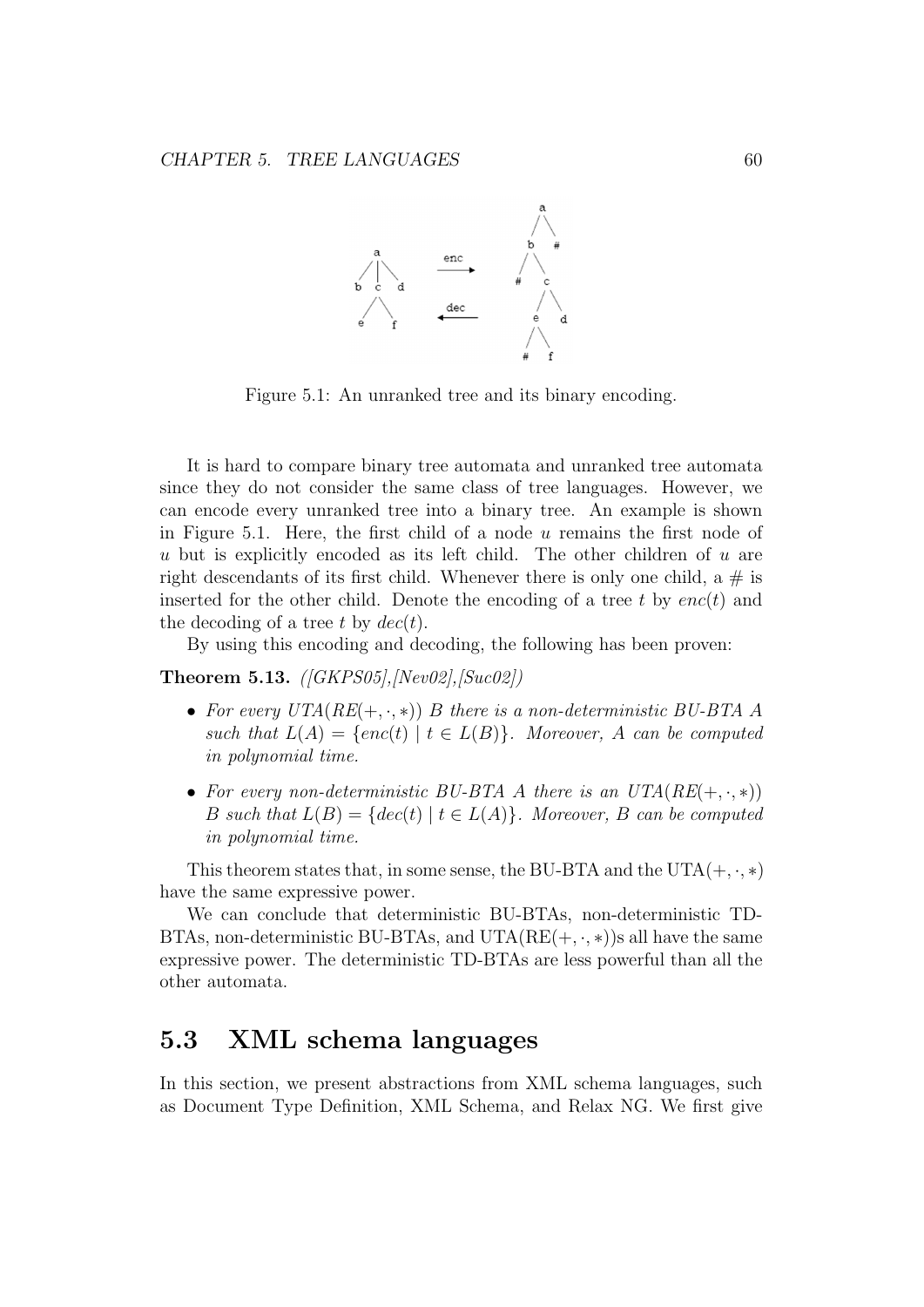

Figure 5.1: An unranked tree and its binary encoding.

It is hard to compare binary tree automata and unranked tree automata since they do not consider the same class of tree languages. However, we can encode every unranked tree into a binary tree. An example is shown in Figure 5.1. Here, the first child of a node  $u$  remains the first node of u but is explicitly encoded as its left child. The other children of  $u$  are right descendants of its first child. Whenever there is only one child, a  $\#$  is inserted for the other child. Denote the encoding of a tree t by  $enc(t)$  and the decoding of a tree t by  $dec(t)$ .

By using this encoding and decoding, the following has been proven:

#### **Theorem 5.13.**  $([GKPS05], [Nev02], [Suc02])$

- For every  $UTA(RE(+, \cdot, *)$  B there is a non-deterministic BU-BTA A such that  $L(A) = \{enc(t) | t \in L(B) \}$ . Moreover, A can be computed in polynomial time.
- For every non-deterministic BU-BTA A there is an  $UTA(RE(+, \cdot, *)$ B such that  $L(B) = \{dec(t) | t \in L(A) \}$ . Moreover, B can be computed in polynomial time.

This theorem states that, in some sense, the BU-BTA and the UTA $(+, \cdot, *)$ have the same expressive power.

We can conclude that deterministic BU-BTAs, non-deterministic TD-BTAs, non-deterministic BU-BTAs, and  $UTA(RE(+, \cdot, *) )$ s all have the same expressive power. The deterministic TD-BTAs are less powerful than all the other automata.

### 5.3 XML schema languages

In this section, we present abstractions from XML schema languages, such as Document Type Definition, XML Schema, and Relax NG. We first give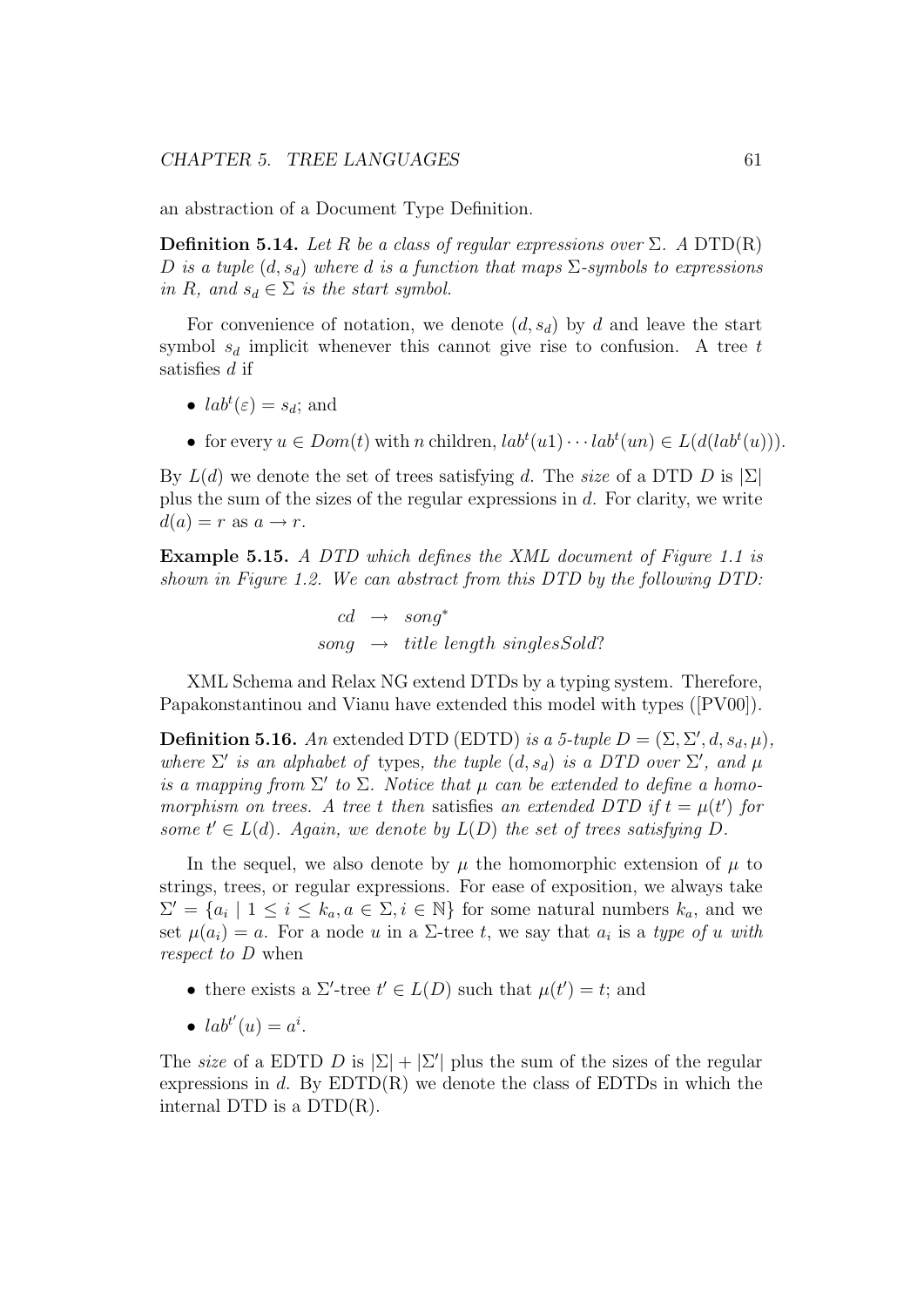an abstraction of a Document Type Definition.

**Definition 5.14.** Let R be a class of regular expressions over  $\Sigma$ . A DTD(R) D is a tuple  $(d, s_d)$  where d is a function that maps  $\Sigma$ -symbols to expressions in R, and  $s_d \in \Sigma$  is the start symbol.

For convenience of notation, we denote  $(d, s_d)$  by d and leave the start symbol  $s_d$  implicit whenever this cannot give rise to confusion. A tree t satisfies d if

- $lab^t(\varepsilon) = s_d$ ; and
- for every  $u \in Dom(t)$  with n children,  $lab^{t}(u1) \cdots lab^{t}(un) \in L(d(lab^{t}(u)))$ .

By  $L(d)$  we denote the set of trees satisfying d. The size of a DTD D is  $|\Sigma|$ plus the sum of the sizes of the regular expressions in d. For clarity, we write  $d(a) = r$  as  $a \rightarrow r$ .

Example 5.15. A DTD which defines the XML document of Figure 1.1 is shown in Figure 1.2. We can abstract from this DTD by the following DTD:

> $cd \rightarrow sonq^*$  $sonq \rightarrow title$  length singlesSold?

XML Schema and Relax NG extend DTDs by a typing system. Therefore, Papakonstantinou and Vianu have extended this model with types ([PV00]).

**Definition 5.16.** An extended DTD (EDTD) is a 5-tuple  $D = (\Sigma, \Sigma', d, s_d, \mu)$ , where  $\Sigma'$  is an alphabet of types, the tuple  $(d, s_d)$  is a DTD over  $\Sigma'$ , and  $\mu$ is a mapping from  $\Sigma'$  to  $\Sigma$ . Notice that  $\mu$  can be extended to define a homomorphism on trees. A tree t then satisfies an extended DTD if  $t = \mu(t')$  for some  $t' \in L(d)$ . Again, we denote by  $L(D)$  the set of trees satisfying D.

In the sequel, we also denote by  $\mu$  the homomorphic extension of  $\mu$  to strings, trees, or regular expressions. For ease of exposition, we always take  $\Sigma' = \{a_i \mid 1 \leq i \leq k_a, a \in \Sigma, i \in \mathbb{N}\}\$  for some natural numbers  $k_a$ , and we set  $\mu(a_i) = a$ . For a node u in a  $\Sigma$ -tree t, we say that  $a_i$  is a type of u with respect to D when

- there exists a  $\Sigma'$ -tree  $t' \in L(D)$  such that  $\mu(t') = t$ ; and
- $lab^{t'}(u) = a^i$ .

The size of a EDTD D is  $|\Sigma| + |\Sigma'|$  plus the sum of the sizes of the regular expressions in d. By  $EDTD(R)$  we denote the class of  $EDTDs$  in which the internal DTD is a DTD(R).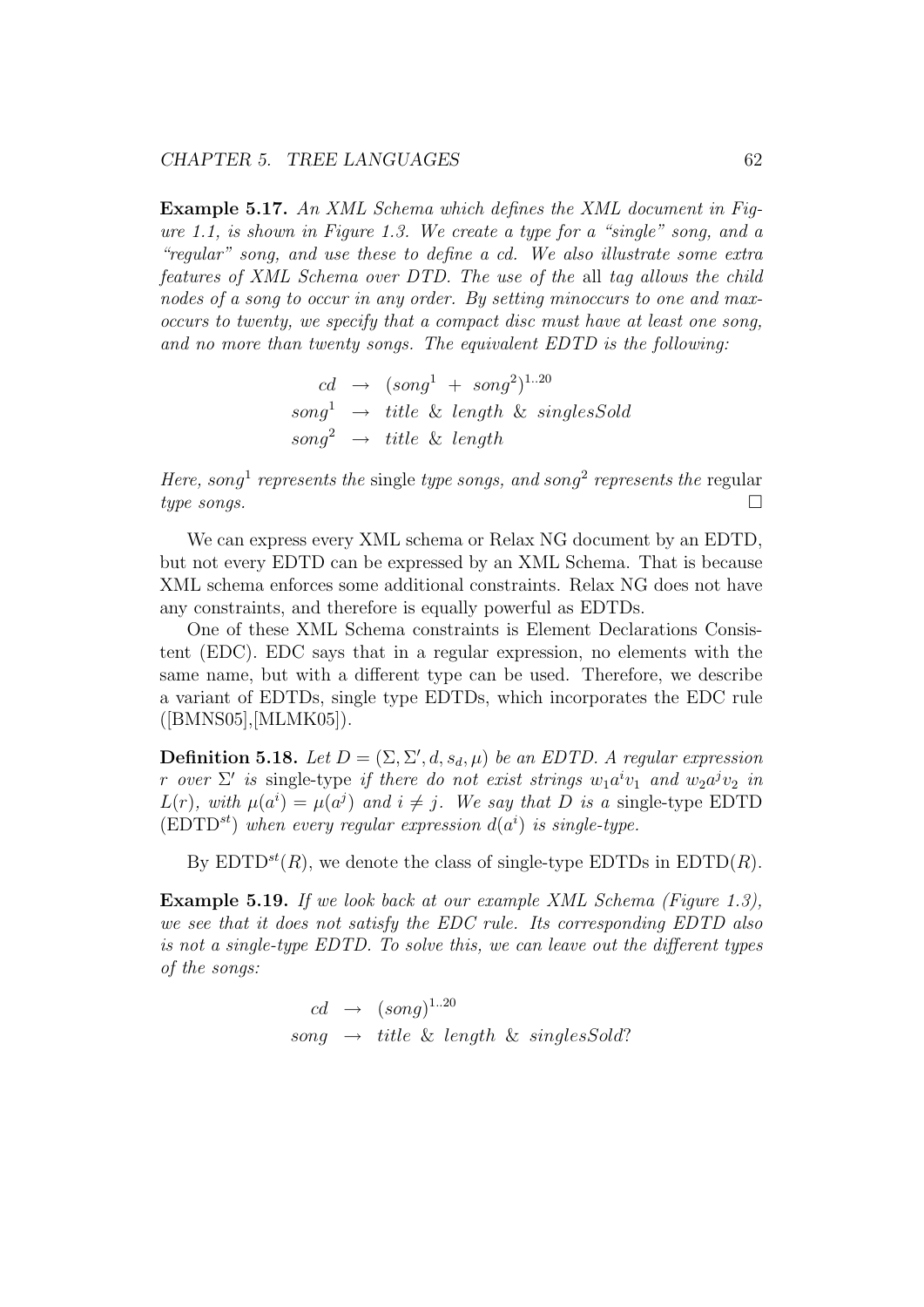Example 5.17. An XML Schema which defines the XML document in Figure 1.1, is shown in Figure 1.3. We create a type for a "single" song, and a "regular" song, and use these to define a cd. We also illustrate some extra features of XML Schema over DTD. The use of the all tag allows the child nodes of a song to occur in any order. By setting minoccurs to one and maxoccurs to twenty, we specify that a compact disc must have at least one song, and no more than twenty songs. The equivalent EDTD is the following:

> $cd \rightarrow (song^1 \ + \ song^2)^{1..20}$  $song<sup>1</sup> \rightarrow title \& length \& singlesSold$  $sona^2 \rightarrow title \& length$

Here, song<sup>1</sup> represents the single type songs, and song<sup>2</sup> represents the regular  $type\ songs.$ 

We can express every XML schema or Relax NG document by an EDTD, but not every EDTD can be expressed by an XML Schema. That is because XML schema enforces some additional constraints. Relax NG does not have any constraints, and therefore is equally powerful as EDTDs.

One of these XML Schema constraints is Element Declarations Consistent (EDC). EDC says that in a regular expression, no elements with the same name, but with a different type can be used. Therefore, we describe a variant of EDTDs, single type EDTDs, which incorporates the EDC rule ([BMNS05],[MLMK05]).

**Definition 5.18.** Let  $D = (\Sigma, \Sigma', d, s_d, \mu)$  be an EDTD. A regular expression r over  $\Sigma'$  is single-type if there do not exist strings  $w_1 a^i v_1$  and  $w_2 a^j v_2$  in  $L(r)$ , with  $\mu(a^i) = \mu(a^j)$  and  $i \neq j$ . We say that D is a single-type EDTD  $(EDD<sup>st</sup>)$  when every regular expression  $d(a<sup>i</sup>)$  is single-type.

By  $EDTD^{st}(R)$ , we denote the class of single-type EDTDs in  $EDTD(R)$ .

Example 5.19. If we look back at our example XML Schema (Figure 1.3), we see that it does not satisfy the EDC rule. Its corresponding EDTD also is not a single-type EDTD. To solve this, we can leave out the different types of the songs:

> $cd \rightarrow (song)^{1..20}$ song  $\rightarrow$  title & length & singlesSold?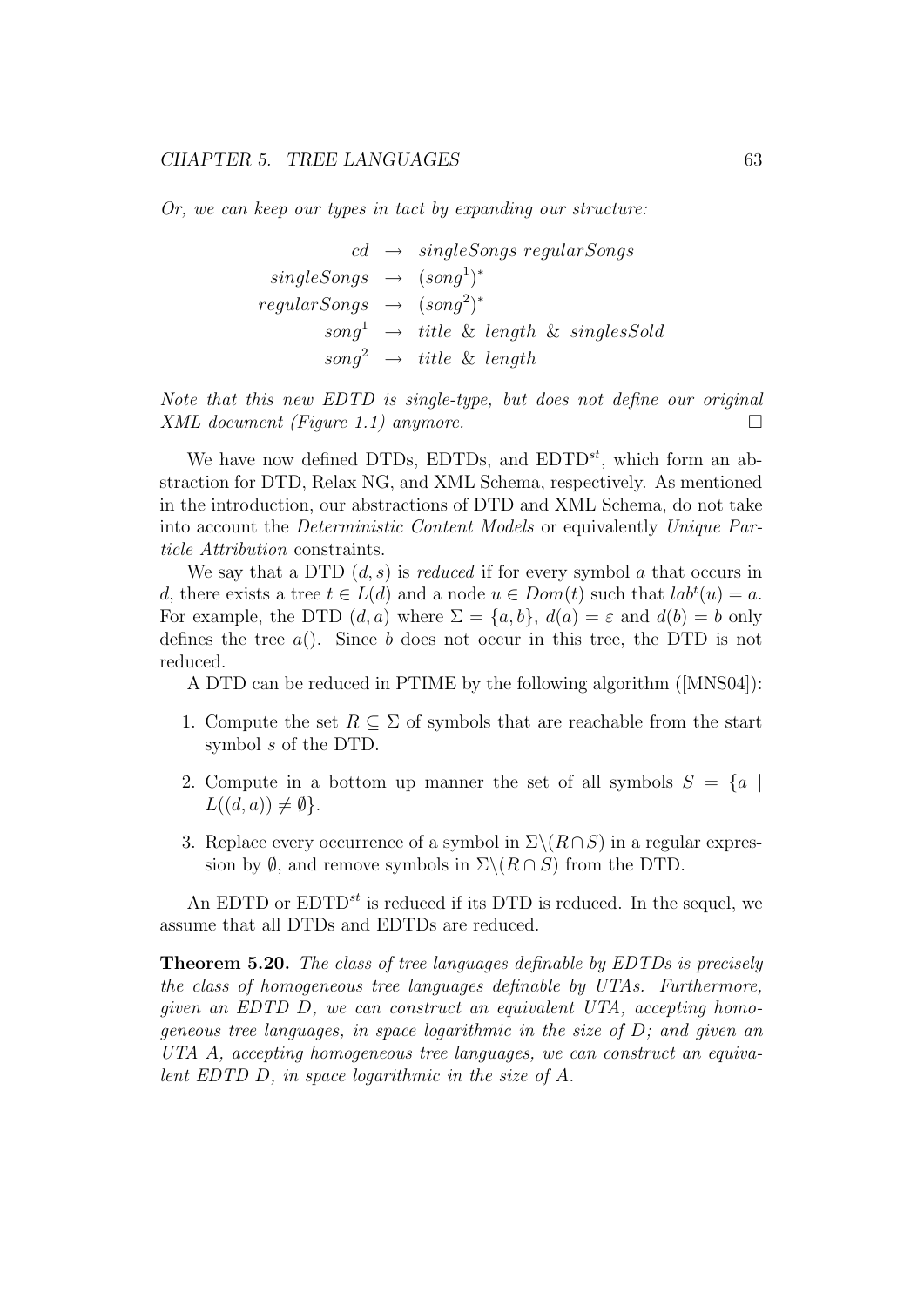Or, we can keep our types in tact by expanding our structure:

 $cd \rightarrow singleSongs\ regularSongs$  $singleSongs \rightarrow (song^1)^*$  $regularSongs \rightarrow (song^2)^*$  $song<sup>1</sup> \rightarrow title \& length \& singlesSold$  $\text{sonq}^2 \rightarrow \text{title} \& \text{length}$ 

Note that this new EDTD is single-type, but does not define our original  $XML\ document\ (Figure\ 1.1)\ any more.$ 

We have now defined DTDs, EDTDs, and  $EDTD^{st}$ , which form an abstraction for DTD, Relax NG, and XML Schema, respectively. As mentioned in the introduction, our abstractions of DTD and XML Schema, do not take into account the Deterministic Content Models or equivalently Unique Particle Attribution constraints.

We say that a DTD  $(d, s)$  is *reduced* if for every symbol a that occurs in d, there exists a tree  $t \in L(d)$  and a node  $u \in Dom(t)$  such that  $lab<sup>t</sup>(u) = a$ . For example, the DTD  $(d, a)$  where  $\Sigma = \{a, b\}$ ,  $d(a) = \varepsilon$  and  $d(b) = b$  only defines the tree  $a()$ . Since b does not occur in this tree, the DTD is not reduced.

A DTD can be reduced in PTIME by the following algorithm ([MNS04]):

- 1. Compute the set  $R \subseteq \Sigma$  of symbols that are reachable from the start symbol s of the DTD.
- 2. Compute in a bottom up manner the set of all symbols  $S = \{a \mid$  $L((d, a)) \neq \emptyset$ .
- 3. Replace every occurrence of a symbol in  $\Sigma \setminus (R \cap S)$  in a regular expression by  $\emptyset$ , and remove symbols in  $\Sigma \backslash (R \cap S)$  from the DTD.

An EDTD or  $EDTD^{st}$  is reduced if its DTD is reduced. In the sequel, we assume that all DTDs and EDTDs are reduced.

Theorem 5.20. The class of tree languages definable by EDTDs is precisely the class of homogeneous tree languages definable by UTAs. Furthermore, given an EDTD D, we can construct an equivalent UTA, accepting homogeneous tree languages, in space logarithmic in the size of  $D$ ; and given an UTA A, accepting homogeneous tree languages, we can construct an equivalent EDTD D, in space logarithmic in the size of A.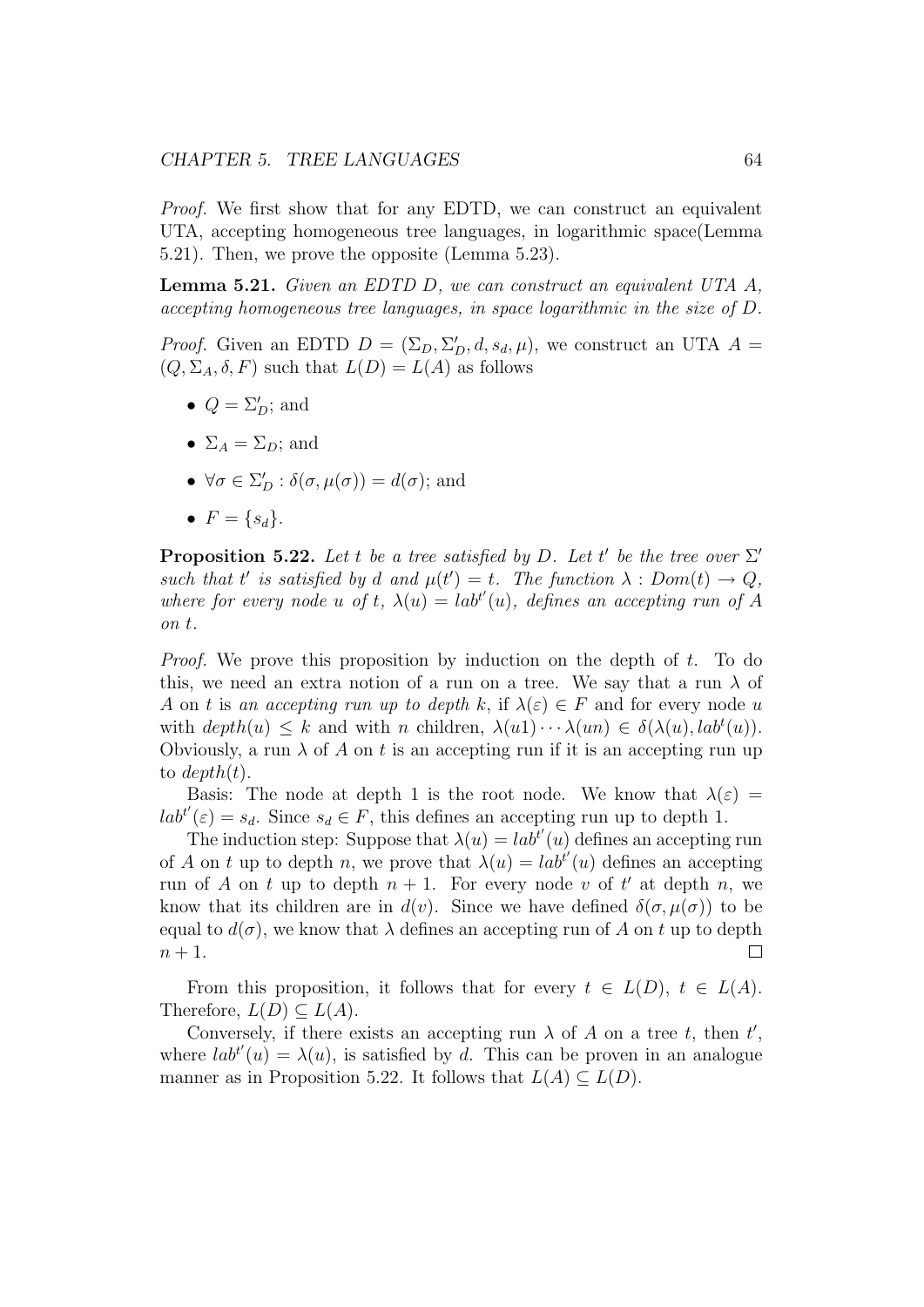Proof. We first show that for any EDTD, we can construct an equivalent UTA, accepting homogeneous tree languages, in logarithmic space(Lemma 5.21). Then, we prove the opposite (Lemma 5.23).

Lemma 5.21. Given an EDTD D, we can construct an equivalent UTA A, accepting homogeneous tree languages, in space logarithmic in the size of D.

*Proof.* Given an EDTD  $D = (\Sigma_D, \Sigma'_D, d, s_d, \mu)$ , we construct an UTA  $A =$  $(Q, \Sigma_A, \delta, F)$  such that  $L(D) = L(A)$  as follows

- $Q = \Sigma_D^{\prime}$ ; and
- $\Sigma_A = \Sigma_D$ ; and
- $\forall \sigma \in \Sigma_D' : \delta(\sigma, \mu(\sigma)) = d(\sigma)$ ; and
- $F = \{s_d\}.$

**Proposition 5.22.** Let t be a tree satisfied by D. Let t' be the tree over  $\Sigma'$ such that t' is satisfied by d and  $\mu(t') = t$ . The function  $\lambda : Dom(t) \to Q$ , where for every node u of t,  $\lambda(u) = lab^{t'}(u)$ , defines an accepting run of A on t.

Proof. We prove this proposition by induction on the depth of t. To do this, we need an extra notion of a run on a tree. We say that a run  $\lambda$  of A on t is an accepting run up to depth k, if  $\lambda(\varepsilon) \in F$  and for every node u with  $depth(u) \leq k$  and with n children,  $\lambda(u_1) \cdots \lambda(u_n) \in \delta(\lambda(u), lab^t(u))$ . Obviously, a run  $\lambda$  of A on t is an accepting run if it is an accepting run up to  $depth(t)$ .

Basis: The node at depth 1 is the root node. We know that  $\lambda(\varepsilon)$  =  $lab^{t'}(\varepsilon) = s_d$ . Since  $s_d \in F$ , this defines an accepting run up to depth 1.

The induction step: Suppose that  $\lambda(u) = lab^{t'}(u)$  defines an accepting run of A on t up to depth n, we prove that  $\lambda(u) = lab^{t'}(u)$  defines an accepting run of A on t up to depth  $n + 1$ . For every node v of t' at depth n, we know that its children are in  $d(v)$ . Since we have defined  $\delta(\sigma, \mu(\sigma))$  to be equal to  $d(\sigma)$ , we know that  $\lambda$  defines an accepting run of A on t up to depth  $n+1$ .  $\Box$ 

From this proposition, it follows that for every  $t \in L(D)$ ,  $t \in L(A)$ . Therefore,  $L(D) \subseteq L(A)$ .

Conversely, if there exists an accepting run  $\lambda$  of A on a tree t, then t', where  $lab^{t'}(u) = \lambda(u)$ , is satisfied by d. This can be proven in an analogue manner as in Proposition 5.22. It follows that  $L(A) \subset L(D)$ .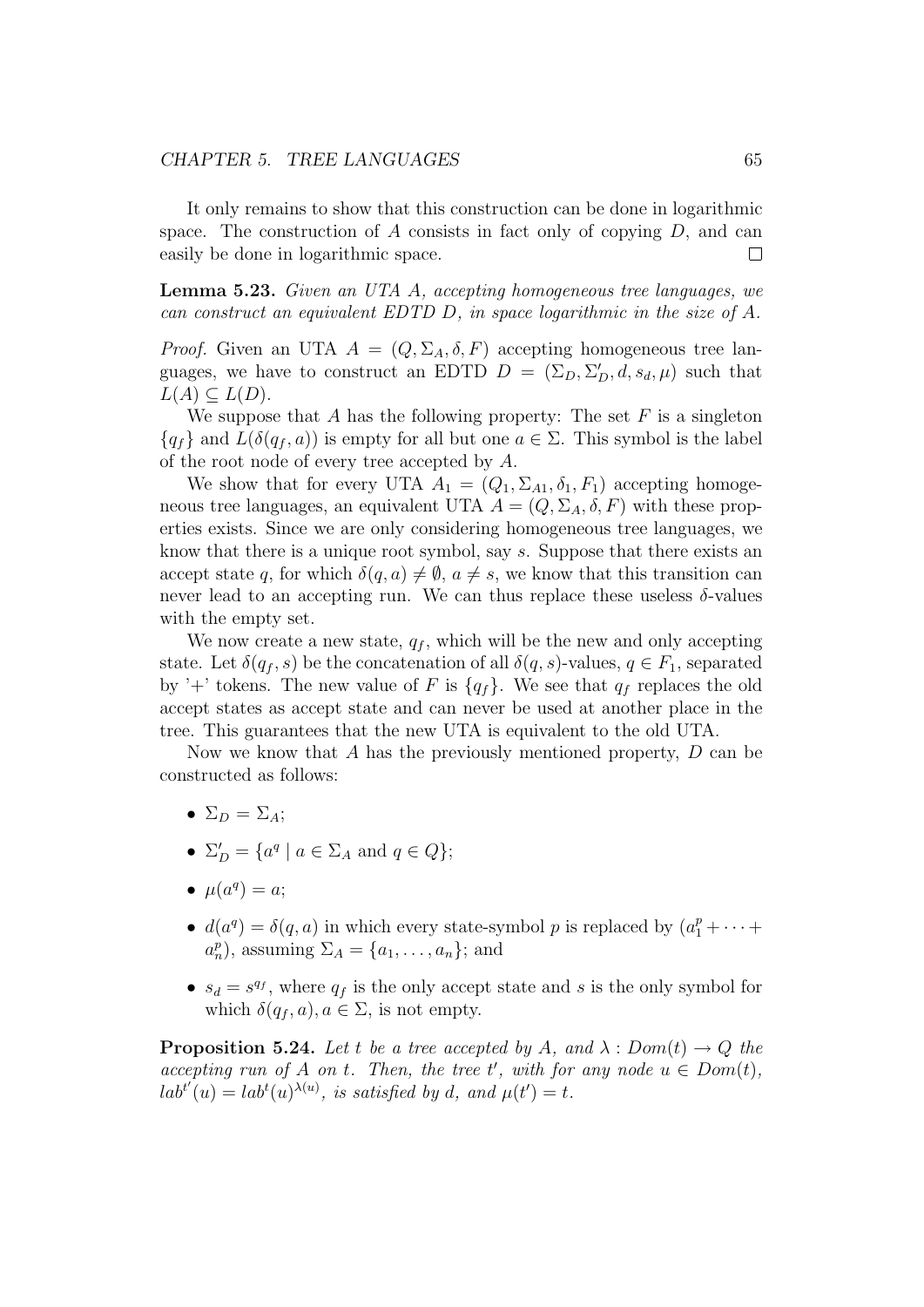It only remains to show that this construction can be done in logarithmic space. The construction of  $A$  consists in fact only of copying  $D$ , and can easily be done in logarithmic space.  $\Box$ 

Lemma 5.23. Given an UTA A, accepting homogeneous tree languages, we can construct an equivalent EDTD D, in space logarithmic in the size of A.

*Proof.* Given an UTA  $A = (Q, \Sigma_A, \delta, F)$  accepting homogeneous tree languages, we have to construct an EDTD  $D = (\Sigma_D, \Sigma'_D, d, s_d, \mu)$  such that  $L(A) \subseteq L(D).$ 

We suppose that A has the following property: The set  $F$  is a singleton  ${q_f}$  and  $L(\delta(q_f, a))$  is empty for all but one  $a \in \Sigma$ . This symbol is the label of the root node of every tree accepted by A.

We show that for every UTA  $A_1 = (Q_1, \Sigma_{A1}, \delta_1, F_1)$  accepting homogeneous tree languages, an equivalent UTA  $A = (Q, \Sigma_A, \delta, F)$  with these properties exists. Since we are only considering homogeneous tree languages, we know that there is a unique root symbol, say s. Suppose that there exists an accept state q, for which  $\delta(q, a) \neq \emptyset$ ,  $a \neq s$ , we know that this transition can never lead to an accepting run. We can thus replace these useless  $\delta$ -values with the empty set.

We now create a new state,  $q_f$ , which will be the new and only accepting state. Let  $\delta(q_f, s)$  be the concatenation of all  $\delta(q, s)$ -values,  $q \in F_1$ , separated by '+' tokens. The new value of F is  $\{q_f\}$ . We see that  $q_f$  replaces the old accept states as accept state and can never be used at another place in the tree. This guarantees that the new UTA is equivalent to the old UTA.

Now we know that A has the previously mentioned property, D can be constructed as follows:

- $\Sigma_D = \Sigma_A$ ;
- $\Sigma'_D = \{a^q \mid a \in \Sigma_A \text{ and } q \in Q\};$
- $\mu(a^q) = a;$
- $d(a^q) = \delta(q, a)$  in which every state-symbol p is replaced by  $(a_1^p + \cdots + a_n^q)$  $a_n^p$ , assuming  $\Sigma_A = \{a_1, \ldots, a_n\}$ ; and
- $s_d = s^{q_f}$ , where  $q_f$  is the only accept state and s is the only symbol for which  $\delta(q_f, a), a \in \Sigma$ , is not empty.

**Proposition 5.24.** Let t be a tree accepted by A, and  $\lambda : Dom(t) \rightarrow Q$  the accepting run of A on t. Then, the tree t', with for any node  $u \in Dom(t)$ ,  $lab^{t'}(u) = lab^{t}(u)^{\lambda(u)}$ , is satisfied by d, and  $\mu(t') = t$ .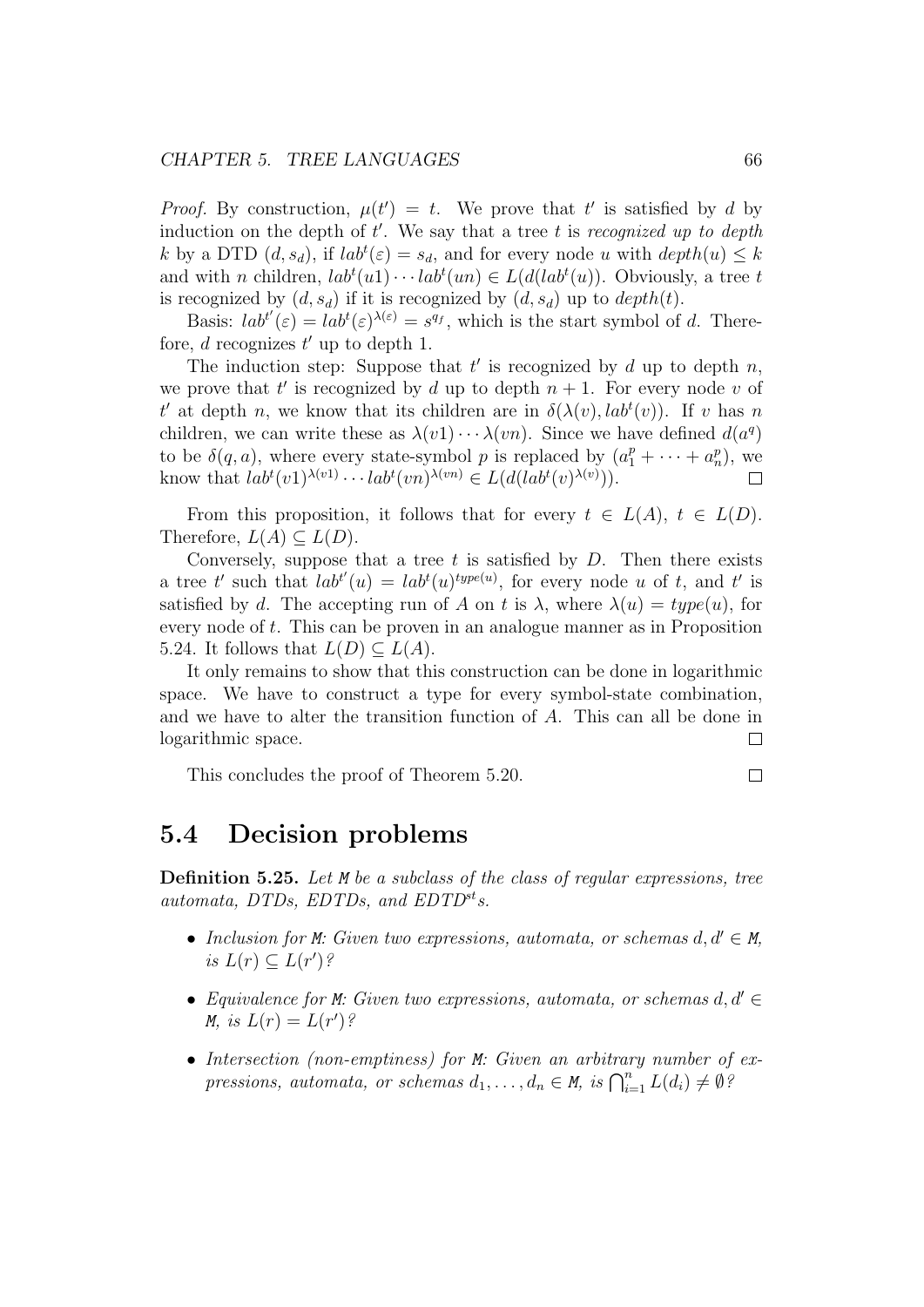#### CHAPTER 5. TREE LANGUAGES 66

*Proof.* By construction,  $\mu(t') = t$ . We prove that t' is satisfied by d by induction on the depth of  $t'$ . We say that a tree t is recognized up to depth k by a DTD  $(d, s_d)$ , if  $lab^t(\varepsilon) = s_d$ , and for every node u with  $depth(u) \leq k$ and with *n* children,  $lab^{t}(u_1) \cdots lab^{t}(u_n) \in L(d(lab^{t}(u))$ . Obviously, a tree t is recognized by  $(d, s_d)$  if it is recognized by  $(d, s_d)$  up to  $depth(t)$ .

Basis:  $lab^{t'}(\varepsilon) = lab^{t}(\varepsilon)^{\lambda(\varepsilon)} = s^{q_f}$ , which is the start symbol of d. Therefore,  $d$  recognizes  $t'$  up to depth 1.

The induction step: Suppose that  $t'$  is recognized by  $d$  up to depth  $n$ , we prove that t' is recognized by d up to depth  $n + 1$ . For every node v of t' at depth n, we know that its children are in  $\delta(\lambda(v), lab^t(v))$ . If v has n children, we can write these as  $\lambda(v_1)\cdots\lambda(v_n)$ . Since we have defined  $d(a^q)$ to be  $\delta(q, a)$ , where every state-symbol p is replaced by  $(a_1^p + \cdots + a_n^p)$ , we know that  $lab^{t}(v_{1})^{\lambda(v_{1})}\cdots lab^{t}(vn)^{\lambda(v_{n})} \in L(d(lab^{t}(v)^{\lambda(v)})).$ 

From this proposition, it follows that for every  $t \in L(A)$ ,  $t \in L(D)$ . Therefore,  $L(A) \subseteq L(D)$ .

Conversely, suppose that a tree  $t$  is satisfied by  $D$ . Then there exists a tree t' such that  $lab^{t'}(u) = lab^{t}(u)^{type(u)}$ , for every node u of t, and t' is satisfied by d. The accepting run of A on t is  $\lambda$ , where  $\lambda(u) = type(u)$ , for every node of t. This can be proven in an analogue manner as in Proposition 5.24. It follows that  $L(D) \subseteq L(A)$ .

It only remains to show that this construction can be done in logarithmic space. We have to construct a type for every symbol-state combination, and we have to alter the transition function of A. This can all be done in logarithmic space.  $\Box$ 

This concludes the proof of Theorem 5.20.

## 5.4 Decision problems

Definition 5.25. Let M be a subclass of the class of regular expressions, tree automata, DTDs, EDTDs, and  $EDTD<sup>st</sup>$ s.

- Inclusion for M: Given two expressions, automata, or schemas  $d, d' \in M$ , is  $L(r) \subseteq L(r')$ ?
- Equivalence for M: Given two expressions, automata, or schemas  $d, d' \in$ M, is  $L(r) = L(r')$ ?
- Intersection (non-emptiness) for M: Given an arbitrary number of expressions, automata, or schemas  $d_1, \ldots, d_n \in M$ , is  $\bigcap_{i=1}^n L(d_i) \neq \emptyset$ ?

 $\Box$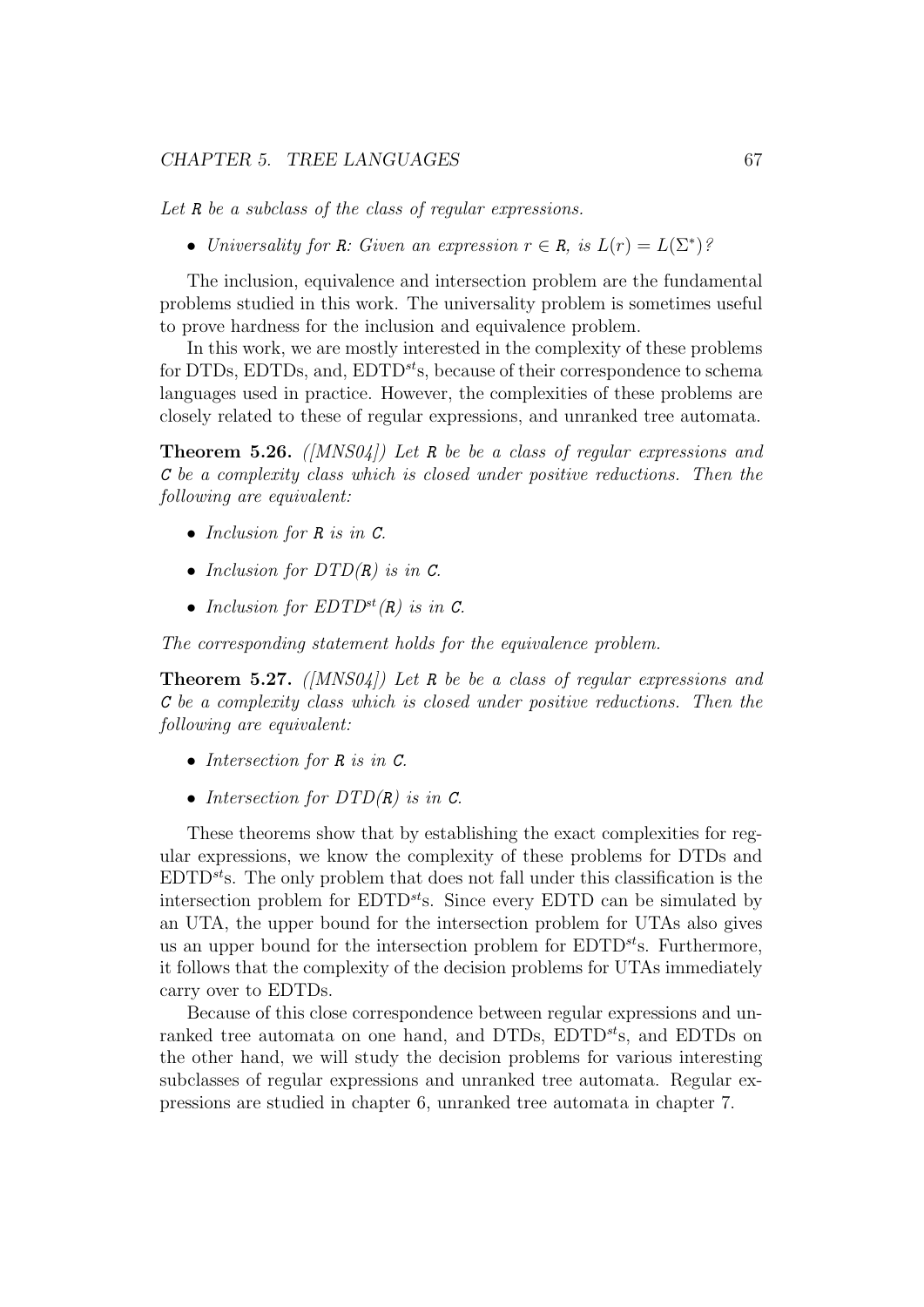#### CHAPTER 5. TREE LANGUAGES 67

Let R be a subclass of the class of regular expressions.

• Universality for R: Given an expression  $r \in R$ , is  $L(r) = L(\Sigma^*)$ ?

The inclusion, equivalence and intersection problem are the fundamental problems studied in this work. The universality problem is sometimes useful to prove hardness for the inclusion and equivalence problem.

In this work, we are mostly interested in the complexity of these problems for DTDs, EDTDs, and,  $EDTD^{st}$ s, because of their correspondence to schema languages used in practice. However, the complexities of these problems are closely related to these of regular expressions, and unranked tree automata.

**Theorem 5.26.** ( $[MNS04]$ ) Let R be be a class of regular expressions and C be a complexity class which is closed under positive reductions. Then the following are equivalent:

- Inclusion for R is in C.
- Inclusion for  $DTD(R)$  is in  $C$ .
- Inclusion for  $EDTD^{st}(R)$  is in C.

The corresponding statement holds for the equivalence problem.

**Theorem 5.27.** ([MNS04]) Let R be be a class of regular expressions and C be a complexity class which is closed under positive reductions. Then the following are equivalent:

- Intersection for R is in C.
- Intersection for  $DTD(R)$  is in C.

These theorems show that by establishing the exact complexities for regular expressions, we know the complexity of these problems for DTDs and  $EDTD<sup>st</sup>$ s. The only problem that does not fall under this classification is the intersection problem for  $EDTD^{st}$ s. Since every  $EDTD$  can be simulated by an UTA, the upper bound for the intersection problem for UTAs also gives us an upper bound for the intersection problem for  $EDTD<sup>st</sup>$ s. Furthermore, it follows that the complexity of the decision problems for UTAs immediately carry over to EDTDs.

Because of this close correspondence between regular expressions and unranked tree automata on one hand, and DTDs,  $EDTD^{st}$ s, and  $EDTDs$  on the other hand, we will study the decision problems for various interesting subclasses of regular expressions and unranked tree automata. Regular expressions are studied in chapter 6, unranked tree automata in chapter 7.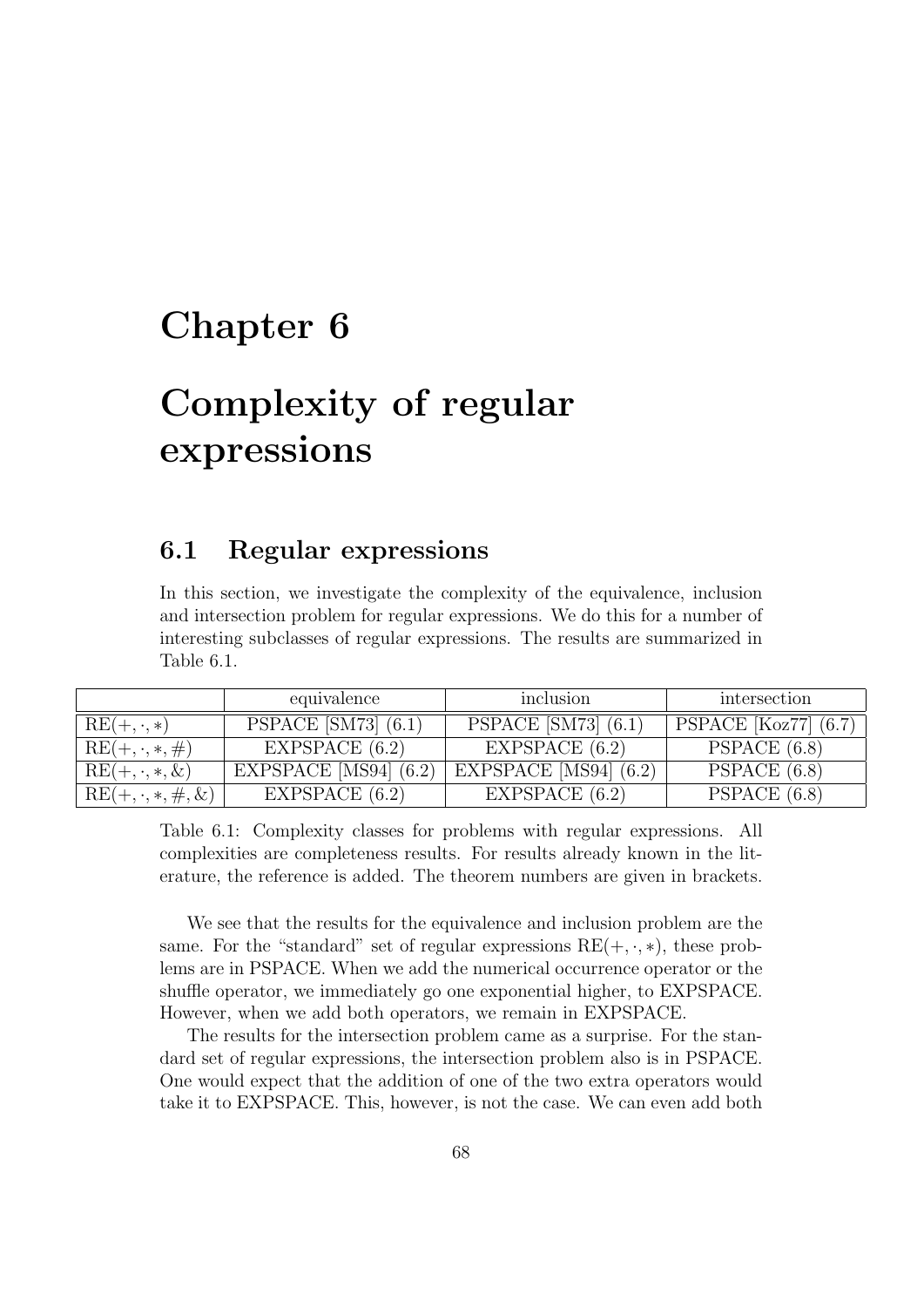## Chapter 6

# Complexity of regular expressions

## 6.1 Regular expressions

In this section, we investigate the complexity of the equivalence, inclusion and intersection problem for regular expressions. We do this for a number of interesting subclasses of regular expressions. The results are summarized in Table 6.1.

|                           | equivalence             | inclusion               | intersection             |
|---------------------------|-------------------------|-------------------------|--------------------------|
| $RE(+, \cdot, *)$         | PSPACE $[SM73]$ $(6.1)$ | PSPACE $[SM73]$ $(6.1)$ | PSPACE $[Koz77]$ $(6.7)$ |
| $RE(+, \cdot, *, \#)$     | EXPSPACE $(6.2)$        | EXPSPACE $(6.2)$        | PSPACE (6.8)             |
| $RE(+, \cdot, *, \&)$     | EXPSPACE [MS94] $(6.2)$ | EXPSPACE [MS94] $(6.2)$ | PSPACE $(6.8)$           |
| $RE(+, \cdot, *, \#, \&)$ | EXPSPACE $(6.2)$        | EXPSPACE $(6.2)$        | PSPACE $(6.8)$           |

Table 6.1: Complexity classes for problems with regular expressions. All complexities are completeness results. For results already known in the literature, the reference is added. The theorem numbers are given in brackets.

We see that the results for the equivalence and inclusion problem are the same. For the "standard" set of regular expressions  $RE(+, \cdot, *)$ , these problems are in PSPACE. When we add the numerical occurrence operator or the shuffle operator, we immediately go one exponential higher, to EXPSPACE. However, when we add both operators, we remain in EXPSPACE.

The results for the intersection problem came as a surprise. For the standard set of regular expressions, the intersection problem also is in PSPACE. One would expect that the addition of one of the two extra operators would take it to EXPSPACE. This, however, is not the case. We can even add both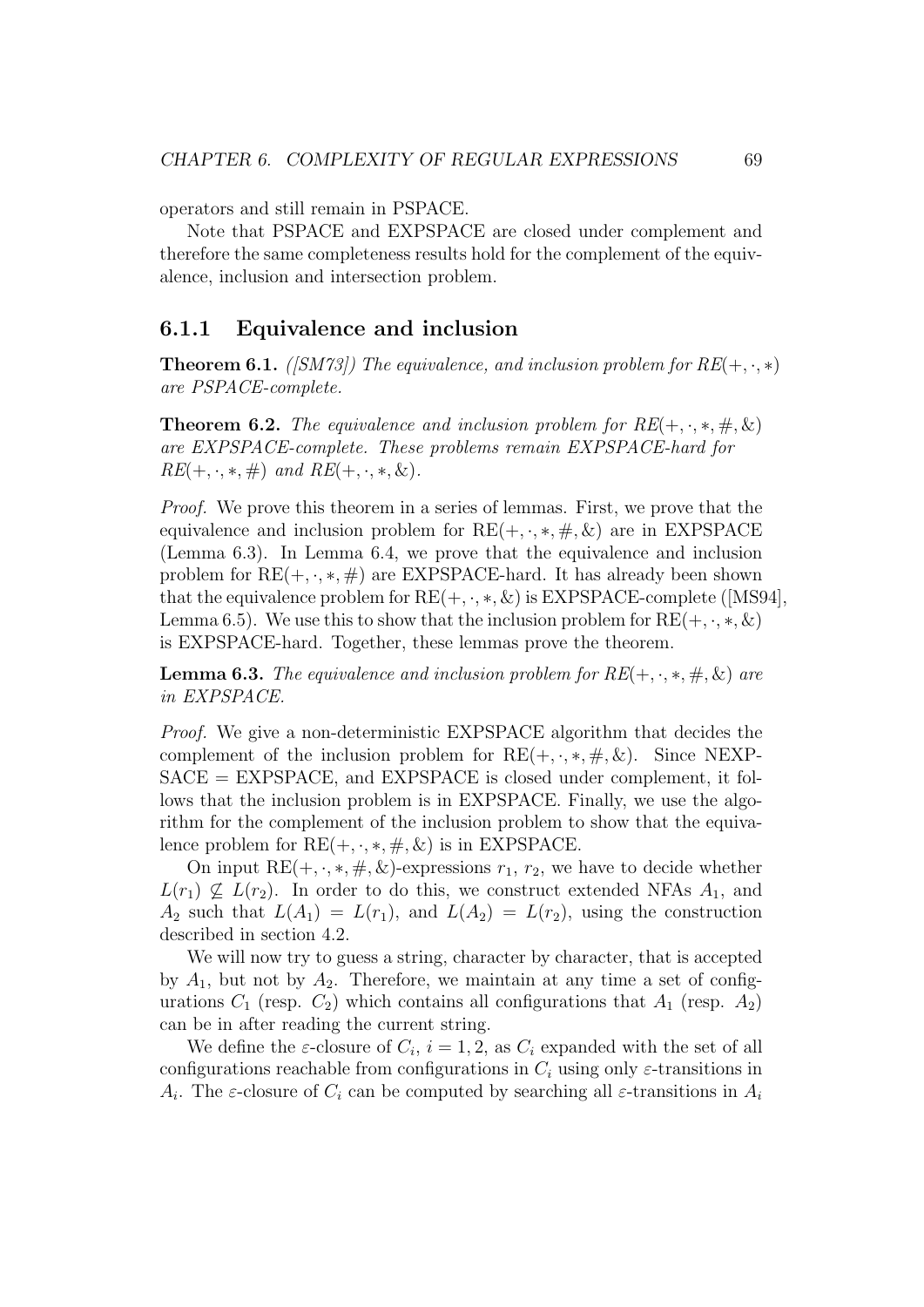operators and still remain in PSPACE.

Note that PSPACE and EXPSPACE are closed under complement and therefore the same completeness results hold for the complement of the equivalence, inclusion and intersection problem.

#### 6.1.1 Equivalence and inclusion

**Theorem 6.1.** ([SM73]) The equivalence, and inclusion problem for  $RE(+, \cdot, *)$ are PSPACE-complete.

**Theorem 6.2.** The equivalence and inclusion problem for  $RE(+, \cdot, *, \#, \&)$ are EXPSPACE-complete. These problems remain EXPSPACE-hard for  $RE(+, \cdot, *, \#)$  and  $RE(+, \cdot, *, \&).$ 

Proof. We prove this theorem in a series of lemmas. First, we prove that the equivalence and inclusion problem for  $RE(+, \cdot, *, \#, \&)$  are in EXPSPACE (Lemma 6.3). In Lemma 6.4, we prove that the equivalence and inclusion problem for  $RE(+, \cdot, *, \#)$  are EXPSPACE-hard. It has already been shown that the equivalence problem for  $RE(+, \cdot, *, \&)$  is EXPSPACE-complete ([MS94], Lemma 6.5). We use this to show that the inclusion problem for  $RE(+, \cdot, *, \&)$ is EXPSPACE-hard. Together, these lemmas prove the theorem.

**Lemma 6.3.** The equivalence and inclusion problem for  $RE(+, \cdot, *, \#, \&)$  are in EXPSPACE.

Proof. We give a non-deterministic EXPSPACE algorithm that decides the complement of the inclusion problem for  $RE(+, \cdot, *, \#, \&)$ . Since NEXP- $SACE = EXPSPACE$ , and  $EXPSPACE$  is closed under complement, it follows that the inclusion problem is in EXPSPACE. Finally, we use the algorithm for the complement of the inclusion problem to show that the equivalence problem for  $RE(+, \cdot, *, \#, \&)$  is in EXPSPACE.

On input  $RE(+, \cdot, *, \#, \&)$ -expressions  $r_1, r_2$ , we have to decide whether  $L(r_1) \nsubseteq L(r_2)$ . In order to do this, we construct extended NFAs  $A_1$ , and  $A_2$  such that  $L(A_1) = L(r_1)$ , and  $L(A_2) = L(r_2)$ , using the construction described in section 4.2.

We will now try to guess a string, character by character, that is accepted by  $A_1$ , but not by  $A_2$ . Therefore, we maintain at any time a set of configurations  $C_1$  (resp.  $C_2$ ) which contains all configurations that  $A_1$  (resp.  $A_2$ ) can be in after reading the current string.

We define the  $\varepsilon$ -closure of  $C_i$ ,  $i = 1, 2$ , as  $C_i$  expanded with the set of all configurations reachable from configurations in  $C_i$  using only  $\varepsilon$ -transitions in  $A_i$ . The  $\varepsilon$ -closure of  $C_i$  can be computed by searching all  $\varepsilon$ -transitions in  $A_i$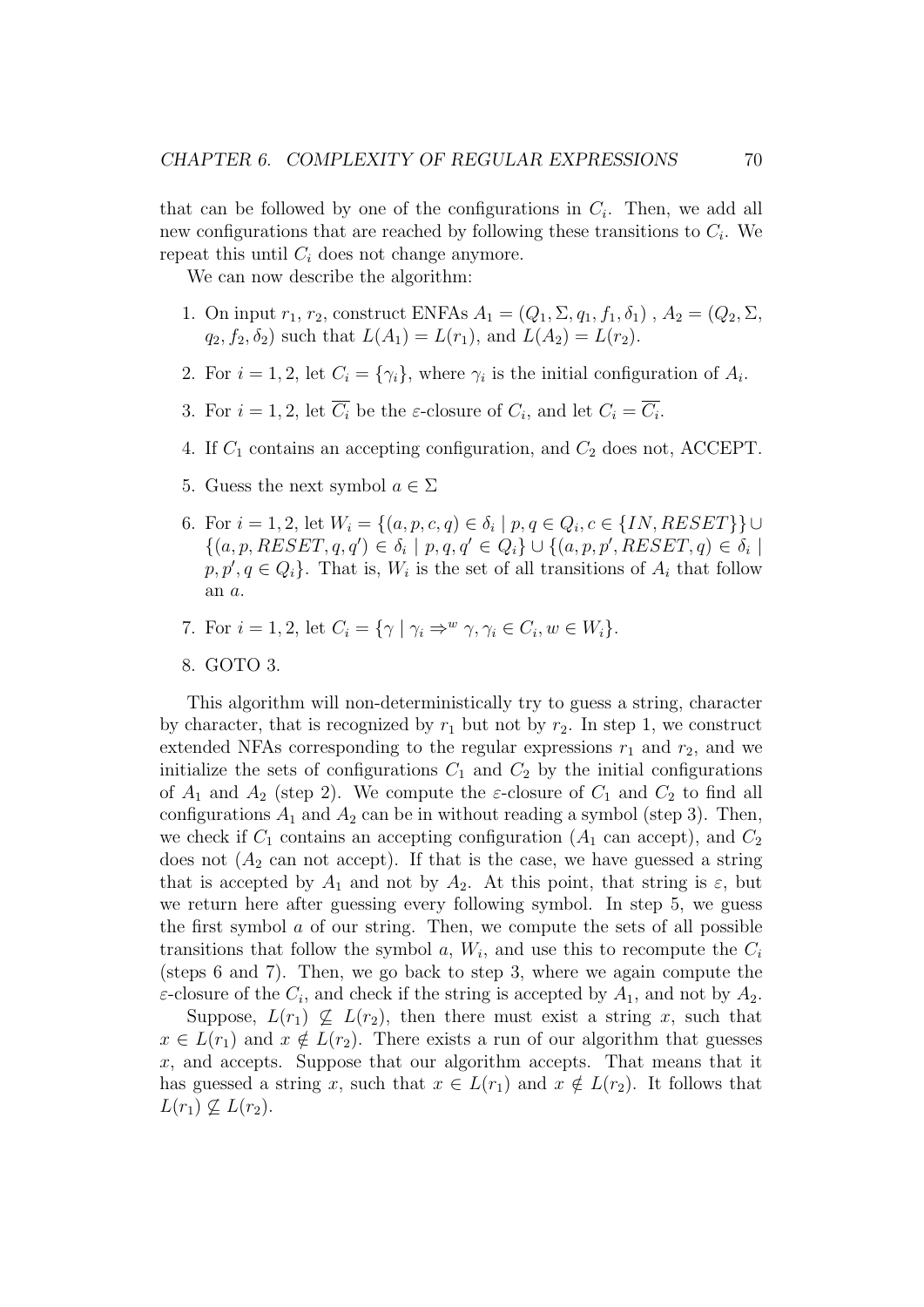that can be followed by one of the configurations in  $C_i$ . Then, we add all new configurations that are reached by following these transitions to  $C_i$ . We repeat this until  $C_i$  does not change anymore.

We can now describe the algorithm:

- 1. On input  $r_1, r_2$ , construct ENFAs  $A_1 = (Q_1, \Sigma, q_1, f_1, \delta_1)$ ,  $A_2 = (Q_2, \Sigma,$  $q_2, f_2, \delta_2$  such that  $L(A_1) = L(r_1)$ , and  $L(A_2) = L(r_2)$ .
- 2. For  $i = 1, 2$ , let  $C_i = {\gamma_i}$ , where  $\gamma_i$  is the initial configuration of  $A_i$ .
- 3. For  $i = 1, 2$ , let  $C_i$  be the  $\varepsilon$ -closure of  $C_i$ , and let  $C_i = C_i$ .
- 4. If  $C_1$  contains an accepting configuration, and  $C_2$  does not, ACCEPT.
- 5. Guess the next symbol  $a \in \Sigma$
- 6. For  $i = 1, 2$ , let  $W_i = \{(a, p, c, q) \in \delta_i \mid p, q \in Q_i, c \in \{IN, RESET\}\}\cup$  $\{(a, p, REST, q, q') \in \delta_i \mid p, q, q' \in Q_i\} \cup \{(a, p, p', REST, q) \in \delta_i \mid p, q' \in Q_i\}$  $p, p', q \in Q_i$ . That is,  $W_i$  is the set of all transitions of  $A_i$  that follow an a.
- 7. For  $i = 1, 2$ , let  $C_i = \{ \gamma \mid \gamma_i \Rightarrow^w \gamma, \gamma_i \in C_i, w \in W_i \}.$
- 8. GOTO 3.

This algorithm will non-deterministically try to guess a string, character by character, that is recognized by  $r_1$  but not by  $r_2$ . In step 1, we construct extended NFAs corresponding to the regular expressions  $r_1$  and  $r_2$ , and we initialize the sets of configurations  $C_1$  and  $C_2$  by the initial configurations of  $A_1$  and  $A_2$  (step 2). We compute the *ε*-closure of  $C_1$  and  $C_2$  to find all configurations  $A_1$  and  $A_2$  can be in without reading a symbol (step 3). Then, we check if  $C_1$  contains an accepting configuration  $(A_1$  can accept), and  $C_2$ does not  $(A_2$  can not accept). If that is the case, we have guessed a string that is accepted by  $A_1$  and not by  $A_2$ . At this point, that string is  $\varepsilon$ , but we return here after guessing every following symbol. In step 5, we guess the first symbol a of our string. Then, we compute the sets of all possible transitions that follow the symbol  $a, W_i$ , and use this to recompute the  $C_i$ (steps 6 and 7). Then, we go back to step 3, where we again compute the  $\varepsilon$ -closure of the  $C_i$ , and check if the string is accepted by  $A_1$ , and not by  $A_2$ .

Suppose,  $L(r_1) \nsubseteq L(r_2)$ , then there must exist a string x, such that  $x \in L(r_1)$  and  $x \notin L(r_2)$ . There exists a run of our algorithm that guesses  $x$ , and accepts. Suppose that our algorithm accepts. That means that it has guessed a string x, such that  $x \in L(r_1)$  and  $x \notin L(r_2)$ . It follows that  $L(r_1) \nsubseteq L(r_2)$ .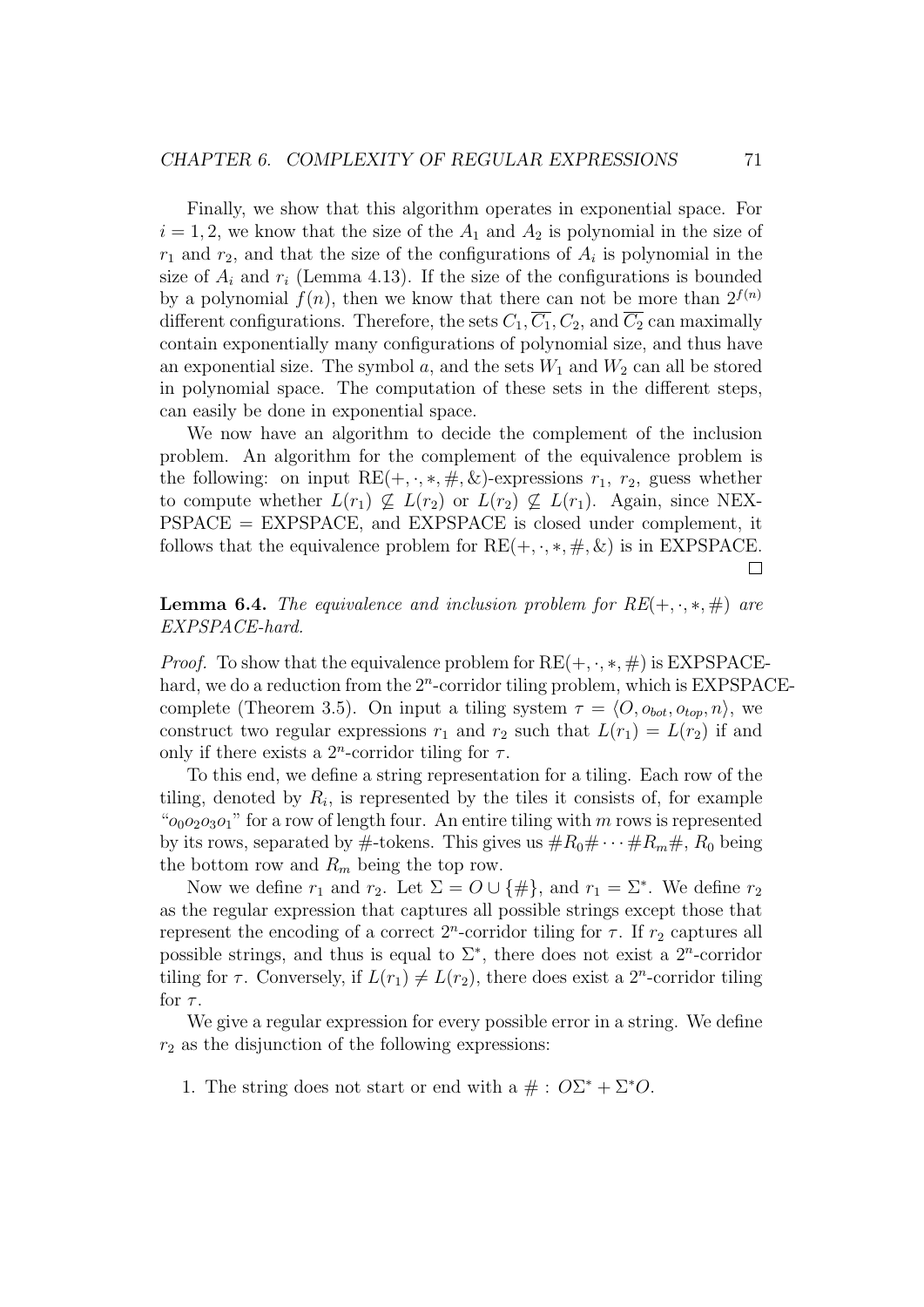Finally, we show that this algorithm operates in exponential space. For  $i = 1, 2$ , we know that the size of the  $A_1$  and  $A_2$  is polynomial in the size of  $r_1$  and  $r_2$ , and that the size of the configurations of  $A_i$  is polynomial in the size of  $A_i$  and  $r_i$  (Lemma 4.13). If the size of the configurations is bounded by a polynomial  $f(n)$ , then we know that there can not be more than  $2^{f(n)}$ different configurations. Therefore, the sets  $C_1$ ,  $\overline{C_1}$ ,  $C_2$ , and  $\overline{C_2}$  can maximally contain exponentially many configurations of polynomial size, and thus have an exponential size. The symbol a, and the sets  $W_1$  and  $W_2$  can all be stored in polynomial space. The computation of these sets in the different steps, can easily be done in exponential space.

We now have an algorithm to decide the complement of the inclusion problem. An algorithm for the complement of the equivalence problem is the following: on input  $RE(+, \cdot, *, \#, \&)$ -expressions  $r_1, r_2$ , guess whether to compute whether  $L(r_1) \nsubseteq L(r_2)$  or  $L(r_2) \nsubseteq L(r_1)$ . Again, since NEX-PSPACE = EXPSPACE, and EXPSPACE is closed under complement, it follows that the equivalence problem for  $RE(+, \cdot, *, \#, \&)$  is in EXPSPACE.  $\Box$ 

**Lemma 6.4.** The equivalence and inclusion problem for  $RE(+, \cdot, *, \#)$  are EXPSPACE-hard.

*Proof.* To show that the equivalence problem for  $RE(+, \cdot, *, \#)$  is EXPSPACEhard, we do a reduction from the  $2^n$ -corridor tiling problem, which is EXPSPACEcomplete (Theorem 3.5). On input a tiling system  $\tau = \langle O, o_{\text{bot}}, o_{\text{top}}, n \rangle$ , we construct two regular expressions  $r_1$  and  $r_2$  such that  $L(r_1) = L(r_2)$  if and only if there exists a  $2^n$ -corridor tiling for  $\tau$ .

To this end, we define a string representation for a tiling. Each row of the tiling, denoted by  $R_i$ , is represented by the tiles it consists of, for example " $o_0o_2o_3o_1$ " for a row of length four. An entire tiling with m rows is represented by its rows, separated by #-tokens. This gives us  $\#R_0\#\cdots\#R_m\#, R_0$  being the bottom row and  $R_m$  being the top row.

Now we define  $r_1$  and  $r_2$ . Let  $\Sigma = O \cup \{\#\}$ , and  $r_1 = \Sigma^*$ . We define  $r_2$ as the regular expression that captures all possible strings except those that represent the encoding of a correct  $2^n$ -corridor tiling for  $\tau$ . If  $r_2$  captures all possible strings, and thus is equal to  $\Sigma^*$ , there does not exist a  $2^n$ -corridor tiling for  $\tau$ . Conversely, if  $L(r_1) \neq L(r_2)$ , there does exist a 2<sup>n</sup>-corridor tiling for  $\tau$ .

We give a regular expression for every possible error in a string. We define  $r<sub>2</sub>$  as the disjunction of the following expressions:

1. The string does not start or end with a  $# : O\Sigma^* + \Sigma^* O$ .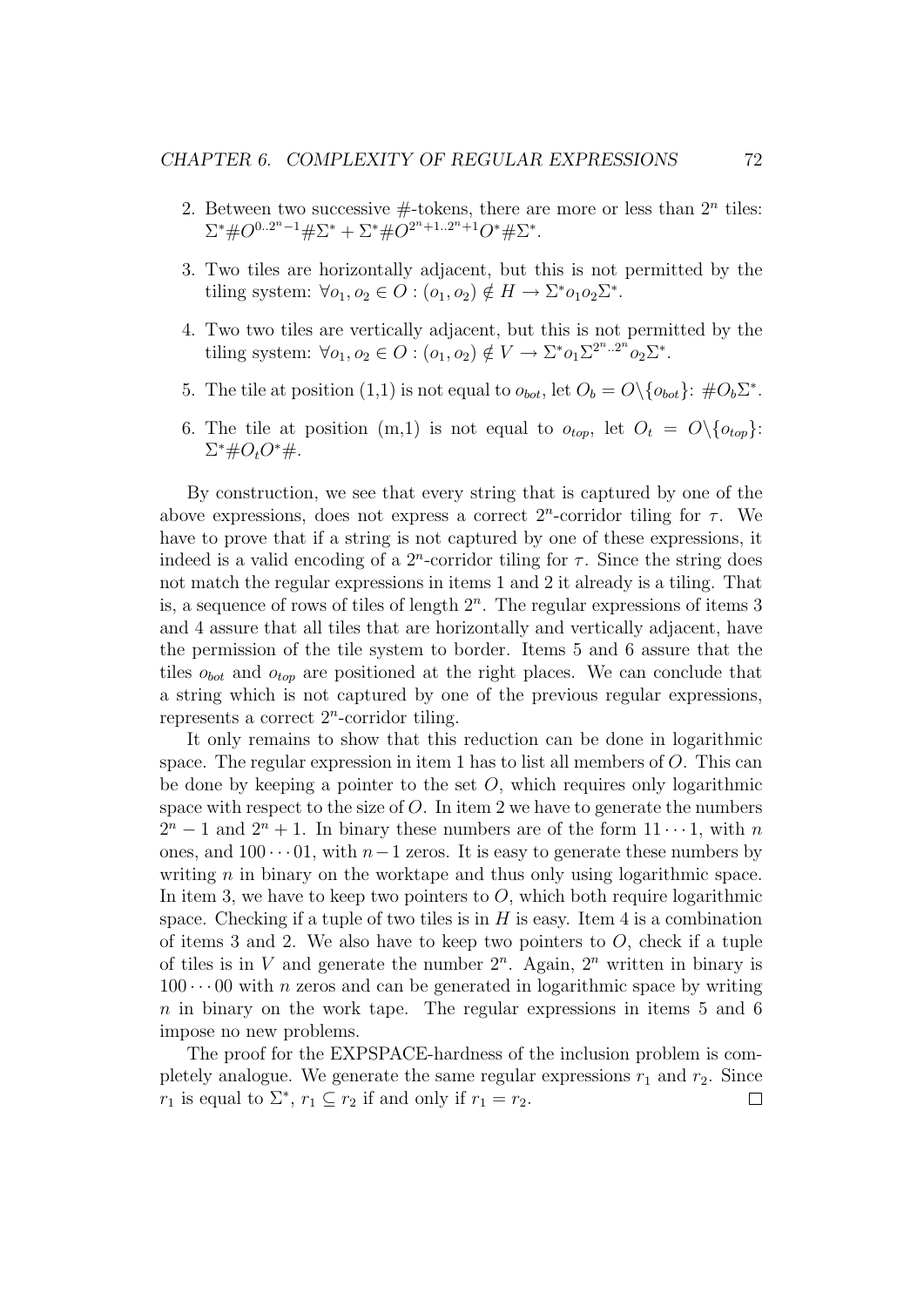- 2. Between two successive  $#$ -tokens, there are more or less than  $2<sup>n</sup>$  tiles:  $\Sigma^* \# O^{0..2^n-1} \# \Sigma^* + \Sigma^* \# O^{2^n+1..2^n+1} O^* \# \Sigma^*.$
- 3. Two tiles are horizontally adjacent, but this is not permitted by the tiling system:  $\forall o_1, o_2 \in O : (o_1, o_2) \notin H \to \Sigma^* o_1 o_2 \Sigma^*$ .
- 4. Two two tiles are vertically adjacent, but this is not permitted by the tiling system:  $\forall o_1, o_2 \in O : (o_1, o_2) \notin V \to \Sigma^* o_1 \Sigma^{2^n .. 2^n} o_2 \Sigma^*$ .
- 5. The tile at position (1,1) is not equal to  $o_{bot}$ , let  $O_b = O \setminus \{o_{bot}\}\colon \# O_b \Sigma^*$ .
- 6. The tile at position  $(m,1)$  is not equal to  $o_{top}$ , let  $O_t = O\{o_{top}\}\$ :  $\Sigma^* \# O_t O^* \#$ .

By construction, we see that every string that is captured by one of the above expressions, does not express a correct  $2^n$ -corridor tiling for  $\tau$ . We have to prove that if a string is not captured by one of these expressions, it indeed is a valid encoding of a  $2^n$ -corridor tiling for  $\tau$ . Since the string does not match the regular expressions in items 1 and 2 it already is a tiling. That is, a sequence of rows of tiles of length  $2<sup>n</sup>$ . The regular expressions of items 3 and 4 assure that all tiles that are horizontally and vertically adjacent, have the permission of the tile system to border. Items 5 and 6 assure that the tiles  $o_{bot}$  and  $o_{top}$  are positioned at the right places. We can conclude that a string which is not captured by one of the previous regular expressions, represents a correct  $2^n$ -corridor tiling.

It only remains to show that this reduction can be done in logarithmic space. The regular expression in item 1 has to list all members of  $O$ . This can be done by keeping a pointer to the set  $O$ , which requires only logarithmic space with respect to the size of  $O$ . In item 2 we have to generate the numbers  $2^{n} - 1$  and  $2^{n} + 1$ . In binary these numbers are of the form  $11 \cdots 1$ , with n ones, and  $100 \cdots 01$ , with  $n-1$  zeros. It is easy to generate these numbers by writing  $n$  in binary on the worktape and thus only using logarithmic space. In item 3, we have to keep two pointers to  $O$ , which both require logarithmic space. Checking if a tuple of two tiles is in  $H$  is easy. Item 4 is a combination of items 3 and 2. We also have to keep two pointers to  $O$ , check if a tuple of tiles is in V and generate the number  $2^n$ . Again,  $2^n$  written in binary is  $100 \cdots 00$  with *n* zeros and can be generated in logarithmic space by writing  $n$  in binary on the work tape. The regular expressions in items 5 and 6 impose no new problems.

The proof for the EXPSPACE-hardness of the inclusion problem is completely analogue. We generate the same regular expressions  $r_1$  and  $r_2$ . Since  $r_1$  is equal to  $\Sigma^*$ ,  $r_1 \subseteq r_2$  if and only if  $r_1 = r_2$ . П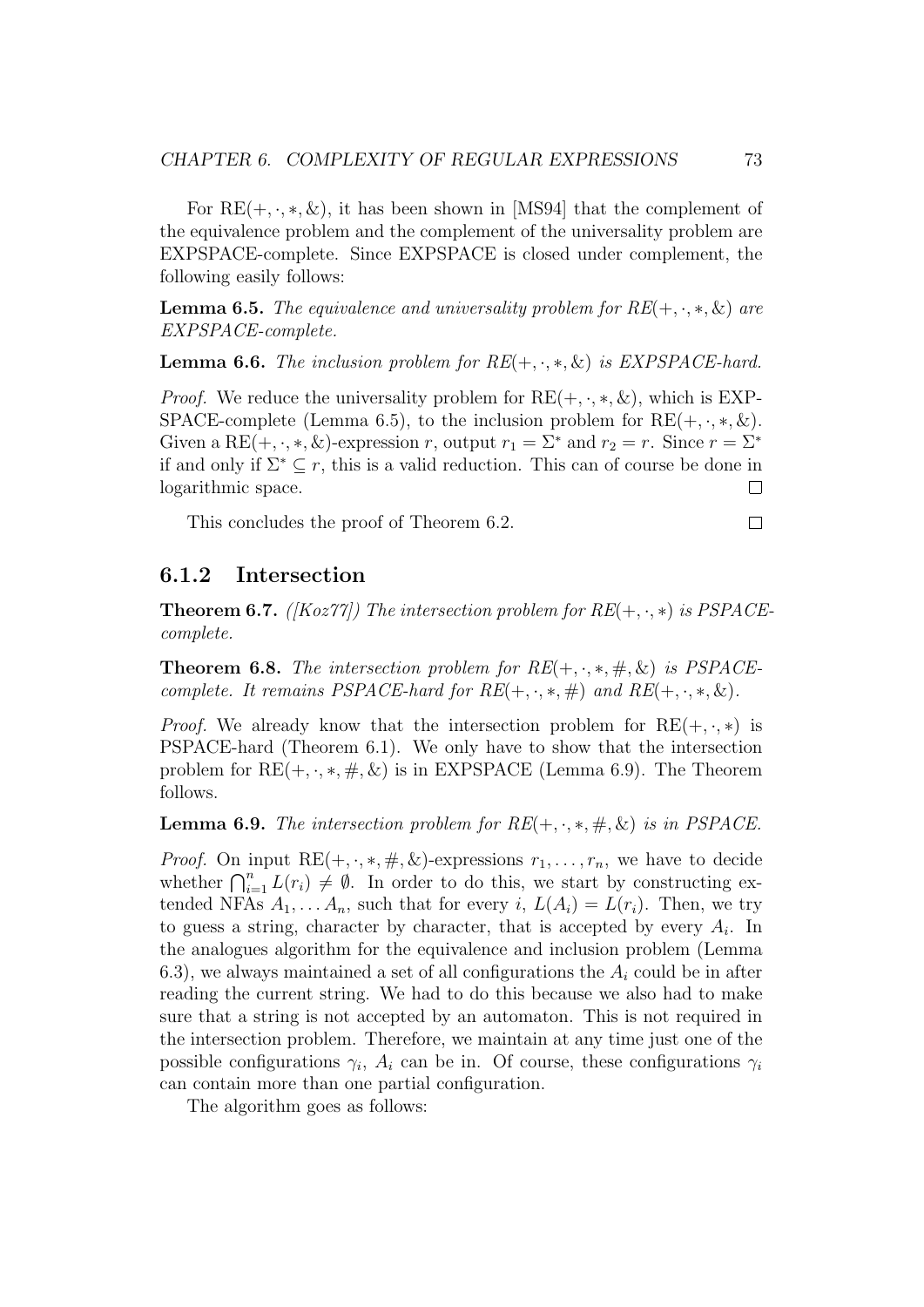For  $RE(+, \cdot, *, \&)$ , it has been shown in [MS94] that the complement of the equivalence problem and the complement of the universality problem are EXPSPACE-complete. Since EXPSPACE is closed under complement, the following easily follows:

**Lemma 6.5.** The equivalence and universality problem for  $RE(+, \cdot, *, \&)$  are EXPSPACE-complete.

**Lemma 6.6.** The inclusion problem for  $RE(+, \cdot, *, \&)$  is EXPSPACE-hard.

*Proof.* We reduce the universality problem for  $RE(+, \cdot, *, \&)$ , which is EXP-SPACE-complete (Lemma 6.5), to the inclusion problem for  $RE(+, \cdot, *, \&)$ . Given a RE(+, ·, \*, &)-expression r, output  $r_1 = \Sigma^*$  and  $r_2 = r$ . Since  $r = \Sigma^*$ if and only if  $\Sigma^* \subseteq r$ , this is a valid reduction. This can of course be done in logarithmic space.  $\Box$ 

This concludes the proof of Theorem 6.2.

6.1.2 Intersection

**Theorem 6.7.** ([Koz77]) The intersection problem for  $RE(+, \cdot, *)$  is  $PSPACE$ complete.

**Theorem 6.8.** The intersection problem for  $RE(+, \cdot, *, \#, \&)$  is PSPACEcomplete. It remains PSPACE-hard for  $RE(+, \cdot, *, \#)$  and  $RE(+, \cdot, *, \&)$ .

*Proof.* We already know that the intersection problem for  $RE(+, \cdot, *)$  is PSPACE-hard (Theorem 6.1). We only have to show that the intersection problem for  $RE(+, \cdot, *, \#, \&)$  is in EXPSPACE (Lemma 6.9). The Theorem follows.

**Lemma 6.9.** The intersection problem for  $RE(+, \cdot, *, \#, \&)$  is in PSPACE.

*Proof.* On input  $RE(+, \cdot, *, \#, \&)$ -expressions  $r_1, \ldots, r_n$ , we have to decide whether  $\bigcap_{i=1}^n L(r_i) \neq \emptyset$ . In order to do this, we start by constructing extended NFAs  $A_1, \ldots, A_n$ , such that for every i,  $L(A_i) = L(r_i)$ . Then, we try to guess a string, character by character, that is accepted by every  $A_i$ . In the analogues algorithm for the equivalence and inclusion problem (Lemma 6.3), we always maintained a set of all configurations the  $A_i$  could be in after reading the current string. We had to do this because we also had to make sure that a string is not accepted by an automaton. This is not required in the intersection problem. Therefore, we maintain at any time just one of the possible configurations  $\gamma_i$ ,  $A_i$  can be in. Of course, these configurations  $\gamma_i$ can contain more than one partial configuration.

The algorithm goes as follows:

 $\Box$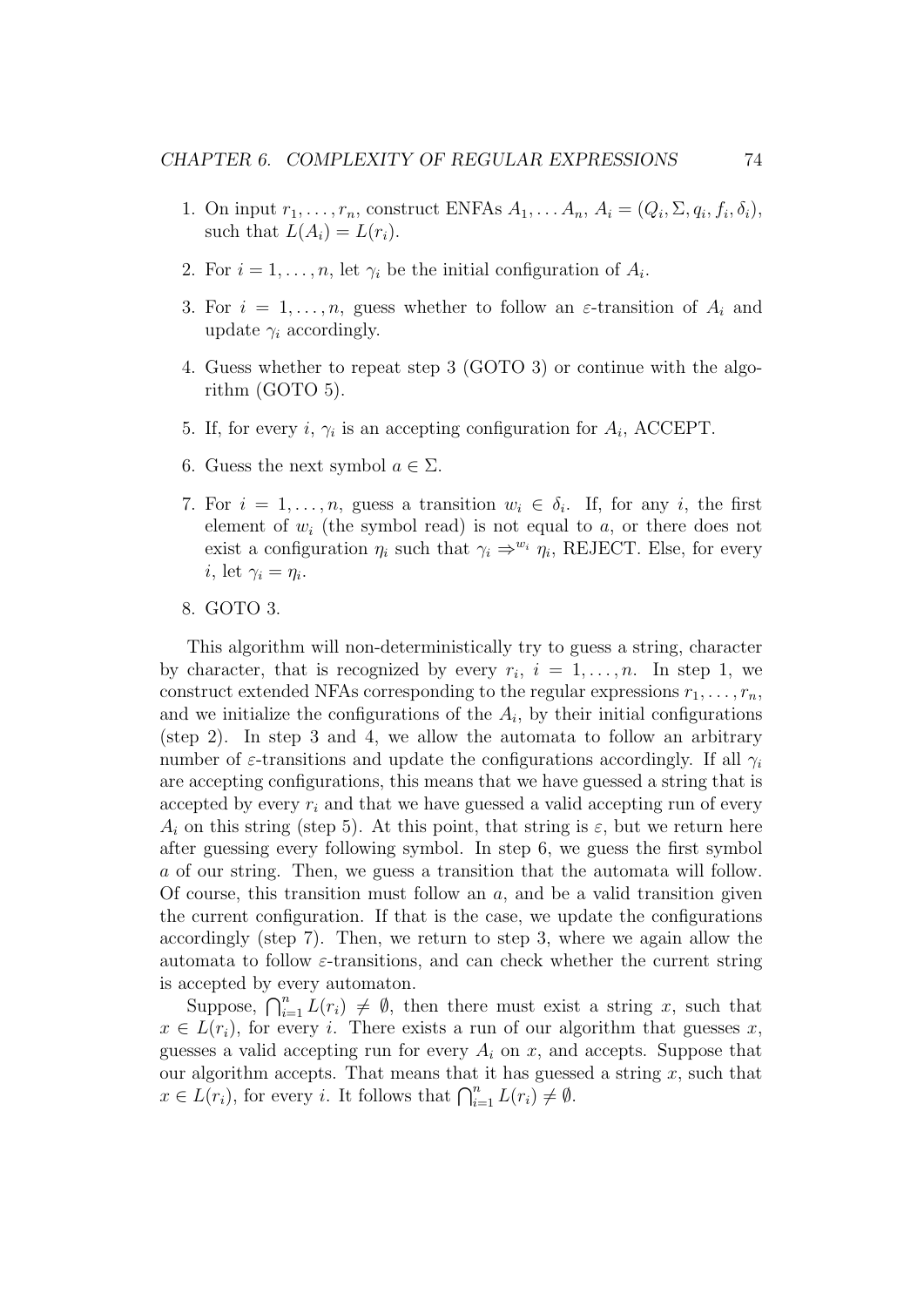- 1. On input  $r_1, \ldots, r_n$ , construct ENFAs  $A_1, \ldots, A_n, A_i = (Q_i, \Sigma, q_i, f_i, \delta_i)$ , such that  $L(A_i) = L(r_i)$ .
- 2. For  $i = 1, \ldots, n$ , let  $\gamma_i$  be the initial configuration of  $A_i$ .
- 3. For  $i = 1, \ldots, n$ , guess whether to follow an  $\varepsilon$ -transition of  $A_i$  and update  $\gamma_i$  accordingly.
- 4. Guess whether to repeat step 3 (GOTO 3) or continue with the algorithm (GOTO 5).
- 5. If, for every i,  $\gamma_i$  is an accepting configuration for  $A_i$ , ACCEPT.
- 6. Guess the next symbol  $a \in \Sigma$ .
- 7. For  $i = 1, \ldots, n$ , guess a transition  $w_i \in \delta_i$ . If, for any i, the first element of  $w_i$  (the symbol read) is not equal to  $a$ , or there does not exist a configuration  $\eta_i$  such that  $\gamma_i \Rightarrow^{w_i} \eta_i$ , REJECT. Else, for every *i*, let  $\gamma_i = \eta_i$ .
- 8. GOTO 3.

This algorithm will non-deterministically try to guess a string, character by character, that is recognized by every  $r_i$ ,  $i = 1, ..., n$ . In step 1, we construct extended NFAs corresponding to the regular expressions  $r_1, \ldots, r_n$ , and we initialize the configurations of the  $A_i$ , by their initial configurations (step 2). In step 3 and 4, we allow the automata to follow an arbitrary number of  $\varepsilon$ -transitions and update the configurations accordingly. If all  $\gamma_i$ are accepting configurations, this means that we have guessed a string that is accepted by every  $r_i$  and that we have guessed a valid accepting run of every  $A_i$  on this string (step 5). At this point, that string is  $\varepsilon$ , but we return here after guessing every following symbol. In step 6, we guess the first symbol a of our string. Then, we guess a transition that the automata will follow. Of course, this transition must follow an  $a$ , and be a valid transition given the current configuration. If that is the case, we update the configurations accordingly (step 7). Then, we return to step 3, where we again allow the automata to follow  $\varepsilon$ -transitions, and can check whether the current string is accepted by every automaton.

Suppose,  $\bigcap_{i=1}^n L(r_i) \neq \emptyset$ , then there must exist a string x, such that  $x \in L(r_i)$ , for every i. There exists a run of our algorithm that guesses x, guesses a valid accepting run for every  $A_i$  on x, and accepts. Suppose that our algorithm accepts. That means that it has guessed a string  $x$ , such that  $x \in L(r_i)$ , for every *i*. It follows that  $\bigcap_{i=1}^n L(r_i) \neq \emptyset$ .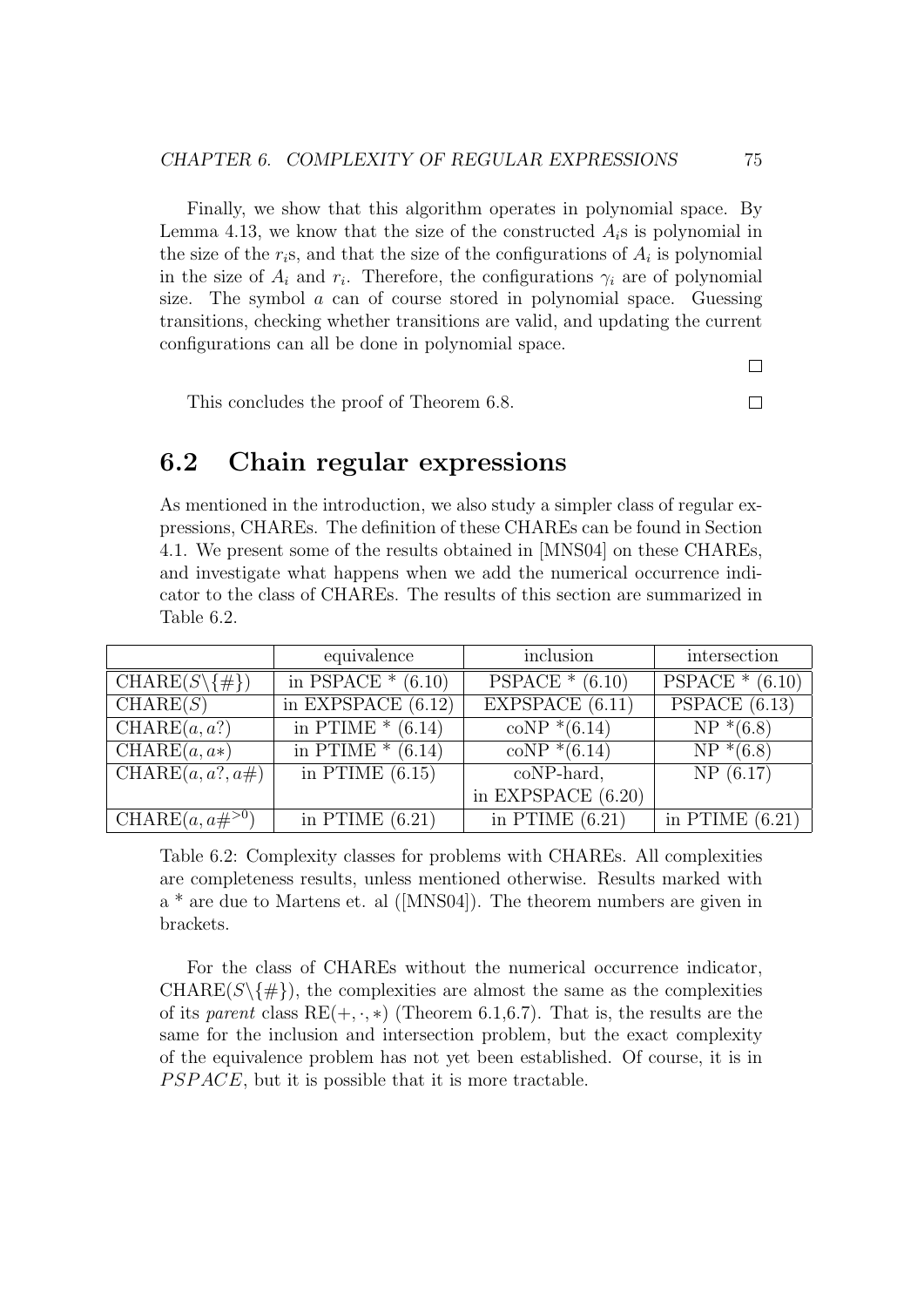Finally, we show that this algorithm operates in polynomial space. By Lemma 4.13, we know that the size of the constructed  $A_i$ s is polynomial in the size of the  $r_i$ s, and that the size of the configurations of  $A_i$  is polynomial in the size of  $A_i$  and  $r_i$ . Therefore, the configurations  $\gamma_i$  are of polynomial size. The symbol a can of course stored in polynomial space. Guessing transitions, checking whether transitions are valid, and updating the current configurations can all be done in polynomial space.

 $\Box$ 

 $\Box$ 

#### This concludes the proof of Theorem 6.8.

## 6.2 Chain regular expressions

As mentioned in the introduction, we also study a simpler class of regular expressions, CHAREs. The definition of these CHAREs can be found in Section 4.1. We present some of the results obtained in [MNS04] on these CHAREs, and investigate what happens when we add the numerical occurrence indicator to the class of CHAREs. The results of this section are summarized in Table 6.2.

|                                  | equivalence          | inclusion                           | intersection      |
|----------------------------------|----------------------|-------------------------------------|-------------------|
| $CHARE(S\backslash \{\# \})$     | in PSPACE $*(6.10)$  | $PSPACE * (6.10)$                   | $PSPACE*(6.10)$   |
| CHARE(S)                         | in EXPSPACE $(6.12)$ | $\overline{\text{EXPSPACE }(6.11)}$ | PSPACE $(6.13)$   |
| $\overline{\text{CHARE}}(a,a?)$  | in PTIME $*(6.14)$   | $coNP*(6.14)$                       | $NP*(6.8)$        |
| $\overline{\text{CHARE}}(a, a*)$ | in PTIME $*(6.14)$   | $coNP*(6.14)$                       | $NP*(6.8)$        |
| CHARE $(a, a?, a\#)$             | in PTIME $(6.15)$    | coNP-hard,                          | NP(6.17)          |
|                                  |                      | in EXPSPACE $(6.20)$                |                   |
| CHARE $(a, a\#^{>0})$            | in PTIME $(6.21)$    | in PTIME $(6.21)$                   | in PTIME $(6.21)$ |

Table 6.2: Complexity classes for problems with CHAREs. All complexities are completeness results, unless mentioned otherwise. Results marked with a \* are due to Martens et. al ([MNS04]). The theorem numbers are given in brackets.

For the class of CHAREs without the numerical occurrence indicator,  $CHARE(S\backslash \{\# \})$ , the complexities are almost the same as the complexities of its parent class  $RE(+, \cdot, *)$  (Theorem 6.1,6.7). That is, the results are the same for the inclusion and intersection problem, but the exact complexity of the equivalence problem has not yet been established. Of course, it is in  $PSPACE$ , but it is possible that it is more tractable.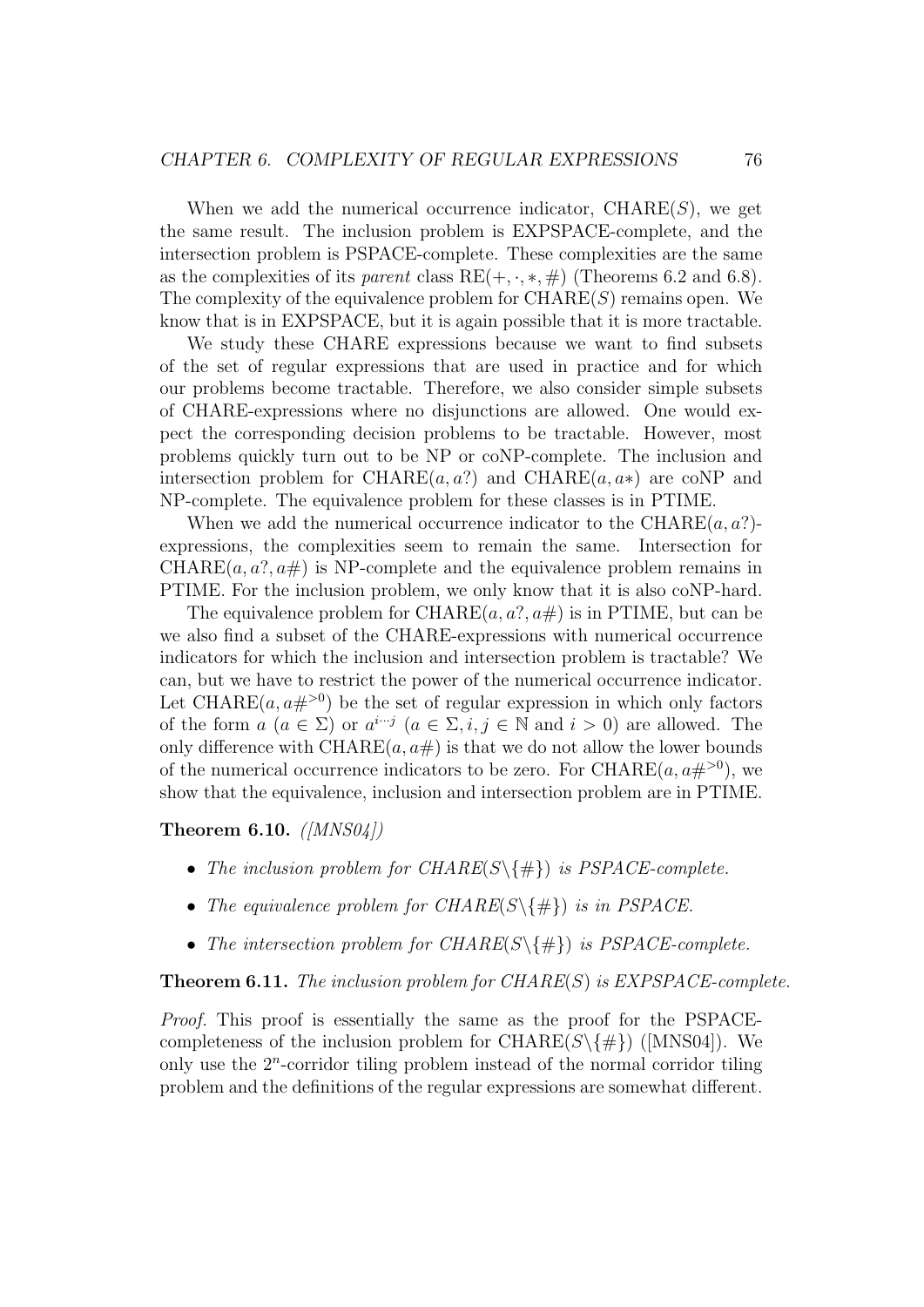When we add the numerical occurrence indicator,  $\mathrm{CHARE}(S)$ , we get the same result. The inclusion problem is EXPSPACE-complete, and the intersection problem is PSPACE-complete. These complexities are the same as the complexities of its parent class  $RE(+, \cdot, *, \#)$  (Theorems 6.2 and 6.8). The complexity of the equivalence problem for  $\mathrm{CHARE}(S)$  remains open. We know that is in EXPSPACE, but it is again possible that it is more tractable.

We study these CHARE expressions because we want to find subsets of the set of regular expressions that are used in practice and for which our problems become tractable. Therefore, we also consider simple subsets of CHARE-expressions where no disjunctions are allowed. One would expect the corresponding decision problems to be tractable. However, most problems quickly turn out to be NP or coNP-complete. The inclusion and intersection problem for CHARE $(a, a^2)$  and CHARE $(a, a^*)$  are coNP and NP-complete. The equivalence problem for these classes is in PTIME.

When we add the numerical occurrence indicator to the CHARE $(a, a)$ expressions, the complexities seem to remain the same. Intersection for  $CHARE(a, a?, a#)$  is NP-complete and the equivalence problem remains in PTIME. For the inclusion problem, we only know that it is also coNP-hard.

The equivalence problem for CHARE $(a, a^2, a\#)$  is in PTIME, but can be we also find a subset of the CHARE-expressions with numerical occurrence indicators for which the inclusion and intersection problem is tractable? We can, but we have to restrict the power of the numerical occurrence indicator. Let CHARE $(a, a\#^{>0})$  be the set of regular expression in which only factors of the form  $a \ (a \in \Sigma)$  or  $a^{i \cdots j} \ (a \in \Sigma, i, j \in \mathbb{N} \text{ and } i > 0)$  are allowed. The only difference with CHARE $(a, a)$  is that we do not allow the lower bounds of the numerical occurrence indicators to be zero. For CHARE $(a, a\#^{>0})$ , we show that the equivalence, inclusion and intersection problem are in PTIME.

Theorem 6.10.  $\langle$  [MNS04])

- The inclusion problem for  $\text{CHARE}(S\backslash\{\#\})$  is PSPACE-complete.
- The equivalence problem for  $\text{CHARE}(S\backslash\{\#\})$  is in PSPACE.
- The intersection problem for  $\text{CHARE}(S \setminus \{ \# \})$  is PSPACE-complete.

**Theorem 6.11.** The inclusion problem for  $CHARE(S)$  is  $EXPSPACE$ -complete.

Proof. This proof is essentially the same as the proof for the PSPACEcompleteness of the inclusion problem for CHARE( $S \setminus \{ \# \}$ ) ([MNS04]). We only use the  $2<sup>n</sup>$ -corridor tiling problem instead of the normal corridor tiling problem and the definitions of the regular expressions are somewhat different.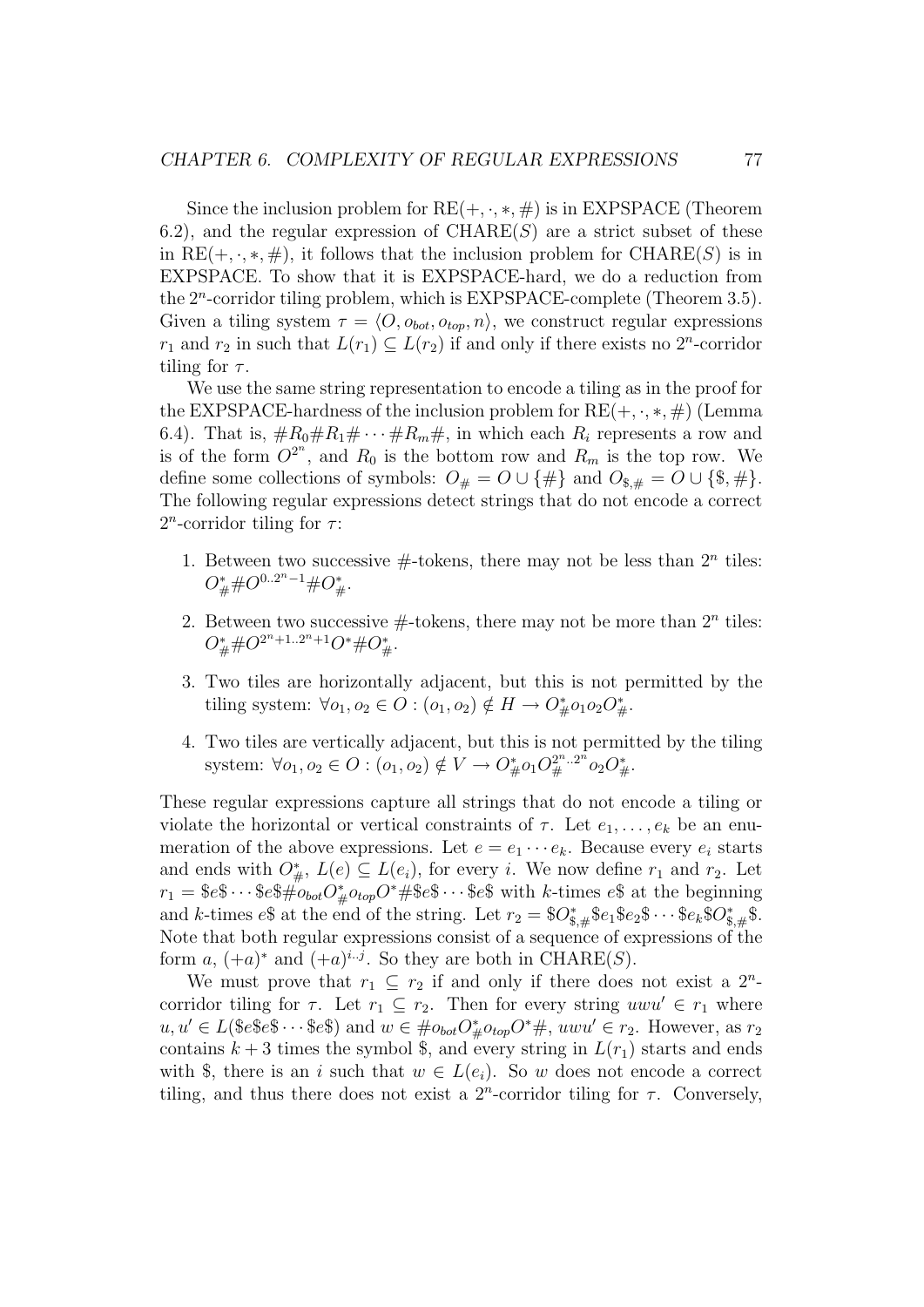Since the inclusion problem for  $RE(+, \cdot, *, \#)$  is in EXPSPACE (Theorem 6.2), and the regular expression of  $\mathrm{CHARE}(S)$  are a strict subset of these in  $RE(+, \cdot, *, \#)$ , it follows that the inclusion problem for CHARE(S) is in EXPSPACE. To show that it is EXPSPACE-hard, we do a reduction from the  $2^n$ -corridor tiling problem, which is EXPSPACE-complete (Theorem 3.5). Given a tiling system  $\tau = \langle O, o_{bot}, o_{top}, n \rangle$ , we construct regular expressions  $r_1$  and  $r_2$  in such that  $L(r_1) \subseteq L(r_2)$  if and only if there exists no  $2^n$ -corridor tiling for  $\tau$ .

We use the same string representation to encode a tiling as in the proof for the EXPSPACE-hardness of the inclusion problem for  $RE(+, \cdot, *, \#)$  (Lemma 6.4). That is,  $\#R_0\#R_1\#\cdots\#R_m\#$ , in which each  $R_i$  represents a row and is of the form  $O^{2^n}$ , and  $R_0$  is the bottom row and  $R_m$  is the top row. We define some collections of symbols:  $O_{\#} = O \cup \{\#\}$  and  $O_{\*,\#} = O \cup \{\*,\#\}.$ The following regular expressions detect strings that do not encode a correct  $2^n$ -corridor tiling for  $\tau$ :

- 1. Between two successive  $#$ -tokens, there may not be less than  $2<sup>n</sup>$  tiles:  $O_{\#}^* \# O^{0..2^{n}-1} \# O_{\#}^*.$
- 2. Between two successive  $\#$ -tokens, there may not be more than  $2^n$  tiles:  $O_{\#}^* \# O^{2^n+1..2^n+1} O^* \# O_{\#}^*.$
- 3. Two tiles are horizontally adjacent, but this is not permitted by the tiling system:  $\forall o_1, o_2 \in O : (o_1, o_2) \notin H \to O_{\#}^* o_1 o_2 O_{\#}^*$ .
- 4. Two tiles are vertically adjacent, but this is not permitted by the tiling system:  $\forall o_1, o_2 \in O : (o_1, o_2) \notin V \to O_{\#}^* o_1 O_{\#}^{2^n} \cdot 2^n o_2 O_{\#}^*$ .

These regular expressions capture all strings that do not encode a tiling or violate the horizontal or vertical constraints of  $\tau$ . Let  $e_1, \ldots, e_k$  be an enumeration of the above expressions. Let  $e = e_1 \cdots e_k$ . Because every  $e_i$  starts and ends with  $O_{\#}^*$ ,  $L(e) \subseteq L(e_i)$ , for every *i*. We now define  $r_1$  and  $r_2$ . Let  $r_1 = \$e\$\cdots\$e\$\#o_{bot}O^*_{\#}o_{top}O^* \# \$e\$\cdots\$e\$\ \text{with }k\text{-times }e\$\ \text{at the beginning}$ and k-times  $e\$  at the end of the string. Let  $r_2 = \$O_{\$\,,\#}^*$   $\$e_1\$e_2\$\cdots\$e_k\$O_{\$\,,\#}^*$ . Note that both regular expressions consist of a sequence of expressions of the form a,  $(+a)^*$  and  $(+a)^{i..j}$ . So they are both in CHARE(S).

We must prove that  $r_1 \subseteq r_2$  if and only if there does not exist a  $2^n$ corridor tiling for  $\tau$ . Let  $r_1 \subseteq r_2$ . Then for every string uwu'  $\in r_1$  where  $u, u' \in L$ (\$e\$e\$ $\cdots$ \$e\$) and  $w \in \#o_{bot}O_{\#}^*o_{top}O^* \#$ ,  $uwu' \in r_2$ . However, as  $r_2$ contains  $k + 3$  times the symbol \$, and every string in  $L(r_1)$  starts and ends with \$, there is an i such that  $w \in L(e_i)$ . So w does not encode a correct tiling, and thus there does not exist a  $2^n$ -corridor tiling for  $\tau$ . Conversely,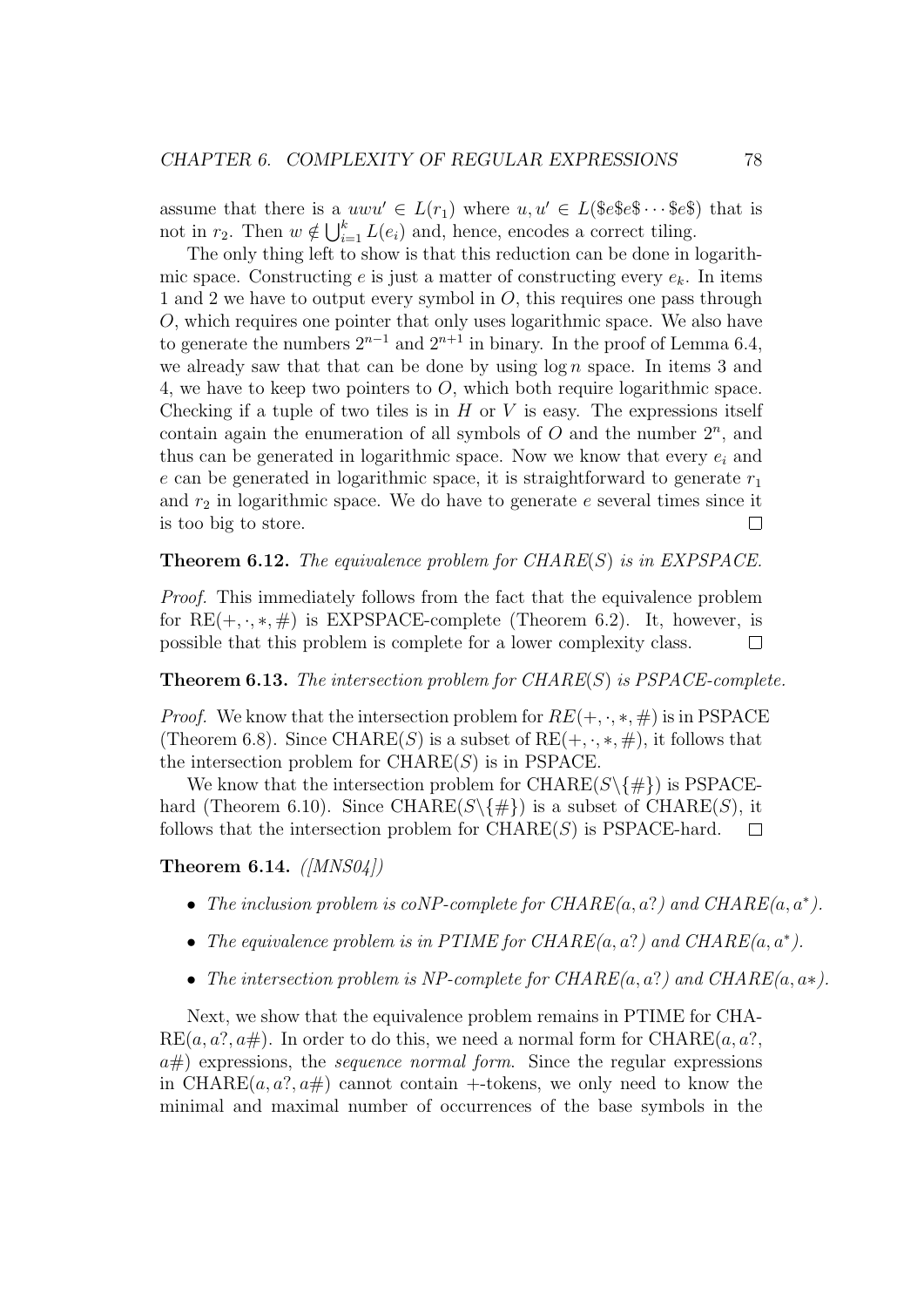assume that there is a  $uwu' \in L(r_1)$  where  $u, u' \in L(\$\text{e}\$\text{e}\$\text{e}\$\cdots$ \$\text{e}\$\text{e}\$\text{ that is}$ not in  $r_2$ . Then  $w \notin \bigcup_{i=1}^k L(e_i)$  and, hence, encodes a correct tiling.

The only thing left to show is that this reduction can be done in logarithmic space. Constructing e is just a matter of constructing every  $e_k$ . In items 1 and 2 we have to output every symbol in  $O$ , this requires one pass through O, which requires one pointer that only uses logarithmic space. We also have to generate the numbers  $2^{n-1}$  and  $2^{n+1}$  in binary. In the proof of Lemma 6.4, we already saw that that can be done by using  $\log n$  space. In items 3 and 4, we have to keep two pointers to  $O$ , which both require logarithmic space. Checking if a tuple of two tiles is in  $H$  or  $V$  is easy. The expressions itself contain again the enumeration of all symbols of  $O$  and the number  $2^n$ , and thus can be generated in logarithmic space. Now we know that every  $e_i$  and e can be generated in logarithmic space, it is straightforward to generate  $r_1$ and  $r_2$  in logarithmic space. We do have to generate e several times since it is too big to store.  $\Box$ 

#### **Theorem 6.12.** The equivalence problem for  $CHARE(S)$  is in EXPSPACE.

Proof. This immediately follows from the fact that the equivalence problem for  $RE(+, \cdot, *, \#)$  is EXPSPACE-complete (Theorem 6.2). It, however, is possible that this problem is complete for a lower complexity class.  $\Box$ 

**Theorem 6.13.** The intersection problem for  $CHARE(S)$  is  $PSPACE$ -complete.

*Proof.* We know that the intersection problem for  $RE(+, \cdot, *, \#)$  is in PSPACE (Theorem 6.8). Since CHARE(S) is a subset of  $RE(+, \cdot, *, \#)$ , it follows that the intersection problem for  $\mathrm{CHARE}(S)$  is in PSPACE.

We know that the intersection problem for CHARE( $S \setminus \{ \# \}$ ) is PSPACEhard (Theorem 6.10). Since CHARE( $S \setminus \{ \# \}$ ) is a subset of CHARE(S), it follows that the intersection problem for  $\text{CHARE}(S)$  is PSPACE-hard.  $\Box$ 

Theorem 6.14.  $(MNS04)$ 

- The inclusion problem is coNP-complete for  $CHARE(a, a?)$  and  $CHARE(a, a^*)$ .
- The equivalence problem is in PTIME for CHARE $(a, a? )$  and CHARE $(a, a^* )$ .
- The intersection problem is NP-complete for  $CHARE(a, a?)$  and  $CHARE(a, a*)$ .

Next, we show that the equivalence problem remains in PTIME for CHA- $RE(a, a?, a\#)$ . In order to do this, we need a normal form for CHARE $(a, a?, a\#)$ .  $a\#$ ) expressions, the *sequence normal form*. Since the regular expressions in CHARE $(a, a$ ?,  $a\#$  cannot contain +-tokens, we only need to know the minimal and maximal number of occurrences of the base symbols in the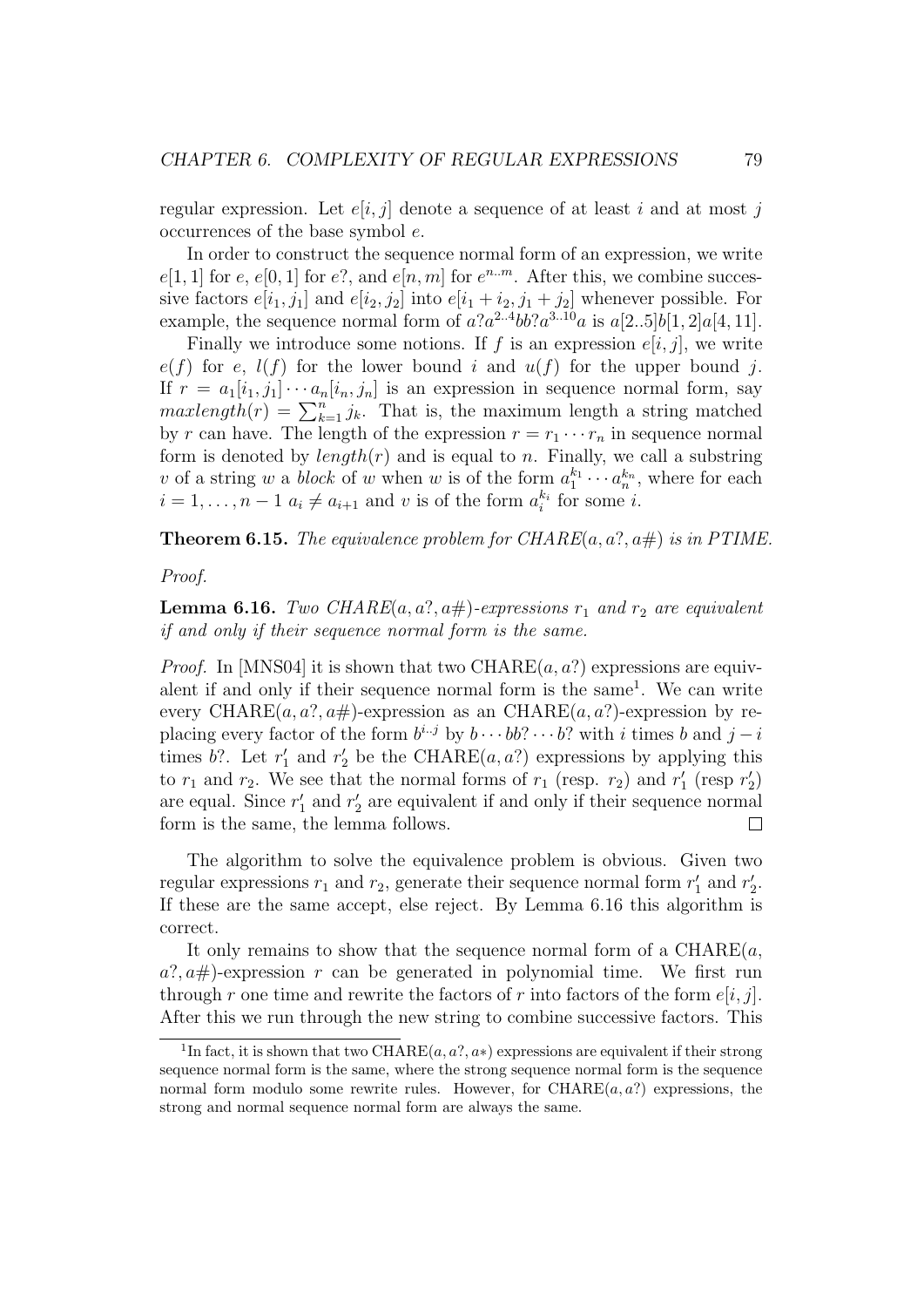regular expression. Let  $e[i, j]$  denote a sequence of at least i and at most j occurrences of the base symbol e.

In order to construct the sequence normal form of an expression, we write  $e[1,1]$  for e,  $e[0,1]$  for e?, and  $e[n,m]$  for  $e^{n_m}$ . After this, we combine successive factors  $e[i_1, j_1]$  and  $e[i_2, j_2]$  into  $e[i_1 + i_2, j_1 + j_2]$  whenever possible. For example, the sequence normal form of  $a?a^{2..4}bb?a^{3..10}a$  is  $a[2..5]b[1,2]a[4,11]$ .

Finally we introduce some notions. If f is an expression  $e[i, j]$ , we write  $e(f)$  for e,  $l(f)$  for the lower bound i and  $u(f)$  for the upper bound j. If  $r = a_1[i_1, j_1] \cdots a_n[i_n, j_n]$  is an expression in sequence normal form, say  $maxlength(r) = \sum_{k=1}^{n} j_k$ . That is, the maximum length a string matched by r can have. The length of the expression  $r = r_1 \cdots r_n$  in sequence normal form is denoted by  $length(r)$  and is equal to n. Finally, we call a substring v of a string w a *block* of w when w is of the form  $a_1^{k_1} \cdots a_n^{k_n}$ , where for each  $i = 1, \ldots, n - 1$   $a_i \neq a_{i+1}$  and v is of the form  $a_i^{k_i}$  for some i.

**Theorem 6.15.** The equivalence problem for CHARE $(a, a^2, a\#)$  is in PTIME.

Proof.

**Lemma 6.16.** Two CHARE $(a, a^2, a\#)$ -expressions  $r_1$  and  $r_2$  are equivalent if and only if their sequence normal form is the same.

*Proof.* In [MNS04] it is shown that two CHARE $(a, a$ ? expressions are equivalent if and only if their sequence normal form is the same<sup>1</sup>. We can write every CHARE $(a, a^2, a\#)$ -expression as an CHARE $(a, a^2)$ -expression by replacing every factor of the form  $b^{i..j}$  by  $b \cdots bb$ ?  $\cdots b$ ? with i times b and  $j-i$ times b?. Let  $r'_1$  and  $r'_2$  be the CHARE $(a, a)$  expressions by applying this to  $r_1$  and  $r_2$ . We see that the normal forms of  $r_1$  (resp.  $r_2$ ) and  $r'_1$  (resp  $r'_2$ ) are equal. Since  $r'_1$  and  $r'_2$  are equivalent if and only if their sequence normal form is the same, the lemma follows. П

The algorithm to solve the equivalence problem is obvious. Given two regular expressions  $r_1$  and  $r_2$ , generate their sequence normal form  $r'_1$  and  $r'_2$ . If these are the same accept, else reject. By Lemma 6.16 this algorithm is correct.

It only remains to show that the sequence normal form of a  $\mathrm{CHARE}(a,$  $a^2, a\#$ )-expression r can be generated in polynomial time. We first run through r one time and rewrite the factors of r into factors of the form  $e[i, j]$ . After this we run through the new string to combine successive factors. This

<sup>&</sup>lt;sup>1</sup>In fact, it is shown that two CHARE $(a, a^2, a^*)$  expressions are equivalent if their strong sequence normal form is the same, where the strong sequence normal form is the sequence normal form modulo some rewrite rules. However, for  $\mathrm{CHARE}(a, a?)$  expressions, the strong and normal sequence normal form are always the same.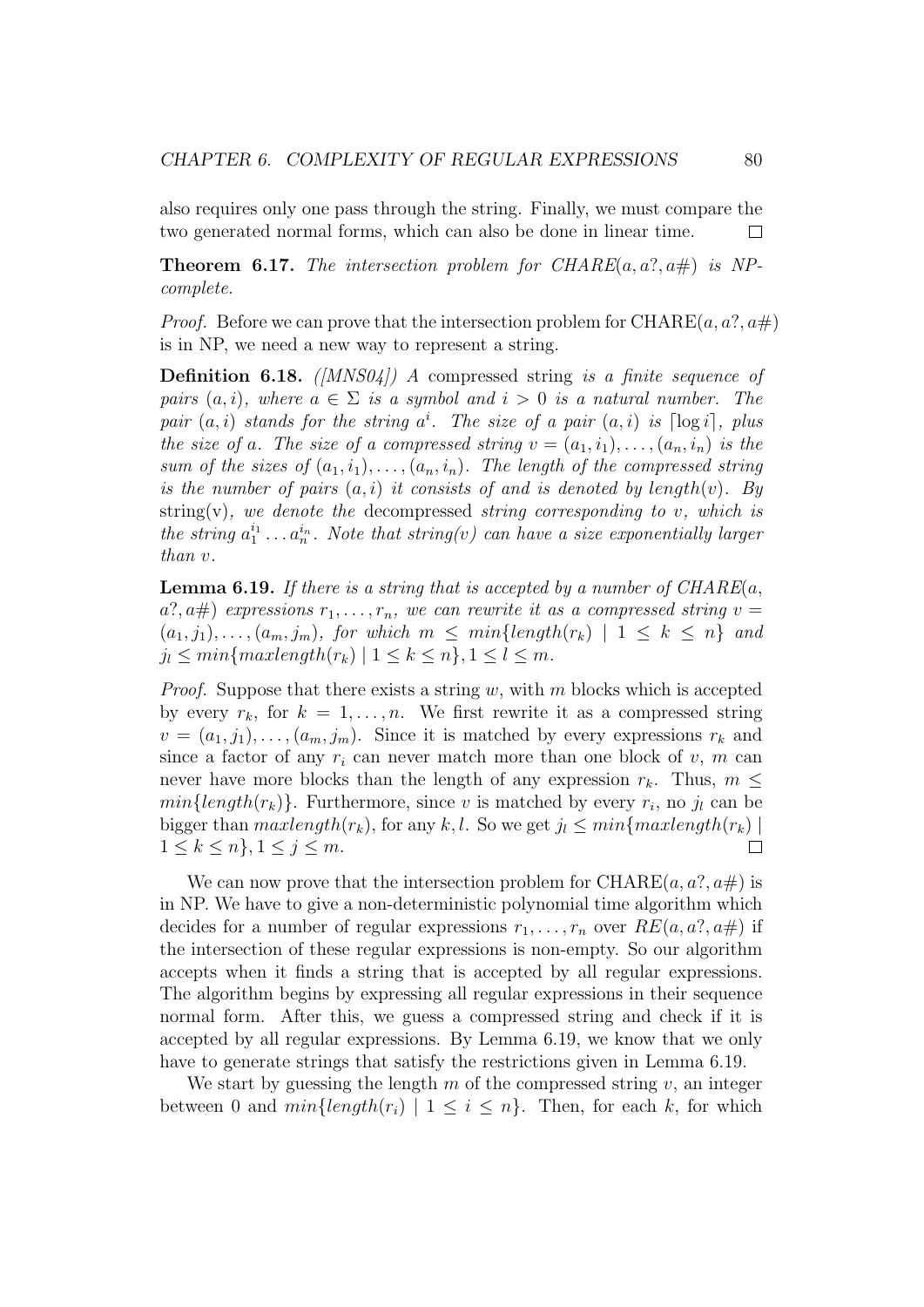also requires only one pass through the string. Finally, we must compare the two generated normal forms, which can also be done in linear time. П

**Theorem 6.17.** The intersection problem for  $CHARE(a, a?, a\#)$  is NPcomplete.

*Proof.* Before we can prove that the intersection problem for CHARE $(a, a^2, a\#)$ is in NP, we need a new way to represent a string.

**Definition 6.18.** ( $|MNS04|$ ) A compressed string is a finite sequence of pairs  $(a, i)$ , where  $a \in \Sigma$  is a symbol and  $i > 0$  is a natural number. The pair  $(a, i)$  stands for the string  $a^i$ . The size of a pair  $(a, i)$  is  $\lceil \log i \rceil$ , plus the size of a. The size of a compressed string  $v = (a_1, i_1), \ldots, (a_n, i_n)$  is the sum of the sizes of  $(a_1, i_1), \ldots, (a_n, i_n)$ . The length of the compressed string is the number of pairs  $(a, i)$  it consists of and is denoted by length $(v)$ . By string(v), we denote the decompressed string corresponding to  $v$ , which is the string  $a_1^{i_1} \ldots a_n^{i_n}$ . Note that string(v) can have a size exponentially larger than v.

**Lemma 6.19.** If there is a string that is accepted by a number of  $CHARE(a,$  $a$ ?,  $a$ #) expressions  $r_1, \ldots, r_n$ , we can rewrite it as a compressed string  $v =$  $(a_1, j_1), \ldots, (a_m, j_m)$ , for which  $m \leq min\{length(r_k) \mid 1 \leq k \leq n\}$  and  $j_l \leq min\{maxlength(r_k) \mid 1 \leq k \leq n\}, 1 \leq l \leq m.$ 

*Proof.* Suppose that there exists a string w, with m blocks which is accepted by every  $r_k$ , for  $k = 1, ..., n$ . We first rewrite it as a compressed string  $v = (a_1, j_1), \ldots, (a_m, j_m)$ . Since it is matched by every expressions  $r_k$  and since a factor of any  $r_i$  can never match more than one block of v, m can never have more blocks than the length of any expression  $r_k$ . Thus,  $m \leq$  $min{length(r_k)}$ . Furthermore, since v is matched by every  $r_i$ , no  $j_l$  can be bigger than  $maxlength(r_k)$ , for any k, l. So we get  $j_l \leq min\{maxlength(r_k) \mid$  $1 \leq k \leq n$ ,  $1 \leq j \leq m$ .  $\Box$ 

We can now prove that the intersection problem for  $\mathrm{CHARE}(a, a?, a\#)$  is in NP. We have to give a non-deterministic polynomial time algorithm which decides for a number of regular expressions  $r_1, \ldots, r_n$  over  $RE(a, a^2, a\#)$  if the intersection of these regular expressions is non-empty. So our algorithm accepts when it finds a string that is accepted by all regular expressions. The algorithm begins by expressing all regular expressions in their sequence normal form. After this, we guess a compressed string and check if it is accepted by all regular expressions. By Lemma 6.19, we know that we only have to generate strings that satisfy the restrictions given in Lemma 6.19.

We start by guessing the length  $m$  of the compressed string  $v$ , an integer between 0 and  $min{length(r_i) | 1 \leq i \leq n}$ . Then, for each k, for which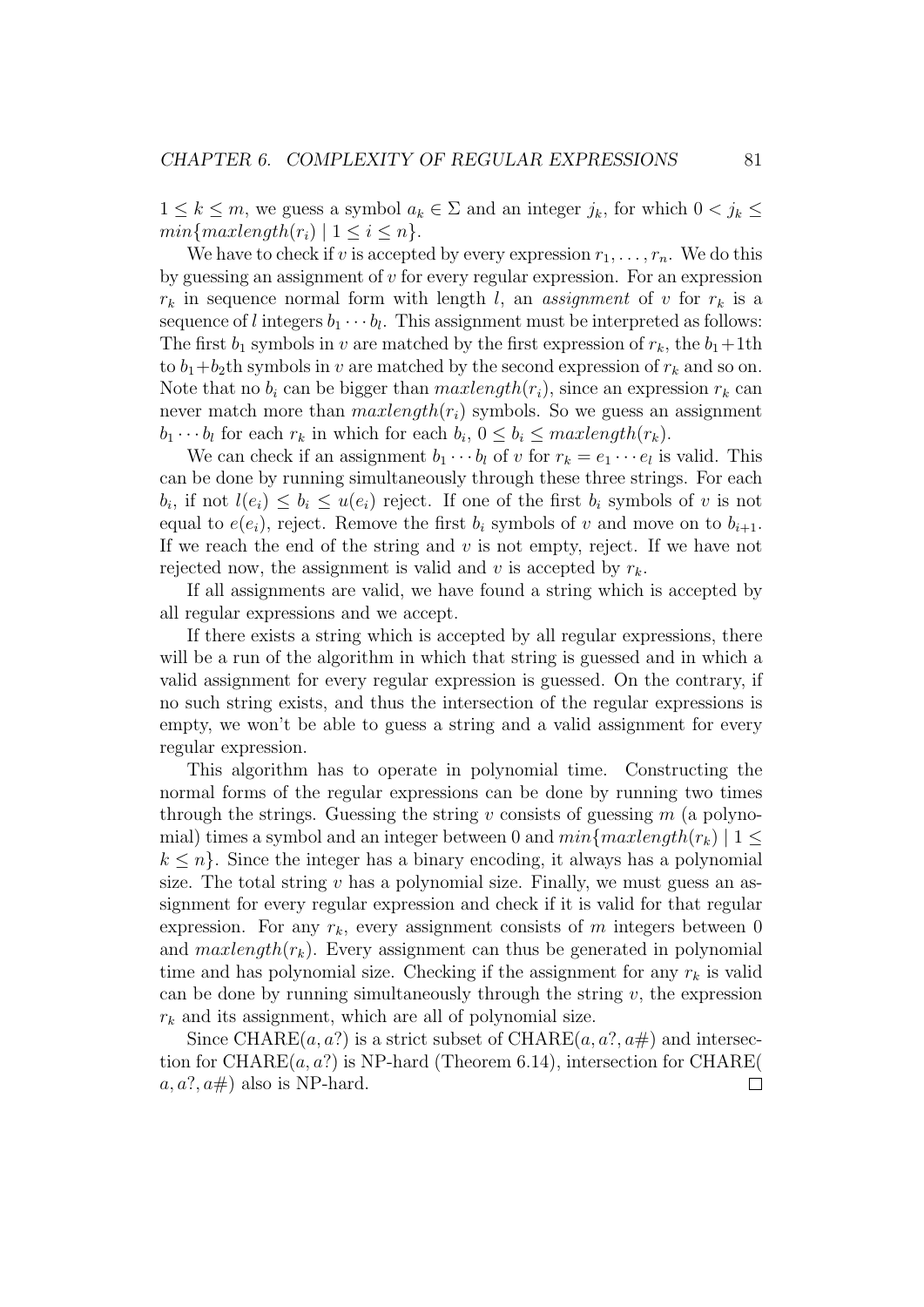$1 \leq k \leq m$ , we guess a symbol  $a_k \in \Sigma$  and an integer  $j_k$ , for which  $0 \leq j_k \leq$  $min\{maxlength(r_i) | 1 \leq i \leq n\}.$ 

We have to check if v is accepted by every expression  $r_1, \ldots, r_n$ . We do this by guessing an assignment of  $v$  for every regular expression. For an expression  $r_k$  in sequence normal form with length l, an assignment of v for  $r_k$  is a sequence of l integers  $b_1 \cdots b_l$ . This assignment must be interpreted as follows: The first  $b_1$  symbols in v are matched by the first expression of  $r_k$ , the  $b_1+1$ th to  $b_1+b_2$ th symbols in v are matched by the second expression of  $r_k$  and so on. Note that no  $b_i$  can be bigger than  $maxlength(r_i)$ , since an expression  $r_k$  can never match more than  $maxlength(r_i)$  symbols. So we guess an assignment  $b_1 \cdots b_l$  for each  $r_k$  in which for each  $b_i$ ,  $0 \leq b_i \leq maxlength(r_k)$ .

We can check if an assignment  $b_1 \cdots b_l$  of v for  $r_k = e_1 \cdots e_l$  is valid. This can be done by running simultaneously through these three strings. For each  $b_i$ , if not  $l(e_i) \leq b_i \leq u(e_i)$  reject. If one of the first  $b_i$  symbols of v is not equal to  $e(e_i)$ , reject. Remove the first  $b_i$  symbols of v and move on to  $b_{i+1}$ . If we reach the end of the string and  $v$  is not empty, reject. If we have not rejected now, the assignment is valid and v is accepted by  $r_k$ .

If all assignments are valid, we have found a string which is accepted by all regular expressions and we accept.

If there exists a string which is accepted by all regular expressions, there will be a run of the algorithm in which that string is guessed and in which a valid assignment for every regular expression is guessed. On the contrary, if no such string exists, and thus the intersection of the regular expressions is empty, we won't be able to guess a string and a valid assignment for every regular expression.

This algorithm has to operate in polynomial time. Constructing the normal forms of the regular expressions can be done by running two times through the strings. Guessing the string v consists of guessing  $m$  (a polynomial) times a symbol and an integer between 0 and  $min\{maxlength(r_k) | 1 \leq$  $k \leq n$ . Since the integer has a binary encoding, it always has a polynomial size. The total string  $v$  has a polynomial size. Finally, we must guess an assignment for every regular expression and check if it is valid for that regular expression. For any  $r_k$ , every assignment consists of m integers between 0 and  $maxlength(r_k)$ . Every assignment can thus be generated in polynomial time and has polynomial size. Checking if the assignment for any  $r_k$  is valid can be done by running simultaneously through the string  $v$ , the expression  $r_k$  and its assignment, which are all of polynomial size.

Since CHARE $(a, a?$  is a strict subset of CHARE $(a, a?, a\#)$  and intersection for CHARE $(a, a?)$  is NP-hard (Theorem 6.14), intersection for CHARE(  $a, a?, a\#$ ) also is NP-hard.  $\Box$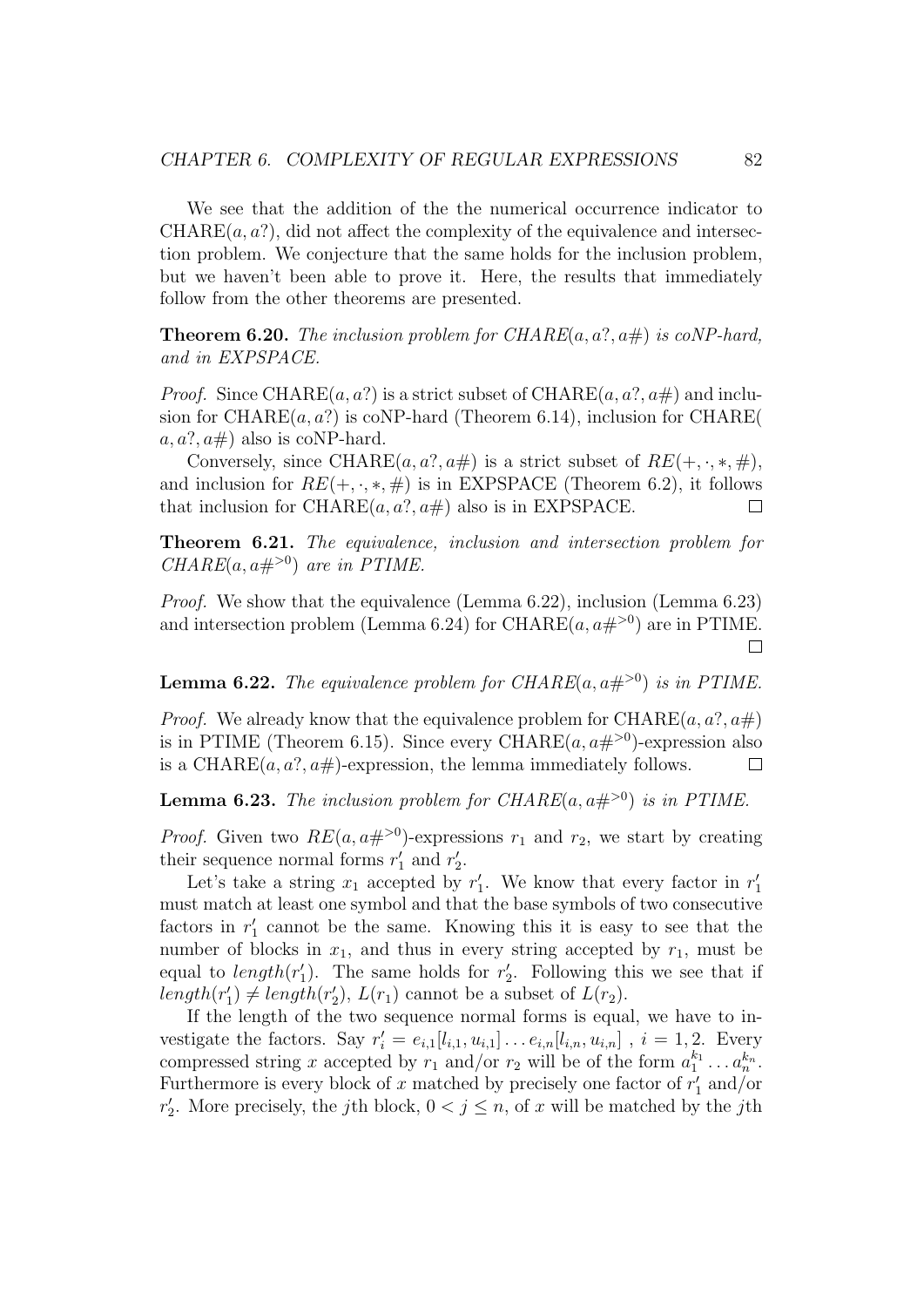We see that the addition of the the numerical occurrence indicator to  $CHARE(a, a?)$ , did not affect the complexity of the equivalence and intersection problem. We conjecture that the same holds for the inclusion problem, but we haven't been able to prove it. Here, the results that immediately follow from the other theorems are presented.

**Theorem 6.20.** The inclusion problem for CHARE $(a, a?, a\#)$  is coNP-hard, and in EXPSPACE.

*Proof.* Since CHARE $(a, a)$  is a strict subset of CHARE $(a, a)$ ,  $a \neq a$  and inclusion for CHARE $(a, a?$ ) is coNP-hard (Theorem 6.14), inclusion for CHARE $($  $a, a?, a\#$ ) also is coNP-hard.

Conversely, since CHARE $(a, a^2, a\#)$  is a strict subset of  $RE(+, \cdot, *, \#)$ , and inclusion for  $RE(+, \cdot, *, \#)$  is in EXPSPACE (Theorem 6.2), it follows that inclusion for CHARE $(a, a?, a\#)$  also is in EXPSPACE.  $\Box$ 

Theorem 6.21. The equivalence, inclusion and intersection problem for CHARE $(a, a\#^{>0})$  are in PTIME.

Proof. We show that the equivalence (Lemma 6.22), inclusion (Lemma 6.23) and intersection problem (Lemma 6.24) for CHARE $(a, a\#^{>0})$  are in PTIME.  $\perp$ 

**Lemma 6.22.** The equivalence problem for CHARE( $a, a \neq 0$ ) is in PTIME.

*Proof.* We already know that the equivalence problem for CHARE $(a, a?, a\#)$ is in PTIME (Theorem 6.15). Since every CHARE $(a, a\#^{>0})$ -expression also is a CHARE $(a, a?, a\#)$ -expression, the lemma immediately follows.  $\Box$ 

**Lemma 6.23.** The inclusion problem for CHARE $(a, a\#>0)$  is in PTIME.

*Proof.* Given two  $RE(a, a\#^{>0})$ -expressions  $r_1$  and  $r_2$ , we start by creating their sequence normal forms  $r'_1$  and  $r'_2$ .

Let's take a string  $x_1$  accepted by  $r'_1$ . We know that every factor in  $r'_1$ must match at least one symbol and that the base symbols of two consecutive factors in  $r'_1$  cannot be the same. Knowing this it is easy to see that the number of blocks in  $x_1$ , and thus in every string accepted by  $r_1$ , must be equal to  $length(r'_1)$ . The same holds for  $r'_2$ . Following this we see that if  $length(r'_1) \neq length(r'_2), L(r_1)$  cannot be a subset of  $L(r_2)$ .

If the length of the two sequence normal forms is equal, we have to investigate the factors. Say  $r'_i = e_{i,1}[l_{i,1}, u_{i,1}] \dots e_{i,n}[l_{i,n}, u_{i,n}]$ ,  $i = 1, 2$ . Every compressed string x accepted by  $r_1$  and/or  $r_2$  will be of the form  $a_1^{k_1} \ldots a_n^{k_n}$ . Furthermore is every block of x matched by precisely one factor of  $r'_1$  and/or  $r'_2$ . More precisely, the j<sup>th</sup> block,  $0 < j \leq n$ , of x will be matched by the j<sup>th</sup>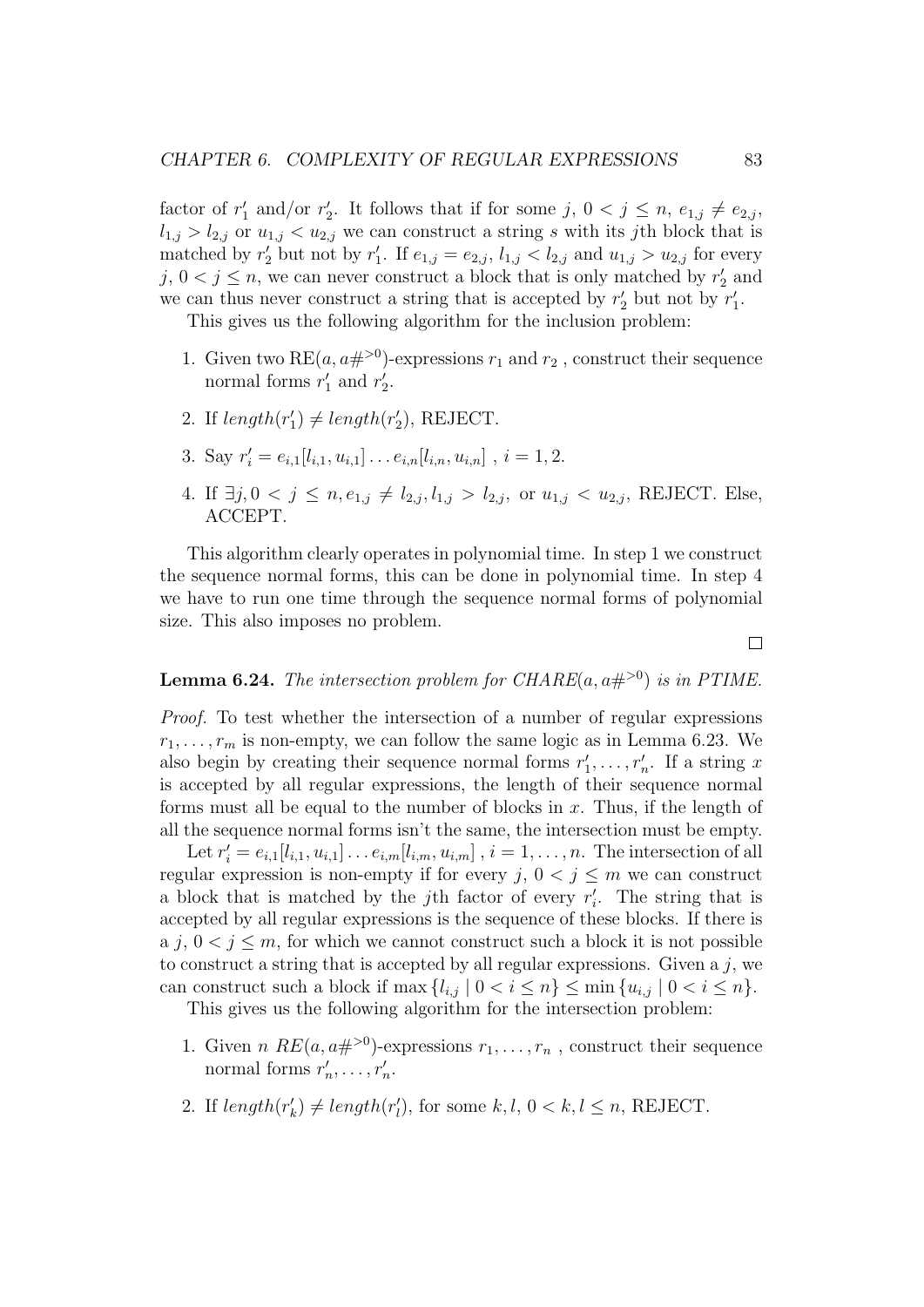factor of  $r'_1$  and/or  $r'_2$ . It follows that if for some  $j, 0 < j \leq n, e_{1,j} \neq e_{2,j}$ ,  $l_{1,j} > l_{2,j}$  or  $u_{1,j} < u_{2,j}$  we can construct a string s with its jth block that is matched by  $r'_2$  but not by  $r'_1$ . If  $e_{1,j} = e_{2,j}$ ,  $l_{1,j} < l_{2,j}$  and  $u_{1,j} > u_{2,j}$  for every  $j, 0 < j \leq n$ , we can never construct a block that is only matched by  $r'_2$  and we can thus never construct a string that is accepted by  $r'_2$  but not by  $r'_1$ .

This gives us the following algorithm for the inclusion problem:

- 1. Given two RE $(a, a\#^{>0})$ -expressions  $r_1$  and  $r_2$ , construct their sequence normal forms  $r'_1$  and  $r'_2$ .
- 2. If  $length(r'_1) \neq length(r'_2)$ , REJECT.
- 3. Say  $r'_{i} = e_{i,1}[l_{i,1}, u_{i,1}] \dots e_{i,n}[l_{i,n}, u_{i,n}]$ ,  $i = 1, 2$ .
- 4. If  $\exists j, 0 \leq j \leq n, e_{1,j} \neq l_{2,j}, l_{1,j} > l_{2,j}$ , or  $u_{1,j} < u_{2,j}$ , REJECT. Else, ACCEPT.

This algorithm clearly operates in polynomial time. In step 1 we construct the sequence normal forms, this can be done in polynomial time. In step 4 we have to run one time through the sequence normal forms of polynomial size. This also imposes no problem.

**Lemma 6.24.** The intersection problem for CHARE $(a, a\#^{\geq 0})$  is in PTIME.

Proof. To test whether the intersection of a number of regular expressions  $r_1, \ldots, r_m$  is non-empty, we can follow the same logic as in Lemma 6.23. We also begin by creating their sequence normal forms  $r'_1, \ldots, r'_n$ . If a string x is accepted by all regular expressions, the length of their sequence normal forms must all be equal to the number of blocks in  $x$ . Thus, if the length of all the sequence normal forms isn't the same, the intersection must be empty.

Let  $r'_{i} = e_{i,1}[l_{i,1}, u_{i,1}] \dots e_{i,m}[l_{i,m}, u_{i,m}]$ ,  $i = 1, \dots, n$ . The intersection of all regular expression is non-empty if for every  $j, 0 < j \leq m$  we can construct a block that is matched by the jth factor of every  $r_i'$ . The string that is accepted by all regular expressions is the sequence of these blocks. If there is a j,  $0 < j \le m$ , for which we cannot construct such a block it is not possible to construct a string that is accepted by all regular expressions. Given a  $j$ , we can construct such a block if  $\max\{l_{i,j} | 0 < i \leq n\} \leq \min\{u_{i,j} | 0 < i \leq n\}.$ 

This gives us the following algorithm for the intersection problem:

- 1. Given *n*  $RE(a, a\#>0)$ -expressions  $r_1, \ldots, r_n$ , construct their sequence normal forms  $r'_n, \ldots, r'_n$ .
- 2. If  $length(r'_{k}) \neq length(r'_{l})$ , for some  $k, l, 0 < k, l \leq n$ , REJECT.

 $\Box$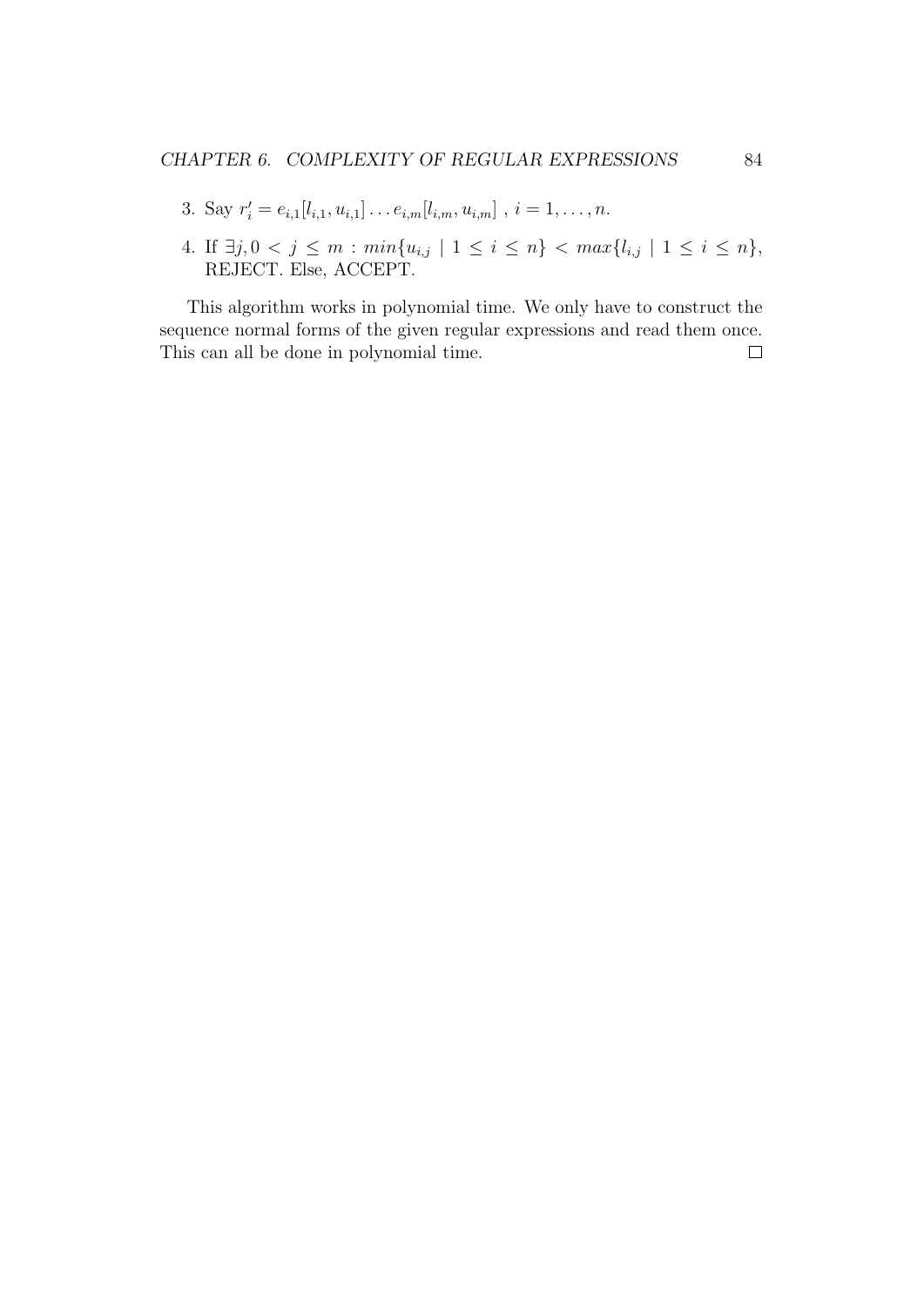- 3. Say  $r'_{i} = e_{i,1}[l_{i,1}, u_{i,1}] \dots e_{i,m}[l_{i,m}, u_{i,m}]$ ,  $i = 1, \dots, n$ .
- 4. If  $\exists j, 0 < j \leq m : min\{u_{i,j} \mid 1 \leq i \leq n\} < max\{l_{i,j} \mid 1 \leq i \leq n\},$ REJECT. Else, ACCEPT.

This algorithm works in polynomial time. We only have to construct the sequence normal forms of the given regular expressions and read them once. This can all be done in polynomial time. $\Box$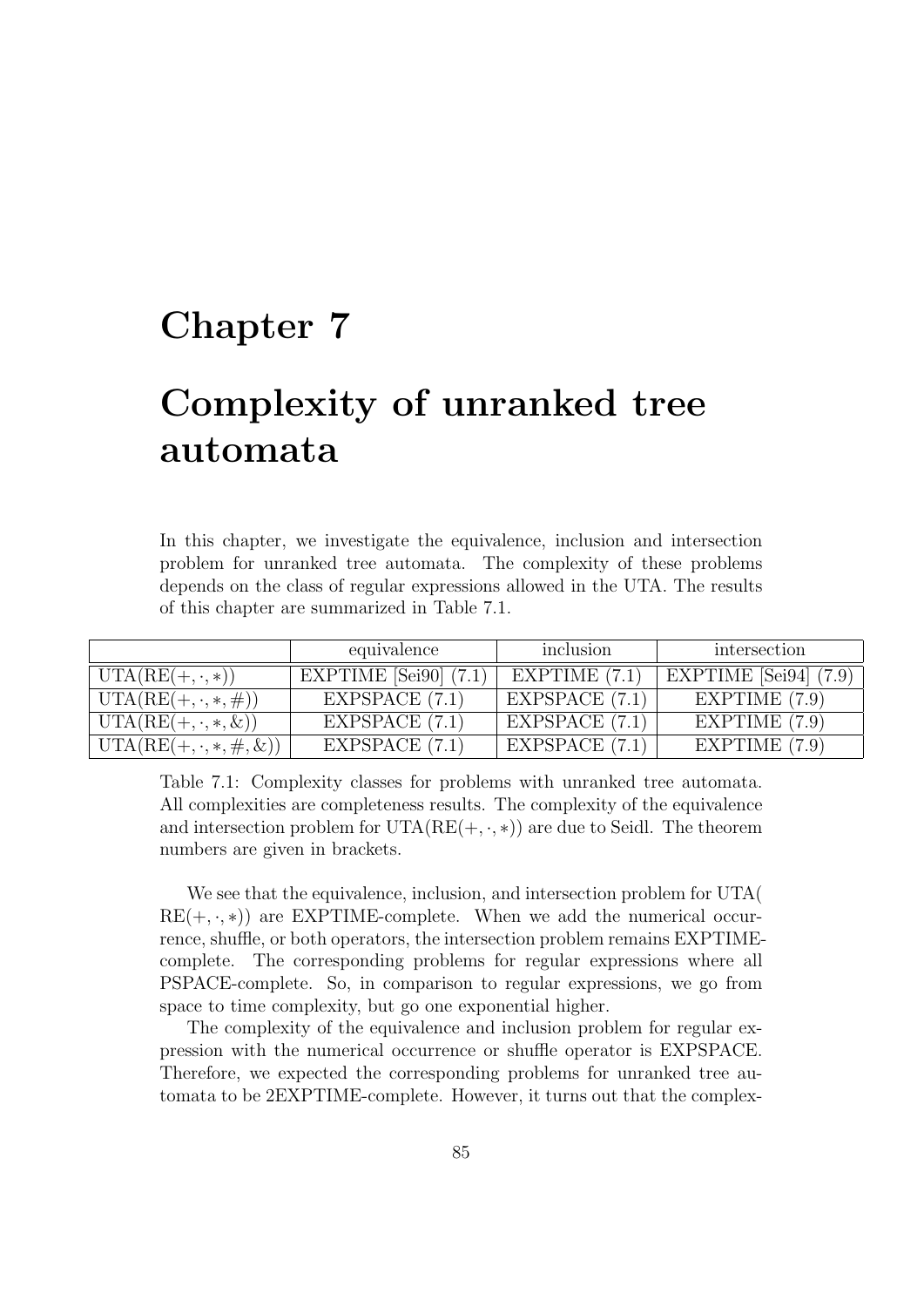## Chapter 7

# Complexity of unranked tree automata

In this chapter, we investigate the equivalence, inclusion and intersection problem for unranked tree automata. The complexity of these problems depends on the class of regular expressions allowed in the UTA. The results of this chapter are summarized in Table 7.1.

|                                        | equivalence               | inclusion        | intersection              |
|----------------------------------------|---------------------------|------------------|---------------------------|
| $\text{UTA}(RE(+, \cdot, *))$          | EXPTIME $[Sei90]$ $(7.1)$ | EXPTIME $(7.1)$  | EXPTIME [Sei94] $(7.9)$ ] |
| $\text{UTA}(RE(+, \cdot, *, \#))$      | EXPSPACE $(7.1)$          | EXPSPACE $(7.1)$ | EXPTIME $(7.9)$           |
| $\text{UTA}(RE(+, \cdot, *, \&))$      | EXPSPACE (7.1)            | EXPSPACE $(7.1)$ | EXPTIME $(7.9)$           |
| $ \text{UTA}(RE(+, \cdot, *, \#, \&))$ | EXPSPACE $(7.1)$          | EXPSPACE $(7.1)$ | EXPTIME $(7.9)$           |

Table 7.1: Complexity classes for problems with unranked tree automata. All complexities are completeness results. The complexity of the equivalence and intersection problem for  $UTA(RE(+, \cdot, *)$  are due to Seidl. The theorem numbers are given in brackets.

We see that the equivalence, inclusion, and intersection problem for UTA(  $RE(+, \cdot, *)$ ) are EXPTIME-complete. When we add the numerical occurrence, shuffle, or both operators, the intersection problem remains EXPTIMEcomplete. The corresponding problems for regular expressions where all PSPACE-complete. So, in comparison to regular expressions, we go from space to time complexity, but go one exponential higher.

The complexity of the equivalence and inclusion problem for regular expression with the numerical occurrence or shuffle operator is EXPSPACE. Therefore, we expected the corresponding problems for unranked tree automata to be 2EXPTIME-complete. However, it turns out that the complex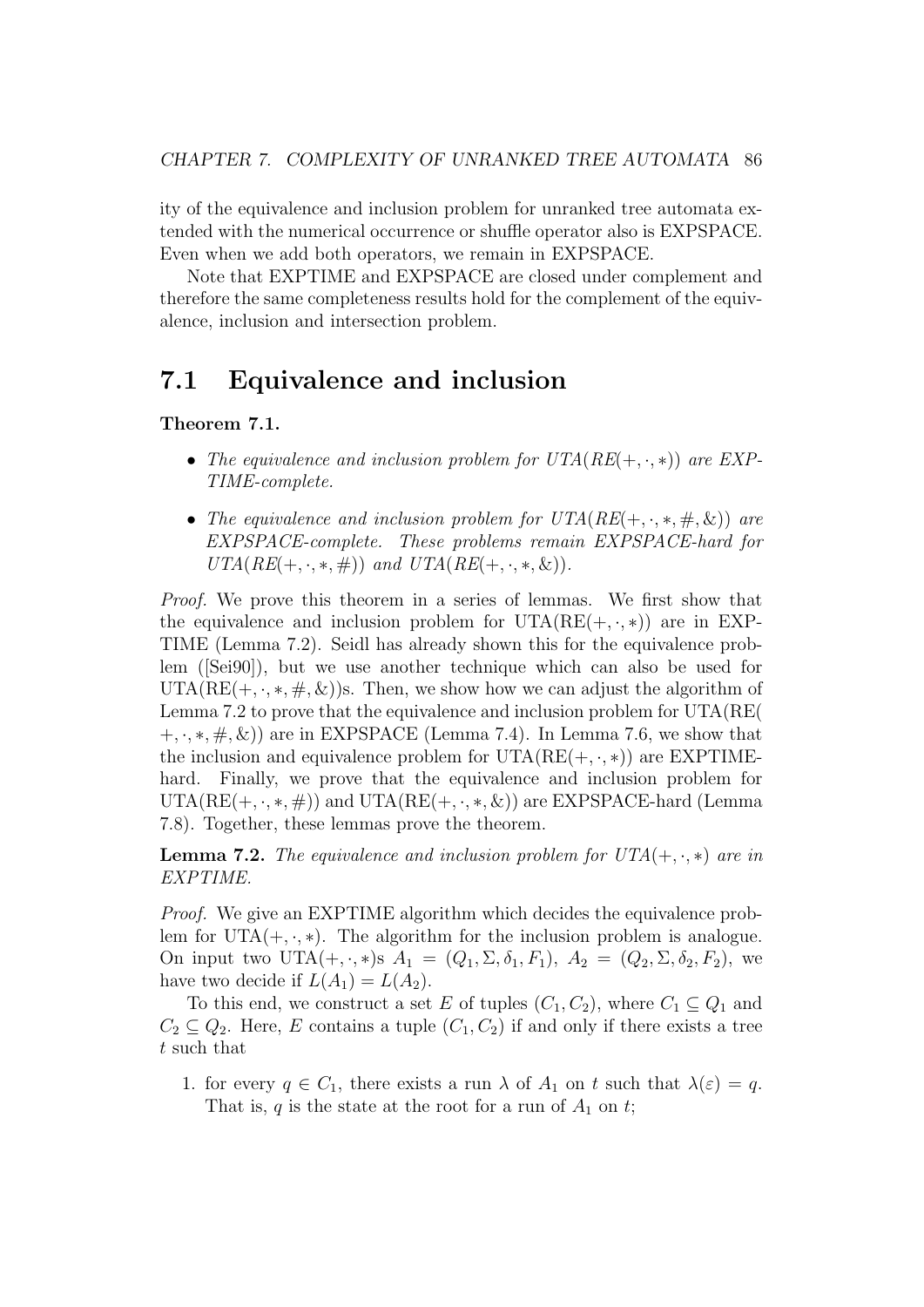ity of the equivalence and inclusion problem for unranked tree automata extended with the numerical occurrence or shuffle operator also is EXPSPACE. Even when we add both operators, we remain in EXPSPACE.

Note that EXPTIME and EXPSPACE are closed under complement and therefore the same completeness results hold for the complement of the equivalence, inclusion and intersection problem.

## 7.1 Equivalence and inclusion

Theorem 7.1.

- The equivalence and inclusion problem for  $UTA(RE(+, \cdot, *))$  are EXP-TIME-complete.
- The equivalence and inclusion problem for  $UTA(RE(+, \cdot, *, \#, \&))$  are EXPSPACE-complete. These problems remain EXPSPACE-hard for  $UTA(RE(+, \cdot, *, \#))$  and  $UTA(RE(+, \cdot, *, \&))$ .

Proof. We prove this theorem in a series of lemmas. We first show that the equivalence and inclusion problem for  $UTA(RE(+, \cdot, *)$  are in EXP-TIME (Lemma 7.2). Seidl has already shown this for the equivalence problem ([Sei90]), but we use another technique which can also be used for UTA(RE(+,  $\cdot$ ,  $\ast$ ,  $\#$ ,  $\&$ ))s. Then, we show how we can adjust the algorithm of Lemma 7.2 to prove that the equivalence and inclusion problem for UTA(RE(  $(+, \cdot, *, \#, \&))$  are in EXPSPACE (Lemma 7.4). In Lemma 7.6, we show that the inclusion and equivalence problem for  $UTA(RE(+, \cdot, *)$  are EXPTIMEhard. Finally, we prove that the equivalence and inclusion problem for  $UTA(RE(+, \cdot, *, \#))$  and  $UTA(RE(+, \cdot, *, \&))$  are EXPSPACE-hard (Lemma 7.8). Together, these lemmas prove the theorem.

**Lemma 7.2.** The equivalence and inclusion problem for  $UTA(+, \cdot, *)$  are in EXPTIME.

Proof. We give an EXPTIME algorithm which decides the equivalence problem for UTA $(+, \cdot, *)$ . The algorithm for the inclusion problem is analogue. On input two UTA(+, ·, \*)s  $A_1 = (Q_1, \Sigma, \delta_1, F_1), A_2 = (Q_2, \Sigma, \delta_2, F_2),$  we have two decide if  $L(A_1) = L(A_2)$ .

To this end, we construct a set E of tuples  $(C_1, C_2)$ , where  $C_1 \subseteq Q_1$  and  $C_2 \subseteq Q_2$ . Here, E contains a tuple  $(C_1, C_2)$  if and only if there exists a tree t such that

1. for every  $q \in C_1$ , there exists a run  $\lambda$  of  $A_1$  on t such that  $\lambda(\varepsilon) = q$ . That is, q is the state at the root for a run of  $A_1$  on t;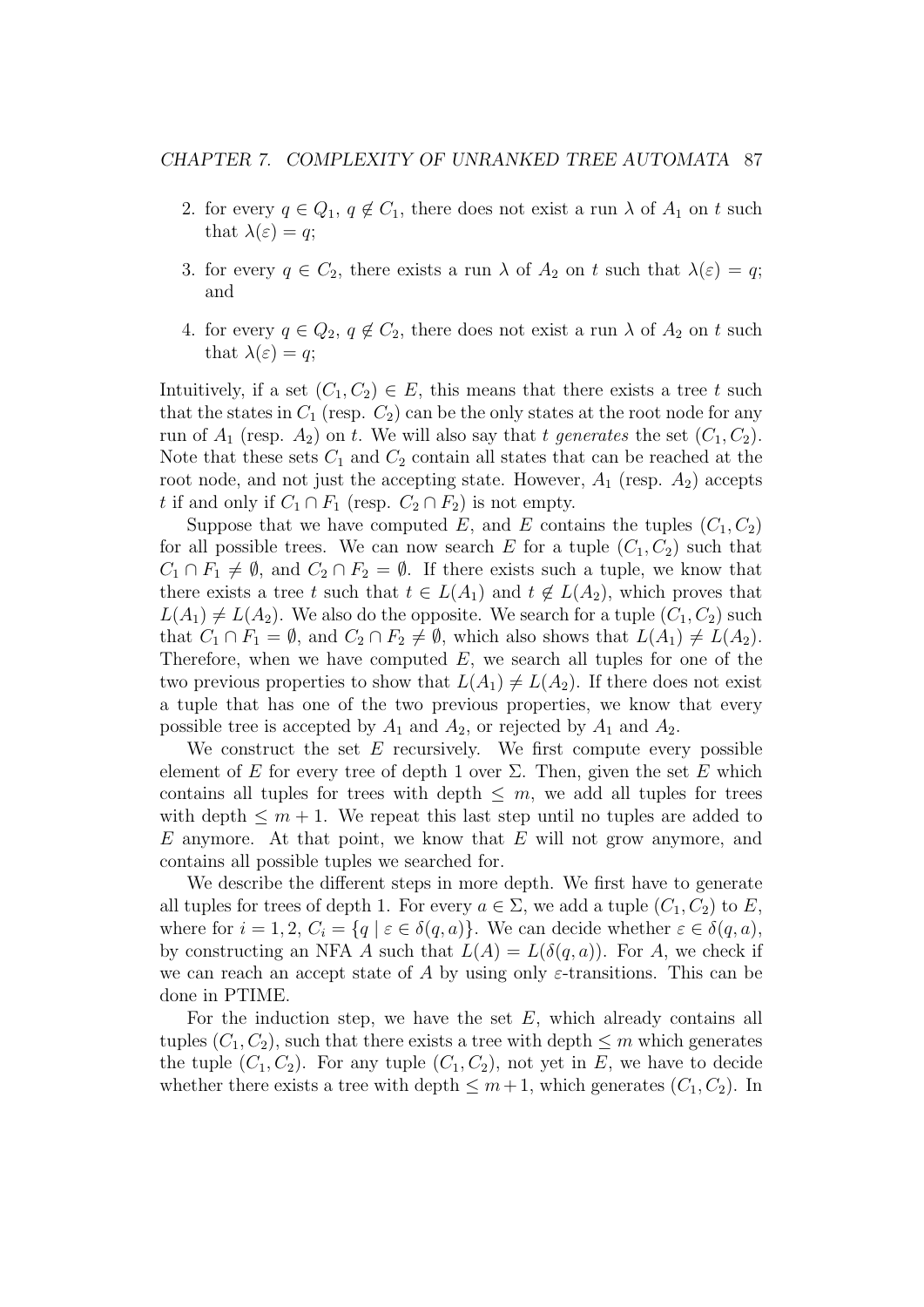- 2. for every  $q \in Q_1$ ,  $q \notin C_1$ , there does not exist a run  $\lambda$  of  $A_1$  on t such that  $\lambda(\varepsilon) = q$ ;
- 3. for every  $q \in C_2$ , there exists a run  $\lambda$  of  $A_2$  on t such that  $\lambda(\varepsilon) = q$ ; and
- 4. for every  $q \in Q_2$ ,  $q \notin C_2$ , there does not exist a run  $\lambda$  of  $A_2$  on t such that  $\lambda(\varepsilon) = q$ ;

Intuitively, if a set  $(C_1, C_2) \in E$ , this means that there exists a tree t such that the states in  $C_1$  (resp.  $C_2$ ) can be the only states at the root node for any run of  $A_1$  (resp.  $A_2$ ) on t. We will also say that t generates the set  $(C_1, C_2)$ . Note that these sets  $C_1$  and  $C_2$  contain all states that can be reached at the root node, and not just the accepting state. However,  $A_1$  (resp.  $A_2$ ) accepts t if and only if  $C_1 \cap F_1$  (resp.  $C_2 \cap F_2$ ) is not empty.

Suppose that we have computed E, and E contains the tuples  $(C_1, C_2)$ for all possible trees. We can now search E for a tuple  $(C_1, C_2)$  such that  $C_1 \cap F_1 \neq \emptyset$ , and  $C_2 \cap F_2 = \emptyset$ . If there exists such a tuple, we know that there exists a tree t such that  $t \in L(A_1)$  and  $t \notin L(A_2)$ , which proves that  $L(A_1) \neq L(A_2)$ . We also do the opposite. We search for a tuple  $(C_1, C_2)$  such that  $C_1 \cap F_1 = \emptyset$ , and  $C_2 \cap F_2 \neq \emptyset$ , which also shows that  $L(A_1) \neq L(A_2)$ . Therefore, when we have computed  $E$ , we search all tuples for one of the two previous properties to show that  $L(A_1) \neq L(A_2)$ . If there does not exist a tuple that has one of the two previous properties, we know that every possible tree is accepted by  $A_1$  and  $A_2$ , or rejected by  $A_1$  and  $A_2$ .

We construct the set  $E$  recursively. We first compute every possible element of E for every tree of depth 1 over  $\Sigma$ . Then, given the set E which contains all tuples for trees with depth  $\leq m$ , we add all tuples for trees with depth  $\leq m+1$ . We repeat this last step until no tuples are added to  $E$  anymore. At that point, we know that  $E$  will not grow anymore, and contains all possible tuples we searched for.

We describe the different steps in more depth. We first have to generate all tuples for trees of depth 1. For every  $a \in \Sigma$ , we add a tuple  $(C_1, C_2)$  to E, where for  $i = 1, 2, C_i = \{q \mid \varepsilon \in \delta(q, a)\}\)$ . We can decide whether  $\varepsilon \in \delta(q, a),$ by constructing an NFA A such that  $L(A) = L(\delta(q, a))$ . For A, we check if we can reach an accept state of A by using only  $\varepsilon$ -transitions. This can be done in PTIME.

For the induction step, we have the set  $E$ , which already contains all tuples  $(C_1, C_2)$ , such that there exists a tree with depth  $\leq m$  which generates the tuple  $(C_1, C_2)$ . For any tuple  $(C_1, C_2)$ , not yet in E, we have to decide whether there exists a tree with depth  $\leq m+1$ , which generates  $(C_1, C_2)$ . In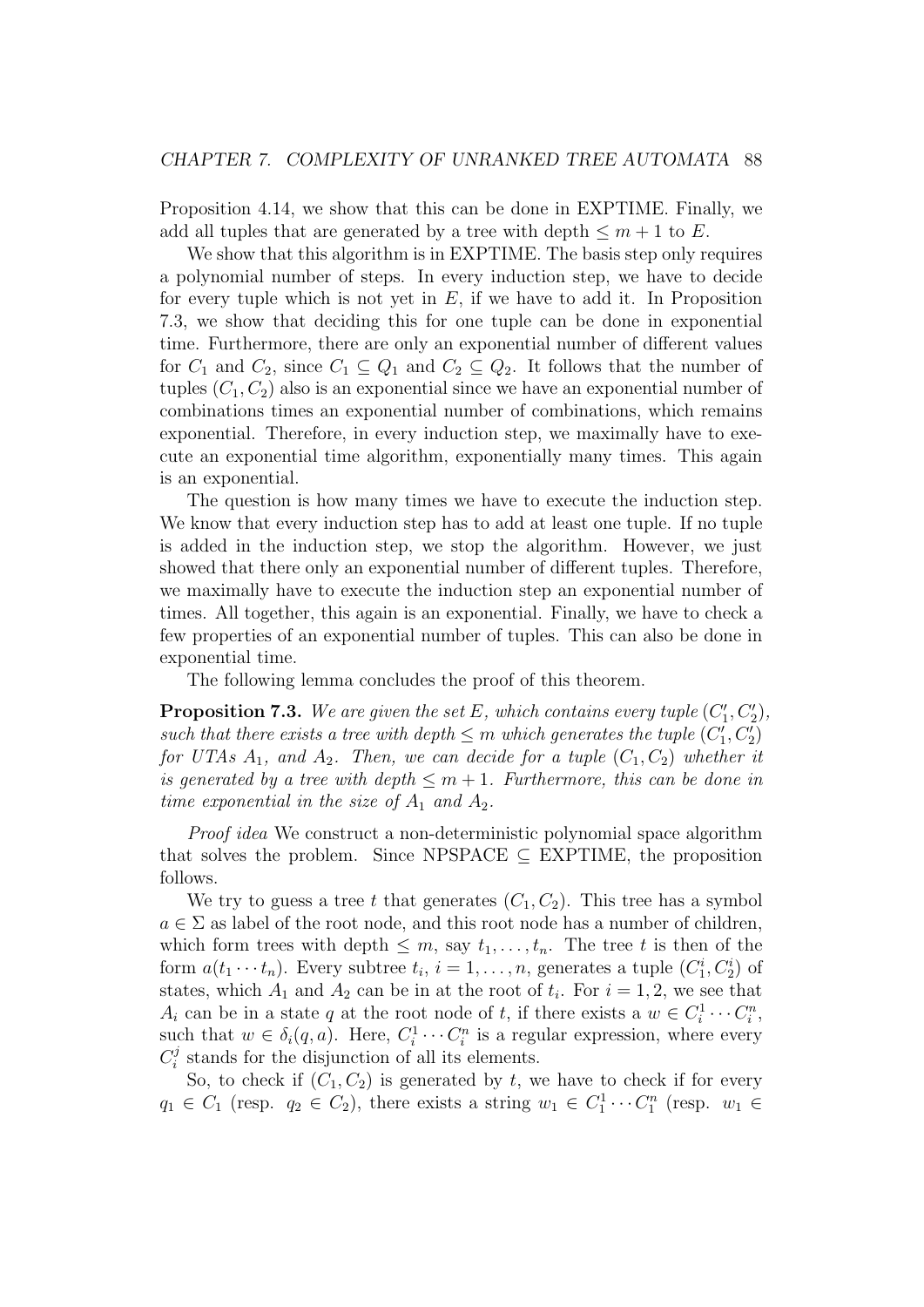Proposition 4.14, we show that this can be done in EXPTIME. Finally, we add all tuples that are generated by a tree with depth  $\leq m+1$  to E.

We show that this algorithm is in EXPTIME. The basis step only requires a polynomial number of steps. In every induction step, we have to decide for every tuple which is not yet in  $E$ , if we have to add it. In Proposition 7.3, we show that deciding this for one tuple can be done in exponential time. Furthermore, there are only an exponential number of different values for  $C_1$  and  $C_2$ , since  $C_1 \subseteq Q_1$  and  $C_2 \subseteq Q_2$ . It follows that the number of tuples  $(C_1, C_2)$  also is an exponential since we have an exponential number of combinations times an exponential number of combinations, which remains exponential. Therefore, in every induction step, we maximally have to execute an exponential time algorithm, exponentially many times. This again is an exponential.

The question is how many times we have to execute the induction step. We know that every induction step has to add at least one tuple. If no tuple is added in the induction step, we stop the algorithm. However, we just showed that there only an exponential number of different tuples. Therefore, we maximally have to execute the induction step an exponential number of times. All together, this again is an exponential. Finally, we have to check a few properties of an exponential number of tuples. This can also be done in exponential time.

The following lemma concludes the proof of this theorem.

**Proposition 7.3.** We are given the set E, which contains every tuple  $(C'_1, C'_2)$ , such that there exists a tree with depth  $\leq m$  which generates the tuple  $(C'_1, C'_2)$ for UTAs  $A_1$ , and  $A_2$ . Then, we can decide for a tuple  $(C_1, C_2)$  whether it is generated by a tree with depth  $\leq m+1$ . Furthermore, this can be done in time exponential in the size of  $A_1$  and  $A_2$ .

Proof idea We construct a non-deterministic polynomial space algorithm that solves the problem. Since NPSPACE  $\subseteq$  EXPTIME, the proposition follows.

We try to guess a tree t that generates  $(C_1, C_2)$ . This tree has a symbol  $a \in \Sigma$  as label of the root node, and this root node has a number of children, which form trees with depth  $\leq m$ , say  $t_1, \ldots, t_n$ . The tree t is then of the form  $a(t_1 \cdots t_n)$ . Every subtree  $t_i$ ,  $i = 1, \ldots, n$ , generates a tuple  $(C_1^i, C_2^i)$  of states, which  $A_1$  and  $A_2$  can be in at the root of  $t_i$ . For  $i = 1, 2$ , we see that  $A_i$  can be in a state q at the root node of t, if there exists a  $w \in C_i^1 \cdots C_i^n$ , such that  $w \in \delta_i(q, a)$ . Here,  $C_i^1 \cdots C_i^n$  is a regular expression, where every  $C_i^j$  $\mathcal{L}_i^j$  stands for the disjunction of all its elements.

So, to check if  $(C_1, C_2)$  is generated by t, we have to check if for every  $q_1 \in C_1$  (resp.  $q_2 \in C_2$ ), there exists a string  $w_1 \in C_1^1 \cdots C_1^n$  (resp.  $w_1 \in$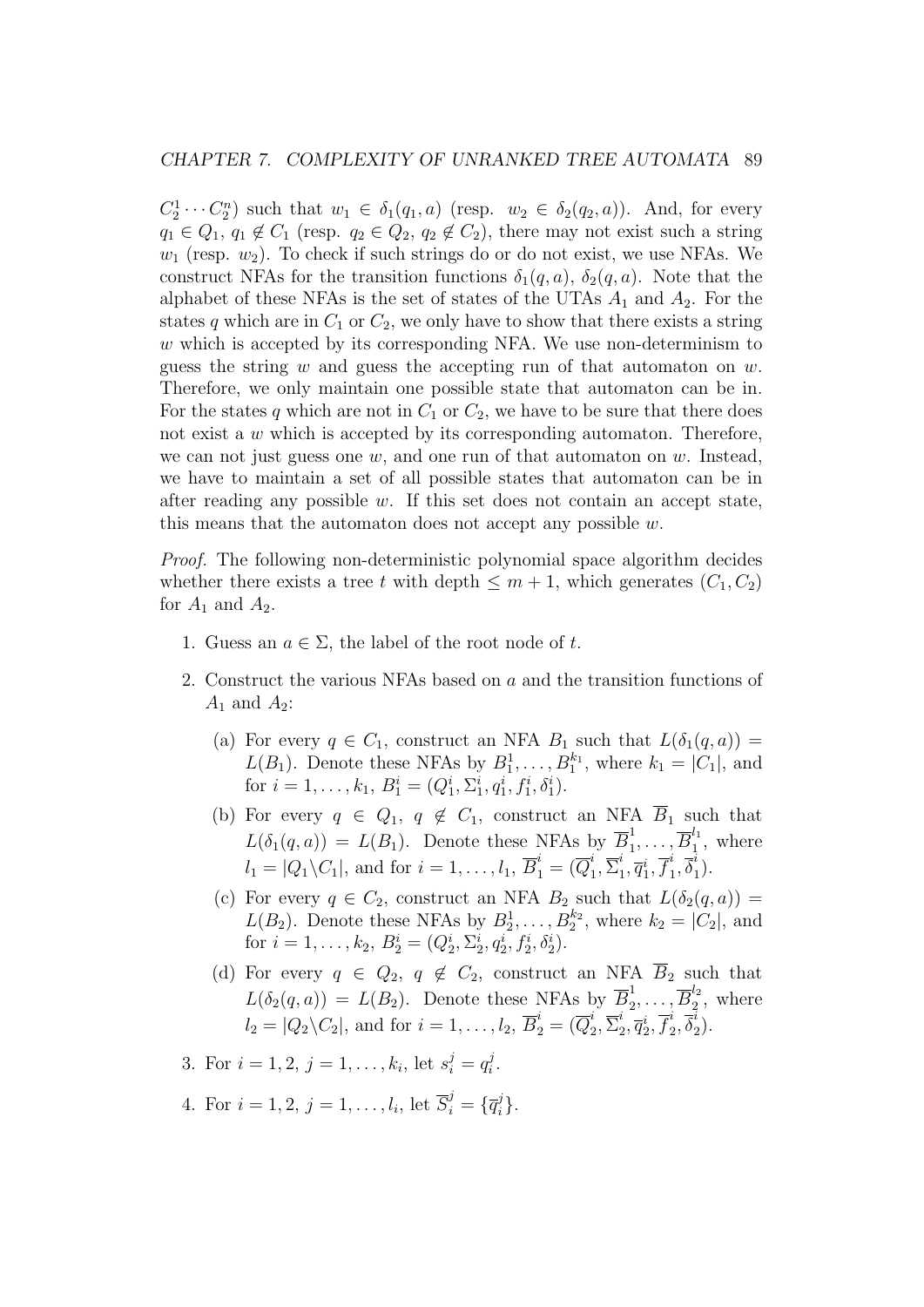$C_2^1 \cdots C_2^n$  such that  $w_1 \in \delta_1(q_1, a)$  (resp.  $w_2 \in \delta_2(q_2, a)$ ). And, for every  $q_1 \in Q_1$ ,  $q_1 \notin C_1$  (resp.  $q_2 \in Q_2$ ,  $q_2 \notin C_2$ ), there may not exist such a string  $w_1$  (resp.  $w_2$ ). To check if such strings do or do not exist, we use NFAs. We construct NFAs for the transition functions  $\delta_1(q, a)$ ,  $\delta_2(q, a)$ . Note that the alphabet of these NFAs is the set of states of the UTAs  $A_1$  and  $A_2$ . For the states q which are in  $C_1$  or  $C_2$ , we only have to show that there exists a string w which is accepted by its corresponding NFA. We use non-determinism to guess the string  $w$  and guess the accepting run of that automaton on  $w$ . Therefore, we only maintain one possible state that automaton can be in. For the states q which are not in  $C_1$  or  $C_2$ , we have to be sure that there does not exist a w which is accepted by its corresponding automaton. Therefore, we can not just guess one  $w$ , and one run of that automaton on  $w$ . Instead, we have to maintain a set of all possible states that automaton can be in after reading any possible  $w$ . If this set does not contain an accept state, this means that the automaton does not accept any possible  $w$ .

Proof. The following non-deterministic polynomial space algorithm decides whether there exists a tree t with depth  $\leq m+1$ , which generates  $(C_1, C_2)$ for  $A_1$  and  $A_2$ .

- 1. Guess an  $a \in \Sigma$ , the label of the root node of t.
- 2. Construct the various NFAs based on a and the transition functions of  $A_1$  and  $A_2$ :
	- (a) For every  $q \in C_1$ , construct an NFA  $B_1$  such that  $L(\delta_1(q, a)) =$  $L(B_1)$ . Denote these NFAs by  $B_1^1, \ldots, B_1^{k_1}$ , where  $k_1 = |C_1|$ , and for  $i = 1, ..., k_1, B_1^i = (Q_1^i, \Sigma_1^i, q_1^i, f_1^i, \delta_1^i)$ .
	- (b) For every  $q \in Q_1, q \notin C_1$ , construct an NFA  $\overline{B}_1$  such that  $L(\delta_1(q, a)) = L(B_1)$ . Denote these NFAs by  $\overline{B}_1^1$  $\overline{B}_1^{\overline{l}_1}, \ldots, \overline{B}_1^{\overline{l}_1}$  $i_1^{t_1}$ , where  $l_1 = |Q_1 \backslash C_1|$ , and for  $i = 1, \ldots, l_1$ ,  $\overline{B}_1^i = (\overline{Q}_1^i)$  $i\overline{1}, \overline{\Sigma}^i_1$  $i_1, \overline{q}_1^i, \overline{f}_1^i$  $i\overline{\delta}_1^i, \overline{\delta}_1^i$  $\binom{t}{1}$ .
	- (c) For every  $q \in C_2$ , construct an NFA  $B_2$  such that  $L(\delta_2(q, a)) =$  $L(B_2)$ . Denote these NFAs by  $B_2^1, \ldots, B_2^{k_2}$ , where  $k_2 = |C_2|$ , and for  $i = 1, ..., k_2, B_2^i = (Q_2^i, \Sigma_2^i, q_2^i, f_2^i, \delta_2^i)$ .
	- (d) For every  $q \in Q_2$ ,  $q \notin C_2$ , construct an NFA  $\overline{B}_2$  such that  $L(\delta_2(q, a)) = L(B_2)$ . Denote these NFAs by  $\overline{B}_2^1$  $\frac{1}{2},\ldots,\overline{B}_2^{l_2}$  $i_2^2$ , where  $l_2 = |Q_2\backslash C_2|$ , and for  $i = 1, \ldots, l_2$ ,  $\overline{B}_2^i = (\overline{Q}_2^i)$  $i\over 2, \overline{\Sigma}^i_2$  $i\overline{q}_{2}^{i},\overline{q}_{2}^{i},\overline{f}_{2}^{i}$  $i\over 2, \overline\delta_2^i$  $i_{2}).$
- 3. For  $i = 1, 2, j = 1, \ldots, k_i$ , let  $s_i^j = q_i^j$  $\frac{j}{i}$ .
- 4. For  $i = 1, 2, j = 1, ..., l_i$ , let  $\overline{S}_i^j = \{ \overline{q}_i^j \}$  $\big\}^j_i$ .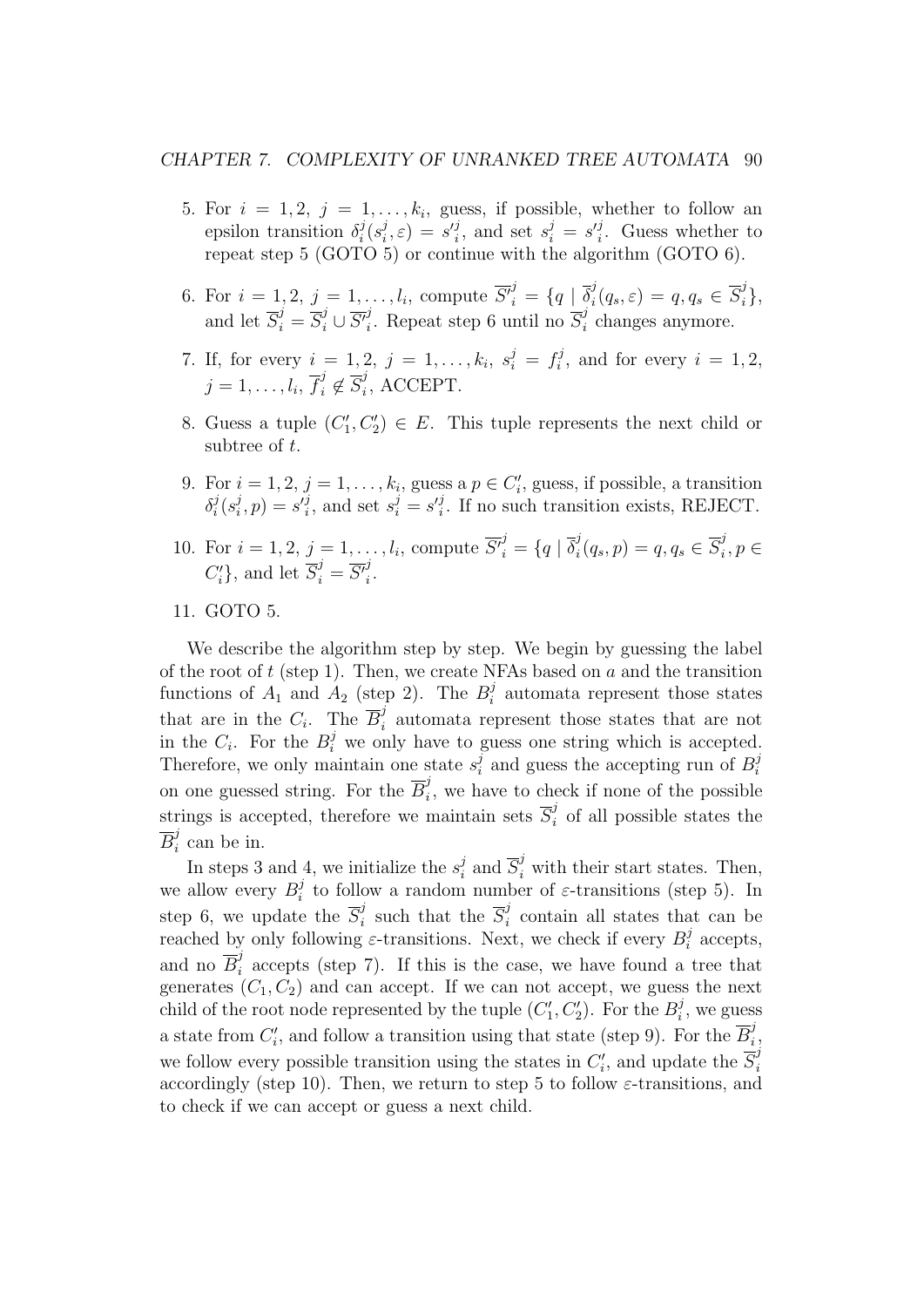#### CHAPTER 7. COMPLEXITY OF UNRANKED TREE AUTOMATA 90

- 5. For  $i = 1, 2, j = 1, \ldots, k_i$ , guess, if possible, whether to follow an epsilon transition  $\delta_i^j$  $\frac{j}{i}(s_i^j$  $i_j^j$ ,  $\varepsilon$ ) =  $s_i^j$ , and set  $s_i^j = s_i^j$ . Guess whether to repeat step 5 (GOTO 5) or continue with the algorithm (GOTO 6).
- 6. For  $i = 1, 2, j = 1, \ldots, l_i$ , compute  $\overline{S'}_i^j = \{q \mid \overline{\delta}_i^j\}$  $i^j(q_s,\varepsilon) = q, q_s \in \overline{S}_i^j\},$ and let  $\overline{S}_i^j = \overline{S}_i^j \cup \overline{S'}_i^j$ <sup>j</sup>. Repeat step 6 until no  $\overline{S}_i^j$  $i$  changes anymore.
- 7. If, for every  $i = 1, 2, j = 1, ..., k_i, s_i^j = f_i^j$  $i<sup>j</sup>$ , and for every  $i = 1, 2$ ,  $j=1,\ldots,l_i,\,\overline{f}_i^j \not\in \overline{S}_i^j$  $i$ , ACCEPT.
- 8. Guess a tuple  $(C'_1, C'_2) \in E$ . This tuple represents the next child or subtree of t.
- 9. For  $i = 1, 2, j = 1, \ldots, k_i$ , guess a  $p \in C'_i$ , guess, if possible, a transition  $\delta_i^j$  $\frac{j}{i}(s_i^j$  $i, p) = s'_{i}$ , and set  $s_{i}^{j} = s'_{i}$ . If no such transition exists, REJECT.
- 10. For  $i = 1, 2, j = 1, \ldots, l_i$ , compute  $\overline{S'}_i^j = \{q \mid \overline{\delta}_i^j\}$  $i_q^j(q_s, p) = q, q_s \in \overline{S}_i^j$  $i^j, p \in$  $C_i'$ , and let  $\overline{S}_i^j = \overline{S'}_i^j$ i .
- 11. GOTO 5.

We describe the algorithm step by step. We begin by guessing the label of the root of  $t$  (step 1). Then, we create NFAs based on  $a$  and the transition functions of  $A_1$  and  $A_2$  (step 2). The  $B_i^j$  $i$  automata represent those states that are in the  $C_i$ . The  $\overline{B}_i^j$  $i$  automata represent those states that are not in the  $C_i$ . For the  $B_i^j$  we only have to guess one string which is accepted. Therefore, we only maintain one state  $s_i^j$  $i$  and guess the accepting run of  $B_i^j$ i on one guessed string. For the  $\overline{B}_i^j$  $i<sub>i</sub>$ , we have to check if none of the possible strings is accepted, therefore we maintain sets  $\overline{S}_i^j$  $i$  of all possible states the  $\overline{B}^j_i$  $i$  can be in.

In steps 3 and 4, we initialize the  $s_i^j$  $\overline{s}_i^j$  and  $\overline{S}_i^j$  with their start states. Then, we allow every  $B_i^j$  $i_i$  to follow a random number of  $\varepsilon$ -transitions (step 5). In step 6, we update the  $\overline{S}_i^j$  $\frac{i}{i}$  such that the  $\overline{S}_i^j$  $i$  contain all states that can be reached by only following  $\varepsilon$ -transitions. Next, we check if every  $B_i^j$  $a_i^j$  accepts, and no  $\overline{B}_i^j$  $i<sub>i</sub>$  accepts (step 7). If this is the case, we have found a tree that generates  $(C_1, C_2)$  and can accept. If we can not accept, we guess the next child of the root node represented by the tuple  $(C'_1, C'_2)$ . For the  $B_i^j$  $i^j$ , we guess a state from  $C_i'$ , and follow a transition using that state (step 9). For the  $\overline{B}_i^j$ i , we follow every possible transition using the states in  $C_i'$ , and update the  $\overline{S}_i^j$ i accordingly (step 10). Then, we return to step 5 to follow  $\varepsilon$ -transitions, and to check if we can accept or guess a next child.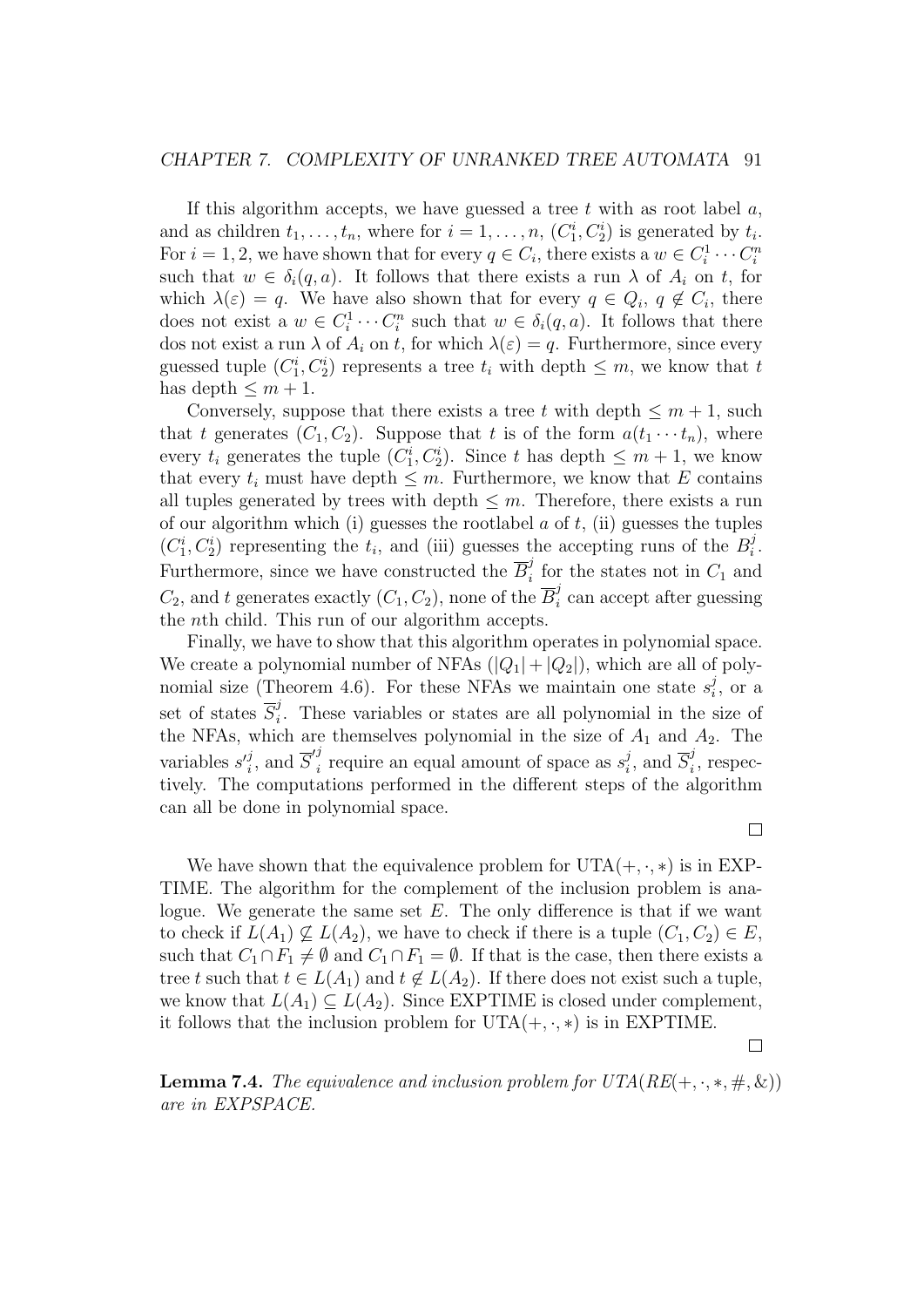#### CHAPTER 7. COMPLEXITY OF UNRANKED TREE AUTOMATA 91

If this algorithm accepts, we have guessed a tree  $t$  with as root label  $a$ , and as children  $t_1, \ldots, t_n$ , where for  $i = 1, \ldots, n$ ,  $(C_1^i, C_2^i)$  is generated by  $t_i$ . For  $i = 1, 2$ , we have shown that for every  $q \in C_i$ , there exists a  $w \in C_i^1 \cdots C_i^n$ such that  $w \in \delta_i(q, a)$ . It follows that there exists a run  $\lambda$  of  $A_i$  on t, for which  $\lambda(\varepsilon) = q$ . We have also shown that for every  $q \in Q_i$ ,  $q \notin C_i$ , there does not exist a  $w \in C_i^1 \cdots C_i^n$  such that  $w \in \delta_i(q, a)$ . It follows that there dos not exist a run  $\lambda$  of  $A_i$  on t, for which  $\lambda(\varepsilon) = q$ . Furthermore, since every guessed tuple  $(C_1^i, C_2^i)$  represents a tree  $t_i$  with depth  $\leq m$ , we know that  $t$ has depth  $\leq m+1$ .

Conversely, suppose that there exists a tree t with depth  $\leq m+1$ , such that t generates  $(C_1, C_2)$ . Suppose that t is of the form  $a(t_1 \cdots t_n)$ , where every  $t_i$  generates the tuple  $(C_1^i, C_2^i)$ . Since t has depth  $\leq m+1$ , we know that every  $t_i$  must have depth  $\leq m$ . Furthermore, we know that E contains all tuples generated by trees with depth  $\leq m$ . Therefore, there exists a run of our algorithm which (i) guesses the rootlabel  $a$  of  $t$ , (ii) guesses the tuples  $(C_1^i, C_2^i)$  representing the  $t_i$ , and (iii) guesses the accepting runs of the  $B_i^j$  $\frac{j}{i}$  . Furthermore, since we have constructed the  $\overline{B}_i^j$  $i$  for the states not in  $C_1$  and  $C_2$ , and t generates exactly  $(C_1, C_2)$ , none of the  $\overline{B}_i^j$  $i$  can accept after guessing the nth child. This run of our algorithm accepts.

Finally, we have to show that this algorithm operates in polynomial space. We create a polynomial number of NFAs  $(|Q_1| + |Q_2|)$ , which are all of polynomial size (Theorem 4.6). For these NFAs we maintain one state  $s_i^j$  $i<sub>i</sub>$ , or a set of states  $\overline{S}_i^j$  $i<sub>i</sub>$ . These variables or states are all polynomial in the size of the NFAs, which are themselves polynomial in the size of  $A_1$  and  $A_2$ . The variables  $s_i^j$ , and  $\overline{S}_i'^j$  $\frac{1}{i}$  require an equal amount of space as  $s_i^j$  $i, \text{ and } \overline{S}_{i}^{j}$  $i$ <sup>'</sup>, respectively. The computations performed in the different steps of the algorithm can all be done in polynomial space.

 $\Box$ 

We have shown that the equivalence problem for  $UTA(+, \cdot, *)$  is in EXP-TIME. The algorithm for the complement of the inclusion problem is analogue. We generate the same set  $E$ . The only difference is that if we want to check if  $L(A_1) \nsubseteq L(A_2)$ , we have to check if there is a tuple  $(C_1, C_2) \in E$ , such that  $C_1 \cap F_1 \neq \emptyset$  and  $C_1 \cap F_1 = \emptyset$ . If that is the case, then there exists a tree t such that  $t \in L(A_1)$  and  $t \notin L(A_2)$ . If there does not exist such a tuple, we know that  $L(A_1) \subseteq L(A_2)$ . Since EXPTIME is closed under complement, it follows that the inclusion problem for  $UTA(+, \cdot, *)$  is in EXPTIME.

 $\Box$ 

**Lemma 7.4.** The equivalence and inclusion problem for  $UTA(RE(+, \cdot, *, \#, \&))$ are in EXPSPACE.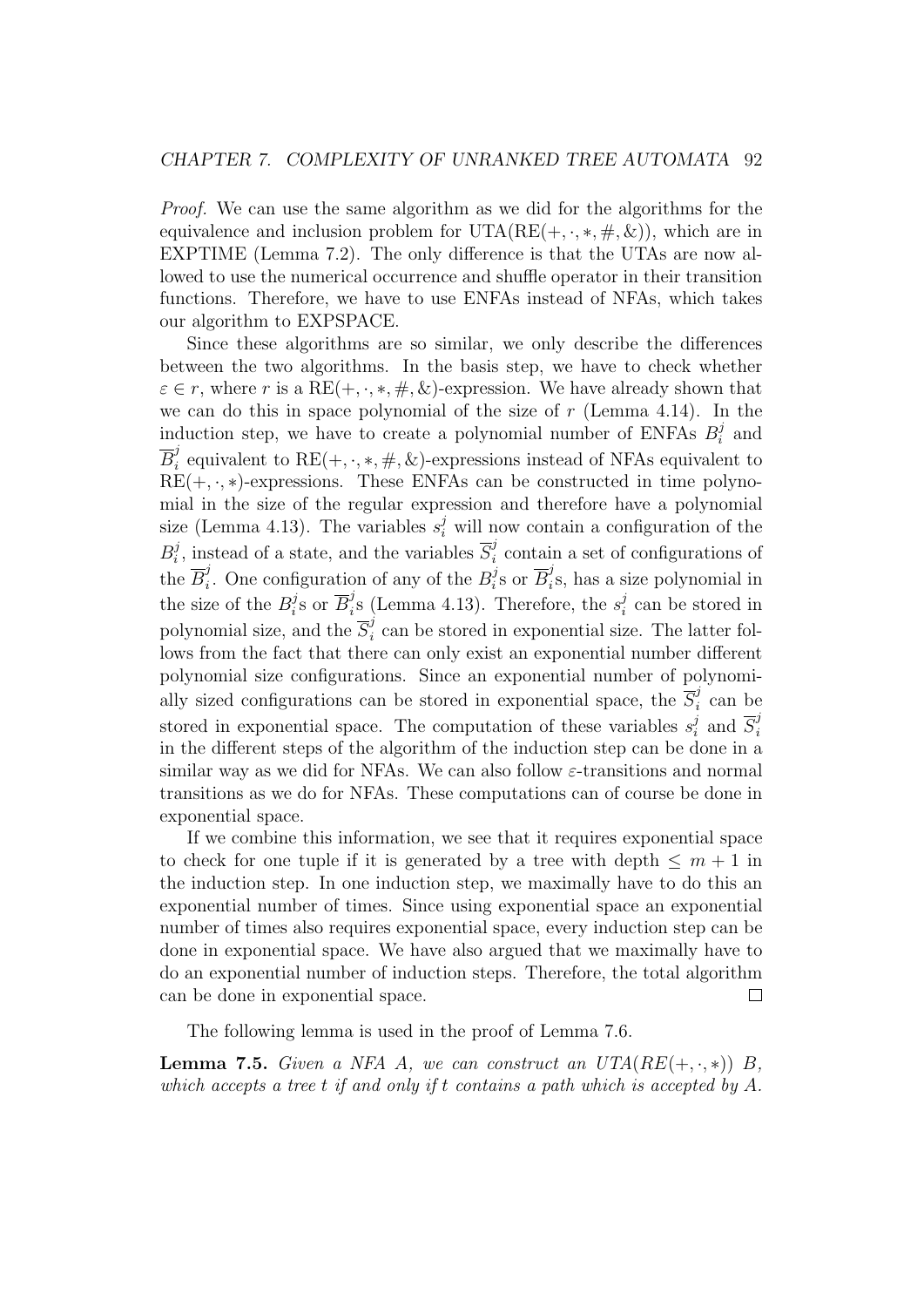Proof. We can use the same algorithm as we did for the algorithms for the equivalence and inclusion problem for  $UTA(RE(+, \cdot, *, \#, \&))$ , which are in EXPTIME (Lemma 7.2). The only difference is that the UTAs are now allowed to use the numerical occurrence and shuffle operator in their transition functions. Therefore, we have to use ENFAs instead of NFAs, which takes our algorithm to EXPSPACE.

Since these algorithms are so similar, we only describe the differences between the two algorithms. In the basis step, we have to check whether  $\varepsilon \in r$ , where r is a RE(+, ·, \*, #, &)-expression. We have already shown that we can do this in space polynomial of the size of  $r$  (Lemma 4.14). In the induction step, we have to create a polynomial number of ENFAs  $B_i^j$  $C_i^j$  and  $\overline{B}^j_i$ <sup>f</sup><sub>i</sub> equivalent to RE(+, ·, \*, #, &)-expressions instead of NFAs equivalent to  $RE(+, \cdot, *)$ -expressions. These ENFAs can be constructed in time polynomial in the size of the regular expression and therefore have a polynomial size (Lemma 4.13). The variables  $s_i^j$  will now contain a configuration of the  $B_i^j$  $i$ , instead of a state, and the variables  $\overline{S}_{i}^{j}$  $i$  contain a set of configurations of the  $\overline{B}_i^j$ <sup>*i*</sup>. One configuration of any of the  $B_i^j$  $i$ <sup>s</sup> or  $\overline{B}_i^j$  $i_s$ s, has a size polynomial in the size of the  $B_i^j$  $i$ <sup>s</sup> or  $\overline{B}_i^j$  $i<sup>j</sup>$  (Lemma 4.13). Therefore, the  $s<sub>i</sub><sup>j</sup>$  $i$  can be stored in polynomial size, and the  $\overline{S}_i^j$  $i<sub>i</sub>$  can be stored in exponential size. The latter follows from the fact that there can only exist an exponential number different polynomial size configurations. Since an exponential number of polynomially sized configurations can be stored in exponential space, the  $\overline{S_i^j}$  $i$  can be stored in exponential space. The computation of these variables  $s_i^j$  $i \overline{s}$  and  $\overline{S}_{i}^{j}$ i in the different steps of the algorithm of the induction step can be done in a similar way as we did for NFAs. We can also follow  $\varepsilon$ -transitions and normal transitions as we do for NFAs. These computations can of course be done in exponential space.

If we combine this information, we see that it requires exponential space to check for one tuple if it is generated by a tree with depth  $\leq m+1$  in the induction step. In one induction step, we maximally have to do this an exponential number of times. Since using exponential space an exponential number of times also requires exponential space, every induction step can be done in exponential space. We have also argued that we maximally have to do an exponential number of induction steps. Therefore, the total algorithm can be done in exponential space.  $\Box$ 

The following lemma is used in the proof of Lemma 7.6.

**Lemma 7.5.** Given a NFA A, we can construct an  $UTA(RE(+, \cdot, *))$  B, which accepts a tree t if and only if t contains a path which is accepted by  $A$ .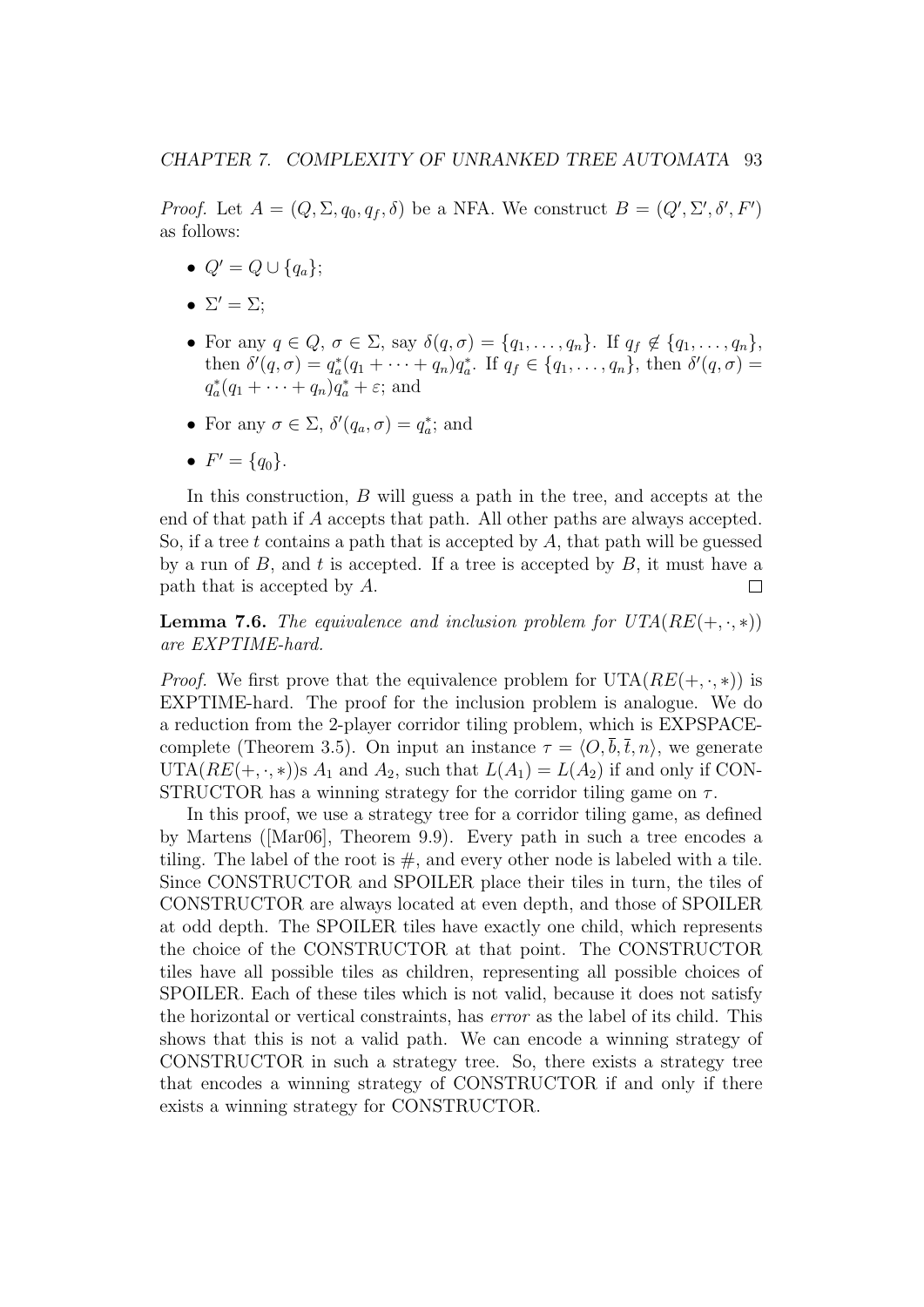*Proof.* Let  $A = (Q, \Sigma, q_0, q_f, \delta)$  be a NFA. We construct  $B = (Q', \Sigma', \delta', F')$ as follows:

- $Q' = Q \cup \{q_a\};$
- $\Sigma' = \Sigma;$
- For any  $q \in Q$ ,  $\sigma \in \Sigma$ , say  $\delta(q, \sigma) = \{q_1, \ldots, q_n\}$ . If  $q_f \notin \{q_1, \ldots, q_n\}$ , then  $\delta'(q, \sigma) = q_a^*(q_1 + \cdots + q_n)q_a^*$ . If  $q_f \in \{q_1, \ldots, q_n\}$ , then  $\delta'(q, \sigma) =$  $q_a^*(q_1 + \cdots + q_n)q_a^* + \varepsilon$ ; and
- For any  $\sigma \in \Sigma$ ,  $\delta'(q_a, \sigma) = q_a^*$ ; and
- $F' = \{q_0\}.$

In this construction, B will guess a path in the tree, and accepts at the end of that path if A accepts that path. All other paths are always accepted. So, if a tree t contains a path that is accepted by  $A$ , that path will be guessed by a run of  $B$ , and t is accepted. If a tree is accepted by  $B$ , it must have a path that is accepted by A.  $\Box$ 

**Lemma 7.6.** The equivalence and inclusion problem for  $UTA(RE(+, \cdot, *)$ are EXPTIME-hard.

*Proof.* We first prove that the equivalence problem for  $UTA(RE(+, \cdot, *))$  is EXPTIME-hard. The proof for the inclusion problem is analogue. We do a reduction from the 2-player corridor tiling problem, which is EXPSPACEcomplete (Theorem 3.5). On input an instance  $\tau = \langle O, \overline{b}, \overline{t}, n \rangle$ , we generate UTA( $RE(+, \cdot, *)$ )s  $A_1$  and  $A_2$ , such that  $L(A_1) = L(A_2)$  if and only if CON-STRUCTOR has a winning strategy for the corridor tiling game on  $\tau$ .

In this proof, we use a strategy tree for a corridor tiling game, as defined by Martens ([Mar06], Theorem 9.9). Every path in such a tree encodes a tiling. The label of the root is  $#$ , and every other node is labeled with a tile. Since CONSTRUCTOR and SPOILER place their tiles in turn, the tiles of CONSTRUCTOR are always located at even depth, and those of SPOILER at odd depth. The SPOILER tiles have exactly one child, which represents the choice of the CONSTRUCTOR at that point. The CONSTRUCTOR tiles have all possible tiles as children, representing all possible choices of SPOILER. Each of these tiles which is not valid, because it does not satisfy the horizontal or vertical constraints, has error as the label of its child. This shows that this is not a valid path. We can encode a winning strategy of CONSTRUCTOR in such a strategy tree. So, there exists a strategy tree that encodes a winning strategy of CONSTRUCTOR if and only if there exists a winning strategy for CONSTRUCTOR.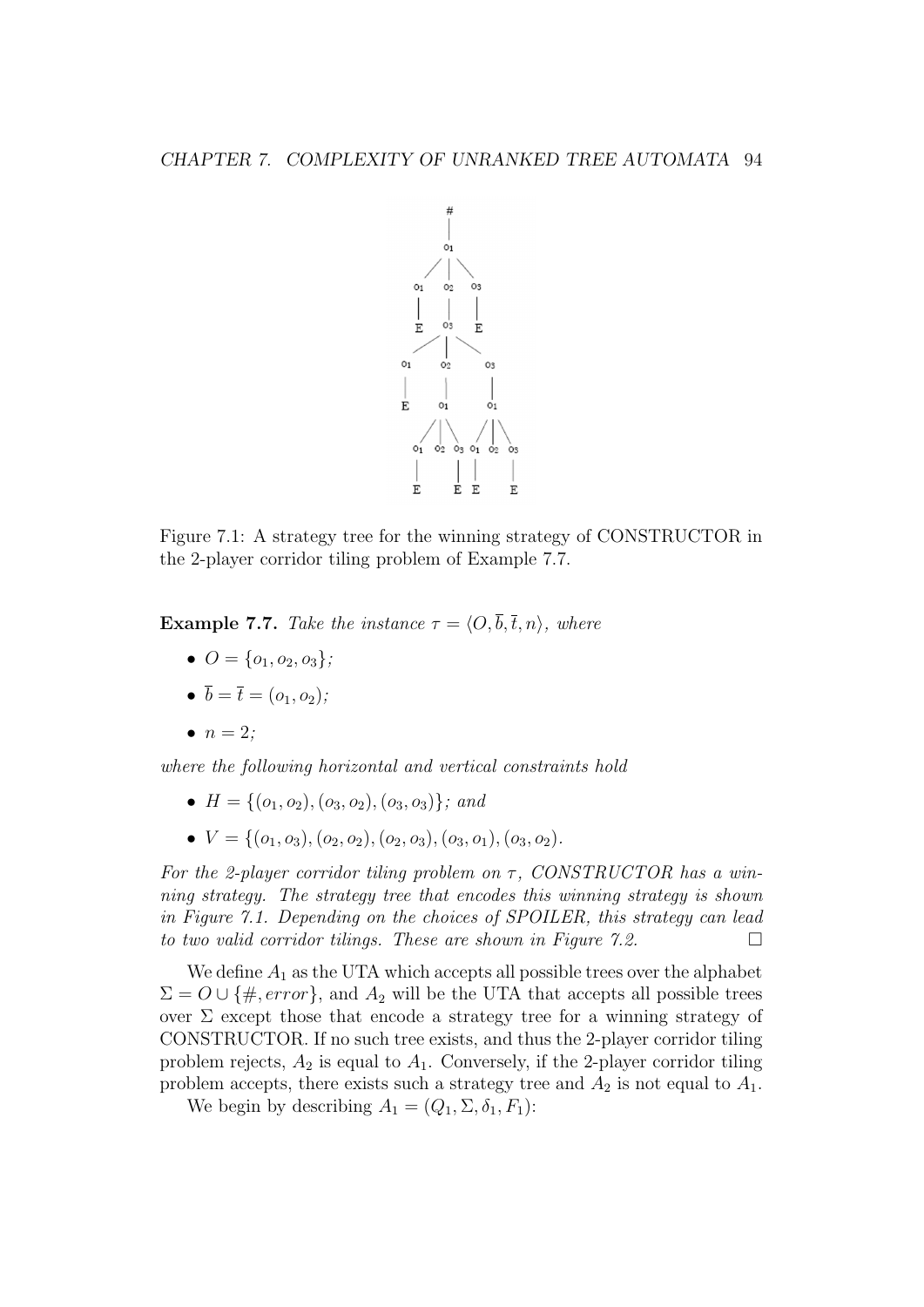

Figure 7.1: A strategy tree for the winning strategy of CONSTRUCTOR in the 2-player corridor tiling problem of Example 7.7.

**Example 7.7.** Take the instance  $\tau = \langle O, \overline{b}, \overline{t}, n \rangle$ , where

- $Q = \{Q_1, Q_2, Q_3\}$ ;
- $\bar{b} = \bar{t} = (o_1, o_2);$
- $n = 2$ ;

where the following horizontal and vertical constraints hold

- $H = \{(o_1, o_2), (o_3, o_2), (o_3, o_3)\}\; and$
- $V = \{(o_1, o_3), (o_2, o_2), (o_2, o_3), (o_3, o_1), (o_3, o_2)\}.$

For the 2-player corridor tiling problem on  $\tau$ , CONSTRUCTOR has a winning strategy. The strategy tree that encodes this winning strategy is shown in Figure 7.1. Depending on the choices of SPOILER, this strategy can lead to two valid corridor tilings. These are shown in Figure 7.2.  $\Box$ 

We define  $A_1$  as the UTA which accepts all possible trees over the alphabet  $\Sigma = O \cup \{\#, error\}$ , and  $A_2$  will be the UTA that accepts all possible trees over  $\Sigma$  except those that encode a strategy tree for a winning strategy of CONSTRUCTOR. If no such tree exists, and thus the 2-player corridor tiling problem rejects,  $A_2$  is equal to  $A_1$ . Conversely, if the 2-player corridor tiling problem accepts, there exists such a strategy tree and  $A_2$  is not equal to  $A_1$ .

We begin by describing  $A_1 = (Q_1, \Sigma, \delta_1, F_1)$ :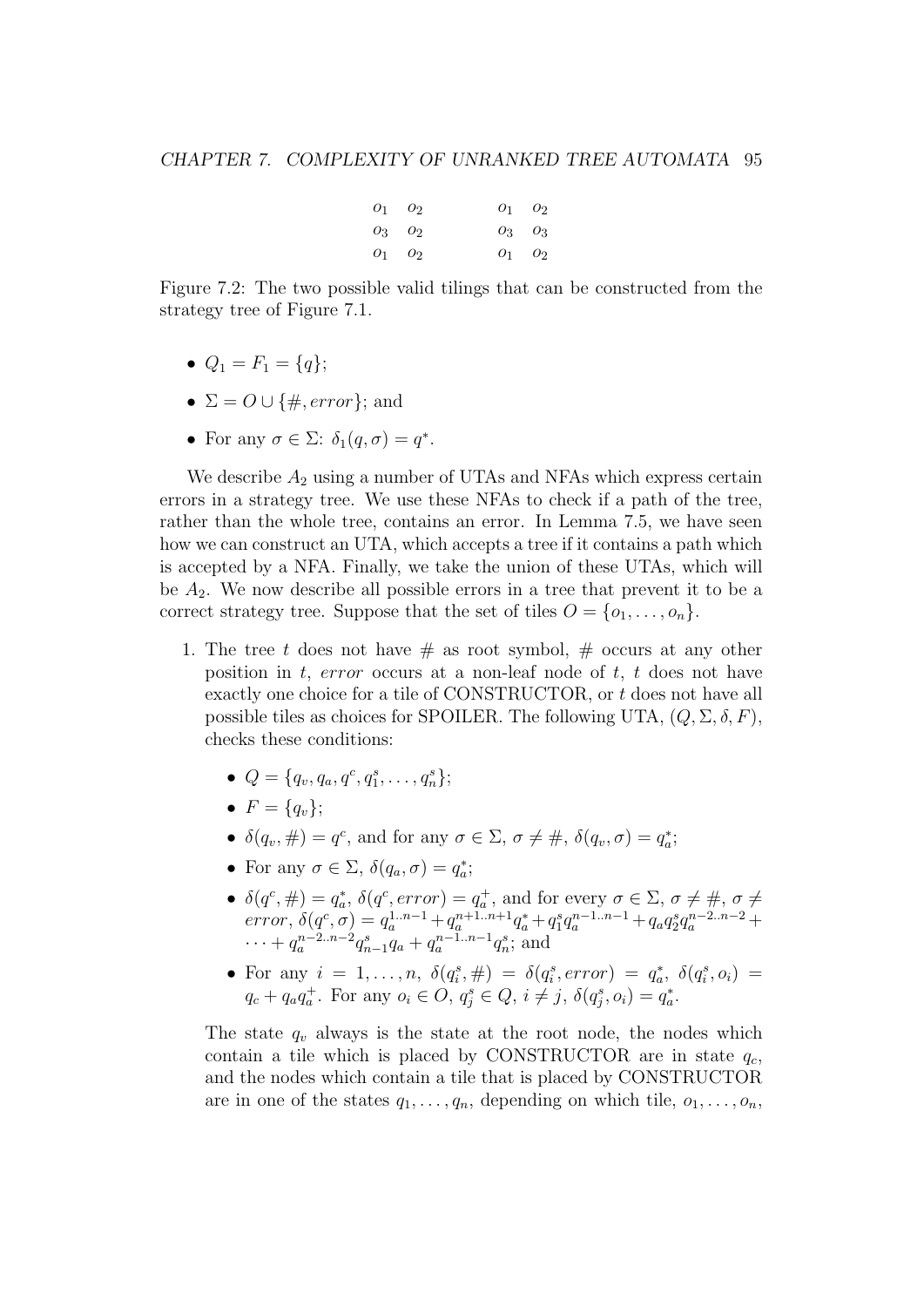| $O_1$ $O_2$ | $O_1$ $O_2$ |
|-------------|-------------|
| $O_3$ $O_2$ | $O_3$ $O_3$ |
| $O_1$ $O_2$ | $O_1$ $O_2$ |

Figure 7.2: The two possible valid tilings that can be constructed from the strategy tree of Figure 7.1.

- $Q_1 = F_1 = \{q\};$
- $\Sigma = O \cup \{\#, error\}$ ; and
- For any  $\sigma \in \Sigma$ :  $\delta_1(q, \sigma) = q^*$ .

We describe  $A_2$  using a number of UTAs and NFAs which express certain errors in a strategy tree. We use these NFAs to check if a path of the tree, rather than the whole tree, contains an error. In Lemma 7.5, we have seen how we can construct an UTA, which accepts a tree if it contains a path which is accepted by a NFA. Finally, we take the union of these UTAs, which will be  $A_2$ . We now describe all possible errors in a tree that prevent it to be a correct strategy tree. Suppose that the set of tiles  $O = \{o_1, \ldots, o_n\}.$ 

- 1. The tree t does not have  $\#$  as root symbol,  $\#$  occurs at any other position in t, error occurs at a non-leaf node of t, t does not have exactly one choice for a tile of CONSTRUCTOR, or t does not have all possible tiles as choices for SPOILER. The following UTA,  $(Q, \Sigma, \delta, F)$ , checks these conditions:
	- $Q = \{q_v, q_a, q^c, q_1^s, \ldots, q_n^s\};$
	- $F = \{q_v\};$
	- $\delta(q_v, \#) = q^c$ , and for any  $\sigma \in \Sigma$ ,  $\sigma \neq \#$ ,  $\delta(q_v, \sigma) = q_a^*$ ;
	- For any  $\sigma \in \Sigma$ ,  $\delta(q_a, \sigma) = q_a^*$ ;
	- $\delta(q^c, \#) = q_a^*$ ,  $\delta(q^c, error) = q_a^+$ , and for every  $\sigma \in \Sigma$ ,  $\sigma \neq \#$ ,  $\sigma \neq \emptyset$  $error, \ \delta(q^c, \sigma) = q_a^{1..n-1} + q_a^{n+1..n+1}q_a^* + q_1^s q_a^{n-1..n-1} + q_a q_2^s q_a^{n-2..n-2} +$  $\cdots + q_a^{n-2..n-2} q_{n-1}^s q_a + q_a^{n-1..n-1} q_n^s$ ; and
	- For any  $i = 1, ..., n$ ,  $\delta(q_i^s, \#) = \delta(q_i^s, error) = q_a^*, \delta(q_i^s, o_i) =$  $q_c + q_a q_a^+$ . For any  $o_i \in O, q_j^s \in Q, i \neq j, \delta(q_j^s, o_i) = q_a^*$ .

The state  $q_v$  always is the state at the root node, the nodes which contain a tile which is placed by CONSTRUCTOR are in state  $q_c$ , and the nodes which contain a tile that is placed by CONSTRUCTOR are in one of the states  $q_1, \ldots, q_n$ , depending on which tile,  $o_1, \ldots, o_n$ ,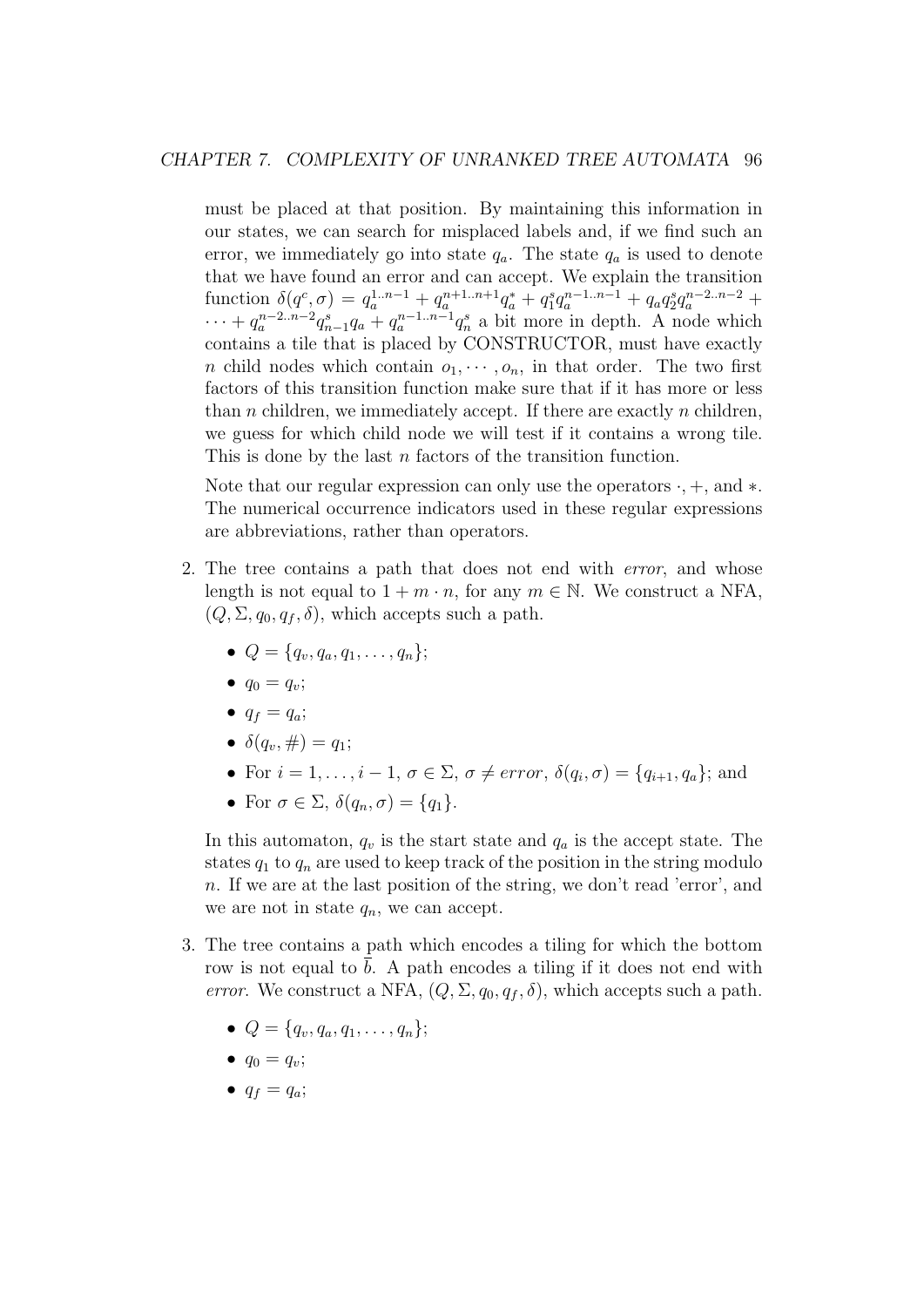must be placed at that position. By maintaining this information in our states, we can search for misplaced labels and, if we find such an error, we immediately go into state  $q_a$ . The state  $q_a$  is used to denote that we have found an error and can accept. We explain the transition function  $\delta(q^c, \sigma) = q_a^{1..n-1} + q_a^{n+1..n+1}q_a^* + q_1^s q_a^{n-1..n-1} + q_a q_2^s q_a^{n-2..n-2} +$  $\cdots + q_a^{n-2\ldots n-2}q_{n-1}^s q_a + q_a^{n-1\ldots n-1}q_n^s$  a bit more in depth. A node which contains a tile that is placed by CONSTRUCTOR, must have exactly n child nodes which contain  $o_1, \dots, o_n$ , in that order. The two first factors of this transition function make sure that if it has more or less than  $n$  children, we immediately accept. If there are exactly  $n$  children, we guess for which child node we will test if it contains a wrong tile. This is done by the last *n* factors of the transition function.

Note that our regular expression can only use the operators  $\cdot$ ,  $+$ , and  $\ast$ . The numerical occurrence indicators used in these regular expressions are abbreviations, rather than operators.

- 2. The tree contains a path that does not end with error, and whose length is not equal to  $1 + m \cdot n$ , for any  $m \in \mathbb{N}$ . We construct a NFA,  $(Q, \Sigma, q_0, q_f, \delta)$ , which accepts such a path.
	- $Q = \{q_v, q_a, q_1, \ldots, q_n\};$
	- $q_0 = q_v$ ;
	- $q_f = q_a$ ;
	- $\delta(q_v, \#) = q_1;$
	- For  $i = 1, \ldots, i 1, \sigma \in \Sigma$ ,  $\sigma \neq error$ ,  $\delta(q_i, \sigma) = \{q_{i+1}, q_a\}$ ; and
	- For  $\sigma \in \Sigma$ ,  $\delta(q_n, \sigma) = \{q_1\}.$

In this automaton,  $q_v$  is the start state and  $q_a$  is the accept state. The states  $q_1$  to  $q_n$  are used to keep track of the position in the string modulo n. If we are at the last position of the string, we don't read 'error', and we are not in state  $q_n$ , we can accept.

- 3. The tree contains a path which encodes a tiling for which the bottom row is not equal to  $\bar{b}$ . A path encodes a tiling if it does not end with error. We construct a NFA,  $(Q, \Sigma, q_0, q_f, \delta)$ , which accepts such a path.
	- $Q = \{q_v, q_a, q_1, \ldots, q_n\};$
	- $q_0 = q_v$ ;
	- $q_f = q_a;$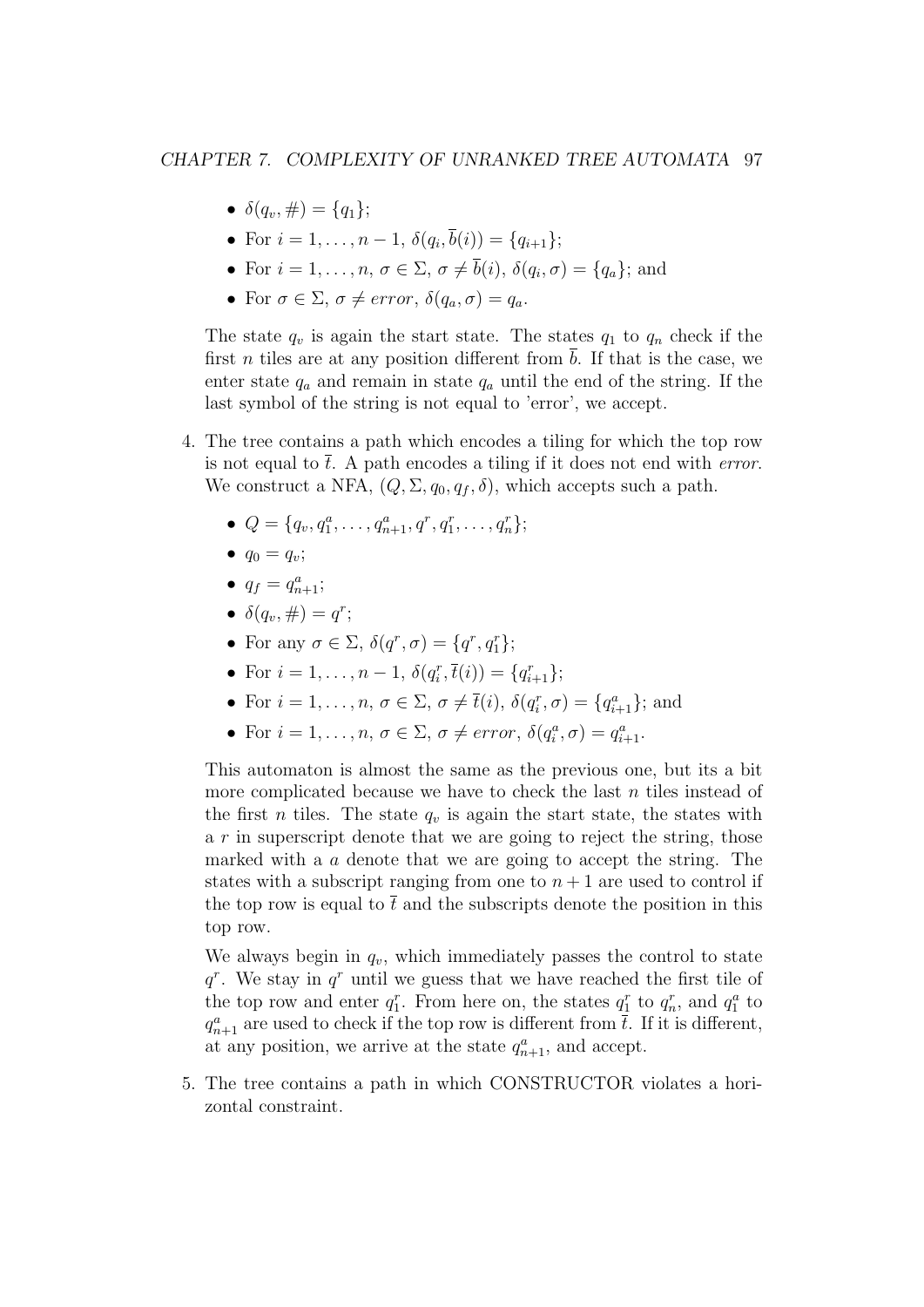- $\delta(q_v, \#) = \{q_1\};$
- For  $i = 1, ..., n 1, \delta(q_i, b(i)) = \{q_{i+1}\};$
- For  $i = 1, \ldots, n, \sigma \in \Sigma, \sigma \neq b(i), \delta(q_i, \sigma) = \{q_a\};$  and
- For  $\sigma \in \Sigma$ ,  $\sigma \neq error$ ,  $\delta(q_a, \sigma) = q_a$ .

The state  $q_v$  is again the start state. The states  $q_1$  to  $q_n$  check if the first *n* tiles are at any position different from  $\bar{b}$ . If that is the case, we enter state  $q_a$  and remain in state  $q_a$  until the end of the string. If the last symbol of the string is not equal to 'error', we accept.

- 4. The tree contains a path which encodes a tiling for which the top row is not equal to  $\overline{t}$ . A path encodes a tiling if it does not end with *error*. We construct a NFA,  $(Q, \Sigma, q_0, q_f, \delta)$ , which accepts such a path.
	- $Q = \{q_v, q_1^a, \ldots, q_{n+1}^a, q^r, q_1^r, \ldots, q_n^r\};$
	- $q_0 = q_v$ ;
	- $q_f = q_{n+1}^a;$
	- $\delta(q_v, \#) = q^r;$
	- For any  $\sigma \in \Sigma$ ,  $\delta(q^r, \sigma) = \{q^r, q_1^r\};$
	- For  $i = 1, ..., n 1$ ,  $\delta(q_i^r, \overline{t}(i)) = \{q_{i+1}^r\};$
	- For  $i = 1, \ldots, n, \sigma \in \Sigma, \sigma \neq \overline{t}(i), \delta(q_i^r, \sigma) = \{q_{i+1}^a\};$  and
	- For  $i = 1, ..., n, \sigma \in \Sigma$ ,  $\sigma \neq error$ ,  $\delta(q_i^a, \sigma) = q_{i+1}^a$ .

This automaton is almost the same as the previous one, but its a bit more complicated because we have to check the last  $n$  tiles instead of the first *n* tiles. The state  $q_v$  is again the start state, the states with a  $r$  in superscript denote that we are going to reject the string, those marked with a a denote that we are going to accept the string. The states with a subscript ranging from one to  $n+1$  are used to control if the top row is equal to  $\bar{t}$  and the subscripts denote the position in this top row.

We always begin in  $q_v$ , which immediately passes the control to state  $q^r$ . We stay in  $q^r$  until we guess that we have reached the first tile of the top row and enter  $q_1^r$ . From here on, the states  $q_1^r$  to  $q_n^r$ , and  $q_1^a$  to  $q_{n+1}^a$  are used to check if the top row is different from  $\bar{t}$ . If it is different, at any position, we arrive at the state  $q_{n+1}^a$ , and accept.

5. The tree contains a path in which CONSTRUCTOR violates a horizontal constraint.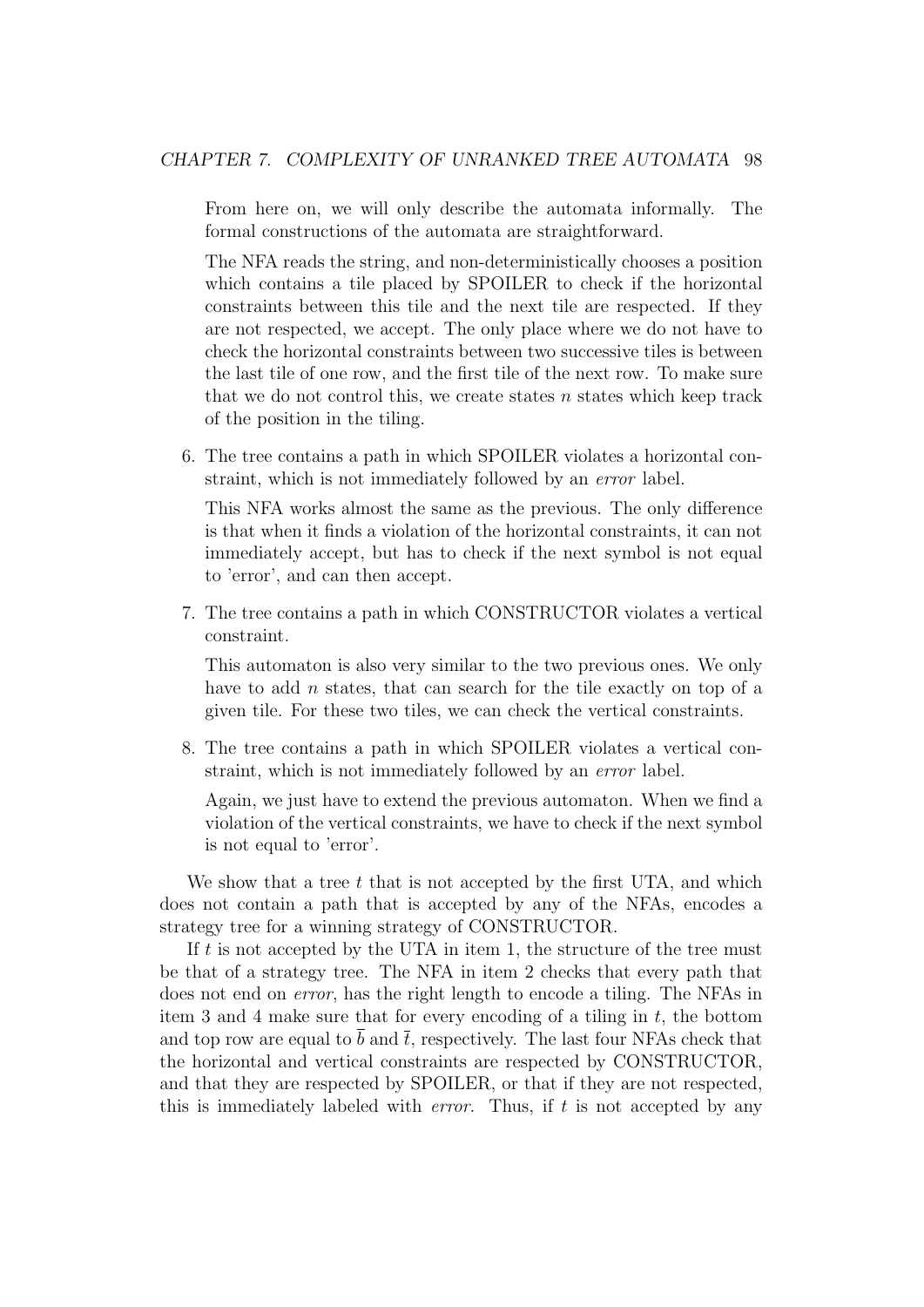From here on, we will only describe the automata informally. The formal constructions of the automata are straightforward.

The NFA reads the string, and non-deterministically chooses a position which contains a tile placed by SPOILER to check if the horizontal constraints between this tile and the next tile are respected. If they are not respected, we accept. The only place where we do not have to check the horizontal constraints between two successive tiles is between the last tile of one row, and the first tile of the next row. To make sure that we do not control this, we create states  $n$  states which keep track of the position in the tiling.

6. The tree contains a path in which SPOILER violates a horizontal constraint, which is not immediately followed by an error label.

This NFA works almost the same as the previous. The only difference is that when it finds a violation of the horizontal constraints, it can not immediately accept, but has to check if the next symbol is not equal to 'error', and can then accept.

7. The tree contains a path in which CONSTRUCTOR violates a vertical constraint.

This automaton is also very similar to the two previous ones. We only have to add *n* states, that can search for the tile exactly on top of a given tile. For these two tiles, we can check the vertical constraints.

8. The tree contains a path in which SPOILER violates a vertical constraint, which is not immediately followed by an error label.

Again, we just have to extend the previous automaton. When we find a violation of the vertical constraints, we have to check if the next symbol is not equal to 'error'.

We show that a tree  $t$  that is not accepted by the first UTA, and which does not contain a path that is accepted by any of the NFAs, encodes a strategy tree for a winning strategy of CONSTRUCTOR.

If  $t$  is not accepted by the UTA in item 1, the structure of the tree must be that of a strategy tree. The NFA in item 2 checks that every path that does not end on error, has the right length to encode a tiling. The NFAs in item 3 and 4 make sure that for every encoding of a tiling in  $t$ , the bottom and top row are equal to b and  $\bar{t}$ , respectively. The last four NFAs check that the horizontal and vertical constraints are respected by CONSTRUCTOR, and that they are respected by SPOILER, or that if they are not respected, this is immediately labeled with *error*. Thus, if  $t$  is not accepted by any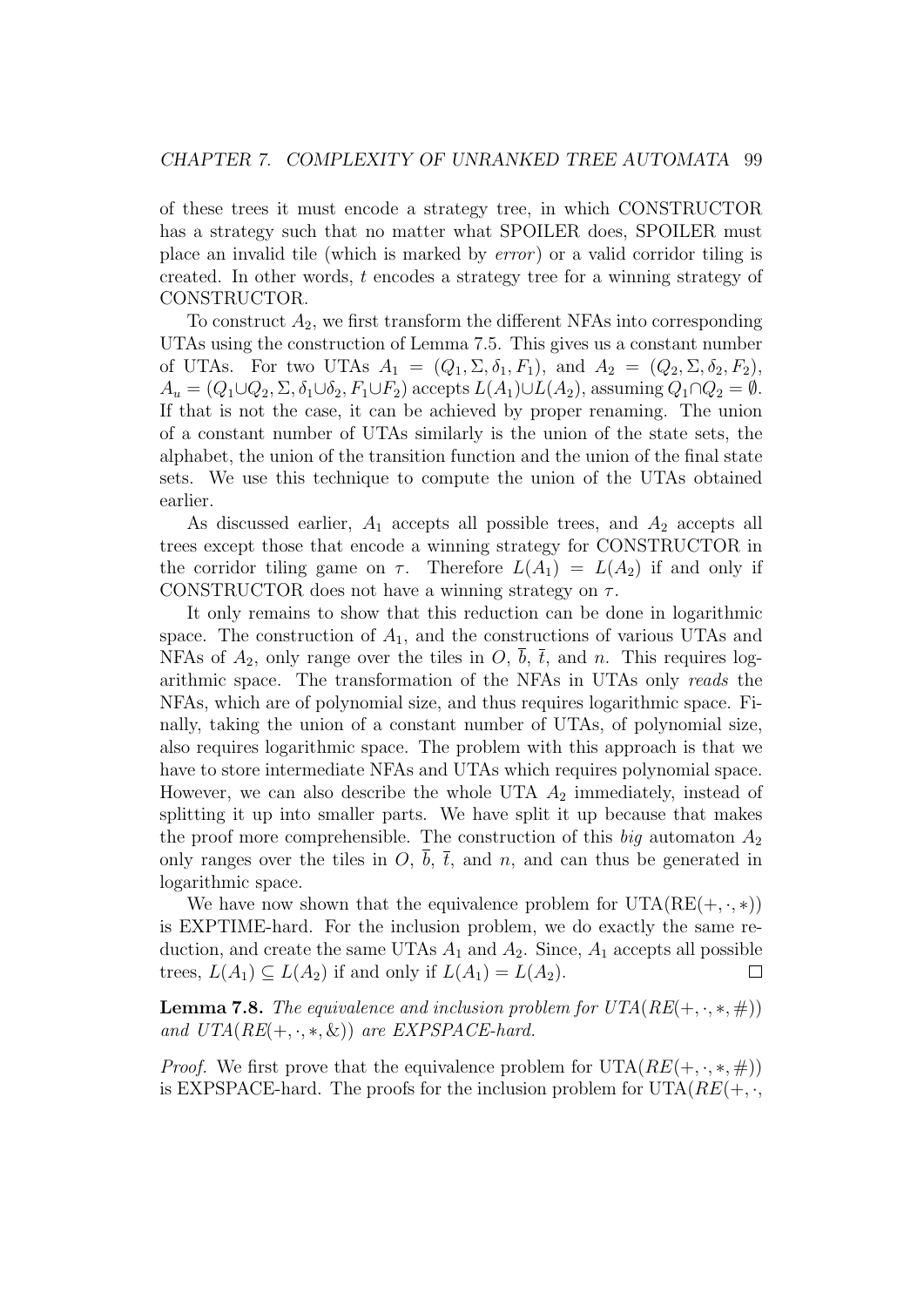of these trees it must encode a strategy tree, in which CONSTRUCTOR has a strategy such that no matter what SPOILER does, SPOILER must place an invalid tile (which is marked by error ) or a valid corridor tiling is created. In other words, t encodes a strategy tree for a winning strategy of CONSTRUCTOR.

To construct  $A_2$ , we first transform the different NFAs into corresponding UTAs using the construction of Lemma 7.5. This gives us a constant number of UTAs. For two UTAs  $A_1 = (Q_1, \Sigma, \delta_1, F_1)$ , and  $A_2 = (Q_2, \Sigma, \delta_2, F_2)$ ,  $A_u = (Q_1 \cup Q_2, \Sigma, \delta_1 \cup \delta_2, F_1 \cup F_2)$  accepts  $L(A_1) \cup L(A_2)$ , assuming  $Q_1 \cap Q_2 = \emptyset$ . If that is not the case, it can be achieved by proper renaming. The union of a constant number of UTAs similarly is the union of the state sets, the alphabet, the union of the transition function and the union of the final state sets. We use this technique to compute the union of the UTAs obtained earlier.

As discussed earlier,  $A_1$  accepts all possible trees, and  $A_2$  accepts all trees except those that encode a winning strategy for CONSTRUCTOR in the corridor tiling game on  $\tau$ . Therefore  $L(A_1) = L(A_2)$  if and only if CONSTRUCTOR does not have a winning strategy on  $\tau$ .

It only remains to show that this reduction can be done in logarithmic space. The construction of  $A_1$ , and the constructions of various UTAs and NFAs of  $A_2$ , only range over the tiles in O, b,  $\bar{t}$ , and n. This requires logarithmic space. The transformation of the NFAs in UTAs only reads the NFAs, which are of polynomial size, and thus requires logarithmic space. Finally, taking the union of a constant number of UTAs, of polynomial size, also requires logarithmic space. The problem with this approach is that we have to store intermediate NFAs and UTAs which requires polynomial space. However, we can also describe the whole UTA  $A_2$  immediately, instead of splitting it up into smaller parts. We have split it up because that makes the proof more comprehensible. The construction of this big automaton  $A_2$ only ranges over the tiles in O,  $\overline{b}$ ,  $\overline{t}$ , and n, and can thus be generated in logarithmic space.

We have now shown that the equivalence problem for  $UTA(RE(+, \cdot, *))$ is EXPTIME-hard. For the inclusion problem, we do exactly the same reduction, and create the same UTAs  $A_1$  and  $A_2$ . Since,  $A_1$  accepts all possible trees,  $L(A_1) \subseteq L(A_2)$  if and only if  $L(A_1) = L(A_2)$ .  $\Box$ 

**Lemma 7.8.** The equivalence and inclusion problem for  $UTA(RE(+, \cdot, *, \#))$ and  $UTA(RE(+, \cdot, *, \&))$  are EXPSPACE-hard.

*Proof.* We first prove that the equivalence problem for  $UTA(RE(+, \cdot, *, \#))$ is EXPSPACE-hard. The proofs for the inclusion problem for  $UTA(RE(+, \cdot,$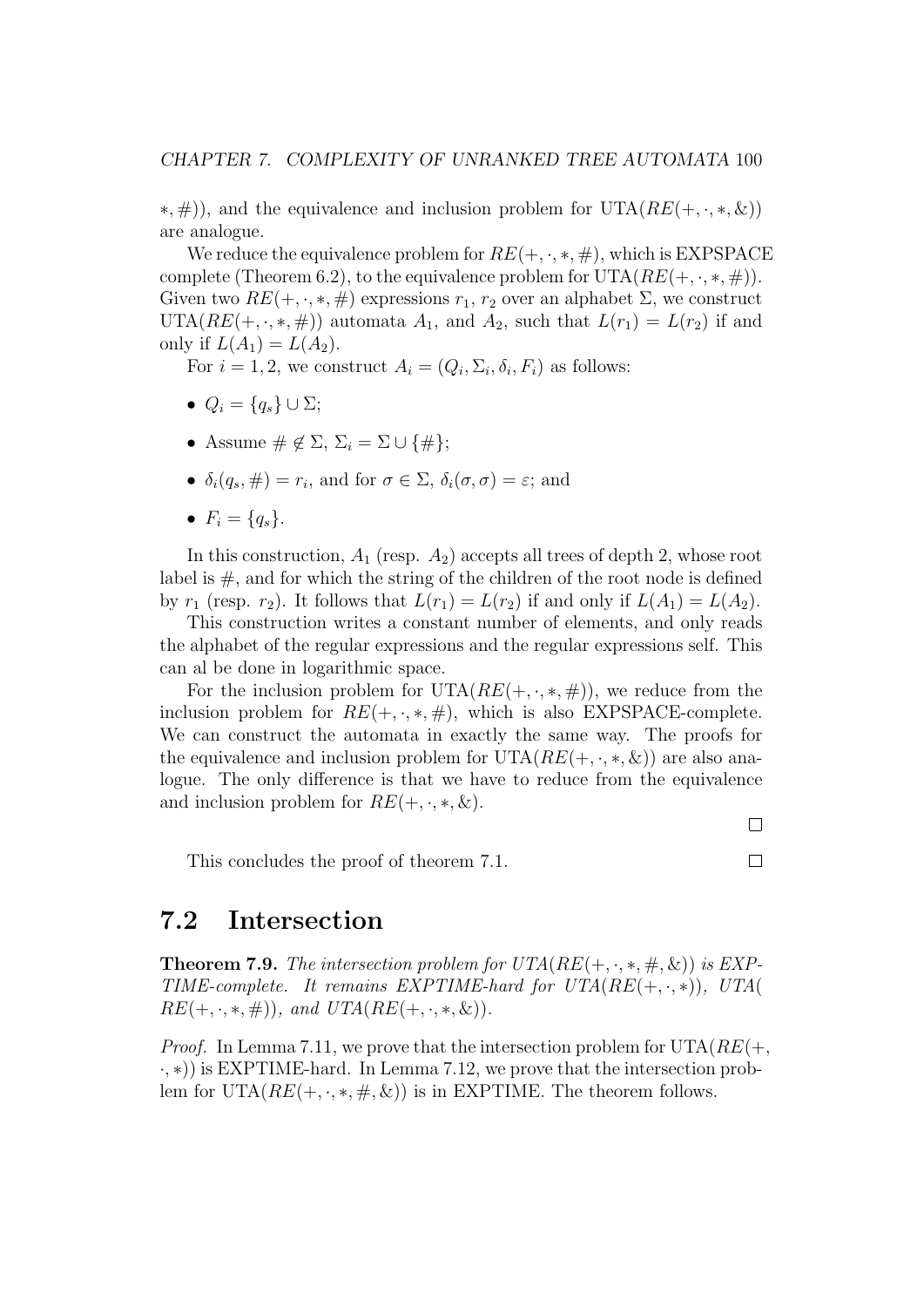$(*, \#)$ , and the equivalence and inclusion problem for UTA( $RE(+, \cdot, *, \&)$ ) are analogue.

We reduce the equivalence problem for  $RE(+, \cdot, *, \#)$ , which is EXPSPACE complete (Theorem 6.2), to the equivalence problem for  $UTA(RE(+, \cdot, *, \#))$ . Given two  $RE(+, \cdot, *, \#)$  expressions  $r_1, r_2$  over an alphabet  $\Sigma$ , we construct UTA( $RE(+, \cdot, *, \#)$ ) automata  $A_1$ , and  $A_2$ , such that  $L(r_1) = L(r_2)$  if and only if  $L(A_1) = L(A_2)$ .

For  $i = 1, 2$ , we construct  $A_i = (Q_i, \Sigma_i, \delta_i, F_i)$  as follows:

- $Q_i = \{q_s\} \cup \Sigma;$
- Assume  $\#\notin \Sigma$ ,  $\Sigma_i = \Sigma \cup \{\#\};$
- $\delta_i(q_s, \#) = r_i$ , and for  $\sigma \in \Sigma$ ,  $\delta_i(\sigma, \sigma) = \varepsilon$ ; and
- $F_i = \{q_s\}.$

In this construction,  $A_1$  (resp.  $A_2$ ) accepts all trees of depth 2, whose root label is  $#$ , and for which the string of the children of the root node is defined by  $r_1$  (resp.  $r_2$ ). It follows that  $L(r_1) = L(r_2)$  if and only if  $L(A_1) = L(A_2)$ .

This construction writes a constant number of elements, and only reads the alphabet of the regular expressions and the regular expressions self. This can al be done in logarithmic space.

For the inclusion problem for  $UTA(RE(+, \cdot, *, \#))$ , we reduce from the inclusion problem for  $RE(+, \cdot, *, \#)$ , which is also EXPSPACE-complete. We can construct the automata in exactly the same way. The proofs for the equivalence and inclusion problem for  $UTA(RE(+, \cdot, *, \&))$  are also analogue. The only difference is that we have to reduce from the equivalence and inclusion problem for  $RE(+, \cdot, *, \&)$ .

This concludes the proof of theorem 7.1.

 $\Box$  $\Box$ 

### 7.2 Intersection

**Theorem 7.9.** The intersection problem for  $UTA(RE(+, \cdot, *, \#, \&))$  is EXP-TIME-complete. It remains EXPTIME-hard for  $UTA(RE(+, \cdot, *)), UTA($  $RE(+, \cdot, *, \#))$ , and  $UTA(RE(+, \cdot, *, \&))$ .

*Proof.* In Lemma 7.11, we prove that the intersection problem for  $UTA(RE(+)$ , ·, ∗)) is EXPTIME-hard. In Lemma 7.12, we prove that the intersection problem for UTA( $RE(+, \cdot, *, \#, \&)$ ) is in EXPTIME. The theorem follows.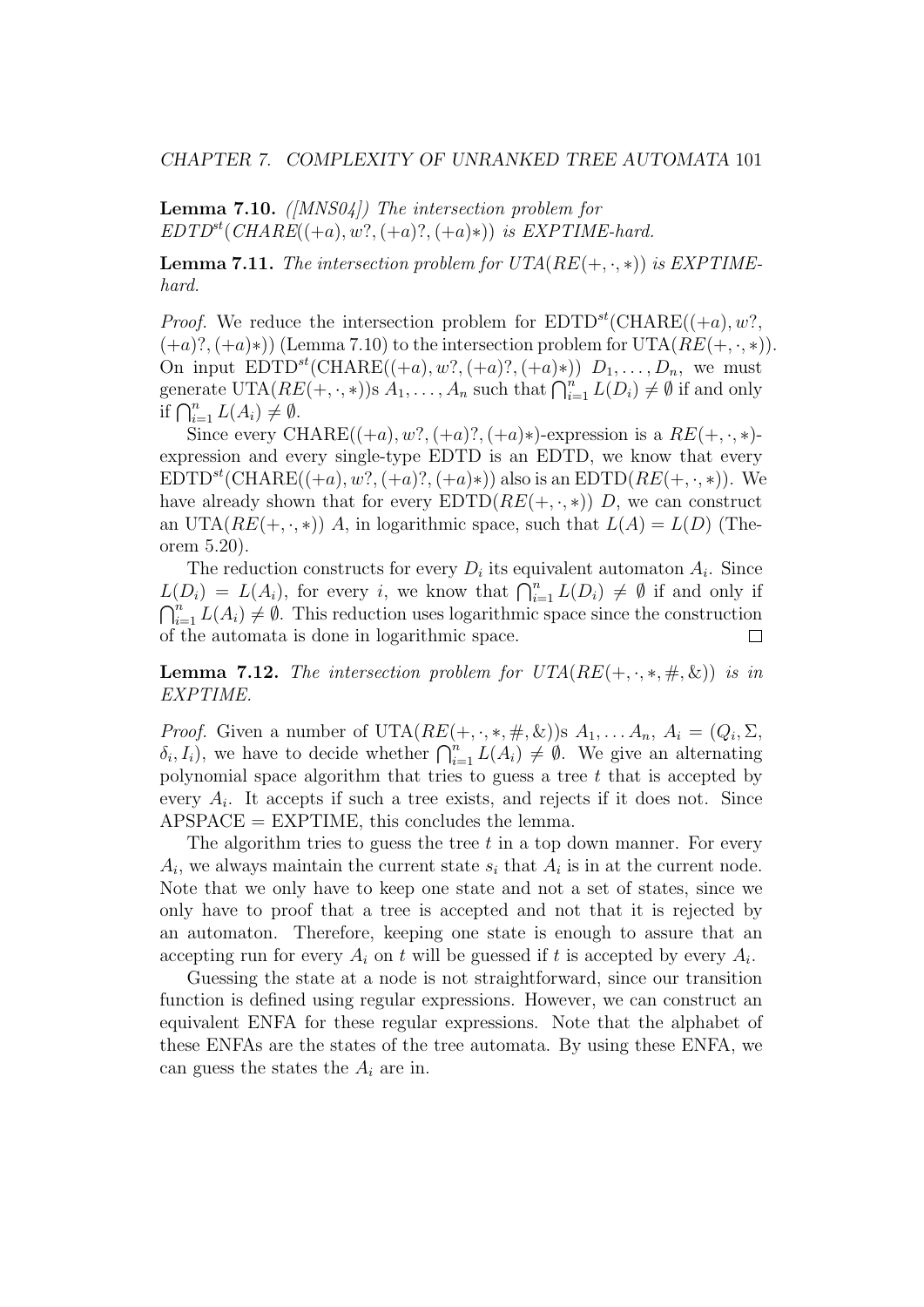#### CHAPTER 7. COMPLEXITY OF UNRANKED TREE AUTOMATA 101

#### **Lemma 7.10.** ( $[MNS04]$ ) The intersection problem for  $EDTD^{st}(CHARE((+a), w?, (+a)? , (+a)*))$  is EXPTIME-hard.

**Lemma 7.11.** The intersection problem for  $UTA(RE(+, \cdot, *))$  is EXPTIMEhard.

*Proof.* We reduce the intersection problem for  $EDTD^{st}(CHARE((+a), w?,$  $(+a)$ ?,  $(+a)*$ ) (Lemma 7.10) to the intersection problem for UTA( $RE(+, \cdot, *)$ ). On input  $EDTD^{st}(CHARE((+a), w?, (+a)? , (+a)*)) D_1, \ldots, D_n$ , we must generate UTA $(RE(+, \cdot, *)$ )s  $A_1, \ldots, A_n$  such that  $\bigcap_{i=1}^n L(D_i) \neq \emptyset$  if and only if  $\bigcap_{i=1}^n L(A_i) \neq \emptyset$ .

Since every CHARE $((+a), w?, (+a)?, (+a)*)$ -expression is a  $RE(+, \cdot, *)$ expression and every single-type EDTD is an EDTD, we know that every  $EDTD<sup>st</sup>(CHARE((+a), w?, (+a), (+a)*))$  also is an  $EDTD(RE(+, \cdot, *))$ . We have already shown that for every  $EDTD(RE(+, \cdot, *))$  D, we can construct an UTA( $RE(+, \cdot, *)$ ) A, in logarithmic space, such that  $L(A) = L(D)$  (Theorem 5.20).

The reduction constructs for every  $D_i$  its equivalent automaton  $A_i$ . Since  $L(D_i) = L(A_i)$ , for every i, we know that  $\bigcap_{i=1}^n L(D_i) \neq \emptyset$  if and only if  $\bigcap_{i=1}^n L(A_i) \neq \emptyset$ . This reduction uses logarithmic space since the construction of the automata is done in logarithmic space.  $\Box$ 

**Lemma 7.12.** The intersection problem for  $UTA(RE(+, \cdot, *, \#, \&))$  is in EXPTIME.

*Proof.* Given a number of  $UTA(RE(+, \cdot, *, \#, \&))$ s  $A_1, \ldots, A_n, A_i = (Q_i, \Sigma, \&)$  $\delta_i, I_i$ , we have to decide whether  $\bigcap_{i=1}^n L(A_i) \neq \emptyset$ . We give an alternating polynomial space algorithm that tries to guess a tree  $t$  that is accepted by every  $A_i$ . It accepts if such a tree exists, and rejects if it does not. Since  ${\rm APSPACE} = {\rm EXPTIME},$  this concludes the lemma.

The algorithm tries to guess the tree  $t$  in a top down manner. For every  $A_i$ , we always maintain the current state  $s_i$  that  $A_i$  is in at the current node. Note that we only have to keep one state and not a set of states, since we only have to proof that a tree is accepted and not that it is rejected by an automaton. Therefore, keeping one state is enough to assure that an accepting run for every  $A_i$  on t will be guessed if t is accepted by every  $A_i$ .

Guessing the state at a node is not straightforward, since our transition function is defined using regular expressions. However, we can construct an equivalent ENFA for these regular expressions. Note that the alphabet of these ENFAs are the states of the tree automata. By using these ENFA, we can guess the states the  $A_i$  are in.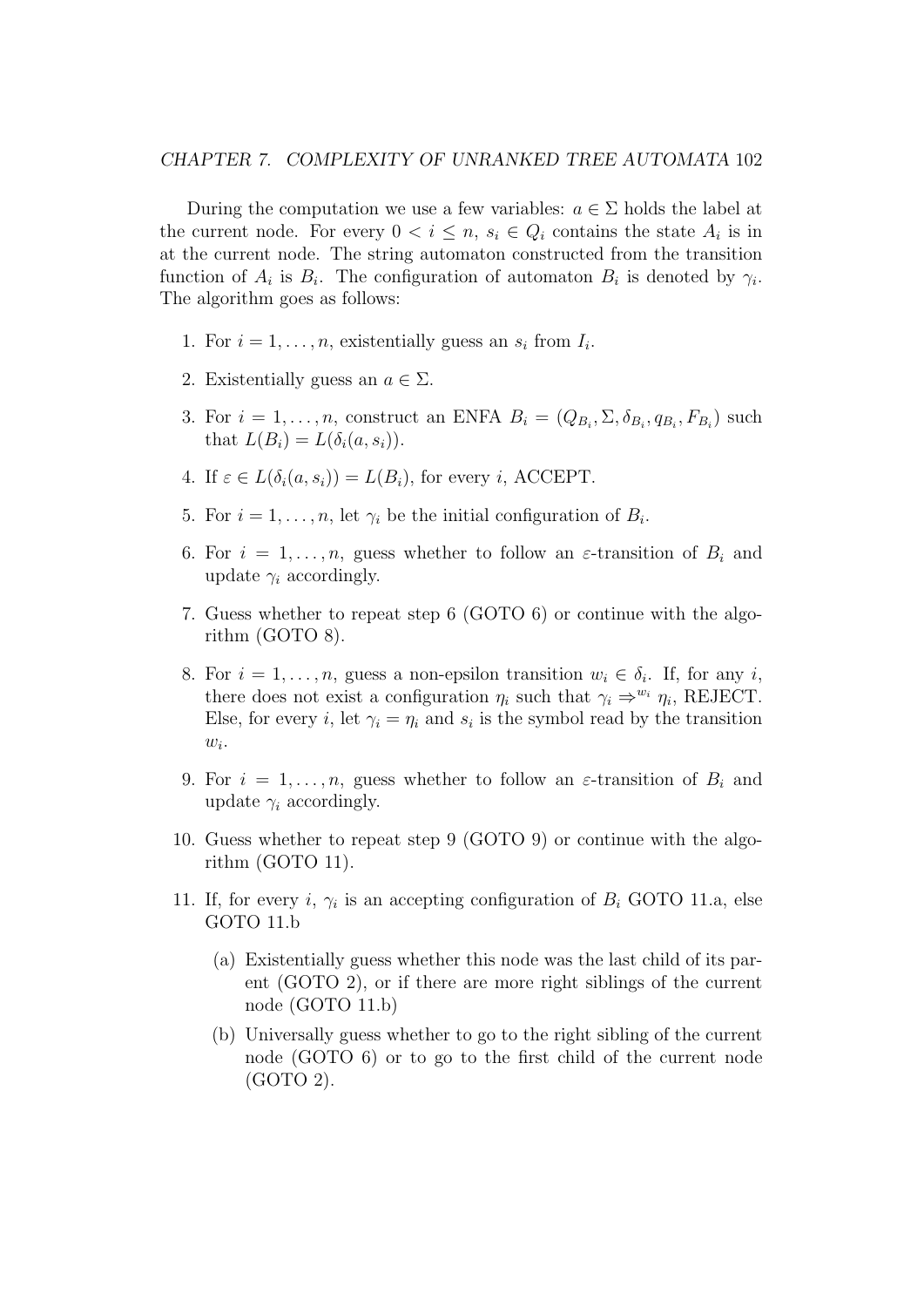During the computation we use a few variables:  $a \in \Sigma$  holds the label at the current node. For every  $0 < i \leq n$ ,  $s_i \in Q_i$  contains the state  $A_i$  is in at the current node. The string automaton constructed from the transition function of  $A_i$  is  $B_i$ . The configuration of automaton  $B_i$  is denoted by  $\gamma_i$ . The algorithm goes as follows:

- 1. For  $i = 1, \ldots, n$ , existentially guess an  $s_i$  from  $I_i$ .
- 2. Existentially guess an  $a \in \Sigma$ .
- 3. For  $i = 1, \ldots, n$ , construct an ENFA  $B_i = (Q_{B_i}, \Sigma, \delta_{B_i}, q_{B_i}, F_{B_i})$  such that  $L(B_i) = L(\delta_i(a, s_i))$ .
- 4. If  $\varepsilon \in L(\delta_i(a, s_i)) = L(B_i)$ , for every *i*, ACCEPT.
- 5. For  $i = 1, \ldots, n$ , let  $\gamma_i$  be the initial configuration of  $B_i$ .
- 6. For  $i = 1, \ldots, n$ , guess whether to follow an  $\varepsilon$ -transition of  $B_i$  and update  $\gamma_i$  accordingly.
- 7. Guess whether to repeat step 6 (GOTO 6) or continue with the algorithm (GOTO 8).
- 8. For  $i = 1, \ldots, n$ , guess a non-epsilon transition  $w_i \in \delta_i$ . If, for any i, there does not exist a configuration  $\eta_i$  such that  $\gamma_i \Rightarrow^{w_i} \eta_i$ , REJECT. Else, for every *i*, let  $\gamma_i = \eta_i$  and  $s_i$  is the symbol read by the transition  $w_i$ .
- 9. For  $i = 1, \ldots, n$ , guess whether to follow an  $\varepsilon$ -transition of  $B_i$  and update  $\gamma_i$  accordingly.
- 10. Guess whether to repeat step 9 (GOTO 9) or continue with the algorithm (GOTO 11).
- 11. If, for every i,  $\gamma_i$  is an accepting configuration of  $B_i$  GOTO 11.a, else GOTO 11.b
	- (a) Existentially guess whether this node was the last child of its parent (GOTO 2), or if there are more right siblings of the current node (GOTO 11.b)
	- (b) Universally guess whether to go to the right sibling of the current node (GOTO 6) or to go to the first child of the current node (GOTO 2).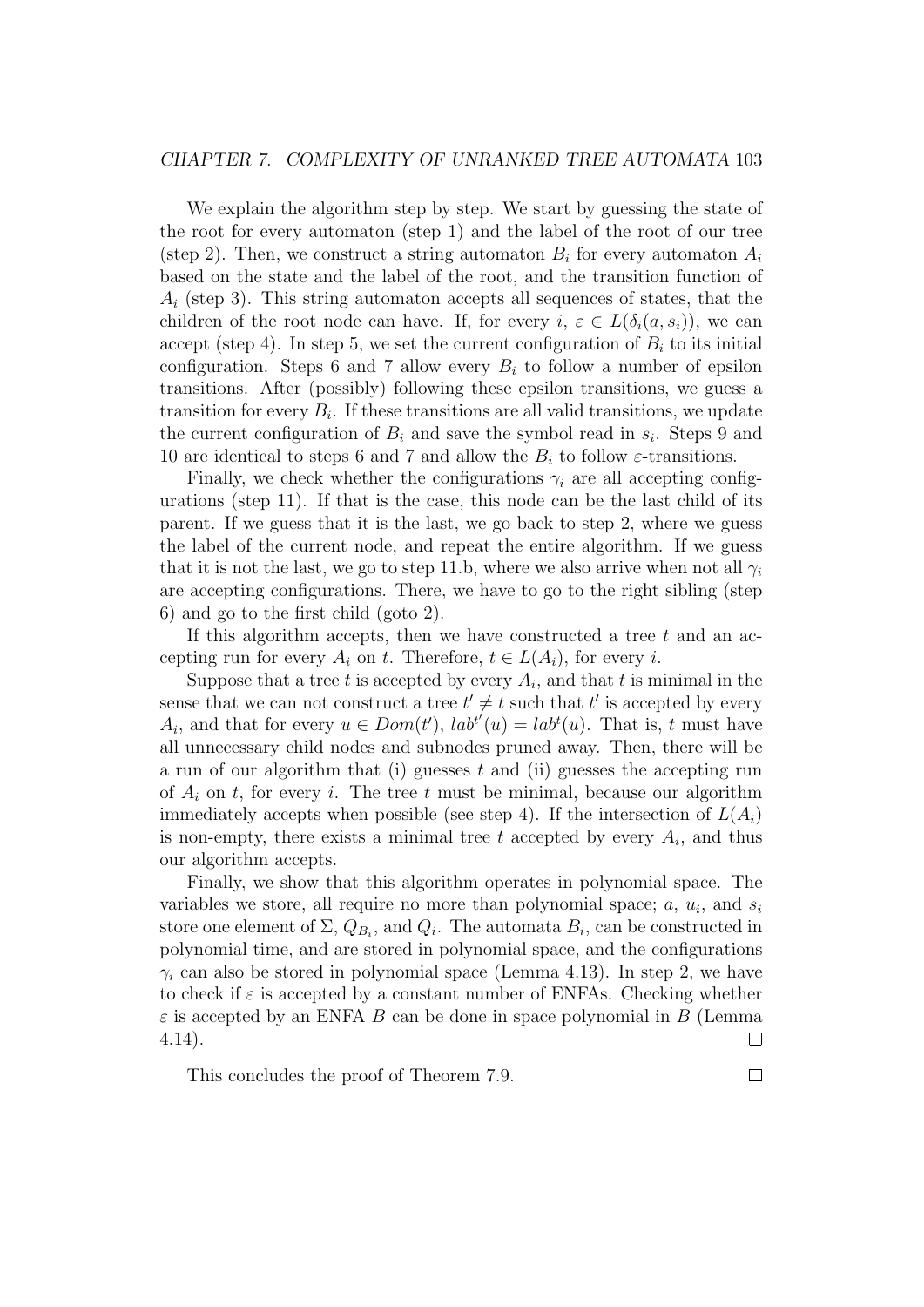We explain the algorithm step by step. We start by guessing the state of the root for every automaton (step 1) and the label of the root of our tree (step 2). Then, we construct a string automaton  $B_i$  for every automaton  $A_i$ based on the state and the label of the root, and the transition function of  $A_i$  (step 3). This string automaton accepts all sequences of states, that the children of the root node can have. If, for every  $i, \varepsilon \in L(\delta_i(a, s_i))$ , we can accept (step 4). In step 5, we set the current configuration of  $B_i$  to its initial configuration. Steps 6 and 7 allow every  $B_i$  to follow a number of epsilon transitions. After (possibly) following these epsilon transitions, we guess a transition for every  $B_i$ . If these transitions are all valid transitions, we update the current configuration of  $B_i$  and save the symbol read in  $s_i$ . Steps 9 and 10 are identical to steps 6 and 7 and allow the  $B_i$  to follow  $\varepsilon$ -transitions.

Finally, we check whether the configurations  $\gamma_i$  are all accepting configurations (step 11). If that is the case, this node can be the last child of its parent. If we guess that it is the last, we go back to step 2, where we guess the label of the current node, and repeat the entire algorithm. If we guess that it is not the last, we go to step 11.b, where we also arrive when not all  $\gamma_i$ are accepting configurations. There, we have to go to the right sibling (step 6) and go to the first child (goto 2).

If this algorithm accepts, then we have constructed a tree  $t$  and an accepting run for every  $A_i$  on t. Therefore,  $t \in L(A_i)$ , for every i.

Suppose that a tree t is accepted by every  $A_i$ , and that t is minimal in the sense that we can not construct a tree  $t' \neq t$  such that t' is accepted by every  $A_i$ , and that for every  $u \in Dom(t')$ ,  $lab^{t'}(u) = lab^{t}(u)$ . That is, t must have all unnecessary child nodes and subnodes pruned away. Then, there will be a run of our algorithm that (i) guesses  $t$  and (ii) guesses the accepting run of  $A_i$  on t, for every i. The tree t must be minimal, because our algorithm immediately accepts when possible (see step 4). If the intersection of  $L(A_i)$ is non-empty, there exists a minimal tree t accepted by every  $A_i$ , and thus our algorithm accepts.

Finally, we show that this algorithm operates in polynomial space. The variables we store, all require no more than polynomial space;  $a, u_i$ , and  $s_i$ store one element of  $\Sigma, Q_{B_i}$ , and  $Q_i$ . The automata  $B_i$ , can be constructed in polynomial time, and are stored in polynomial space, and the configurations  $\gamma_i$  can also be stored in polynomial space (Lemma 4.13). In step 2, we have to check if  $\varepsilon$  is accepted by a constant number of ENFAs. Checking whether  $\varepsilon$  is accepted by an ENFA B can be done in space polynomial in B (Lemma 4.14).  $\Box$ 

This concludes the proof of Theorem 7.9.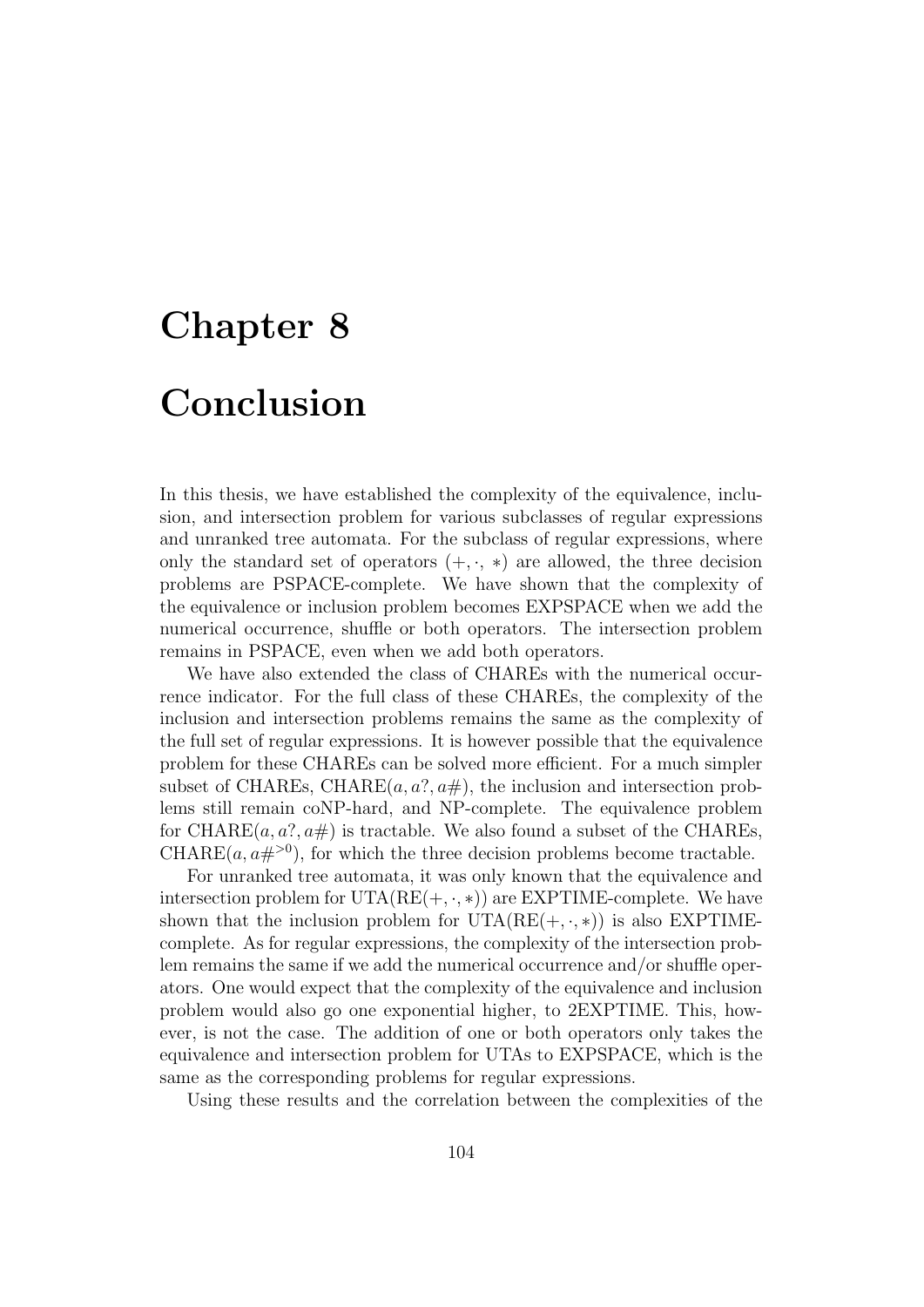# Chapter 8 Conclusion

In this thesis, we have established the complexity of the equivalence, inclusion, and intersection problem for various subclasses of regular expressions and unranked tree automata. For the subclass of regular expressions, where only the standard set of operators  $(+, \cdot, *)$  are allowed, the three decision problems are PSPACE-complete. We have shown that the complexity of the equivalence or inclusion problem becomes EXPSPACE when we add the numerical occurrence, shuffle or both operators. The intersection problem remains in PSPACE, even when we add both operators.

We have also extended the class of CHAREs with the numerical occurrence indicator. For the full class of these CHAREs, the complexity of the inclusion and intersection problems remains the same as the complexity of the full set of regular expressions. It is however possible that the equivalence problem for these CHAREs can be solved more efficient. For a much simpler subset of CHAREs, CHARE $(a, a$ ?,  $a \#$ ), the inclusion and intersection problems still remain coNP-hard, and NP-complete. The equivalence problem for CHARE $(a, a$ ?,  $a\#$ ) is tractable. We also found a subset of the CHAREs, CHARE $(a, a\#^{>0})$ , for which the three decision problems become tractable.

For unranked tree automata, it was only known that the equivalence and intersection problem for  $UTA(RE(+, \cdot, *)$  are EXPTIME-complete. We have shown that the inclusion problem for  $UTA(RE(+, \cdot, *))$  is also EXPTIMEcomplete. As for regular expressions, the complexity of the intersection problem remains the same if we add the numerical occurrence and/or shuffle operators. One would expect that the complexity of the equivalence and inclusion problem would also go one exponential higher, to 2EXPTIME. This, however, is not the case. The addition of one or both operators only takes the equivalence and intersection problem for UTAs to EXPSPACE, which is the same as the corresponding problems for regular expressions.

Using these results and the correlation between the complexities of the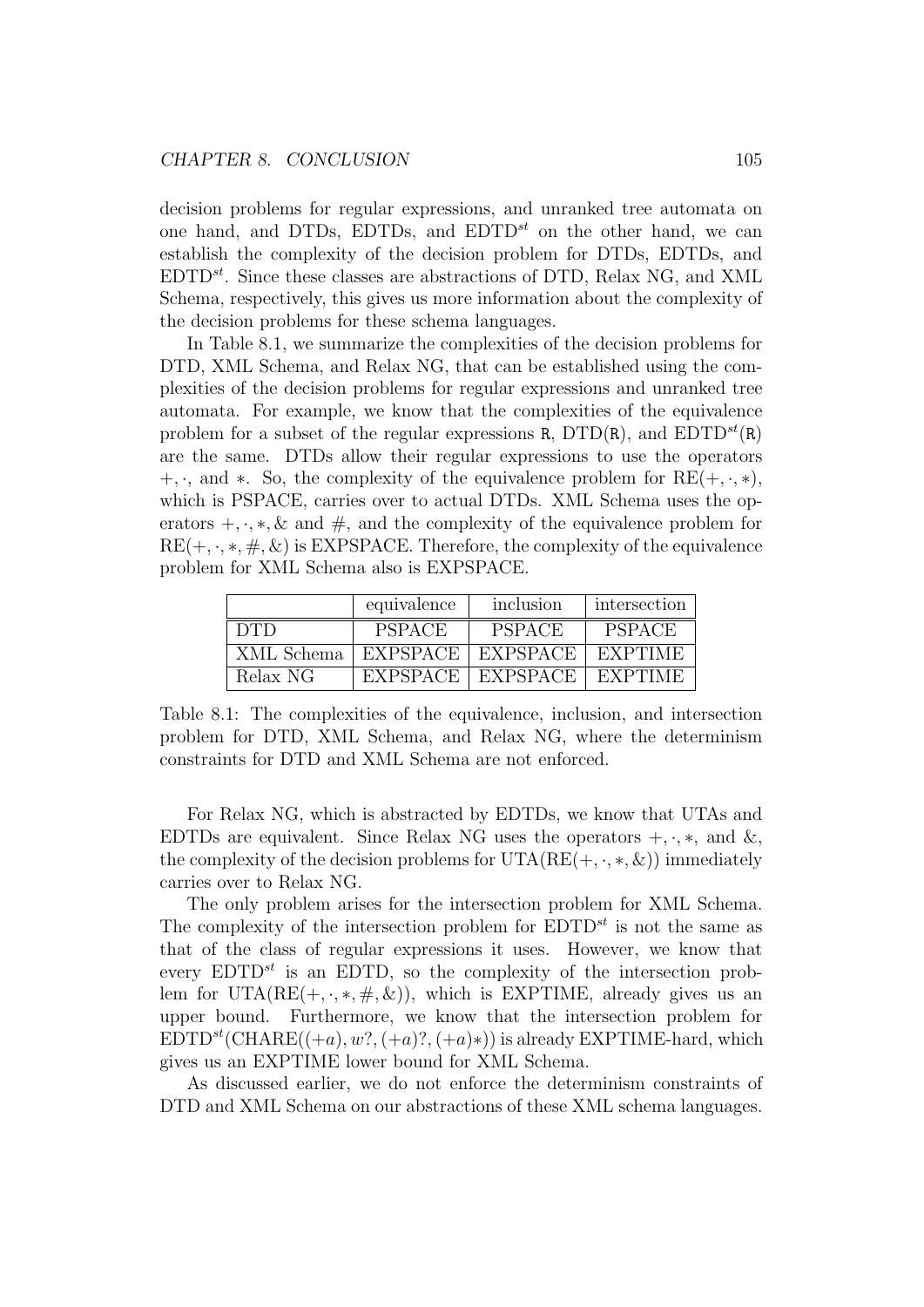decision problems for regular expressions, and unranked tree automata on one hand, and DTDs, EDTDs, and  $EDTD^{st}$  on the other hand, we can establish the complexity of the decision problem for DTDs, EDTDs, and  $EDTD^{st}$ . Since these classes are abstractions of DTD, Relax NG, and XML Schema, respectively, this gives us more information about the complexity of the decision problems for these schema languages.

In Table 8.1, we summarize the complexities of the decision problems for DTD, XML Schema, and Relax NG, that can be established using the complexities of the decision problems for regular expressions and unranked tree automata. For example, we know that the complexities of the equivalence problem for a subset of the regular expressions R,  $DTD(R)$ , and  $EDTD^{st}(R)$ are the same. DTDs allow their regular expressions to use the operators  $+$ ,  $\cdot$ , and  $\ast$ . So, the complexity of the equivalence problem for RE( $+$ ,  $\cdot$ , $\ast$ ), which is PSPACE, carries over to actual DTDs. XML Schema uses the operators  $+,\cdot,*,\&$  and  $\#$ , and the complexity of the equivalence problem for  $RE(+, \cdot, *, \#, \&)$  is EXPSPACE. Therefore, the complexity of the equivalence problem for XML Schema also is EXPSPACE.

|            | equivalence     | inclusion       | intersection   |
|------------|-----------------|-----------------|----------------|
| <b>DTD</b> | <b>PSPACE</b>   | <b>PSPACE</b>   | <b>PSPACE</b>  |
| XML Schema | <b>EXPSPACE</b> | <b>EXPSPACE</b> | <b>EXPTIME</b> |
| Relax NG   | <b>EXPSPACE</b> | EXPSPACE        | <b>EXPTIME</b> |

Table 8.1: The complexities of the equivalence, inclusion, and intersection problem for DTD, XML Schema, and Relax NG, where the determinism constraints for DTD and XML Schema are not enforced.

For Relax NG, which is abstracted by EDTDs, we know that UTAs and EDTDs are equivalent. Since Relax NG uses the operators  $+,\cdot,*$ , and  $\&$ , the complexity of the decision problems for  $UTA(RE(+, \cdot, *, \&))$  immediately carries over to Relax NG.

The only problem arises for the intersection problem for XML Schema. The complexity of the intersection problem for  $EDTD^{st}$  is not the same as that of the class of regular expressions it uses. However, we know that every  $EDTD^{st}$  is an EDTD, so the complexity of the intersection problem for UTA(RE(+, ·, \*,  $\#$ ,  $\&$ )), which is EXPTIME, already gives us an upper bound. Furthermore, we know that the intersection problem for  $EDTD<sup>st</sup>(CHARE((+a), w?, (+a), (+a)*))$  is already EXPTIME-hard, which gives us an EXPTIME lower bound for XML Schema.

As discussed earlier, we do not enforce the determinism constraints of DTD and XML Schema on our abstractions of these XML schema languages.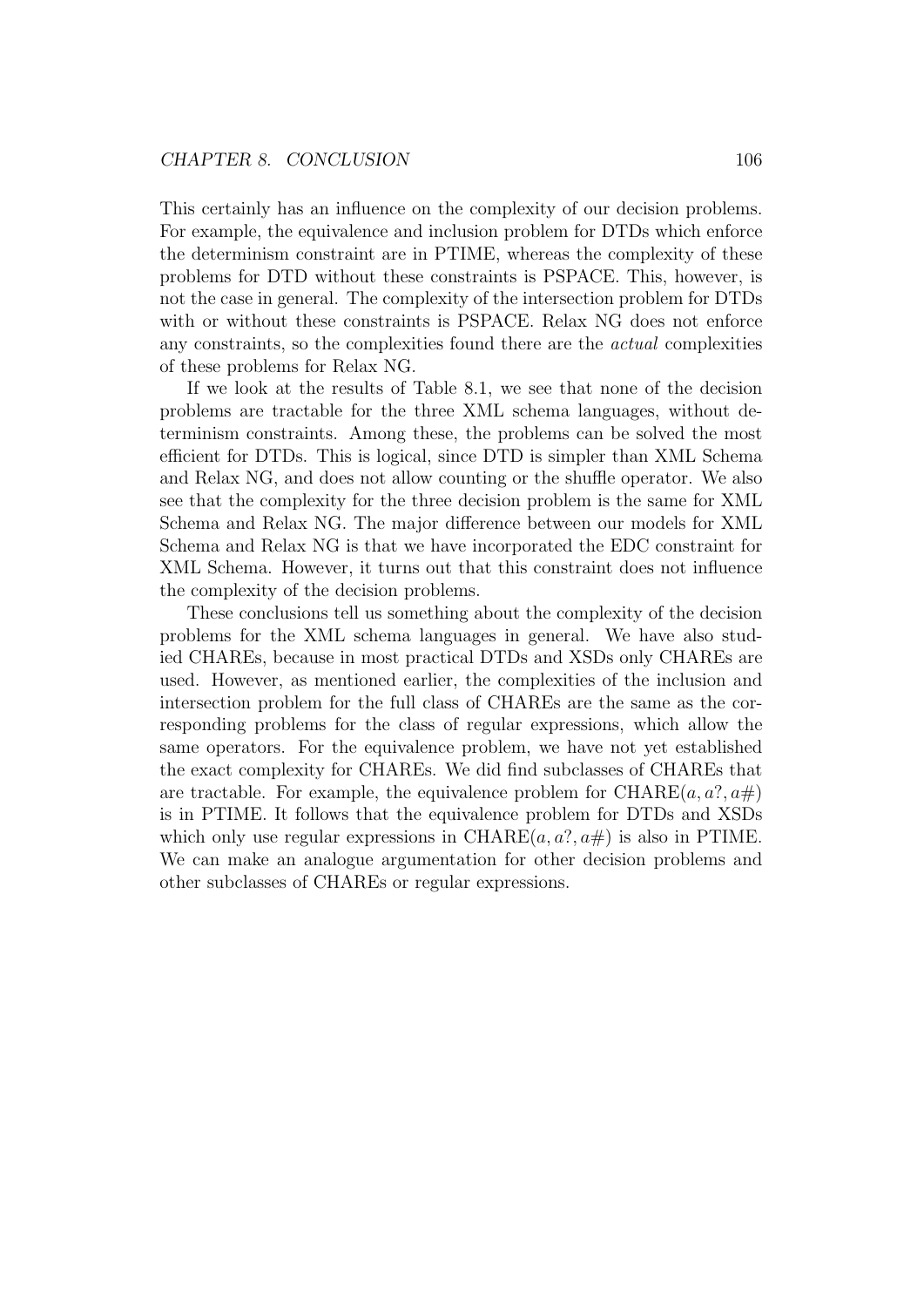This certainly has an influence on the complexity of our decision problems. For example, the equivalence and inclusion problem for DTDs which enforce the determinism constraint are in PTIME, whereas the complexity of these problems for DTD without these constraints is PSPACE. This, however, is not the case in general. The complexity of the intersection problem for DTDs with or without these constraints is PSPACE. Relax NG does not enforce any constraints, so the complexities found there are the actual complexities of these problems for Relax NG.

If we look at the results of Table 8.1, we see that none of the decision problems are tractable for the three XML schema languages, without determinism constraints. Among these, the problems can be solved the most efficient for DTDs. This is logical, since DTD is simpler than XML Schema and Relax NG, and does not allow counting or the shuffle operator. We also see that the complexity for the three decision problem is the same for XML Schema and Relax NG. The major difference between our models for XML Schema and Relax NG is that we have incorporated the EDC constraint for XML Schema. However, it turns out that this constraint does not influence the complexity of the decision problems.

These conclusions tell us something about the complexity of the decision problems for the XML schema languages in general. We have also studied CHAREs, because in most practical DTDs and XSDs only CHAREs are used. However, as mentioned earlier, the complexities of the inclusion and intersection problem for the full class of CHAREs are the same as the corresponding problems for the class of regular expressions, which allow the same operators. For the equivalence problem, we have not yet established the exact complexity for CHAREs. We did find subclasses of CHAREs that are tractable. For example, the equivalence problem for CHARE $(a, a^2, a\#)$ is in PTIME. It follows that the equivalence problem for DTDs and XSDs which only use regular expressions in CHARE $(a, a^2, a\#)$  is also in PTIME. We can make an analogue argumentation for other decision problems and other subclasses of CHAREs or regular expressions.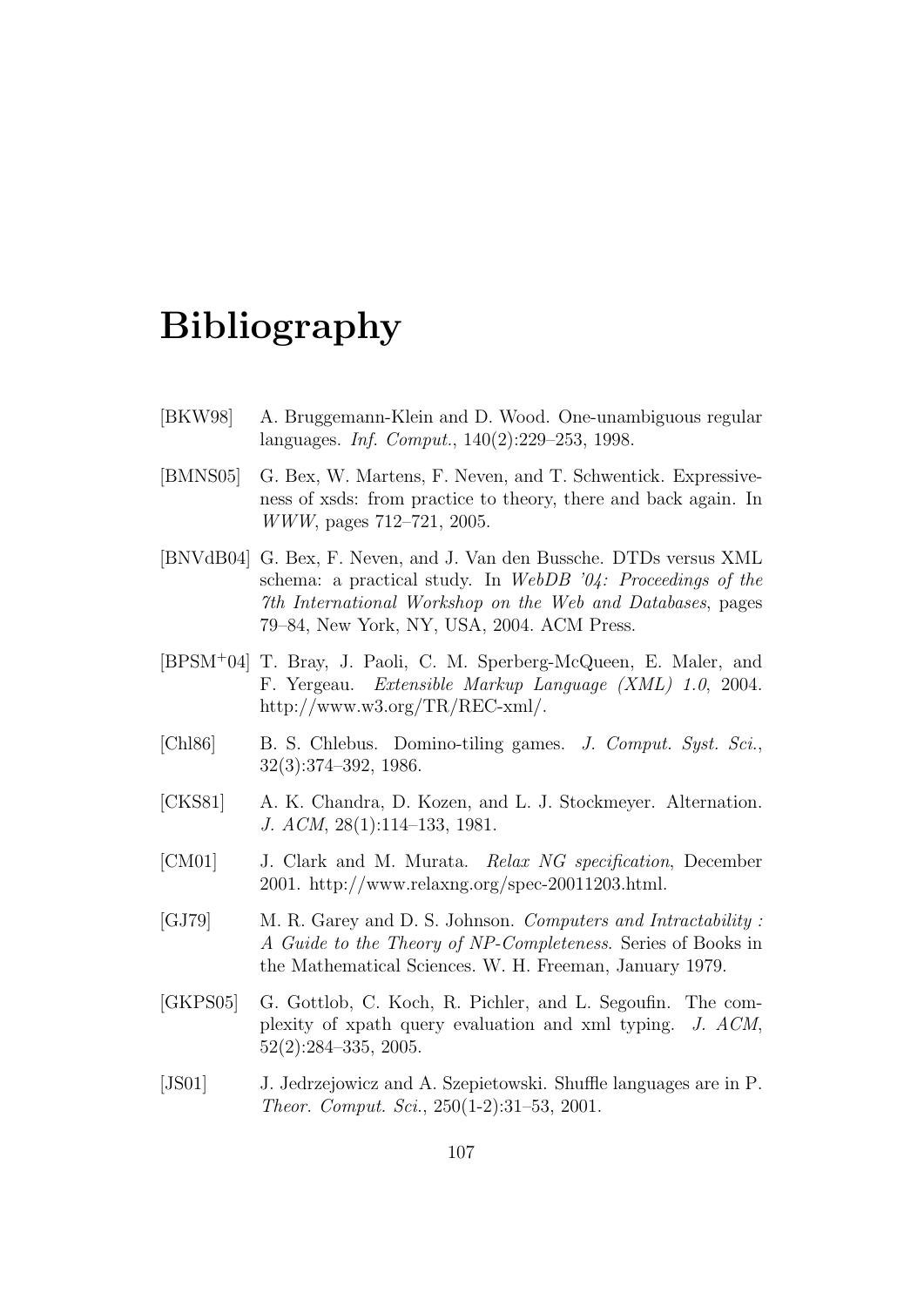# Bibliography

- [BKW98] A. Bruggemann-Klein and D. Wood. One-unambiguous regular languages. Inf. Comput., 140(2):229–253, 1998.
- [BMNS05] G. Bex, W. Martens, F. Neven, and T. Schwentick. Expressiveness of xsds: from practice to theory, there and back again. In WWW, pages 712–721, 2005.
- [BNVdB04] G. Bex, F. Neven, and J. Van den Bussche. DTDs versus XML schema: a practical study. In WebDB '04: Proceedings of the 7th International Workshop on the Web and Databases, pages 79–84, New York, NY, USA, 2004. ACM Press.
- [BPSM<sup>+</sup>04] T. Bray, J. Paoli, C. M. Sperberg-McQueen, E. Maler, and F. Yergeau. Extensible Markup Language (XML) 1.0, 2004. http://www.w3.org/TR/REC-xml/.
- [Chl86] B. S. Chlebus. Domino-tiling games. J. Comput. Syst. Sci., 32(3):374–392, 1986.
- [CKS81] A. K. Chandra, D. Kozen, and L. J. Stockmeyer. Alternation. J. ACM, 28(1):114–133, 1981.
- [CM01] J. Clark and M. Murata. Relax NG specification, December 2001. http://www.relaxng.org/spec-20011203.html.
- [GJ79] M. R. Garey and D. S. Johnson. Computers and Intractability : A Guide to the Theory of NP-Completeness. Series of Books in the Mathematical Sciences. W. H. Freeman, January 1979.
- [GKPS05] G. Gottlob, C. Koch, R. Pichler, and L. Segoufin. The complexity of xpath query evaluation and xml typing. J. ACM, 52(2):284–335, 2005.
- [JS01] J. Jedrzejowicz and A. Szepietowski. Shuffle languages are in P. Theor. Comput. Sci., 250(1-2):31–53, 2001.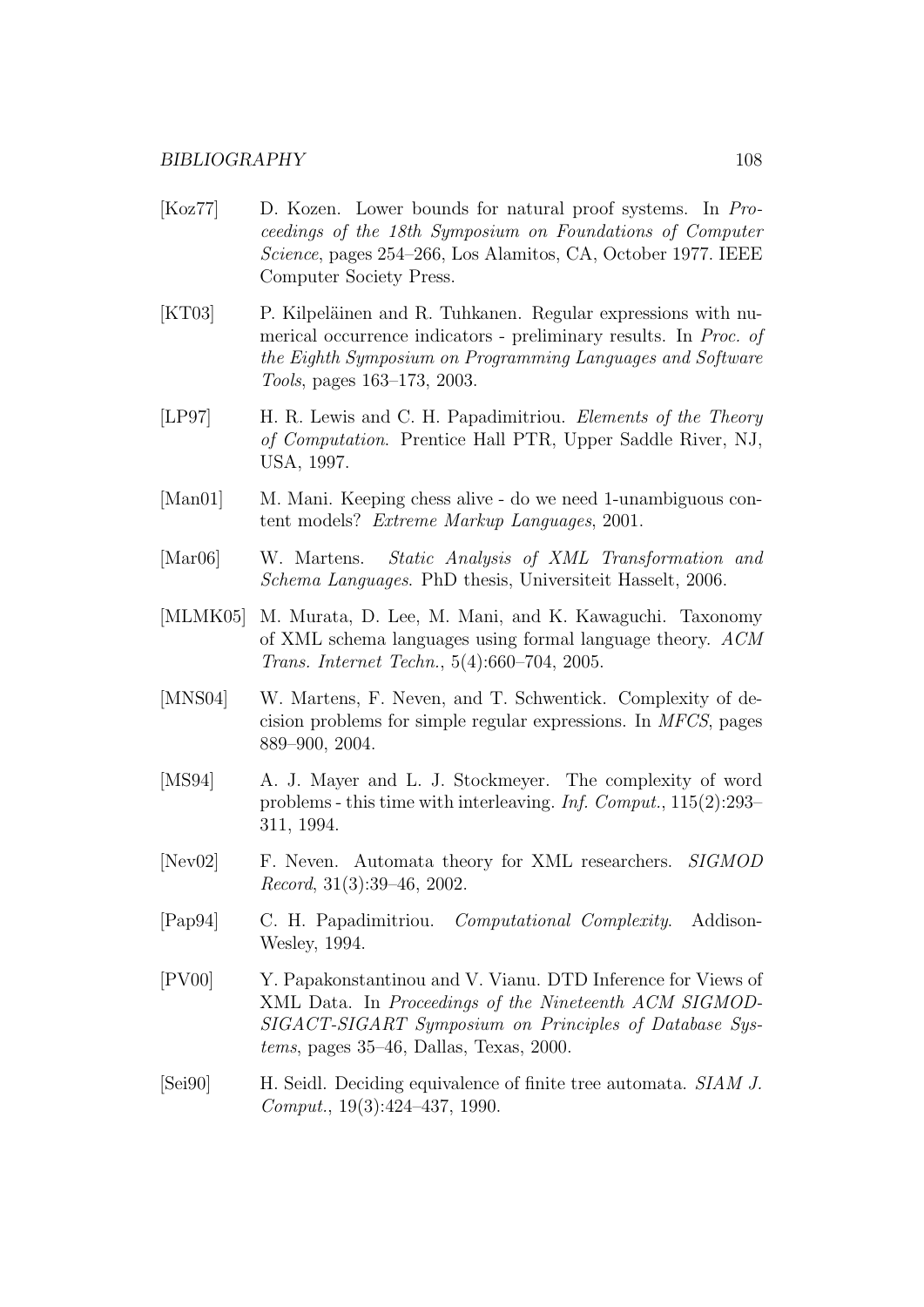- [Koz77] D. Kozen. Lower bounds for natural proof systems. In Proceedings of the 18th Symposium on Foundations of Computer Science, pages 254–266, Los Alamitos, CA, October 1977. IEEE Computer Society Press.
- [KT03] P. Kilpeläinen and R. Tuhkanen. Regular expressions with numerical occurrence indicators - preliminary results. In Proc. of the Eighth Symposium on Programming Languages and Software Tools, pages 163–173, 2003.
- [LP97] H. R. Lewis and C. H. Papadimitriou. *Elements of the Theory* of Computation. Prentice Hall PTR, Upper Saddle River, NJ, USA, 1997.
- [Man01] M. Mani. Keeping chess alive do we need 1-unambiguous content models? Extreme Markup Languages, 2001.
- [Mar06] W. Martens. Static Analysis of XML Transformation and Schema Languages. PhD thesis, Universiteit Hasselt, 2006.
- [MLMK05] M. Murata, D. Lee, M. Mani, and K. Kawaguchi. Taxonomy of XML schema languages using formal language theory. ACM Trans. Internet Techn., 5(4):660–704, 2005.
- [MNS04] W. Martens, F. Neven, and T. Schwentick. Complexity of decision problems for simple regular expressions. In MFCS, pages 889–900, 2004.
- [MS94] A. J. Mayer and L. J. Stockmeyer. The complexity of word problems - this time with interleaving. Inf. Comput., 115(2):293– 311, 1994.
- [Nev02] F. Neven. Automata theory for XML researchers. SIGMOD Record, 31(3):39–46, 2002.
- [Pap94] C. H. Papadimitriou. Computational Complexity. Addison-Wesley, 1994.
- [PV00] Y. Papakonstantinou and V. Vianu. DTD Inference for Views of XML Data. In Proceedings of the Nineteenth ACM SIGMOD-SIGACT-SIGART Symposium on Principles of Database Systems, pages 35–46, Dallas, Texas, 2000.
- [Sei90] H. Seidl. Deciding equivalence of finite tree automata. SIAM J. Comput., 19(3):424–437, 1990.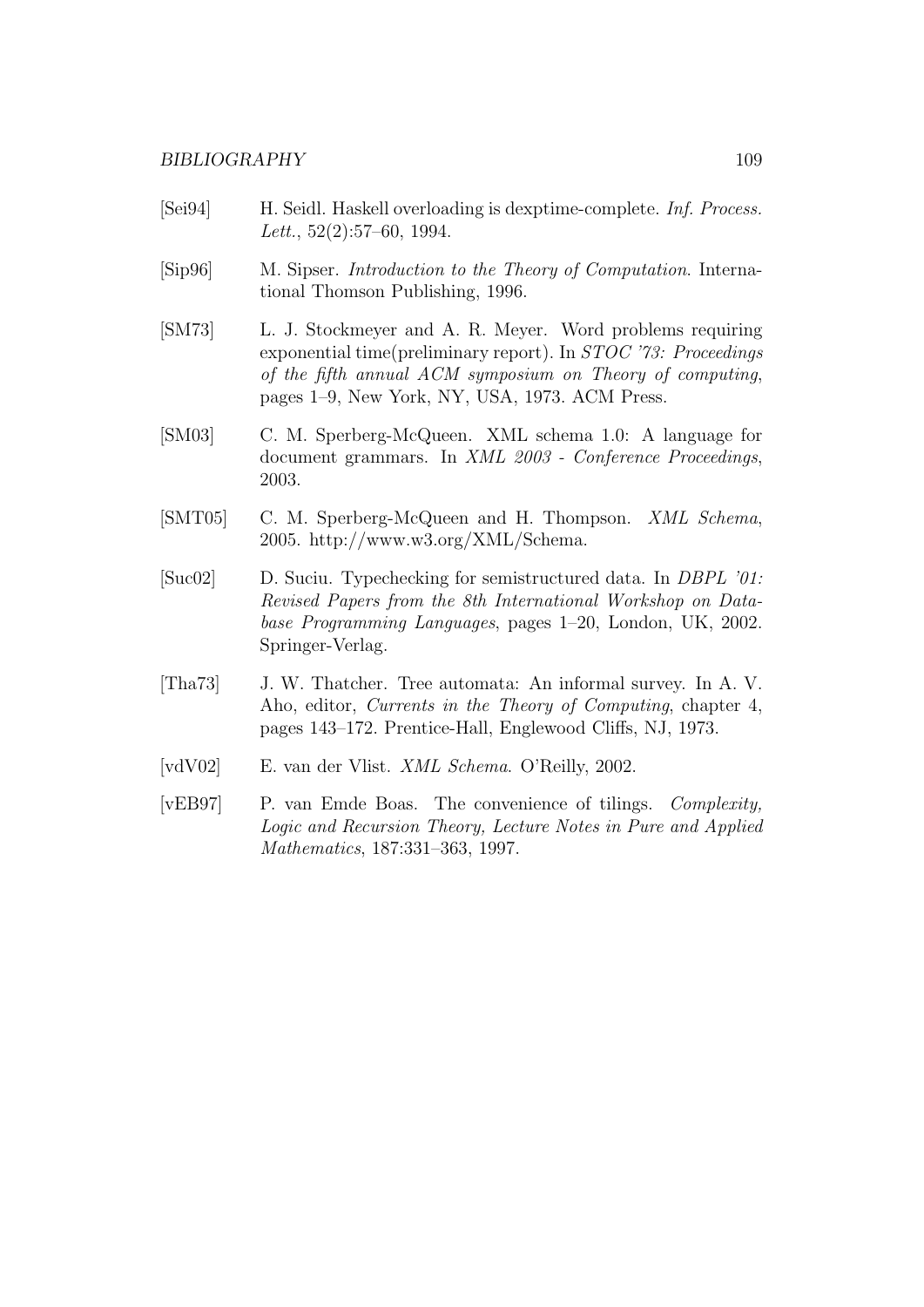- [Sei94] H. Seidl. Haskell overloading is dexptime-complete. Inf. Process. Lett., 52(2):57–60, 1994.
- [Sip96] M. Sipser. Introduction to the Theory of Computation. International Thomson Publishing, 1996.
- [SM73] L. J. Stockmeyer and A. R. Meyer. Word problems requiring exponential time(preliminary report). In STOC '73: Proceedings of the fifth annual ACM symposium on Theory of computing, pages 1–9, New York, NY, USA, 1973. ACM Press.
- [SM03] C. M. Sperberg-McQueen. XML schema 1.0: A language for document grammars. In XML 2003 - Conference Proceedings, 2003.
- [SMT05] C. M. Sperberg-McQueen and H. Thompson. XML Schema, 2005. http://www.w3.org/XML/Schema.
- [Suc02] D. Suciu. Typechecking for semistructured data. In DBPL '01: Revised Papers from the 8th International Workshop on Database Programming Languages, pages 1–20, London, UK, 2002. Springer-Verlag.
- [Tha73] J. W. Thatcher. Tree automata: An informal survey. In A. V. Aho, editor, Currents in the Theory of Computing, chapter 4, pages 143–172. Prentice-Hall, Englewood Cliffs, NJ, 1973.
- [vdV02] E. van der Vlist. XML Schema. O'Reilly, 2002.
- [vEB97] P. van Emde Boas. The convenience of tilings. Complexity, Logic and Recursion Theory, Lecture Notes in Pure and Applied Mathematics, 187:331–363, 1997.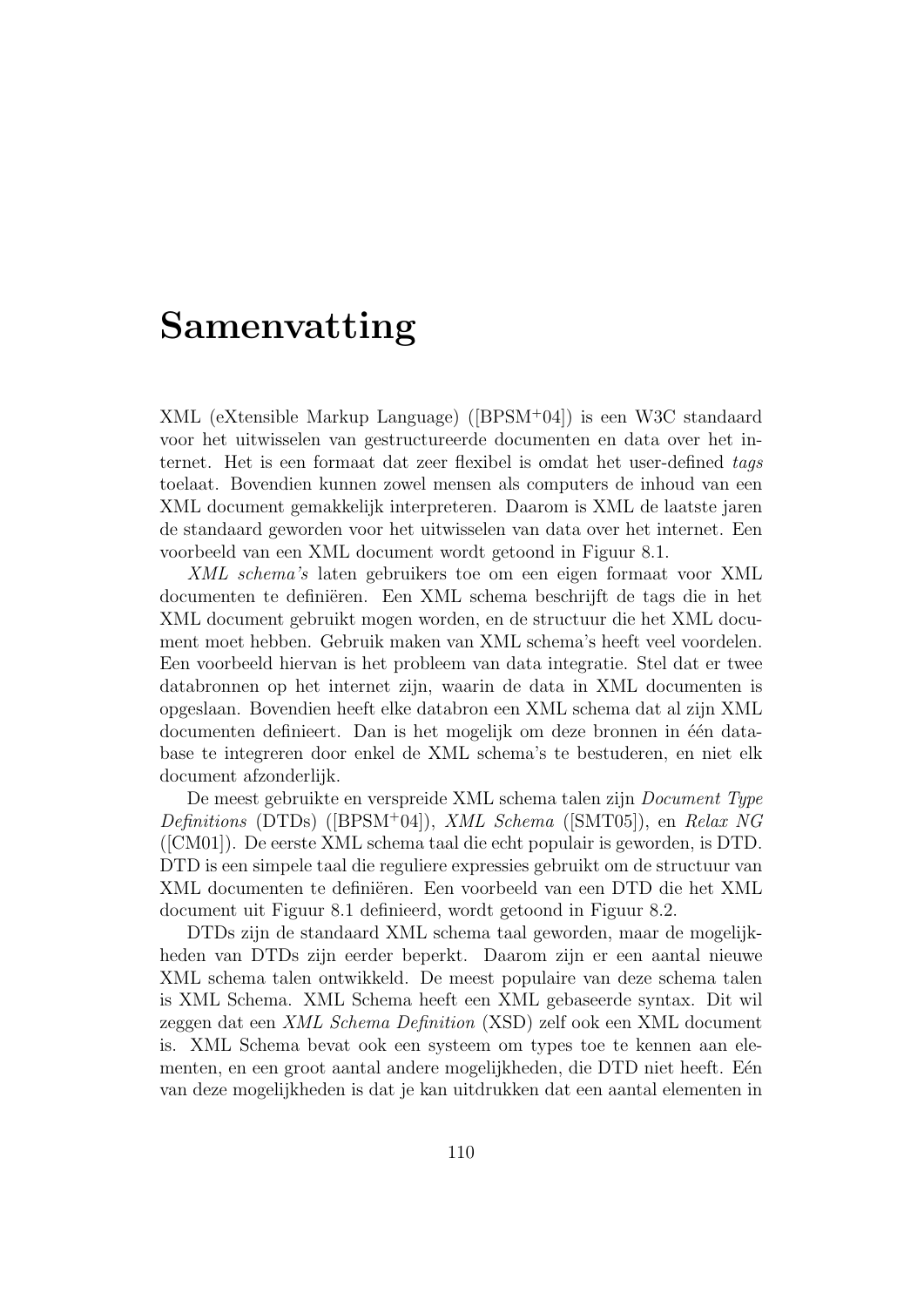# Samenvatting

XML (eXtensible Markup Language) ([BPSM<sup>+</sup>04]) is een W3C standaard voor het uitwisselen van gestructureerde documenten en data over het internet. Het is een formaat dat zeer flexibel is omdat het user-defined tags toelaat. Bovendien kunnen zowel mensen als computers de inhoud van een XML document gemakkelijk interpreteren. Daarom is XML de laatste jaren de standaard geworden voor het uitwisselen van data over het internet. Een voorbeeld van een XML document wordt getoond in Figuur 8.1.

XML schema's laten gebruikers toe om een eigen formaat voor XML documenten te definiëren. Een XML schema beschrijft de tags die in het XML document gebruikt mogen worden, en de structuur die het XML document moet hebben. Gebruik maken van XML schema's heeft veel voordelen. Een voorbeeld hiervan is het probleem van data integratie. Stel dat er twee databronnen op het internet zijn, waarin de data in XML documenten is opgeslaan. Bovendien heeft elke databron een XML schema dat al zijn XML documenten definieert. Dan is het mogelijk om deze bronnen in één database te integreren door enkel de XML schema's te bestuderen, en niet elk document afzonderlijk.

De meest gebruikte en verspreide XML schema talen zijn Document Type Definitions (DTDs) ([BPSM<sup>+</sup>04]), XML Schema ([SMT05]), en Relax NG ([CM01]). De eerste XML schema taal die echt populair is geworden, is DTD. DTD is een simpele taal die reguliere expressies gebruikt om de structuur van XML documenten te definiëren. Een voorbeeld van een DTD die het XML document uit Figuur 8.1 definieerd, wordt getoond in Figuur 8.2.

DTDs zijn de standaard XML schema taal geworden, maar de mogelijkheden van DTDs zijn eerder beperkt. Daarom zijn er een aantal nieuwe XML schema talen ontwikkeld. De meest populaire van deze schema talen is XML Schema. XML Schema heeft een XML gebaseerde syntax. Dit wil zeggen dat een XML Schema Definition (XSD) zelf ook een XML document is. XML Schema bevat ook een systeem om types toe te kennen aan elementen, en een groot aantal andere mogelijkheden, die DTD niet heeft. Eén van deze mogelijkheden is dat je kan uitdrukken dat een aantal elementen in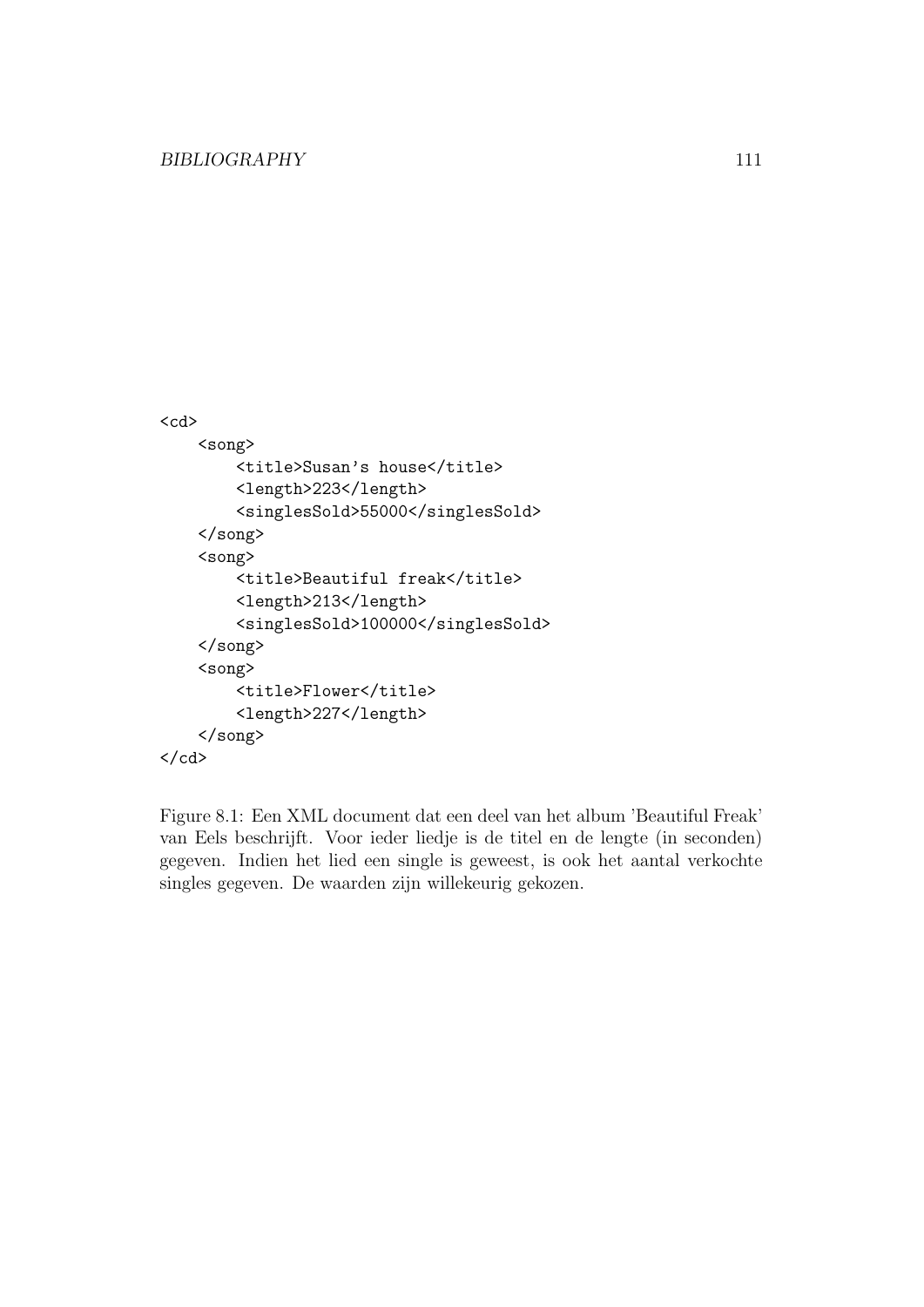```
<cd>
    <song>
        <title>Susan's house</title>
        <length>223</length>
        <singlesSold>55000</singlesSold>
    </song>
    <song>
        <title>Beautiful freak</title>
        <length>213</length>
        <singlesSold>100000</singlesSold>
    </song>
    <song>
        <title>Flower</title>
        <length>227</length>
    </song>
\langle/cd>
```
Figure 8.1: Een XML document dat een deel van het album 'Beautiful Freak' van Eels beschrijft. Voor ieder liedje is de titel en de lengte (in seconden) gegeven. Indien het lied een single is geweest, is ook het aantal verkochte singles gegeven. De waarden zijn willekeurig gekozen.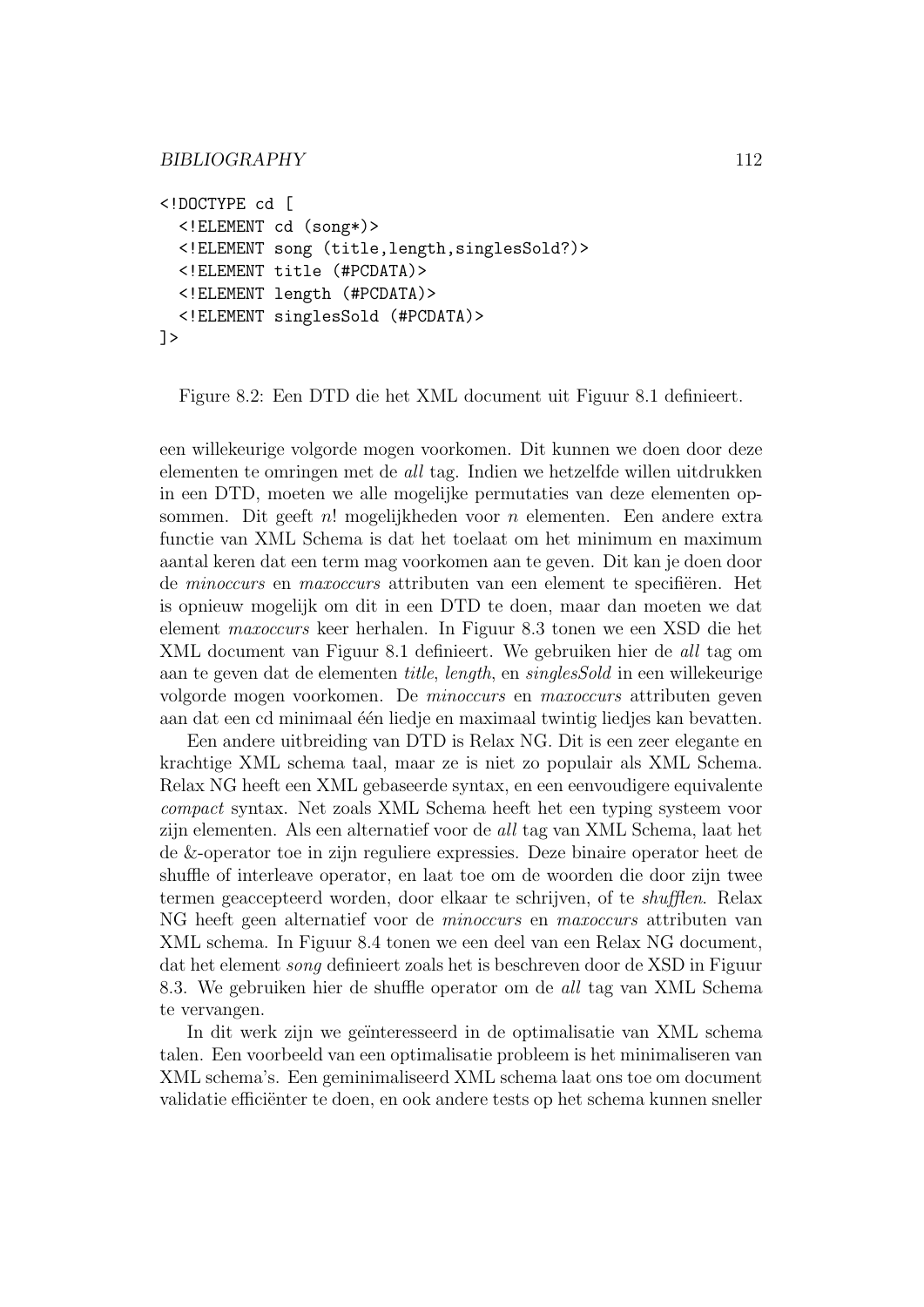```
<!DOCTYPE cd [
  <!ELEMENT cd (song*)>
  <!ELEMENT song (title,length,singlesSold?)>
  <!ELEMENT title (#PCDATA)>
  <!ELEMENT length (#PCDATA)>
  <!ELEMENT singlesSold (#PCDATA)>
]>
```
Figure 8.2: Een DTD die het XML document uit Figuur 8.1 definieert.

een willekeurige volgorde mogen voorkomen. Dit kunnen we doen door deze elementen te omringen met de all tag. Indien we hetzelfde willen uitdrukken in een DTD, moeten we alle mogelijke permutaties van deze elementen opsommen. Dit geeft  $n!$  mogelijkheden voor  $n$  elementen. Een andere extra functie van XML Schema is dat het toelaat om het minimum en maximum aantal keren dat een term mag voorkomen aan te geven. Dit kan je doen door de minoccurs en maxoccurs attributen van een element te specifiëren. Het is opnieuw mogelijk om dit in een DTD te doen, maar dan moeten we dat element maxoccurs keer herhalen. In Figuur 8.3 tonen we een XSD die het XML document van Figuur 8.1 definieert. We gebruiken hier de all tag om aan te geven dat de elementen title, length, en singlesSold in een willekeurige volgorde mogen voorkomen. De minoccurs en maxoccurs attributen geven aan dat een cd minimaal één liedje en maximaal twintig liedjes kan bevatten.

Een andere uitbreiding van DTD is Relax NG. Dit is een zeer elegante en krachtige XML schema taal, maar ze is niet zo populair als XML Schema. Relax NG heeft een XML gebaseerde syntax, en een eenvoudigere equivalente compact syntax. Net zoals XML Schema heeft het een typing systeem voor zijn elementen. Als een alternatief voor de all tag van XML Schema, laat het de &-operator toe in zijn reguliere expressies. Deze binaire operator heet de shuffle of interleave operator, en laat toe om de woorden die door zijn twee termen geaccepteerd worden, door elkaar te schrijven, of te shufflen. Relax NG heeft geen alternatief voor de minoccurs en maxoccurs attributen van XML schema. In Figuur 8.4 tonen we een deel van een Relax NG document, dat het element song definieert zoals het is beschreven door de XSD in Figuur 8.3. We gebruiken hier de shuffle operator om de all tag van XML Schema te vervangen.

In dit werk zijn we ge¨ınteresseerd in de optimalisatie van XML schema talen. Een voorbeeld van een optimalisatie probleem is het minimaliseren van XML schema's. Een geminimaliseerd XML schema laat ons toe om document validatie efficiënter te doen, en ook andere tests op het schema kunnen sneller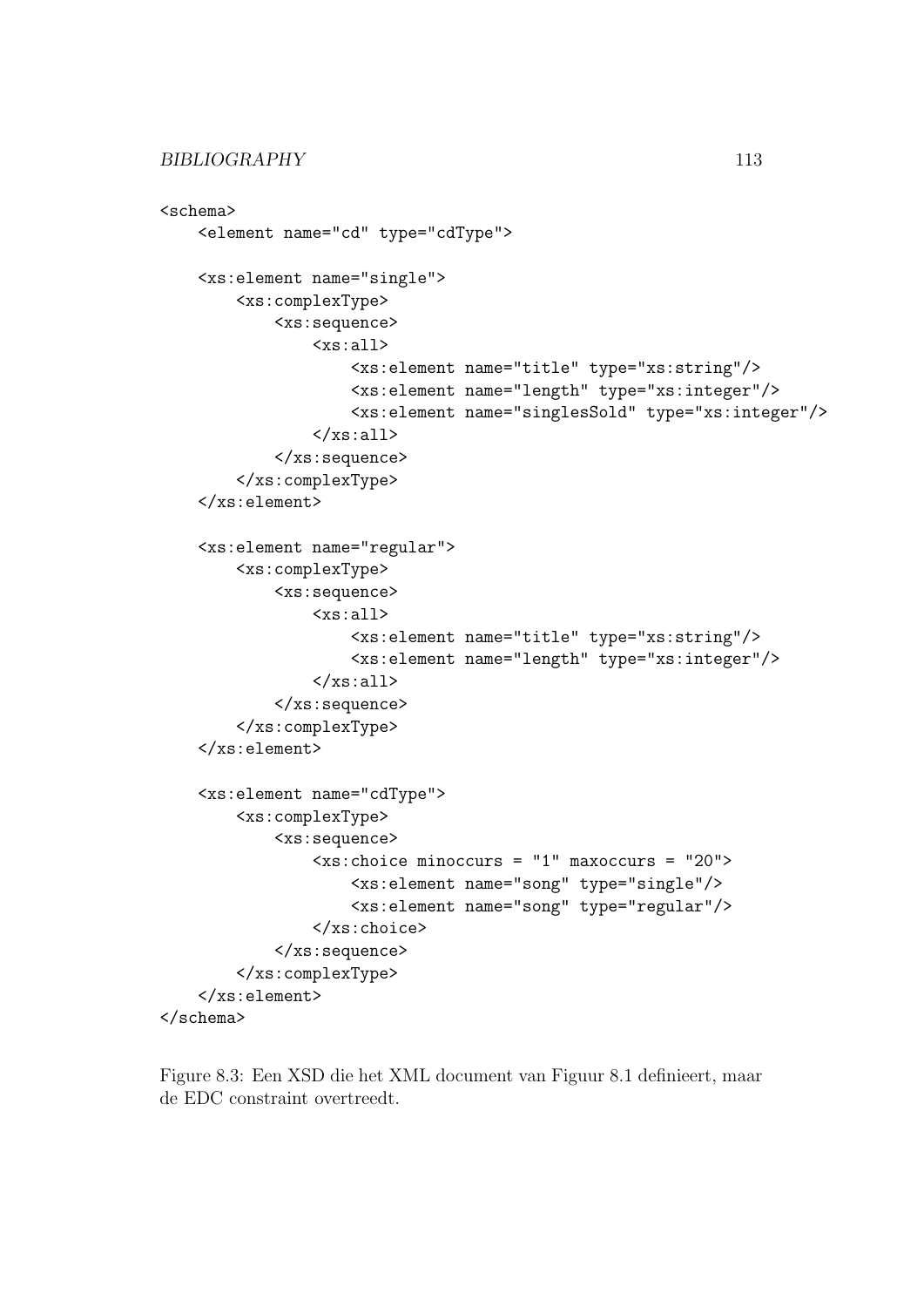```
<schema>
    <element name="cd" type="cdType">
    <xs:element name="single">
        <xs:complexType>
            <xs:sequence>
                <xs:all>
                     <xs:element name="title" type="xs:string"/>
                     <xs:element name="length" type="xs:integer"/>
                     <xs:element name="singlesSold" type="xs:integer"/>
                \langle x s : 11 \rangle</xs:sequence>
        </xs:complexType>
    </xs:element>
    <xs:element name="regular">
        <xs:complexType>
            <xs:sequence>
                 <xs:all>
                     <xs:element name="title" type="xs:string"/>
                     <xs:element name="length" type="xs:integer"/>
                 \langle x s : a 1 1 \rangle</xs:sequence>
        </xs:complexType>
    </xs:element>
    <xs:element name="cdType">
        <xs:complexType>
            <xs:sequence>
                 <xs:choice minoccurs = "1" maxoccurs = "20">
                     <xs:element name="song" type="single"/>
                     <xs:element name="song" type="regular"/>
                 </xs:choice>
            </xs:sequence>
        </xs:complexType>
    </xs:element>
</schema>
```
Figure 8.3: Een XSD die het XML document van Figuur 8.1 definieert, maar de EDC constraint overtreedt.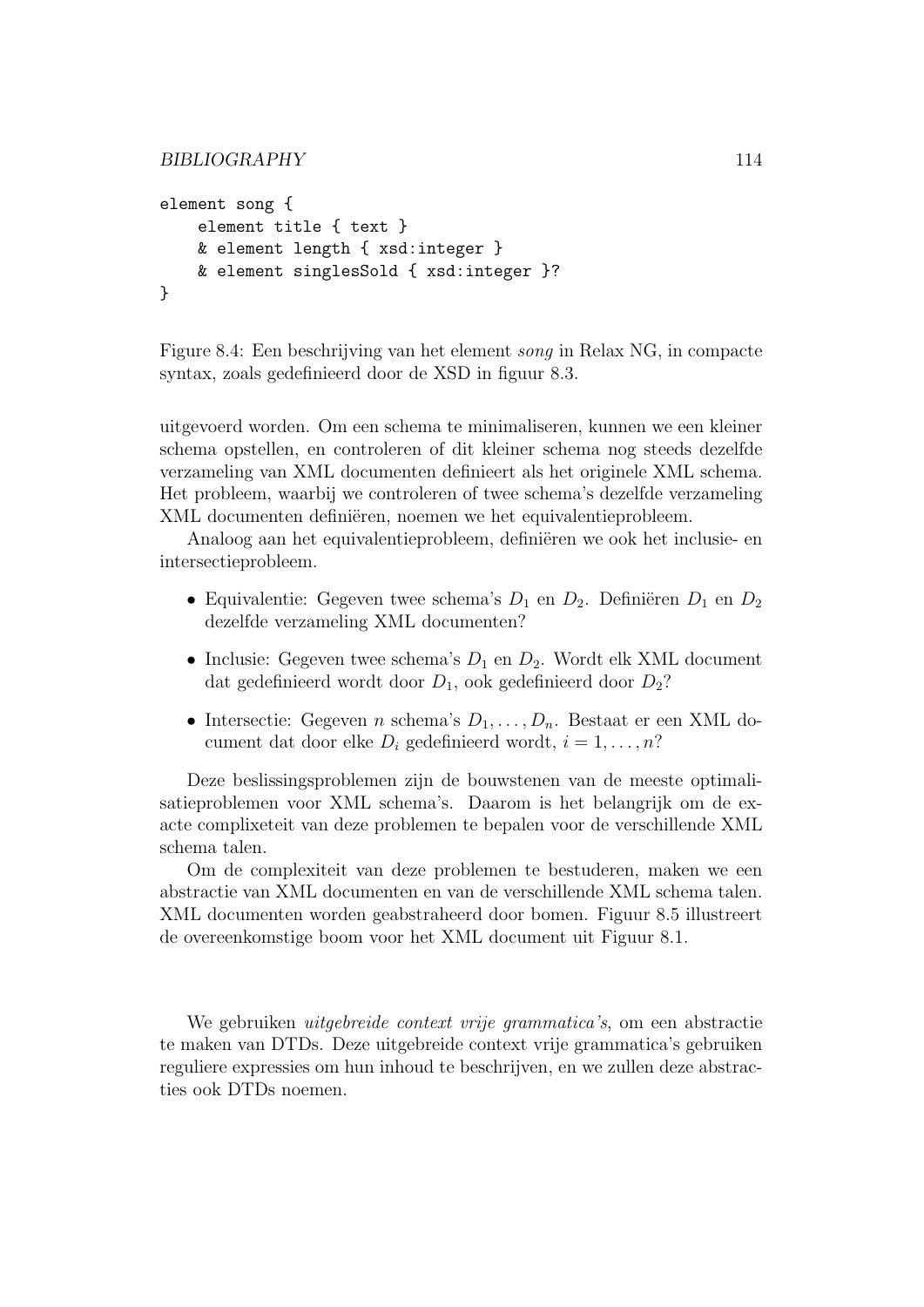```
BIBLIOGRAPHY 114
```

```
element song {
    element title { text }
    & element length { xsd:integer }
    & element singlesSold { xsd:integer }?
}
```
Figure 8.4: Een beschrijving van het element song in Relax NG, in compacte syntax, zoals gedefinieerd door de XSD in figuur 8.3.

uitgevoerd worden. Om een schema te minimaliseren, kunnen we een kleiner schema opstellen, en controleren of dit kleiner schema nog steeds dezelfde verzameling van XML documenten definieert als het originele XML schema. Het probleem, waarbij we controleren of twee schema's dezelfde verzameling XML documenten definiëren, noemen we het equivalentieprobleem.

Analoog aan het equivalentieprobleem, definiëren we ook het inclusie- en intersectieprobleem.

- Equivalentie: Gegeven twee schema's  $D_1$  en  $D_2$ . Definiëren  $D_1$  en  $D_2$ dezelfde verzameling XML documenten?
- Inclusie: Gegeven twee schema's  $D_1$  en  $D_2$ . Wordt elk XML document dat gedefinieerd wordt door  $D_1$ , ook gedefinieerd door  $D_2$ ?
- Intersectie: Gegeven *n* schema's  $D_1, \ldots, D_n$ . Bestaat er een XML document dat door elke  $D_i$  gedefinieerd wordt,  $i = 1, \ldots, n$ ?

Deze beslissingsproblemen zijn de bouwstenen van de meeste optimalisatieproblemen voor XML schema's. Daarom is het belangrijk om de exacte complixeteit van deze problemen te bepalen voor de verschillende XML schema talen.

Om de complexiteit van deze problemen te bestuderen, maken we een abstractie van XML documenten en van de verschillende XML schema talen. XML documenten worden geabstraheerd door bomen. Figuur 8.5 illustreert de overeenkomstige boom voor het XML document uit Figuur 8.1.

We gebruiken *uitgebreide context vrije grammatica's*, om een abstractie te maken van DTDs. Deze uitgebreide context vrije grammatica's gebruiken reguliere expressies om hun inhoud te beschrijven, en we zullen deze abstracties ook DTDs noemen.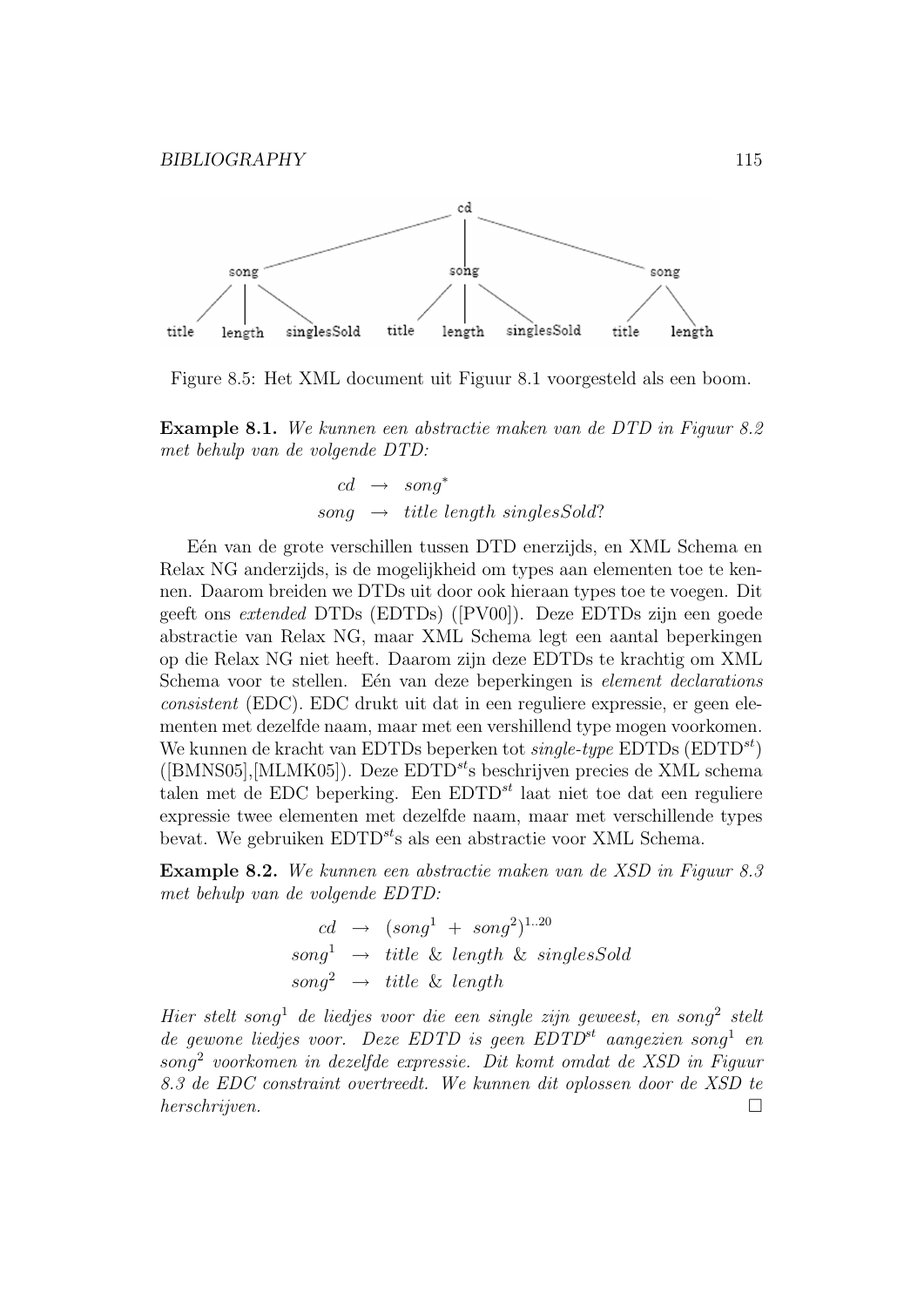

Figure 8.5: Het XML document uit Figuur 8.1 voorgesteld als een boom.

Example 8.1. We kunnen een abstractie maken van de DTD in Figuur 8.2 met behulp van de volgende DTD:

$$
cd \rightarrow song^*
$$
  
song \rightarrow title length singlesSold?

E'en van de grote verschillen tussen DTD enerzijds, en XML Schema en Relax NG anderzijds, is de mogelijkheid om types aan elementen toe te kennen. Daarom breiden we DTDs uit door ook hieraan types toe te voegen. Dit geeft ons extended DTDs (EDTDs) ([PV00]). Deze EDTDs zijn een goede abstractie van Relax NG, maar XML Schema legt een aantal beperkingen op die Relax NG niet heeft. Daarom zijn deze EDTDs te krachtig om XML Schema voor te stellen. Eén van deze beperkingen is element declarations consistent (EDC). EDC drukt uit dat in een reguliere expressie, er geen elementen met dezelfde naam, maar met een vershillend type mogen voorkomen. We kunnen de kracht van EDTDs beperken tot *single-type* EDTDs  $(EDTD^{st})$  $([BMNS05],[MLMK05]).$  Deze  $EDTD^{st}$ s beschrijven precies de XML schema talen met de EDC beperking. Een  $EDTD^{st}$  laat niet toe dat een reguliere expressie twee elementen met dezelfde naam, maar met verschillende types bevat. We gebruiken  $EDTD^{st}$ s als een abstractie voor XML Schema.

Example 8.2. We kunnen een abstractie maken van de XSD in Figuur 8.3 met behulp van de volgende EDTD:

$$
cd \rightarrow (song1 + song2)1..20
$$
  

$$
song1 \rightarrow title & length & singlesSold
$$
  

$$
song2 \rightarrow title & length
$$

Hier stelt song<sup>1</sup> de liedjes voor die een single zijn geweest, en song<sup>2</sup> stelt de gewone liedjes voor. Deze EDTD is geen  $EDTD^{st}$  aangezien song<sup>1</sup> en song<sup>2</sup> voorkomen in dezelfde expressie. Dit komt omdat de XSD in Figuur 8.3 de EDC constraint overtreedt. We kunnen dit oplossen door de XSD te herschrijven.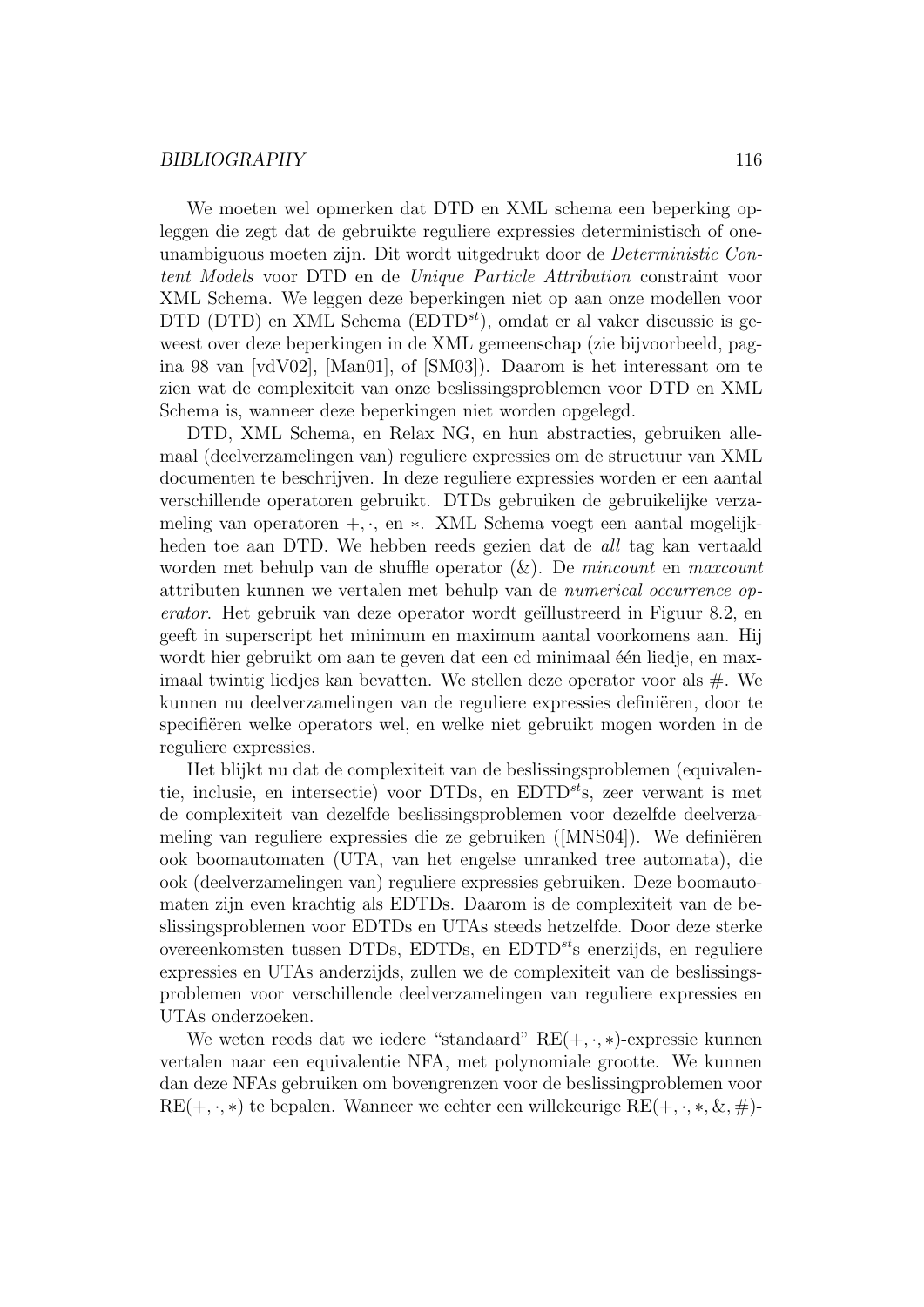We moeten wel opmerken dat DTD en XML schema een beperking opleggen die zegt dat de gebruikte reguliere expressies deterministisch of oneunambiguous moeten zijn. Dit wordt uitgedrukt door de Deterministic Content Models voor DTD en de Unique Particle Attribution constraint voor XML Schema. We leggen deze beperkingen niet op aan onze modellen voor DTD (DTD) en XML Schema (EDTD<sup>st</sup>), omdat er al vaker discussie is geweest over deze beperkingen in de XML gemeenschap (zie bijvoorbeeld, pagina 98 van [vdV02], [Man01], of [SM03]). Daarom is het interessant om te zien wat de complexiteit van onze beslissingsproblemen voor DTD en XML Schema is, wanneer deze beperkingen niet worden opgelegd.

DTD, XML Schema, en Relax NG, en hun abstracties, gebruiken allemaal (deelverzamelingen van) reguliere expressies om de structuur van XML documenten te beschrijven. In deze reguliere expressies worden er een aantal verschillende operatoren gebruikt. DTDs gebruiken de gebruikelijke verzameling van operatoren +, ·, en ∗. XML Schema voegt een aantal mogelijkheden toe aan DTD. We hebben reeds gezien dat de all tag kan vertaald worden met behulp van de shuffle operator  $(x)$ . De mincount en maxcount attributen kunnen we vertalen met behulp van de numerical occurrence operator. Het gebruik van deze operator wordt geïllustreerd in Figuur 8.2, en geeft in superscript het minimum en maximum aantal voorkomens aan. Hij wordt hier gebruikt om aan te geven dat een cd minimaal één liedje, en maximaal twintig liedjes kan bevatten. We stellen deze operator voor als #. We kunnen nu deelverzamelingen van de reguliere expressies definiëren, door te specifiëren welke operators wel, en welke niet gebruikt mogen worden in de reguliere expressies.

Het blijkt nu dat de complexiteit van de beslissingsproblemen (equivalentie, inclusie, en intersectie) voor DTDs, en  $EDTD^{st}$ s, zeer verwant is met de complexiteit van dezelfde beslissingsproblemen voor dezelfde deelverzameling van reguliere expressies die ze gebruiken  $(NNS04)$ . We definiëren ook boomautomaten (UTA, van het engelse unranked tree automata), die ook (deelverzamelingen van) reguliere expressies gebruiken. Deze boomautomaten zijn even krachtig als EDTDs. Daarom is de complexiteit van de beslissingsproblemen voor EDTDs en UTAs steeds hetzelfde. Door deze sterke overeenkomsten tussen DTDs, EDTDs, en EDTD $s$ <sup>t</sup>s enerzijds, en reguliere expressies en UTAs anderzijds, zullen we de complexiteit van de beslissingsproblemen voor verschillende deelverzamelingen van reguliere expressies en UTAs onderzoeken.

We weten reeds dat we iedere "standaard"  $RE(+, \cdot, *)$ -expressie kunnen vertalen naar een equivalentie NFA, met polynomiale grootte. We kunnen dan deze NFAs gebruiken om bovengrenzen voor de beslissingproblemen voor  $RE(+, \cdot, *)$  te bepalen. Wanneer we echter een willekeurige  $RE(+, \cdot, *, \&, \#)$ -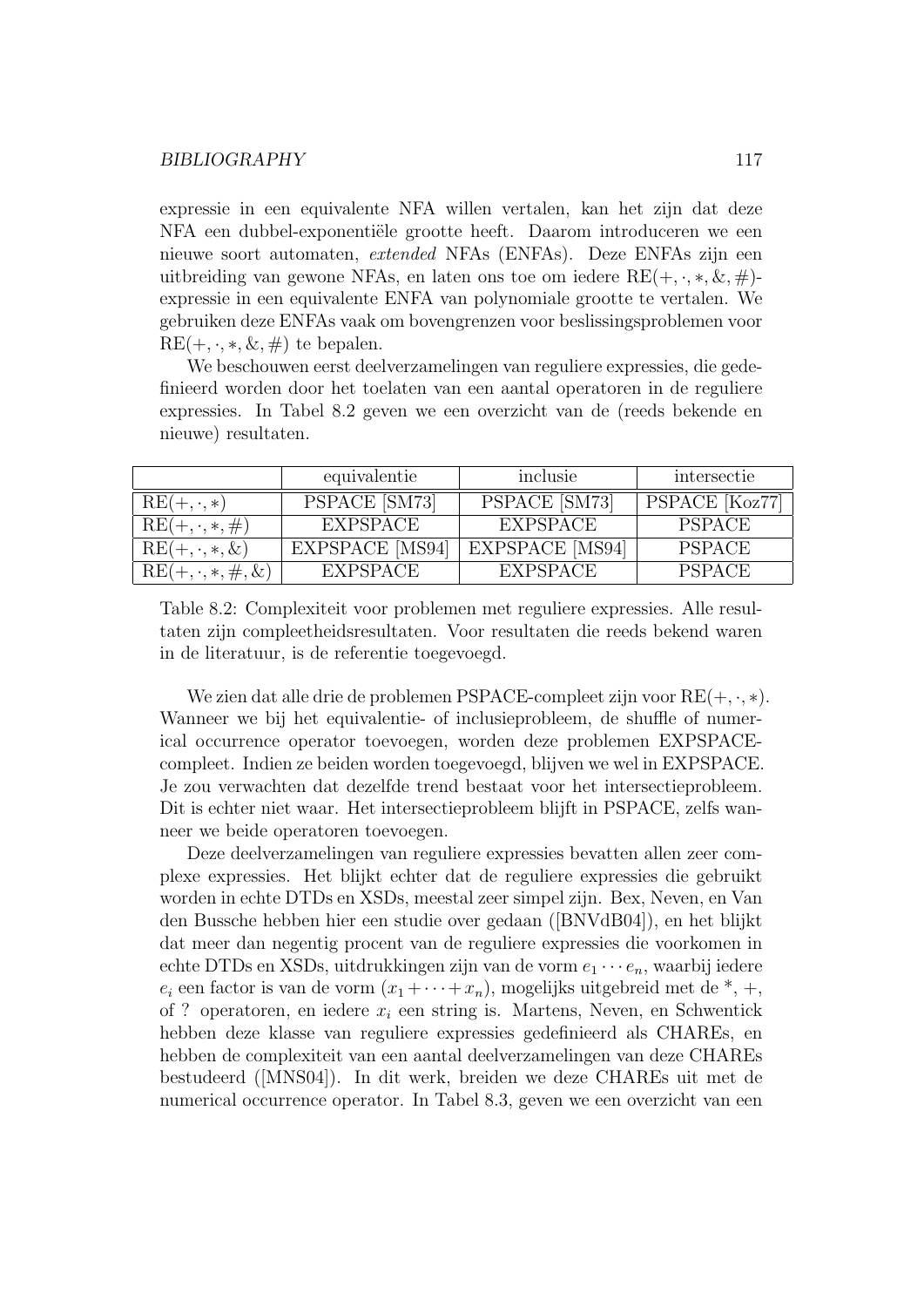expressie in een equivalente NFA willen vertalen, kan het zijn dat deze NFA een dubbel-exponentiële grootte heeft. Daarom introduceren we een nieuwe soort automaten, extended NFAs (ENFAs). Deze ENFAs zijn een uitbreiding van gewone NFAs, en laten ons toe om iedere  $RE(+, \cdot, *, \&, \#)$ expressie in een equivalente ENFA van polynomiale grootte te vertalen. We gebruiken deze ENFAs vaak om bovengrenzen voor beslissingsproblemen voor  $RE(+, \cdot, *, \&, \#)$  te bepalen.

We beschouwen eerst deelverzamelingen van reguliere expressies, die gedefinieerd worden door het toelaten van een aantal operatoren in de reguliere expressies. In Tabel 8.2 geven we een overzicht van de (reeds bekende en nieuwe) resultaten.

|                           | equivalentie           | inclusie               | intersectie    |
|---------------------------|------------------------|------------------------|----------------|
| $RE(+, \cdot, *)$         | PSPACE [SM73]          | PSPACE [SM73]          | PSPACE [Koz77] |
| $RE(+, \cdot, *, \#)$     | EXPSPACE               | EXPSPACE               | PSPACE         |
| $RE(+, \cdot, *, \&)$     | <b>EXPSPACE</b> [MS94] | <b>EXPSPACE</b> [MS94] | PSPACE         |
| $RE(+, \cdot, *, \#, \&)$ | <b>EXPSPACE</b>        | EXPSPACE               | <b>PSPACE</b>  |

Table 8.2: Complexiteit voor problemen met reguliere expressies. Alle resultaten zijn compleetheidsresultaten. Voor resultaten die reeds bekend waren in de literatuur, is de referentie toegevoegd.

We zien dat alle drie de problemen PSPACE-compleet zijn voor  $RE(+, \cdot, *)$ . Wanneer we bij het equivalentie- of inclusieprobleem, de shuffle of numerical occurrence operator toevoegen, worden deze problemen EXPSPACEcompleet. Indien ze beiden worden toegevoegd, blijven we wel in EXPSPACE. Je zou verwachten dat dezelfde trend bestaat voor het intersectieprobleem. Dit is echter niet waar. Het intersectieprobleem blijft in PSPACE, zelfs wanneer we beide operatoren toevoegen.

Deze deelverzamelingen van reguliere expressies bevatten allen zeer complexe expressies. Het blijkt echter dat de reguliere expressies die gebruikt worden in echte DTDs en XSDs, meestal zeer simpel zijn. Bex, Neven, en Van den Bussche hebben hier een studie over gedaan ([BNVdB04]), en het blijkt dat meer dan negentig procent van de reguliere expressies die voorkomen in echte DTDs en XSDs, uitdrukkingen zijn van de vorm  $e_1 \cdots e_n$ , waarbij iedere  $e_i$  een factor is van de vorm  $(x_1 + \cdots + x_n)$ , mogelijks uitgebreid met de  $*, +$ , of ? operatoren, en iedere  $x_i$  een string is. Martens, Neven, en Schwentick hebben deze klasse van reguliere expressies gedefinieerd als CHAREs, en hebben de complexiteit van een aantal deelverzamelingen van deze CHAREs bestudeerd ([MNS04]). In dit werk, breiden we deze CHAREs uit met de numerical occurrence operator. In Tabel 8.3, geven we een overzicht van een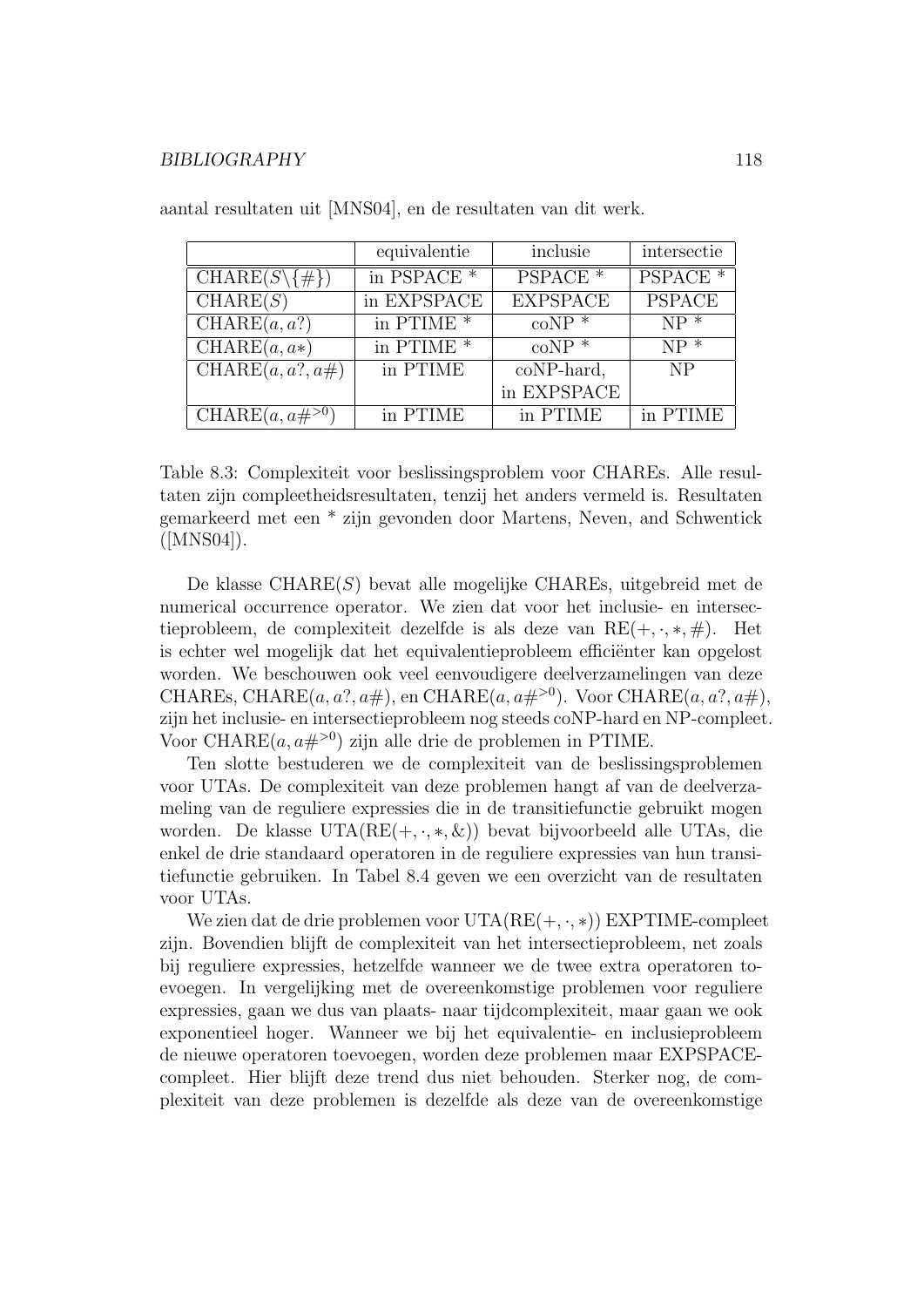|                                       | equivalentie           | inclusie            | intersectie         |
|---------------------------------------|------------------------|---------------------|---------------------|
| $CHARE(S\ \{\#\})$                    | in PSPACE <sup>*</sup> | PSPACE <sup>*</sup> | PSPACE <sup>*</sup> |
| CHARE(S)                              | in EXPSPACE            | <b>EXPSPACE</b>     | <b>PSPACE</b>       |
| CHARE(a, a?)                          | in PTIME <sup>*</sup>  | $coNP *$            | $NP *$              |
| $CHARE(a, a*)$                        | in PTIME $*$           | $coNP *$            | $NP^*$              |
| $\overline{\text{CHARE}}(a, a?, a\#)$ | in PTIME               | coNP-hard,          | N <sub>P</sub>      |
|                                       |                        | in EXPSPACE         |                     |
| CHARE $(a, a\#^{>0})$                 | in PTIME               | in PTIME            | in PTIME            |

aantal resultaten uit [MNS04], en de resultaten van dit werk.

Table 8.3: Complexiteit voor beslissingsproblem voor CHAREs. Alle resultaten zijn compleetheidsresultaten, tenzij het anders vermeld is. Resultaten gemarkeerd met een \* zijn gevonden door Martens, Neven, and Schwentick  $([MNS04]).$ 

De klasse CHARE(S) bevat alle mogelijke CHAREs, uitgebreid met de numerical occurrence operator. We zien dat voor het inclusie- en intersectieprobleem, de complexiteit dezelfde is als deze van  $RE(+, \cdot, *, \#)$ . Het is echter wel mogelijk dat het equivalentieprobleem efficiënter kan opgelost worden. We beschouwen ook veel eenvoudigere deelverzamelingen van deze CHAREs, CHARE $(a, a?, a\#)$ , en CHARE $(a, a\#^{>0})$ . Voor CHARE $(a, a?, a\#)$ , zijn het inclusie- en intersectieprobleem nog steeds coNP-hard en NP-compleet. Voor CHARE $(a, a\#^{>0})$  zijn alle drie de problemen in PTIME.

Ten slotte bestuderen we de complexiteit van de beslissingsproblemen voor UTAs. De complexiteit van deze problemen hangt af van de deelverzameling van de reguliere expressies die in de transitiefunctie gebruikt mogen worden. De klasse UTA( $RE(+, \cdot, *, \&)$ ) bevat bijvoorbeeld alle UTAs, die enkel de drie standaard operatoren in de reguliere expressies van hun transitiefunctie gebruiken. In Tabel 8.4 geven we een overzicht van de resultaten voor UTAs.

We zien dat de drie problemen voor  $UTA(RE(+, \cdot, *))$  EXPTIME-compleet zijn. Bovendien blijft de complexiteit van het intersectieprobleem, net zoals bij reguliere expressies, hetzelfde wanneer we de twee extra operatoren toevoegen. In vergelijking met de overeenkomstige problemen voor reguliere expressies, gaan we dus van plaats- naar tijdcomplexiteit, maar gaan we ook exponentieel hoger. Wanneer we bij het equivalentie- en inclusieprobleem de nieuwe operatoren toevoegen, worden deze problemen maar EXPSPACEcompleet. Hier blijft deze trend dus niet behouden. Sterker nog, de complexiteit van deze problemen is dezelfde als deze van de overeenkomstige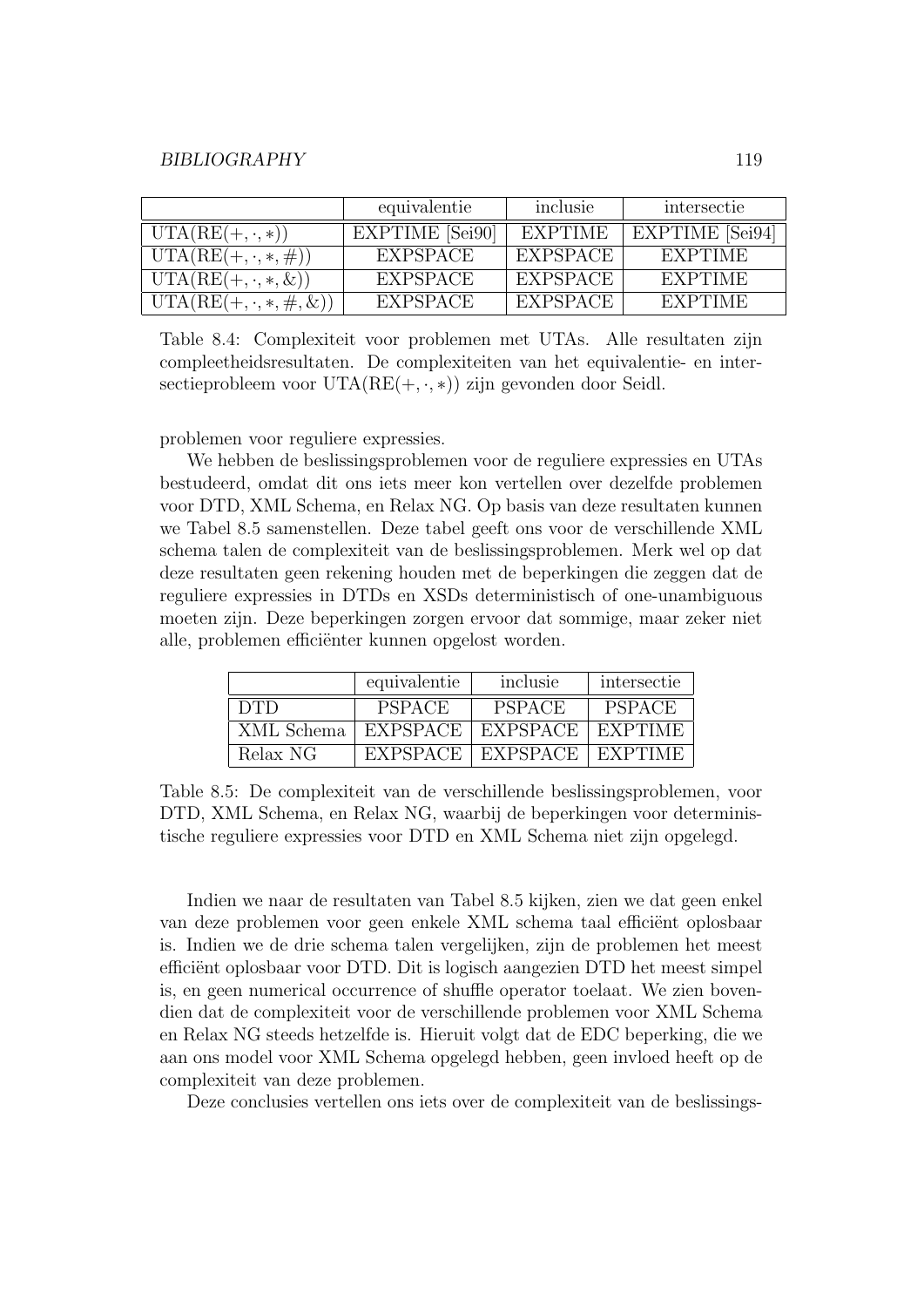|                                | equivalentie           | inclusie | intersectie     |
|--------------------------------|------------------------|----------|-----------------|
| $UTA(RE(+, \cdot, *))$         | <b>EXPTIME</b> [Sei90] | EXPTIME  | EXPTIME [Sei94] |
| $UTA(RE(+, \cdot, *, \#))$     | <b>EXPSPACE</b>        | EXPSPACE | EXPTIME         |
| $UTA(RE(+, \cdot, *, \&))$     | <b>EXPSPACE</b>        | EXPSPACE | <b>EXPTIME</b>  |
| $UTA(RE(+, \cdot, *, \#, \&))$ | <b>EXPSPACE</b>        | EXPSPACE | EXPTIME         |

Table 8.4: Complexiteit voor problemen met UTAs. Alle resultaten zijn compleetheidsresultaten. De complexiteiten van het equivalentie- en intersectieprobleem voor  $UTA(RE(+, \cdot, *))$  zijn gevonden door Seidl.

problemen voor reguliere expressies.

We hebben de beslissingsproblemen voor de reguliere expressies en UTAs bestudeerd, omdat dit ons iets meer kon vertellen over dezelfde problemen voor DTD, XML Schema, en Relax NG. Op basis van deze resultaten kunnen we Tabel 8.5 samenstellen. Deze tabel geeft ons voor de verschillende XML schema talen de complexiteit van de beslissingsproblemen. Merk wel op dat deze resultaten geen rekening houden met de beperkingen die zeggen dat de reguliere expressies in DTDs en XSDs deterministisch of one-unambiguous moeten zijn. Deze beperkingen zorgen ervoor dat sommige, maar zeker niet alle, problemen efficiënter kunnen opgelost worden.

|            | equivalentie    | inclusie        | intersectie    |
|------------|-----------------|-----------------|----------------|
| <b>DTD</b> | <b>PSPACE</b>   | <b>PSPACE</b>   | <b>PSPACE</b>  |
| XML Schema | <b>EXPSPACE</b> | <b>EXPSPACE</b> | EXPTIME        |
| Relax NG   | <b>EXPSPACE</b> | EXPSPACE        | <b>EXPTIME</b> |

Table 8.5: De complexiteit van de verschillende beslissingsproblemen, voor DTD, XML Schema, en Relax NG, waarbij de beperkingen voor deterministische reguliere expressies voor DTD en XML Schema niet zijn opgelegd.

Indien we naar de resultaten van Tabel 8.5 kijken, zien we dat geen enkel van deze problemen voor geen enkele XML schema taal efficiënt oplosbaar is. Indien we de drie schema talen vergelijken, zijn de problemen het meest efficiënt oplosbaar voor DTD. Dit is logisch aangezien DTD het meest simpel is, en geen numerical occurrence of shuffle operator toelaat. We zien bovendien dat de complexiteit voor de verschillende problemen voor XML Schema en Relax NG steeds hetzelfde is. Hieruit volgt dat de EDC beperking, die we aan ons model voor XML Schema opgelegd hebben, geen invloed heeft op de complexiteit van deze problemen.

Deze conclusies vertellen ons iets over de complexiteit van de beslissings-